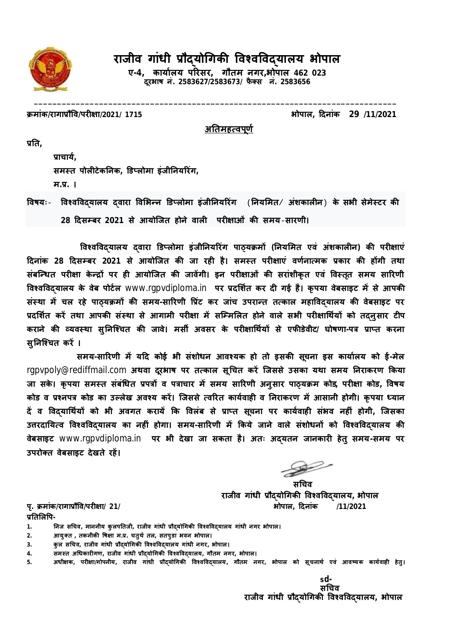

# राजीव गांधी प्रौदयोगिकी विश्वविदयालय **भोपाल**

**ए-4, काया[लय पǐरसर, गौतम नगर,भोपाल 462 023 दूरभाष नं. 2583627/2583673/ फै Èस नं. 2583656**

**\_\_\_\_\_\_\_\_\_\_\_\_\_\_\_\_\_\_\_\_\_\_\_\_\_\_\_\_\_\_\_\_\_\_\_\_\_\_\_\_\_\_\_\_\_\_\_\_\_\_\_\_\_\_\_\_\_\_\_\_\_\_\_\_\_\_\_\_\_\_\_\_\_\_\_\_\_\_** 

**Đमांक/रागाĤौͪव/परȣ¢ा/2021/ 1715 भोपाल, Ǒदनांक 29 /11/2021**

<u>अतिमहत्वपूर्ण</u>

**ĤǓत,**

**Ĥाचाय[, समèत पोलȣटेकǓनक, ͫडÜलोमा इंजीǓनयǐरंग, म.Ĥ. ।**

 $\frac{1}{2}$ विश्वविदयालय दवारा विभिन्न डिप्लोमा इंजीनियरिंग (नियमित/ अंशकालीन) के सभी सेमेस्टर की **28 Ǒदसàबर 2021 से आयोिजत होने वालȣ परȣ¢ाओं कȧ समय**-**सारणी।**

**ͪवæवͪवɮयालय ɮवारा ͫडÜलोमा इंजीǓनयǐरंग पाɫयĐमɉ (Ǔनयͧमत एवं अंशकालȣन) कȧ परȣ¢ाएं Ǒदनांक 28 Ǒदसàबर 2021 से आयोिजत कȧ जा रहȣ है। समèत परȣ¢ाएं वण[ना×मक Ĥकार कȧ हɉगी तथा**  संबन्धित परीक्षा केन्द्रों पर ही आयोजित की जावेंगी। इन परीक्षाओं की सरांशीकृत एवं विस्तृत समय सारिणी विश्वविदयालय के वेब पोर्टल www.rgpvdiploma.in पर प्रदर्शित कर दी गई है। कृपया वेबसाइट में से आपकी संस्था में चल रहे पाठयक्रमों की समय-सारिणी प्रिंट कर जांच उपरान्त तत्काल महाविदयालय की वेबसाइट पर प्रदर्शित करें तथा आपकी संस्था से आगामी परीक्षा में सम्मिलित होने वाले सभी परीक्षार्थियों को तदनुसार टीप **कराने कȧ åयवèथा सु Ǔनिæचत कȧ जावे। मसȸ अवसर के परȣ¢ाͬथ[यɉ से एफȧडेवीट/ घोषणा-पğ ĤाÜत करना सु Ǔनिæचत करɅ ।** 

**समय-साǐरणी मɅ यǑद कोई भी संशोधन आवæयक हो तो इसकȧ सूचना इस काया[लय को ई-मेल**  rgpvpoly@rediffmail.com अथवा दूरभाष पर तत्काल सूचित करें जिससे उसका यथा समय निराकरण किया **जा सके । कृ पया समèत संबंͬधत Ĥपğɉ व पğाचार मɅ समय साǐरणी अनुसार पाɫयĐम कोड, परȣ¢ा कोड, ͪवषय**  कोड व प्रश्नपत्र कोड का उल्लेख अवश्य करें। जिससे त्वरित कार्यवाही व निराकरण में आसानी होगी। कृपया ध्यान **दɅ व ͪवɮयाͬथ[यɉ को भी अवगत करायɅ ͩक ͪवलंब से ĤाÜत सूचना पर काय[वाहȣ संभव नहȣं होगी, िजसका**  उत्तरदायित्व विश्वविदयालय का नहीं होगा। समय-सारिणी में किये जाने वाले संशोधनों को विश्वविदयालय की **वेबसाइट** www.rgpvdiploma.in **पर भी देखा जा सकता है। अतः अɮयतन जानकारȣ हेतु समय-समय पर**  उपरोक्त वेबसाइट देखते रहें।

 **सͬचव राजीव गांधी Ĥौɮयोͬगकȧ ͪवæवͪवɮयालय, भोपाल पृ. Đमांक/रागाĤौͪव/परȣ¢ा/ 21/ भोपाल, Ǒदनांक /11/2021**

प्रतिलिपि-

**1. Ǔनज सͬचव, माननीय कु लपǓतजी, राजीव गांधी Ĥौɮयोͬगकȧ ͪवæवͪवɮयालय गांधी नगर भोपाल।**

- **2. आयुÈत , तकनीकȧ ͪष¢ा म.Ĥ. चतुथ[ तल, सतपुडा भवन भोपाल।**
- **3. कु ल सͬचव, राजीव गांधी Ĥौɮयोͬगकȧ ͪवæवͪवɮयालय गांधी नगर, भोपाल।**
- **4. समèत अͬधकारȣगण, राजीव गांधी Ĥौɮयोͬगकȧ ͪवæवͪवɮयालय, गौतम नगर, भोपाल।**
- **5. अधी¢क, परȣ¢ा/गोपनीय, राजीव गांधी Ĥौɮयोͬगकȧ ͪवæवͪवɮयालय, गौतम नगर, भोपाल को सूचनाथ[ एवं आवçयक काय[वाहȣ हेतु ।**

**s***d-***सͬचव राजीव गांधी Ĥौɮयोͬगकȧ ͪवæवͪवɮयालय, भोपाल**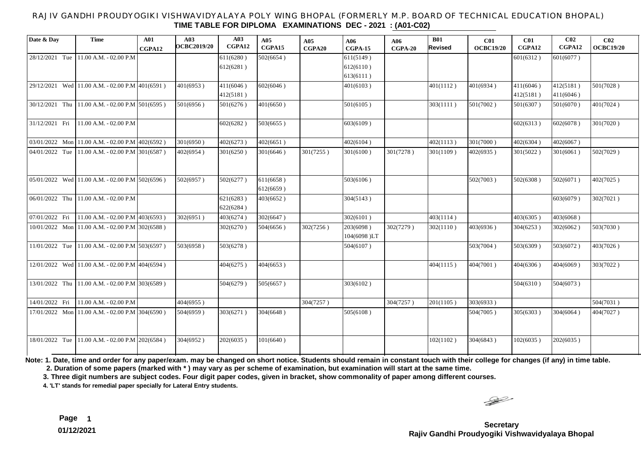### RAJIV GANDHI PROUDYOGIKI VISHWAVIDYALAYA POLY WING BHOPAL (FORMERLY M.P. BOARD OF TECHNICAL EDUCATION BHOPAL) **TIME TABLE FOR DIPLOMA EXAMINATIONS DEC - 2021 : (A01-C02)**

| Date & Day     | <b>Time</b>                                                                                                                     | A01<br>CGPA12 | A03<br><b>OCBC2019/20</b> | A03<br>CGPA12          | A05<br>CGPA15 | A05<br>CGPA20 | A06<br>$CGPA-15$         | A06<br>$CGPA-20$ | <b>B01</b><br>Revised | C <sub>01</sub><br><b>OCBC19/20</b> | <b>C01</b><br>CGPA12 | C <sub>02</sub><br>CGPA12 | CO <sub>2</sub><br><b>OCBC19/20</b> |
|----------------|---------------------------------------------------------------------------------------------------------------------------------|---------------|---------------------------|------------------------|---------------|---------------|--------------------------|------------------|-----------------------|-------------------------------------|----------------------|---------------------------|-------------------------------------|
| 28/12/2021 Tue | 11.00 A.M. - 02.00 P.M                                                                                                          |               |                           | 611(6280)              | 502(6654)     |               | 611(5149)                |                  |                       |                                     | 601(6312)            | 601(6077)                 |                                     |
|                |                                                                                                                                 |               |                           | 612(6281)              |               |               | 612(6110)                |                  |                       |                                     |                      |                           |                                     |
|                |                                                                                                                                 |               |                           |                        |               |               | 613(6111)                |                  |                       |                                     |                      |                           |                                     |
| 29/12/2021     | Wed 11.00 A.M. - 02.00 P.M 401(6591)                                                                                            |               | 401(6953)                 | 411(6046)              | 602(6046)     |               | 401(6103)                |                  | 401(1112)             | 401(6934)                           | 411(6046)            | 412(5181)                 | 501(7028)                           |
|                |                                                                                                                                 |               |                           | 412(5181)              |               |               |                          |                  |                       |                                     | 412(5181)            | 411(6046)                 |                                     |
| 30/12/2021 Thu | $11.00$ A.M. - 02.00 P.M 501(6595)                                                                                              |               | 501(6956)                 | 501(6276)              | 401(6650)     |               | 501(6105)                |                  | 303(1111)             | 501(7002)                           | 501(6307)            | 501(6070)                 | 401(7024)                           |
| 31/12/2021 Fri | 11.00 A.M. - 02.00 P.M                                                                                                          |               |                           | 602(6282)              | 503(6655)     |               | 603(6109)                |                  |                       |                                     | 602(6313)            | 602(6078)                 | 301(7020)                           |
| 03/01/2022 Mon | 11.00 A.M. - 02.00 P.M 402(6592)                                                                                                |               | 301(6950)                 | 402(6273)              | 402(6651)     |               | 402(6104)                |                  | 402(1113)             | 301(7000)                           | 402(6304)            | 402(6067)                 |                                     |
| 04/01/2022 Tue | 11.00 A.M. - 02.00 P.M 301(6587)                                                                                                |               | 402(6954)                 | 301(6250)              | 301(6646)     | 301(7255)     | 301(6100)                | 301(7278)        | 301(1109)             | 402(6935)                           | 301(5022)            | 301(6061)                 | 502(7029)                           |
|                | $\begin{bmatrix} 0.5 & 0.1 & 20 & 22 \end{bmatrix}$ Wed 11.00 A.M. - 02.00 P.M $\begin{bmatrix} 50 & 2 & 65 & 96 \end{bmatrix}$ |               | 502(6957)                 | 502(6277)              | 611(6658)     |               | 503(6106)                |                  |                       | 502(7003)                           | 502(6308)            | 502(6071)                 | 402(7025)                           |
|                |                                                                                                                                 |               |                           |                        | 612(6659)     |               |                          |                  |                       |                                     |                      |                           |                                     |
| 06/01/2022 Thu | 11.00 A.M. - 02.00 P.M                                                                                                          |               |                           | 621(6283)<br>622(6284) | 403(6652)     |               | 304(5143)                |                  |                       |                                     |                      | 603(6079)                 | 302(7021)                           |
| 07/01/2022 Fri | 11.00 A.M. - 02.00 P.M 403(6593)                                                                                                |               | 302(6951)                 | 403(6274)              | 302(6647)     |               | 302(6101)                |                  | 403(1114)             |                                     | 403(6305)            | 403(6068)                 |                                     |
| 10/01/2022 Mon | 11.00 A.M. - 02.00 P.M 302(6588)                                                                                                |               |                           | 302(6270)              | 504(6656)     | 302(7256)     | 203(6098)<br>104(6098)LT | 302(7279)        | 302(1110)             | 403(6936)                           | 304(6253)            | 302(6062)                 | 503(7030)                           |
| 11/01/2022 Tue | 11.00 A.M. - 02.00 P.M $503(6597)$                                                                                              |               | 503(6958)                 | 503(6278)              |               |               | 504(6107)                |                  |                       | 503(7004)                           | 503(6309)            | 503(6072)                 | 403(7026)                           |
|                | $12/01/2022$ Wed 11.00 A.M. - 02.00 P.M 404(6594)                                                                               |               |                           | 404(6275)              | 404(6653)     |               |                          |                  | 404(1115)             | 404(7001)                           | 404(6306)            | 404(6069)                 | 303(7022)                           |
| 13/01/2022 Thu | $11.00$ A.M. - 02.00 P.M 303(6589)                                                                                              |               |                           | 504(6279)              | 505(6657)     |               | 303(6102)                |                  |                       |                                     | 504(6310)            | 504(6073)                 |                                     |
| 14/01/2022 Fri | 11.00 A.M. - 02.00 P.M                                                                                                          |               | 404(6955)                 |                        |               | 304(7257)     |                          | 304(7257)        | 201(1105)             | 303(6933)                           |                      |                           | 504(7031)                           |
| 17/01/2022 Mon | 11.00 A.M. - 02.00 P.M 304(6590)                                                                                                |               | 504(6959)                 | 303(6271)              | 304(6648)     |               | 505(6108)                |                  |                       | 504(7005)                           | 305(6303)            | 304(6064)                 | 404(7027)                           |
| 18/01/2022 Tue | 11.00 A.M. - 02.00 P.M 202(6584)                                                                                                |               | 304(6952)                 | 202(6035)              | 101(6640)     |               |                          |                  | 102(1102)             | 304(6843)                           | 102(6035)            | 202(6035)                 |                                     |

**Note: 1. Date, time and order for any paper/exam. may be changed on short notice. Students should remain in constant touch with their college for changes (if any) in time table.**

 **2. Duration of some papers (marked with \* ) may vary as per scheme of examination, but examination will start at the same time.**

**3. Three digit numbers are subject codes. Four digit paper codes, given in bracket, show commonality of paper among different courses.** 

**4. 'LT' stands for remedial paper specially for Lateral Entry students.**

 $\begin{picture}(120,17)(-20,17)(-20,17)(-20,17)(-20,17)(-20,17)(-20,17)(-20,17)(-20,17)(-20,17)(-20,17)(-20,17)(-20,17)(-20,17)(-20,17)(-20,17)(-20,17)(-20,17)(-20,17)(-20,17)(-20,17)(-20,17)(-20,17)(-20,17)(-20,17)(-20,17)(-20,17)(-20,17)(-20,17)(-20,17)(-20,1$ 

**Secretary Rajiv Gandhi Proudyogiki Vishwavidyalaya Bhopal**

**Page 1 01/12/2021**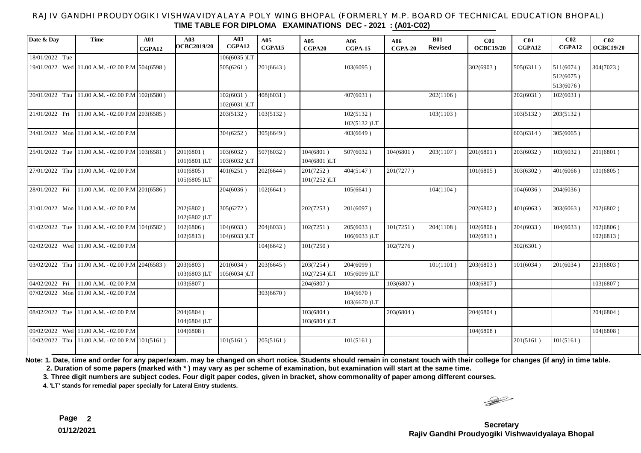### RAJIV GANDHI PROUDYOGIKI VISHWAVIDYALAYA POLY WING BHOPAL (FORMERLY M.P. BOARD OF TECHNICAL EDUCATION BHOPAL) **TIME TABLE FOR DIPLOMA EXAMINATIONS DEC - 2021 : (A01-C02)**

| Date & Day     | <b>Time</b>                                     | A01<br>CGPA12 | A03<br>OCBC2019/20       | A <sub>03</sub><br>CGPA12 | A05<br>CGPA15 | A05<br>CGPA20            | A06<br>$CGPA-15$         | A06<br>$CGPA-20$ | <b>B01</b><br>Revised | C <sub>01</sub><br><b>OCBC19/20</b> | C <sub>01</sub><br>CGPA12 | CO <sub>2</sub><br>CGPA12           | C <sub>02</sub><br><b>OCBC19/20</b> |
|----------------|-------------------------------------------------|---------------|--------------------------|---------------------------|---------------|--------------------------|--------------------------|------------------|-----------------------|-------------------------------------|---------------------------|-------------------------------------|-------------------------------------|
| 18/01/2022 Tue |                                                 |               |                          | 106(6035)LT               |               |                          |                          |                  |                       |                                     |                           |                                     |                                     |
|                | 19/01/2022 Wed 11.00 A.M. - 02.00 P.M 504(6598) |               |                          | 505(6261)                 | 201(6643)     |                          | 103(6095)                |                  |                       | 302(6903)                           | 505(6311)                 | 511(6074)<br>512(6075)<br>513(6076) | 304(7023)                           |
| 20/01/2022 Thu | $11.00$ A.M. - 02.00 P.M $ 102(6580)$           |               |                          | 102(6031)<br>102(6031)LT  | 408(6031)     |                          | 407(6031)                |                  | 202(1106)             |                                     | 202(6031)                 | 102(6031)                           |                                     |
| 21/01/2022 Fri | 11.00 A.M. - 02.00 P.M 203(6585)                |               |                          | 203(5132)                 | 103(5132)     |                          | 102(5132)<br>102(5132)LT |                  | 103(1103)             |                                     | 103(5132)                 | 203(5132)                           |                                     |
|                | 24/01/2022 Mon 11.00 A.M. - 02.00 P.M           |               |                          | 304(6252)                 | 305(6649)     |                          | 403(6649)                |                  |                       |                                     | 603(6314)                 | 305(6065)                           |                                     |
| 25/01/2022 Tue | $11.00$ A.M. - 02.00 P.M 103(6581)              |               | 201(6801)<br>101(6801)LT | 103(6032)<br>103(6032)LT  | 507(6032)     | 104(6801)<br>104(6801)LT | 507(6032)                | 104(6801)        | 203(1107)             | 201(6801)                           | 203(6032)                 | 103(6032)                           | 201(6801)                           |
| 27/01/2022 Thu | 11.00 A.M. - 02.00 P.M                          |               | 101(6805)<br>105(6805)LT | 401(6251)                 | 202(6644)     | 201(7252)<br>101(7252)LT | 404(5147)                | 201(7277)        |                       | 101(6805)                           | 303(6302)                 | 401(6066)                           | 101(6805)                           |
| 28/01/2022 Fri | 11.00 A.M. - 02.00 P.M $\vert$ 201(6586)        |               |                          | 204(6036)                 | 102(6641)     |                          | 105(6641)                |                  | 104(1104)             |                                     | 104(6036)                 | 204(6036)                           |                                     |
|                | $31/01/2022$ Mon 11.00 A.M. - 02.00 P.M         |               | 202(6802)<br>102(6802)LT | 305(6272)                 |               | 202(7253)                | 201(6097)                |                  |                       | 202(6802)                           | 401(6063)                 | 303(6063)                           | 202(6802)                           |
| 01/02/2022 Tue | 11.00 A.M. - 02.00 P.M 104(6582)                |               | 102(6806)<br>102(6813)   | 104(6033)<br>104(6033)LT  | 204(6033)     | 102(7251)                | 205(6033)<br>106(6033)LT | 101(7251)        | 204(1108)             | 102(6806)<br>102(6813)              | 204(6033)                 | 104(6033)                           | 102(6806)<br>102(6813)              |
|                | $02/02/2022$ Wed 11.00 A.M. - 02.00 P.M         |               |                          |                           | 104(6642)     | 101(7250)                |                          | 102(7276)        |                       |                                     | 302(6301)                 |                                     |                                     |
| 03/02/2022 Thu | 11.00 A.M. - 02.00 P.M 204(6583)                |               | 203(6803)<br>103(6803)LT | 201(6034)<br>105(6034)LT  | 203(6645)     | 203(7254)<br>102(7254)LT | 204(6099)<br>105(6099)LT |                  | 101(1101)             | 203(6803)                           | 101(6034)                 | 201(6034)                           | 203(6803)                           |
| 04/02/2022 Fri | 11.00 A.M. - 02.00 P.M                          |               | 103(6807)                |                           |               | 204(6807)                |                          | 103(6807)        |                       | 103(6807)                           |                           |                                     | 103(6807)                           |
| 07/02/2022 Mon | 11.00 A.M. - 02.00 P.M                          |               |                          |                           | 303(6670)     |                          | 104(6670)<br>103(6670)LT |                  |                       |                                     |                           |                                     |                                     |
| 08/02/2022 Tue | 11.00 A.M. - 02.00 P.M                          |               | 204(6804)<br>104(6804)LT |                           |               | 103(6804)<br>103(6804)LT |                          | 203(6804)        |                       | 204(6804)                           |                           |                                     | 204(6804)                           |
|                | 09/02/2022 Wed 11.00 A.M. - 02.00 P.M           |               | 104(6808)                |                           |               |                          |                          |                  |                       | 104(6808)                           |                           |                                     | 104(6808)                           |
| 10/02/2022 Thu | $11.00$ A.M. - 02.00 P.M $ 101(5161)$           |               |                          | 101(5161)                 | 205(5161)     |                          | 101(5161)                |                  |                       |                                     | 201(5161)                 | 101(5161)                           |                                     |

**Note: 1. Date, time and order for any paper/exam. may be changed on short notice. Students should remain in constant touch with their college for changes (if any) in time table.**

 **2. Duration of some papers (marked with \* ) may vary as per scheme of examination, but examination will start at the same time.**

**3. Three digit numbers are subject codes. Four digit paper codes, given in bracket, show commonality of paper among different courses.** 

**4. 'LT' stands for remedial paper specially for Lateral Entry students.**

 $\begin{picture}(120,17)(-20,17)(-20,17)(-20,17)(-20,17)(-20,17)(-20,17)(-20,17)(-20,17)(-20,17)(-20,17)(-20,17)(-20,17)(-20,17)(-20,17)(-20,17)(-20,17)(-20,17)(-20,17)(-20,17)(-20,17)(-20,17)(-20,17)(-20,17)(-20,17)(-20,17)(-20,17)(-20,17)(-20,17)(-20,17)(-20,1$ 

**Secretary Rajiv Gandhi Proudyogiki Vishwavidyalaya Bhopal**

**Page 2 01/12/2021**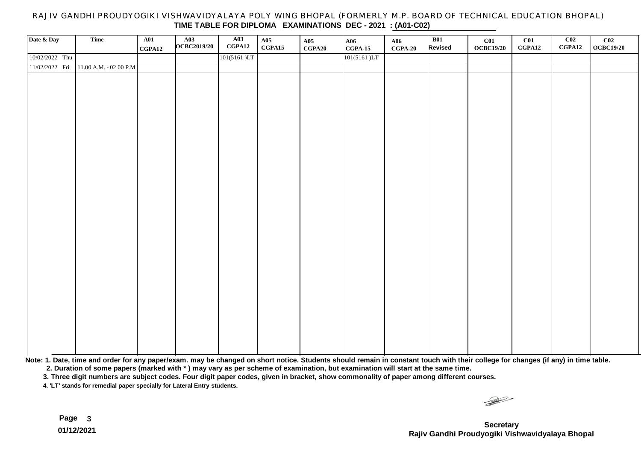### RAJIV GANDHI PROUDYOGIKI VISHWAVIDYALAYA POLY WING BHOPAL (FORMERLY M.P. BOARD OF TECHNICAL EDUCATION BHOPAL) **TIME TABLE FOR DIPLOMA EXAMINATIONS DEC - 2021 : (A01-C02)**

| Date & Day     | Time                     | A01<br>CGPA12 | $\begin{array}{c} \text{A03} \\ \text{OCBC2019/20} \end{array}$ | A03<br>CGPA12 | A05<br>CGPA15 | A05<br>CGPA20 | <b>A06</b><br>$CGPA-15$ | A06<br>$CGPA-20$ | B01<br>Revised | C <sub>01</sub><br><b>OCBC19/20</b> | C <sub>01</sub><br>CGPA12 | C <sub>02</sub><br>CGPA12 | $\frac{\text{C02}}{\text{OCEC19/20}}$ |
|----------------|--------------------------|---------------|-----------------------------------------------------------------|---------------|---------------|---------------|-------------------------|------------------|----------------|-------------------------------------|---------------------------|---------------------------|---------------------------------------|
| 10/02/2022 Thu |                          |               |                                                                 | 101(5161)LT   |               |               | 101(5161)LT             |                  |                |                                     |                           |                           |                                       |
| 11/02/2022 Fri | $11.00$ A.M. - 02.00 P.M |               |                                                                 |               |               |               |                         |                  |                |                                     |                           |                           |                                       |
|                |                          |               |                                                                 |               |               |               |                         |                  |                |                                     |                           |                           |                                       |
|                |                          |               |                                                                 |               |               |               |                         |                  |                |                                     |                           |                           |                                       |
|                |                          |               |                                                                 |               |               |               |                         |                  |                |                                     |                           |                           |                                       |
|                |                          |               |                                                                 |               |               |               |                         |                  |                |                                     |                           |                           |                                       |
|                |                          |               |                                                                 |               |               |               |                         |                  |                |                                     |                           |                           |                                       |
|                |                          |               |                                                                 |               |               |               |                         |                  |                |                                     |                           |                           |                                       |
|                |                          |               |                                                                 |               |               |               |                         |                  |                |                                     |                           |                           |                                       |
|                |                          |               |                                                                 |               |               |               |                         |                  |                |                                     |                           |                           |                                       |
|                |                          |               |                                                                 |               |               |               |                         |                  |                |                                     |                           |                           |                                       |
|                |                          |               |                                                                 |               |               |               |                         |                  |                |                                     |                           |                           |                                       |
|                |                          |               |                                                                 |               |               |               |                         |                  |                |                                     |                           |                           |                                       |
|                |                          |               |                                                                 |               |               |               |                         |                  |                |                                     |                           |                           |                                       |
|                |                          |               |                                                                 |               |               |               |                         |                  |                |                                     |                           |                           |                                       |
|                |                          |               |                                                                 |               |               |               |                         |                  |                |                                     |                           |                           |                                       |
|                |                          |               |                                                                 |               |               |               |                         |                  |                |                                     |                           |                           |                                       |
|                |                          |               |                                                                 |               |               |               |                         |                  |                |                                     |                           |                           |                                       |
|                |                          |               |                                                                 |               |               |               |                         |                  |                |                                     |                           |                           |                                       |
|                |                          |               |                                                                 |               |               |               |                         |                  |                |                                     |                           |                           |                                       |
|                |                          |               |                                                                 |               |               |               |                         |                  |                |                                     |                           |                           |                                       |
|                |                          |               |                                                                 |               |               |               |                         |                  |                |                                     |                           |                           |                                       |
|                |                          |               |                                                                 |               |               |               |                         |                  |                |                                     |                           |                           |                                       |
|                |                          |               |                                                                 |               |               |               |                         |                  |                |                                     |                           |                           |                                       |
|                |                          |               |                                                                 |               |               |               |                         |                  |                |                                     |                           |                           |                                       |
|                |                          |               |                                                                 |               |               |               |                         |                  |                |                                     |                           |                           |                                       |
|                |                          |               |                                                                 |               |               |               |                         |                  |                |                                     |                           |                           |                                       |
|                |                          |               |                                                                 |               |               |               |                         |                  |                |                                     |                           |                           |                                       |
|                |                          |               |                                                                 |               |               |               |                         |                  |                |                                     |                           |                           |                                       |

**Note: 1. Date, time and order for any paper/exam. may be changed on short notice. Students should remain in constant touch with their college for changes (if any) in time table.**

 **2. Duration of some papers (marked with \* ) may vary as per scheme of examination, but examination will start at the same time.**

**3. Three digit numbers are subject codes. Four digit paper codes, given in bracket, show commonality of paper among different courses.** 

**4. 'LT' stands for remedial paper specially for Lateral Entry students.**

 $\frac{1}{\sqrt{2}}$ 

**Secretary Rajiv Gandhi Proudyogiki Vishwavidyalaya Bhopal**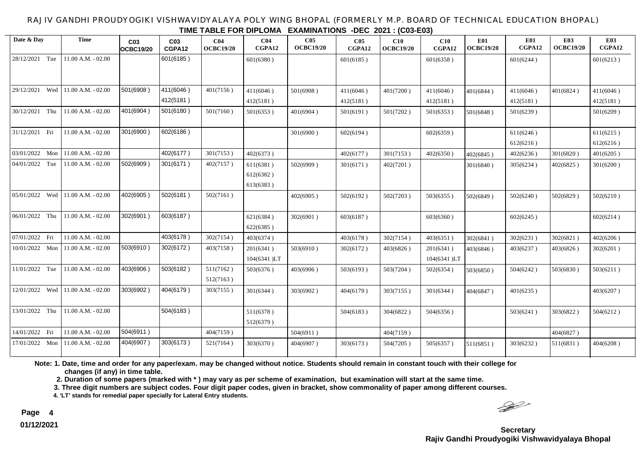#### RAJIV GANDHI PROUDYOGIKI VISHWAVIDYALAYA POLY WING BHOPAL (FORMERLY M.P. BOARD OF TECHNICAL EDUCATION BHOPAL) **TIME TABLE FOR DIPLOMA EXAMINATIONS -DEC 2021 : (C03-E03)**

| Date & Day     |     | <b>Time</b>           | C <sub>03</sub><br>OCBC19/20 | C <sub>03</sub><br>CGPA12 | C <sub>04</sub><br><b>OCBC19/20</b> | C <sub>04</sub><br>CGPA12 | C <sub>05</sub><br><b>OCBC19/20</b> | CO <sub>5</sub><br>CGPA12 | C10<br><b>OCBC19/20</b> | C10<br>CGPA12            | <b>E01</b><br><b>OCBC19/20</b> | <b>E01</b><br>CGPA12   | <b>E03</b><br><b>OCBC19/20</b> | <b>E03</b><br>CGPA12   |
|----------------|-----|-----------------------|------------------------------|---------------------------|-------------------------------------|---------------------------|-------------------------------------|---------------------------|-------------------------|--------------------------|--------------------------------|------------------------|--------------------------------|------------------------|
| 28/12/2021     | Tue | 11.00 A.M. - 02.00    |                              | 601(6185)                 |                                     | 601(6380)                 |                                     | 601(6185)                 |                         | 601(6358)                |                                | 601(6244)              |                                | 601(6213)              |
| 29/12/2021     | Wed | 11.00 A.M. - 02.00    | 501(6908)                    | 411(6046)                 | 401(7156)                           | 411(6046)                 | 501(6908)                           | 411(6046)                 | 401(7200)               | 411(6046)                | 401(6844)                      | 411(6046)              | 401(6824)                      | 411(6046)              |
|                |     |                       |                              | 412(5181)                 |                                     | 412(5181)                 |                                     | 412(5181)                 |                         | 412(5181)                |                                | 412(5181)              |                                | 412(5181)              |
| 30/12/2021     | Thu | 11.00 A.M. - 02.00    | 401(6904)                    | 501(6180)                 | 501(7160)                           | 501(6353)                 | 401(6904)                           | 501(6191)                 | 501(7202)               | 501(6353)                | 501(6848)                      | 501(6239)              |                                | 501(6209)              |
| 31/12/2021 Fri |     | 11.00 A.M. - 02.00    | 301(6900)                    | 602(6186)                 |                                     |                           | 301(6900)                           | 602(6194)                 |                         | 602(6359)                |                                | 611(6246)<br>612(6216) |                                | 611(6215)<br>612(6216) |
| 03/01/2022     | Mon | $11.00$ A.M. $-02.00$ |                              | 402(6177)                 | 301(7153)                           | 402(6373)                 |                                     | 402(6177)                 | 301(7153)               | 402(6350)                | 402(6845)                      | 402(6236)              | 301(6820)                      | 401(6205)              |
| 04/01/2022     | Tue | 11.00 A.M. - 02.00    | 502(6909)                    | 301(6171)                 | 402(7157)                           | 611(6381)                 | 502(6909)                           | 301(6171)                 | 402(7201)               |                          | 301(6840)                      | 305(6234)              | 402(6825)                      | 301(6200)              |
|                |     |                       |                              |                           |                                     | 612(6382)<br>613(6383)    |                                     |                           |                         |                          |                                |                        |                                |                        |
| 05/01/2022     | Wed | $11.00$ A.M. $-02.00$ | 402(6905)                    | 502(6181)                 | 502(7161)                           |                           | 402(6905)                           | 502(6192)                 | 502(7203)               | 503(6355)                | 502(6849)                      | 502(6240)              | 502(6829)                      | 502(6210)              |
| 06/01/2022 Thu |     | $11.00$ A.M. $-02.00$ | 302(6901)                    | 603(6187)                 |                                     | 621(6384)<br>622(6385)    | 302(6901)                           | 603(6187)                 |                         | 603(6360)                |                                | 602(6245)              |                                | 602(6214)              |
| 07/01/2022 Fri |     | 11.00 A.M. - 02.00    |                              | 403(6178)                 | 302(7154)                           | 403(6374)                 |                                     | 403(6178)                 | 302(7154)               | 403(6351)                | 302(6841)                      | 302(6231)              | 302(6821)                      | 402(6206)              |
| 10/01/2022 Mon |     | $11.00$ A.M. $-02.00$ | 503(6910)                    | 302(6172)                 | 403(7158)                           | 201(6341)<br>104(6341)LT  | 503(6910)                           | 302(6172)                 | 403(6826)               | 201(6341)<br>104(6341)LT | 403(6846)                      | 403(6237)              | 403(6826)                      | 302(6201)              |
| 11/01/2022 Tue |     | 11.00 A.M. - 02.00    | 403(6906)                    | 503(6182)                 | 511(7162)<br>512(7163)              | 503(6376)                 | 403(6906)                           | 503(6193)                 | 503(7204)               | 502(6354)                | 503(6850)                      | 504(6242)              | 503(6830)                      | 503(6211)              |
| 12/01/2022     | Wed | $11.00 A.M. - 02.00$  | 303(6902)                    | 404(6179)                 | 303(7155)                           | 301(6344)                 | 303(6902)                           | 404(6179)                 | 303(7155)               | 301(6344)                | 404(6847)                      | 401(6235)              |                                | 403(6207)              |
| 13/01/2022 Thu |     | 11.00 A.M. - 02.00    |                              | 504(6183)                 |                                     | 511(6378)<br>512(6379)    |                                     | 504(6183)                 | 304(6822)               | 504(6356)                |                                | 503(6241)              | 303(6822)                      | 504(6212)              |
| 14/01/2022 Fri |     | 11.00 A.M. - 02.00    | 504(6911)                    |                           | 404(7159)                           |                           | 504(6911)                           |                           | 404(7159)               |                          |                                |                        | 404(6827)                      |                        |
| 17/01/2022     | Mon | 11.00 A.M. - 02.00    | 404(6907)                    | 303(6173)                 | 521(7164)                           | 303(6370)                 | 404(6907)                           | 303(6173)                 | 504(7205)               | 505(6357)                | 511(6851)                      | 303(6232)              | 511(6831)                      | 404(6208)              |

**Note: 1. Date, time and order for any paper/exam. may be changed without notice. Students should remain in constant touch with their college for changes (if any) in time table.**

 **2. Duration of some papers (marked with \* ) may vary as per scheme of examination, but examination will start at the same time.**

**3. Three digit numbers are subject codes. Four digit paper codes, given in bracket, show commonality of paper among different courses.** 

**4. 'LT' stands for remedial paper specially for Lateral Entry students.**

 $\begin{picture}(120,15) \put(0,0){\line(1,0){15}} \put(15,0){\line(1,0){15}} \put(15,0){\line(1,0){15}} \put(15,0){\line(1,0){15}} \put(15,0){\line(1,0){15}} \put(15,0){\line(1,0){15}} \put(15,0){\line(1,0){15}} \put(15,0){\line(1,0){15}} \put(15,0){\line(1,0){15}} \put(15,0){\line(1,0){15}} \put(15,0){\line(1,0){15}} \put(15,0){\line($ 

**Secretary Rajiv Gandhi Proudyogiki Vishwavidyalaya Bhopal**

**Page 4 01/12/2021**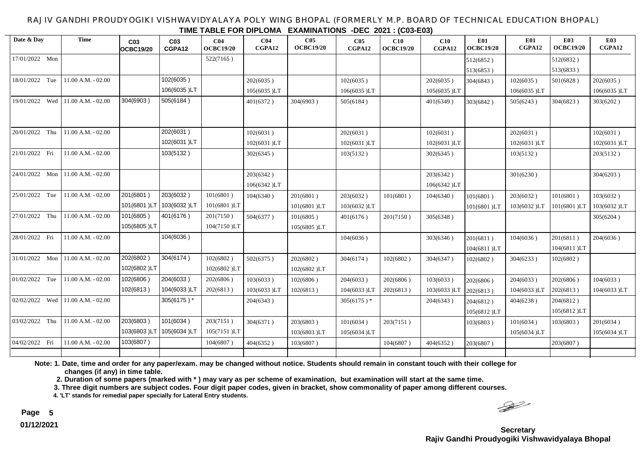RAJIV GANDHI PROUDYOGIKI VISHWAVIDYALAYA POLY WING BHOPAL (FORMERLY M.P. BOARD OF TECHNICAL EDUCATION BHOPAL) **TIME TABLE FOR DIPLOMA EXAMINATIONS -DEC 2021 : (C03-E03)**

| Date & Day        | <b>Time</b>          | C <sub>03</sub><br>OCBC19/20 | C <sub>03</sub><br>CGPA12 | C <sub>04</sub><br><b>OCBC19/20</b> | CO <sub>4</sub><br>CGPA12 | C <sub>05</sub><br><b>OCBC19/20</b> | C <sub>05</sub><br>CGPA12 | C10<br><b>OCBC19/20</b> | C10<br>CGPA12            | <b>E01</b><br><b>OCBC19/20</b> | <b>E01</b><br>CGPA12 | <b>E03</b><br><b>OCBC19/20</b> | <b>E03</b><br>CGPA12 |
|-------------------|----------------------|------------------------------|---------------------------|-------------------------------------|---------------------------|-------------------------------------|---------------------------|-------------------------|--------------------------|--------------------------------|----------------------|--------------------------------|----------------------|
| 17/01/2022 Mon    |                      |                              |                           | 522(7165)                           |                           |                                     |                           |                         |                          | 512(6852)                      |                      | 512(6832)                      |                      |
|                   |                      |                              |                           |                                     |                           |                                     |                           |                         |                          | 513(6853)                      |                      | 513(6833)                      |                      |
| 18/01/2022 Tue    | $11.00 A.M. - 02.00$ |                              | 102(6035)                 |                                     | 202(6035)                 |                                     | 102(6035)                 |                         | 202(6035)                | 304(6843)                      | 102(6035)            | 501(6828)                      | 202(6035)            |
|                   |                      |                              | 106(6035)LT               |                                     | 105(6035)LT               |                                     | 106(6035)LT               |                         | 105(6035)LT              |                                | 106(6035)LT          |                                | 106(6035)LT          |
| 19/01/2022 Wed    | $11.00 A.M. - 02.00$ | 304(6903)                    | 505(6184)                 |                                     | 401(6372)                 | 304(6903)                           | 505(6184)                 |                         | 401(6349)                | 303(6842)                      | 505(6243)            | 304(6823)                      | 303(6202)            |
| 20/01/2022 Thu    | 11.00 A.M. - 02.00   |                              | 202(6031)                 |                                     | 102(6031)                 |                                     | 202(6031)                 |                         | 102(6031)                |                                | 202(6031)            |                                | 102(6031)            |
|                   |                      |                              | 102(6031)LT               |                                     | 102(6031)LT               |                                     | 102(6031)LT               |                         | 102(6031)LT              |                                | 102(6031)LT          |                                | 102(6031)LT          |
| 21/01/2022 Fri    | 11.00 A.M. - 02.00   |                              | 103(5132)                 |                                     | 302(6345)                 |                                     | 103(5132)                 |                         | 302(6345)                |                                | 103(5132)            |                                | 203(5132)            |
| 24/01/2022 Mon    | $11.00 A.M. - 02.00$ |                              |                           |                                     | 203(6342)<br>106(6342)LT  |                                     |                           |                         | 203(6342)<br>106(6342)LT |                                | 301(6230)            |                                | 304(6203)            |
| 25/01/2022 Tue    | 11.00 A.M. - 02.00   | 201(6801)                    | 203(6032)                 | 101(6801)                           | 104(6340)                 | 201(6801)                           | 203(6032)                 | 101(6801)               | 104(6340)                | 101(6801)                      | 203(6032)            | 101(6801)                      | 103(6032)            |
|                   |                      | 101(6801)LT                  | 103(6032)LT               | 101(6801)LT                         |                           | 101(6801)LT                         | 103(6032)LT               |                         |                          | 101(6801)LT                    | 103(6032)LT          | 101(6801)LT                    | 103(6032)LT          |
| 27/01/2022 Thu    | 11.00 A.M. - 02.00   | 101(6805)                    | 401(6176)                 | 201(7150)                           | 504(6377)                 | 101(6805)                           | 401(6176)                 | 201(7150)               | 305(6348)                |                                |                      |                                | 305(6204)            |
|                   |                      | 105(6805)LT                  |                           | 104(7150)LT                         |                           | 105(6805)LT                         |                           |                         |                          |                                |                      |                                |                      |
| 28/01/2022 Fri    | 11.00 A.M. - 02.00   |                              | 104(6036)                 |                                     |                           |                                     | 104(6036)                 |                         | 303(6346)                | 201(6811)<br>104(6811)LT       | 104(6036)            | 201(6811)<br>104(6811)LT       | 204(6036)            |
| 31/01/2022 Mon    | 11.00 A.M. - 02.00   | 202(6802)                    | 304(6174)                 | 102(6802)                           | 502(6375)                 | 202(6802)                           | 304(6174)                 | 102(6802)               | 304(6347)                | 102(6802)                      | 304(6233)            | 102(6802)                      |                      |
|                   |                      | 102(6802)LT                  |                           | 102(6802)LT                         |                           | 102(6802)LT                         |                           |                         |                          |                                |                      |                                |                      |
| 01/02/2022 Tue    | 11.00 A.M. - 02.00   | 102(6806)                    | 204(6033)                 | 202(6806)                           | 103(6033)                 | 102(6806)                           | 204(6033)                 | 202(6806)               | 103(6033)                | 202(6806)                      | 204(6033)            | 202(6806)                      | 104(6033)            |
|                   |                      | 102(6813)                    | 104(6033)LT               | 202(6813)                           | 103(6033)LT               | 102(6813)                           | 104(6033)LT               | 202(6813)               | 103(6033)LT              | 202(6813)                      | 104(6033)LT          | 202(6813)                      | 104(6033)LT          |
| 02/02/2022<br>Wed | 11.00 A.M. - 02.00   |                              | 305(6175)*                |                                     | 204(6343)                 |                                     | $305(6175)^*$             |                         | 204(6343)                | 204(6812)                      | 404(6238)            | 204(6812)                      |                      |
|                   |                      |                              |                           |                                     |                           |                                     |                           |                         |                          | 105(6812)LT                    |                      | 105(6812)LT                    |                      |
| 03/02/2022 Thu    | 11.00 A.M. - 02.00   | 203(6803)                    | 101(6034)                 | 203(7151)                           | 304(6371)                 | 203(6803)                           | 101(6034)                 | 203(7151)               |                          | 103(6803)                      | 101(6034)            | 103(6803)                      | 201(6034)            |
|                   |                      | 103(6803)LT                  | 105(6034)LT               | 105(7151)LT                         |                           | 103(6803)LT                         | 105(6034)LT               |                         |                          |                                | 105(6034)LT          |                                | 105(6034)LT          |
| 04/02/2022 Fri    | 11.00 A.M. - 02.00   | 103(6807)                    |                           | 104(6807)                           | 404(6352)                 | 103(6807)                           |                           | 104(6807)               | 404(6352)                | 203(6807)                      |                      | 203(6807)                      |                      |
|                   |                      |                              |                           |                                     |                           |                                     |                           |                         |                          |                                |                      |                                |                      |

**Note: 1. Date, time and order for any paper/exam. may be changed without notice. Students should remain in constant touch with their college for changes (if any) in time table.**

 **2. Duration of some papers (marked with \* ) may vary as per scheme of examination, but examination will start at the same time.**

**3. Three digit numbers are subject codes. Four digit paper codes, given in bracket, show commonality of paper among different courses.** 

**4. 'LT' stands for remedial paper specially for Lateral Entry students.**

 $\begin{picture}(120,15) \put(0,0){\line(1,0){15}} \put(15,0){\line(1,0){15}} \put(15,0){\line(1,0){15}} \put(15,0){\line(1,0){15}} \put(15,0){\line(1,0){15}} \put(15,0){\line(1,0){15}} \put(15,0){\line(1,0){15}} \put(15,0){\line(1,0){15}} \put(15,0){\line(1,0){15}} \put(15,0){\line(1,0){15}} \put(15,0){\line(1,0){15}} \put(15,0){\line($ 

**Secretary Rajiv Gandhi Proudyogiki Vishwavidyalaya Bhopal**

**Page 5 01/12/2021**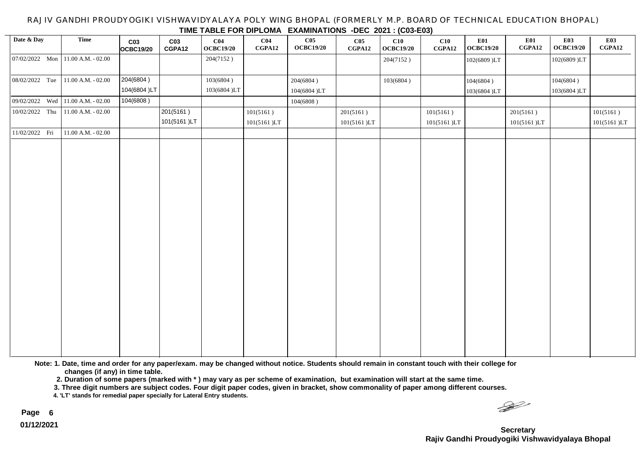#### RAJIV GANDHI PROUDYOGIKI VISHWAVIDYALAYA POLY WING BHOPAL (FORMERLY M.P. BOARD OF TECHNICAL EDUCATION BHOPAL) **TIME TABLE FOR DIPLOMA EXAMINATIONS -DEC 2021 : (C03-E03)**

| Date & Day     | Time                              | C <sub>03</sub> | C <sub>03</sub> | C <sub>04</sub>  | C <sub>04</sub> | THE TABLE I ON BUILDING EXAMINATIONS BES ESST. (SW LOO)<br>C <sub>05</sub> | C <sub>05</sub> | C10              | C10         | E01              | E01         | <b>E03</b>  | <b>E03</b>  |
|----------------|-----------------------------------|-----------------|-----------------|------------------|-----------------|----------------------------------------------------------------------------|-----------------|------------------|-------------|------------------|-------------|-------------|-------------|
|                |                                   | OCBC19/20       | CGPA12          | <b>OCBC19/20</b> | CGPA12          | <b>OCBC19/20</b>                                                           | CGPA12          | <b>OCBC19/20</b> | CGPA12      | <b>OCBC19/20</b> | CGPA12      | OCBC19/20   | CGPA12      |
|                | 07/02/2022 Mon 11.00 A.M. - 02.00 |                 |                 | 204(7152)        |                 |                                                                            |                 | 204(7152)        |             | 102(6809)LT      |             | 102(6809)LT |             |
|                |                                   |                 |                 |                  |                 |                                                                            |                 |                  |             |                  |             |             |             |
| 08/02/2022 Tue | $11.00$ A.M. - 02.00              | 204(6804)       |                 | 103(6804)        |                 | 204(6804)                                                                  |                 | 103(6804)        |             | 104(6804)        |             | 104(6804)   |             |
|                |                                   | 104(6804)LT     |                 | 103(6804)LT      |                 | 104(6804)LT                                                                |                 |                  |             | 103(6804)LT      |             | 103(6804)LT |             |
|                | 09/02/2022 Wed 11.00 A.M. - 02.00 | 104(6808)       |                 |                  |                 | 104(6808)                                                                  |                 |                  |             |                  |             |             |             |
| 10/02/2022 Thu | 11.00 A.M. - 02.00                |                 | 201(5161)       |                  | 101(5161)       |                                                                            | 201(5161)       |                  | 101(5161)   |                  | 201(5161)   |             | 101(5161)   |
|                |                                   |                 | 101(5161)LT     |                  | 101(5161)LT     |                                                                            | 101(5161)LT     |                  | 101(5161)LT |                  | 101(5161)LT |             | 101(5161)LT |
| 11/02/2022 Fri | $11.00$ A.M. - 02.00              |                 |                 |                  |                 |                                                                            |                 |                  |             |                  |             |             |             |
|                |                                   |                 |                 |                  |                 |                                                                            |                 |                  |             |                  |             |             |             |
|                |                                   |                 |                 |                  |                 |                                                                            |                 |                  |             |                  |             |             |             |
|                |                                   |                 |                 |                  |                 |                                                                            |                 |                  |             |                  |             |             |             |
|                |                                   |                 |                 |                  |                 |                                                                            |                 |                  |             |                  |             |             |             |
|                |                                   |                 |                 |                  |                 |                                                                            |                 |                  |             |                  |             |             |             |
|                |                                   |                 |                 |                  |                 |                                                                            |                 |                  |             |                  |             |             |             |
|                |                                   |                 |                 |                  |                 |                                                                            |                 |                  |             |                  |             |             |             |
|                |                                   |                 |                 |                  |                 |                                                                            |                 |                  |             |                  |             |             |             |
|                |                                   |                 |                 |                  |                 |                                                                            |                 |                  |             |                  |             |             |             |
|                |                                   |                 |                 |                  |                 |                                                                            |                 |                  |             |                  |             |             |             |
|                |                                   |                 |                 |                  |                 |                                                                            |                 |                  |             |                  |             |             |             |
|                |                                   |                 |                 |                  |                 |                                                                            |                 |                  |             |                  |             |             |             |
|                |                                   |                 |                 |                  |                 |                                                                            |                 |                  |             |                  |             |             |             |
|                |                                   |                 |                 |                  |                 |                                                                            |                 |                  |             |                  |             |             |             |
|                |                                   |                 |                 |                  |                 |                                                                            |                 |                  |             |                  |             |             |             |
|                |                                   |                 |                 |                  |                 |                                                                            |                 |                  |             |                  |             |             |             |
|                |                                   |                 |                 |                  |                 |                                                                            |                 |                  |             |                  |             |             |             |
|                |                                   |                 |                 |                  |                 |                                                                            |                 |                  |             |                  |             |             |             |
|                |                                   |                 |                 |                  |                 |                                                                            |                 |                  |             |                  |             |             |             |
|                |                                   |                 |                 |                  |                 |                                                                            |                 |                  |             |                  |             |             |             |
|                |                                   |                 |                 |                  |                 |                                                                            |                 |                  |             |                  |             |             |             |
|                |                                   |                 |                 |                  |                 |                                                                            |                 |                  |             |                  |             |             |             |

**Note: 1. Date, time and order for any paper/exam. may be changed without notice. Students should remain in constant touch with their college for changes (if any) in time table.**

 **2. Duration of some papers (marked with \* ) may vary as per scheme of examination, but examination will start at the same time.**

**3. Three digit numbers are subject codes. Four digit paper codes, given in bracket, show commonality of paper among different courses.** 

**4. 'LT' stands for remedial paper specially for Lateral Entry students.**

 $\begin{picture}(120,15) \put(0,0){\line(1,0){15}} \put(15,0){\line(1,0){15}} \put(15,0){\line(1,0){15}} \put(15,0){\line(1,0){15}} \put(15,0){\line(1,0){15}} \put(15,0){\line(1,0){15}} \put(15,0){\line(1,0){15}} \put(15,0){\line(1,0){15}} \put(15,0){\line(1,0){15}} \put(15,0){\line(1,0){15}} \put(15,0){\line(1,0){15}} \put(15,0){\line($ 

**Secretary Rajiv Gandhi Proudyogiki Vishwavidyalaya Bhopal**

**Page 6 01/12/2021**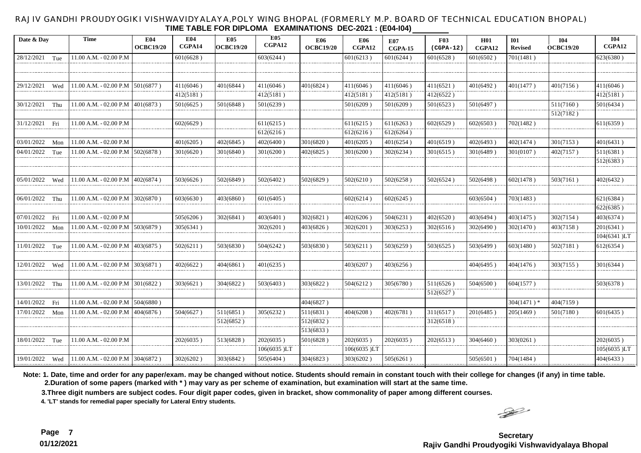#### RAJIV GANDHI PROUDYOGIKI VISHWAVIDYALAYA,POLY WING BHOPAL (FORMERLY M.P. BOARD OF TECHNICAL EDUCATION BHOPAL) **TIME TABLE FOR DIPLOMA EXAMINATIONS DEC-2021 : (E04-I04)**

| Date & Day        | Time                                     | E04<br><b>OCBC19/20</b> | E04<br>CGPA14 | <b>E05</b><br><b>OCBC19/20</b> | <b>E05</b><br>CGPA12 | <b>E06</b><br><b>OCBC19/20</b> | <b>E06</b><br>CGPA12 | E07<br>CGPA-15 | F03<br>$(CGPA-12)$ | <b>H01</b><br>CGPA12 | <b>I01</b><br><b>Revised</b> | <b>I04</b><br><b>OCBC19/20</b> | <b>I04</b><br>CGPA12 |
|-------------------|------------------------------------------|-------------------------|---------------|--------------------------------|----------------------|--------------------------------|----------------------|----------------|--------------------|----------------------|------------------------------|--------------------------------|----------------------|
| 28/12/2021 Tue    | 11.00 A.M. - 02.00 P.M                   |                         | 601(6628)     |                                | 603(6244)            |                                | 601(6213)            | 601(6244)      | 601(6528)          | 601(6502)            | 701(1481)                    |                                | 623(6380)            |
|                   |                                          |                         |               |                                |                      |                                |                      |                |                    |                      |                              |                                |                      |
|                   |                                          |                         |               |                                |                      |                                |                      |                |                    |                      |                              |                                |                      |
| 29/12/2021<br>Wed | 11.00 A.M. - 02.00 P.M                   | 501(6877)               | 411(6046)     | 401(6844)                      | 411(6046)            | 401(6824)                      | 411(6046)            | 411(6046)      | 411(6521)          | 401(6492)            | 401(1477)                    | 401(7156)                      | 411(6046)            |
|                   |                                          |                         | 412(5181)     |                                | 412(5181)            |                                | 412(5181)            | 412(5181)      | 412(6522)          |                      |                              |                                | 412(5181)            |
| 30/12/2021 Thu    | 11.00 A.M. - 02.00 P.M                   | 401(6873)               | 501(6625)     | 501(6848)                      | 501(6239)            |                                | 501(6209)            | 501(6209)      | 501(6523)          | 501(6497)            |                              | 511(7160)                      | 501(6434)            |
|                   |                                          |                         |               |                                |                      |                                |                      |                |                    |                      |                              | 512(7182)                      |                      |
| 31/12/2021 Fri    | 11.00 A.M. - 02.00 P.M                   |                         | 602(6629)     |                                | 611(6215)            |                                | 611(6215)            | 611(6263)      | 602(6529)          | 602(6503)            | 702(1482)                    |                                | 611(6359)            |
|                   |                                          |                         |               |                                | 612(6216)            |                                | 612(6216)            | 612(6264)      |                    |                      |                              |                                |                      |
| 03/01/2022<br>Mon | 11.00 A.M. - 02.00 P.M                   |                         | 401(6205)     | 402(6845)                      | 402(6400)            | 301(6820)                      | 401(6205)            | 401(6254)      | 401(6519)          | 402(6493)            | 402(1474)                    | 301(7153)                      | 401(6431)            |
| 04/01/2022<br>Tue | 11.00 A.M. - 02.00 P.M                   | 502(6878)               | 301(6620)     | 301(6840)                      | 301(6200)            | 402(6825)                      | 301(6200)            | 302(6234)      | 301(6515)          | 301(6489)            | 301(0107)                    | 402(7157)                      | 511(6381)            |
|                   |                                          |                         |               |                                |                      |                                |                      |                |                    |                      |                              |                                | 512(6383)            |
|                   |                                          |                         |               |                                |                      |                                |                      |                |                    |                      |                              |                                |                      |
| 05/01/2022<br>Wed | 11.00 A.M. - 02.00 P.M                   | 402(6874)               | 503(6626)     | 502(6849)                      | 502(6402)            | 502(6829)                      | 502(6210)            | 502(6258)      | 502(6524)          | 502(6498)            | 602(1478)                    | 503(7161)                      | 402(6432)            |
|                   |                                          |                         |               |                                |                      |                                |                      |                |                    |                      |                              |                                |                      |
| 06/01/2022 Thu    | 11.00 A.M. - 02.00 P.M                   | 302(6870)               | 603(6630)     | 403(6860)                      | 601(6405)            |                                | 602(6214)            | $602(6245\,)$  |                    | 603(6504)            | 703(1483)                    |                                | 621(6384)            |
|                   |                                          |                         |               |                                |                      |                                |                      |                |                    |                      |                              |                                | 622(6385)            |
| 07/01/2022 Fri    | 11.00 A.M. - 02.00 P.M                   |                         | 505(6206)     | 302(6841)                      | 403(6401)            | 302(6821)                      | 402(6206)            | 504(6231)      | 402(6520)          | 403(6494)            | 403(1475)                    | 302(7154)                      | 403(6374)            |
| 10/01/2022<br>Mon | 11.00 A.M. - 02.00 P.M $\vert$ 503(6879) |                         | 305(6341)     |                                | 302(6201)            | 403(6826)                      | 302(6201)            | 303(6253)      | 302(6516)          | 302(6490)            | 302(1470)                    | 403(7158)                      | 201(6341)            |
|                   |                                          |                         |               |                                |                      |                                |                      |                |                    |                      |                              |                                | 104(6341)LT          |
| 11/01/2022 Tue    | 11.00 A.M. - 02.00 P.M                   | 403(6875)               | 502(6211)     | 503(6830)                      | 504(6242)            | 503(6830)                      | 503(6211)            | 503(6259)      | 503(6525)          | 503(6499)            | 603(1480)                    | 502(7181)                      | 612(6354)            |
|                   |                                          |                         |               |                                |                      |                                |                      |                |                    |                      |                              |                                |                      |
| 12/01/2022 Wed    | 11.00 A.M. - 02.00 P.M                   | 303(6871)               | 402(6622)     | 404(6861)                      | 401(6235)            |                                | 403(6207)            | 403(6256)      |                    | 404(6495)            | 404(1476)                    | 303(7155)                      | 301(6344)            |
|                   |                                          |                         |               |                                |                      |                                |                      |                |                    |                      |                              |                                |                      |
| 13/01/2022 Thu    | 11.00 A.M. - 02.00 P.M $ 301(6822)$      |                         | 303(6621)     | 304(6822)                      | 503(6403)            | 303(6822)                      | 504(6212)            | 305(6780)      | 511(6526)          | 504(6500)            | 604(1577)                    |                                | 503(6378)            |
|                   |                                          |                         |               |                                |                      |                                |                      |                | 512(6527)          |                      |                              |                                |                      |
| 14/01/2022<br>Fri | 11.00 A.M. - 02.00 P.M                   | 1504(6880)              |               |                                |                      | 404(6827)                      |                      |                |                    |                      | $304(1471)$ *                | 404(7159)                      |                      |
| 17/01/2022 Mon    | 11.00 A.M. - 02.00 P.M                   | 404(6876)               | 504(6627)     | 511(6851)                      | 305(6232)            | 511(6831)                      | 404(6208)            | 402(6781)      | 311(6517)          | 201(6485)            | 205(1469)                    | 501(7180)                      | 601(6435)            |
|                   |                                          |                         |               | 512(6852)                      |                      | 512(6832)                      |                      |                | 312(6518)          |                      |                              |                                |                      |
|                   |                                          |                         |               |                                |                      | 513(6833)                      |                      |                |                    |                      |                              |                                |                      |
| 18/01/2022 Tue    | 11.00 A.M. - 02.00 P.M                   |                         | 202(6035)     | 513(6828)                      | 202(6035)            | 501(6828)                      | 202(6035)            | 202(6035)      | 202(6513)          | 304(6460)            | 303(0261)                    |                                | 202(6035)            |
|                   |                                          |                         |               |                                | 106(6035)LT          |                                | 106(6035)LT          |                |                    |                      |                              |                                | 105(6035)LT          |
| 19/01/2022 Wed    | $11.00$ A.M. $- 02.00$ P.M   304(6872)   |                         | 302(6202)     | 303(6842)                      | 505(6404)            | 304(6823)                      | 303(6202)            | 505(6261)      |                    | 505(6501)            | 704(1484)                    |                                | 404(6433)            |

**Note: 1. Date, time and order for any paper/exam. may be changed without notice. Students should remain in constant touch with their college for changes (if any) in time table. 2.Duration of some papers (marked with \* ) may vary as per scheme of examination, but examination will start at the same time.**

**3.Three digit numbers are subject codes. Four digit paper codes, given in bracket, show commonality of paper among different courses.** 

**4. 'LT' stands for remedial paper specially for Lateral Entry students.**

 $\rightarrow$ 

**Page 7 Secretary Rajiv Gandhi Proudyogiki Vishwavidyalaya Bhopal**

**01/12/2021**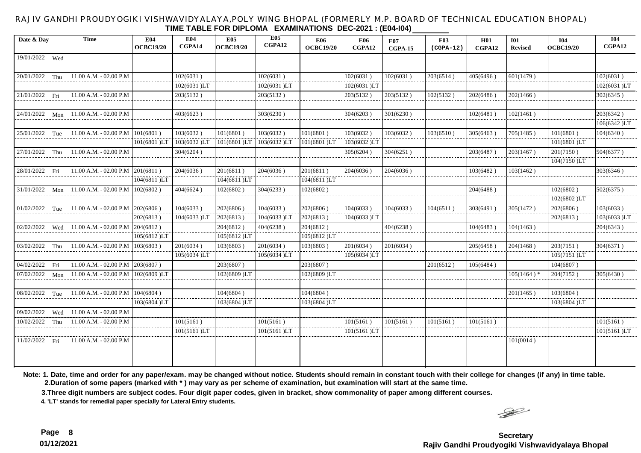#### RAJIV GANDHI PROUDYOGIKI VISHWAVIDYALAYA,POLY WING BHOPAL (FORMERLY M.P. BOARD OF TECHNICAL EDUCATION BHOPAL) **TIME TABLE FOR DIPLOMA EXAMINATIONS DEC-2021 : (E04-I04)**

| Date & Day       |     | Time                   | E04<br><b>OCBC19/20</b> | E04<br>CGPA14 | E05<br><b>OCBC19/20</b> | <b>E05</b><br>CGPA12 | <b>E06</b><br><b>OCBC19/20</b> | <b>E06</b><br>CGPA12 | <b>E07</b><br>CGPA-15 | <b>F03</b><br>$(CGPA-12)$ | H01<br>CGPA12 | <b>I01</b><br><b>Revised</b> | <b>I04</b><br><b>OCBC19/20</b> | <b>I04</b><br>CGPA12 |
|------------------|-----|------------------------|-------------------------|---------------|-------------------------|----------------------|--------------------------------|----------------------|-----------------------|---------------------------|---------------|------------------------------|--------------------------------|----------------------|
| 19/01/2022 Wed   |     |                        |                         |               |                         |                      |                                |                      |                       |                           |               |                              |                                |                      |
|                  |     |                        |                         |               |                         |                      |                                |                      |                       |                           |               |                              |                                |                      |
| 20/01/2022 Thu   |     | 11.00 A.M. - 02.00 P.M |                         | 102(6031)     |                         | 102(6031)            |                                | 102(6031)            | 102(6031)             | 203(6514)                 | 405(6496)     | 601(1479)                    |                                | 102(6031)            |
|                  |     |                        |                         | 102(6031)LT   |                         | 102(6031)LT          |                                | 102(6031)LT          |                       |                           |               |                              |                                | 102(6031)LT          |
| 21/01/2022 Fri   |     | 11.00 A.M. - 02.00 P.M |                         | 203(5132)     |                         | 203(5132)            |                                | 203(5132)            | 203(5132)             | 102(5132)                 | 202(6486)     | 202(1466)                    |                                | 302(6345)            |
|                  |     |                        |                         |               |                         |                      |                                |                      |                       |                           |               |                              |                                |                      |
| 24/01/2022 Mon   |     | 11.00 A.M. - 02.00 P.M |                         | 403(6623)     |                         | 303(6230)            |                                | 304(6203)            | 301(6230)             |                           | 102(6481)     | 102(1461)                    |                                | 203(6342)            |
|                  |     |                        |                         |               |                         |                      |                                |                      |                       |                           |               |                              |                                | 106(6342)LT          |
| 25/01/2022 Tue   |     | 11.00 A.M. - 02.00 P.M | 101(6801)               | 103(6032)     | 101(6801)               | 103(6032)            | 101(6801)                      | 103(6032)            | 103(6032)             | 103(6510)                 | 305(6463)     | 705(1485)                    | 101(6801)                      | 104(6340)            |
|                  |     |                        | 101(6801)LT             | 103(6032)LT   | 101(6801)LT             | 103(6032)LT          | 101(6801)LT                    | 103(6032)LT          |                       |                           |               |                              | 101(6801)LT                    |                      |
| 27/01/2022 Thu   |     | 11.00 A.M. - 02.00 P.M |                         | 304(6204)     |                         |                      |                                | 305(6204)            | 304(6251)             |                           | 203(6487)     | 203(1467)                    | 201(7150)                      | 504(6377)            |
|                  |     |                        |                         |               |                         |                      |                                |                      |                       |                           |               |                              | 104(7150)LT                    |                      |
| 28/01/2022 Fri   |     | 11.00 A.M. - 02.00 P.M | 201(6811)               | 204(6036)     | 201(6811)               | 204(6036)            | 201(6811)                      | 204(6036)            | 204(6036)             |                           | 103(6482)     | 103(1462)                    |                                | 303(6346)            |
|                  |     |                        | 104(6811)LT             |               | 104(6811)LT             |                      | 104(6811)LT                    |                      |                       |                           |               |                              |                                |                      |
| 31/01/2022 Mon   |     | 11.00 A.M. - 02.00 P.M | 102(6802)               | 404(6624)     | 102(6802)               | 304(6233)            | 102(6802)                      |                      |                       |                           | 204(6488)     |                              | 102(6802)                      | 502(6375)            |
|                  |     |                        |                         |               |                         |                      |                                |                      |                       |                           |               |                              | 102(6802)LT                    |                      |
| $01/02/2022$ Tue |     | 11.00 A.M. - 02.00 P.M | 202(6806)               | 104(6033)     | 202(6806)               | 104(6033)            | 202(6806)                      | 104(6033)            | 104(6033)             | 104(6511)                 | 303(6491)     | 305(1472)                    | 202(6806)                      | 103(6033)            |
|                  |     |                        | 202(6813)               | 104(6033)LT   | 202(6813)               | 104(6033)LT          | 202(6813)                      | 104(6033)LT          |                       |                           |               |                              | 202(6813)                      | 103(6033)LT          |
| 02/02/2022       | Wed | 11.00 A.M. - 02.00 P.M | 204(6812)               |               | 204(6812)               | 404(6238)            | 204(6812)                      |                      | 404(6238)             |                           | 104(6483)     | 104(1463)                    |                                | 204(6343)            |
|                  |     |                        | 105(6812)LT             |               | 105(6812)LT             |                      | 105(6812)LT                    |                      |                       |                           |               |                              |                                |                      |
| 03/02/2022 Thu   |     | 11.00 A.M. - 02.00 P.M | 103(6803)               | 201(6034)     | 103(6803)               | 201(6034)            | 103(6803)                      | 201(6034)            | 201(6034)             |                           | 205(6458)     | 204(1468)                    | 203(7151)                      | 304(6371)            |
|                  |     |                        |                         | 105(6034)LT   |                         | 105(6034)LT          |                                | 105(6034)LT          |                       |                           |               |                              | 105(7151)LT                    |                      |
| 04/02/2022       | Fri | 11.00 A.M. - 02.00 P.M | 203(6807)               |               | 203(6807)               |                      | 203(6807)                      |                      |                       | 201(6512)                 | 105(6484)     |                              | 104(6807)                      |                      |
| 07/02/2022 Mon   |     | 11.00 A.M. - 02.00 P.M | 102(6809)LT             |               | 102(6809 )LT            |                      | 102(6809)LT                    |                      |                       |                           |               | 105(1464)*                   | 204(7152)                      | 305(6430)            |
|                  |     |                        |                         |               |                         |                      |                                |                      |                       |                           |               |                              |                                |                      |
| 08/02/2022 Tue   |     | 11.00 A.M. - 02.00 P.M | 104(6804)               |               | 104(6804)               |                      | 104(6804)                      |                      |                       |                           |               | 201(1465)                    | 103(6804)                      |                      |
|                  |     |                        | 103(6804)LT             |               | 103(6804)LT             |                      | 103(6804)LT                    |                      |                       |                           |               |                              | 103(6804)LT                    |                      |
| 09/02/2022       | Wed | 11.00 A.M. - 02.00 P.M |                         |               |                         |                      |                                |                      |                       |                           |               |                              |                                |                      |
| 10/02/2022       | Thu | 11.00 A.M. - 02.00 P.M |                         | 101(5161)     |                         | 101(5161)            |                                | 101(5161)            | 101(5161)             | 101(5161)                 | 101(5161)     |                              |                                | 101(5161)            |
|                  |     |                        |                         | 101(5161)LT   |                         | 101(5161)LT          |                                | 101(5161 )LT         |                       |                           |               |                              |                                | 101(5161)LT          |
| 11/02/2022 Fri   |     | 11.00 A.M. - 02.00 P.M |                         |               |                         |                      |                                |                      |                       |                           |               | 101(0014)                    |                                |                      |
|                  |     |                        |                         |               |                         |                      |                                |                      |                       |                           |               |                              |                                |                      |
|                  |     |                        |                         |               |                         |                      |                                |                      |                       |                           |               |                              |                                |                      |

**Note: 1. Date, time and order for any paper/exam. may be changed without notice. Students should remain in constant touch with their college for changes (if any) in time table. 2.Duration of some papers (marked with \* ) may vary as per scheme of examination, but examination will start at the same time.**

**3.Three digit numbers are subject codes. Four digit paper codes, given in bracket, show commonality of paper among different courses.** 

**4. 'LT' stands for remedial paper specially for Lateral Entry students.**

 $\rightarrow$ 

**Page 8 Secretary Rajiv Gandhi Proudyogiki Vishwavidyalaya Bhopal**

**01/12/2021**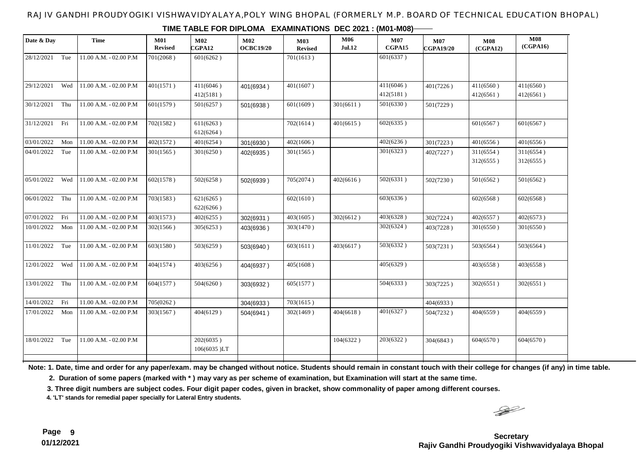### RAJIV GANDHI PROUDYOGIKI VISHWAVIDYALAYA,POLY WING BHOPAL (FORMERLY M.P. BOARD OF TECHNICAL EDUCATION BHOPAL)

|                |     |                          | <b>Revised</b> | M02<br>CGPA12            | M02<br><b>OCBC19/20</b> | <b>M03</b><br><b>Revised</b> | <b>M06</b><br><b>Jul.12</b> | <b>M07</b><br>CGPA15 | $\mathbf{M07}$<br>CGPA19/20 | <b>M08</b><br>(CGPA12) | <b>M08</b><br>(CGPA16) |
|----------------|-----|--------------------------|----------------|--------------------------|-------------------------|------------------------------|-----------------------------|----------------------|-----------------------------|------------------------|------------------------|
| 28/12/2021 Tue |     | $11.00$ A.M. - 02.00 P.M | 701(2068)      | 601(6262)                |                         | 701(1613)                    |                             | 601(6337)            |                             |                        |                        |
| 29/12/2021     | Wed | $11.00$ A.M. - 02.00 P.M | 401(1571)      | 411(6046)                | 401(6934)               | 401(1607)                    |                             | 411(6046)            | 401(7226)                   | 411(6560)              | 411(6560)              |
|                |     |                          |                | 412(5181)                |                         |                              |                             | 412(5181)            |                             | 412(6561)              | 412(6561)              |
| 30/12/2021     | Thu | $11.00$ A.M. - 02.00 P.M | 601(1579)      | 501(6257)                | 501(6938)               | 601(1609)                    | 301(6611)                   | 501(6330)            | 501(7229)                   |                        |                        |
| 31/12/2021 Fri |     | 11.00 A.M. - 02.00 P.M   | 702(1582)      | 611(6263)<br>612(6264)   |                         | 702(1614)                    | 401(6615)                   | 602(6335)            |                             | 601(6567)              | 601(6567)              |
| 03/01/2022     | Mon | $11.00$ A.M. - 02.00 P.M | 402(1572)      | 401(6254)                | 301(6930)               | 402(1606)                    |                             | 402(6236)            | 301(7223)                   | 401(6556)              | 401(6556)              |
| 04/01/2022     | Tue | 11.00 A.M. - 02.00 P.M   | 301(1565)      | 301(6250)                | 402(6935)               | 301(1565)                    |                             | 301(6323)            | 402(7227)                   | 311(6554)<br>312(6555) | 311(6554)<br>312(6555) |
| 05/01/2022     | Wed | $11.00$ A.M. - 02.00 P.M | 602(1578)      | 502(6258)                | 502(6939)               | 705(2074)                    | 402(6616)                   | 502(6331)            | 502(7230)                   | 501(6562)              | 501(6562)              |
| 06/01/2022     | Thu | 11.00 A.M. - 02.00 P.M   | 703(1583)      | 621(6265)<br>622(6266)   |                         | 602(1610)                    |                             | 603(6336)            |                             | 602(6568)              | 602(6568)              |
| 07/01/2022 Fri |     | 11.00 A.M. - 02.00 P.M   | 403(1573)      | 402(6255)                | 302(6931)               | 403(1605)                    | 302(6612)                   | 403(6328)            | 302(7224)                   | 402(6557)              | 402(6573)              |
| 10/01/2022     | Mon | 11.00 A.M. - 02.00 P.M   | 302(1566)      | 305(6253)                | 403(6936)               | 303(1470)                    |                             | 302(6324)            | 403(7228)                   | 301(6550)              | 301(6550)              |
| 11/01/2022     | Tue | 11.00 A.M. - 02.00 P.M   | 603(1580)      | 503(6259)                | 503(6940)               | 603(1611)                    | 403(6617)                   | 503(6332)            | 503(7231)                   | 503(6564)              | 503(6564)              |
| 12/01/2022     | Wed | $11.00$ A.M. - 02.00 P.M | 404(1574)      | 403(6256)                | 404(6937)               | 405(1608)                    |                             | 405(6329)            |                             | 403(6558)              | 403(6558)              |
| 13/01/2022 Thu |     | 11.00 A.M. - 02.00 P.M   | 604(1577)      | 504(6260)                | 303(6932)               | 605(1577)                    |                             | 504(6333)            | 303(7225)                   | 302(6551)              | 302(6551)              |
| 14/01/2022     | Fri | 11.00 A.M. - 02.00 P.M   | 705(0262)      |                          | 304(6933)               | 703(1615)                    |                             |                      | 404(6933)                   |                        |                        |
| 17/01/2022 Mon |     | $11.00$ A.M. - 02.00 P.M | 303(1567)      | 404(6129)                | 504(6941)               | 302(1469)                    | 404(6618)                   | 401(6327)            | 504(7232)                   | 404(6559)              | 404(6559)              |
| 18/01/2022 Tue |     | $11.00$ A.M. - 02.00 P.M |                | 202(6035)<br>106(6035)LT |                         |                              | 104(6322)                   | 203(6322)            | 304(6843)                   | 604(6570)              | 604(6570)              |

**TIME TABLE FOR DIPLOMA EXAMINATIONS DEC 2021 : (M01-M08)**

**Note: 1. Date, time and order for any paper/exam. may be changed without notice. Students should remain in constant touch with their college for changes (if any) in time table.**

 **2. Duration of some papers (marked with \* ) may vary as per scheme of examination, but Examination will start at the same time.**

**3. Three digit numbers are subject codes. Four digit paper codes, given in bracket, show commonality of paper among different courses.** 

**4. 'LT' stands for remedial paper specially for Lateral Entry students.**

 $\begin{picture}(20,20) \put(0,0){\line(1,0){10}} \put(15,0){\line(1,0){10}} \put(15,0){\line(1,0){10}} \put(15,0){\line(1,0){10}} \put(15,0){\line(1,0){10}} \put(15,0){\line(1,0){10}} \put(15,0){\line(1,0){10}} \put(15,0){\line(1,0){10}} \put(15,0){\line(1,0){10}} \put(15,0){\line(1,0){10}} \put(15,0){\line(1,0){10}} \put(15,0){\line(1$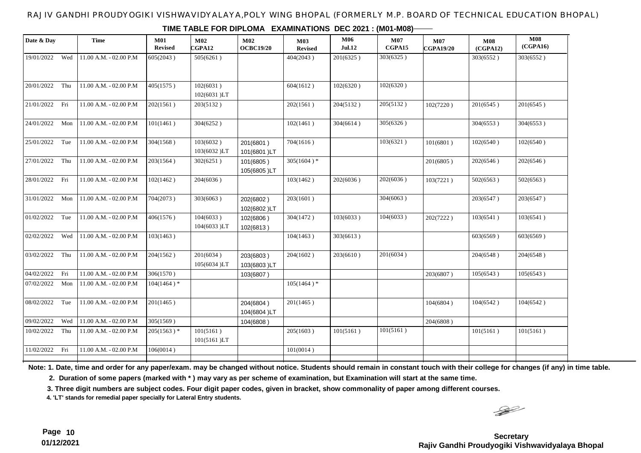### RAJIV GANDHI PROUDYOGIKI VISHWAVIDYALAYA,POLY WING BHOPAL (FORMERLY M.P. BOARD OF TECHNICAL EDUCATION BHOPAL)

| Date & Day     |     | <b>Time</b>                | M01<br><b>Revised</b> | $\mathbf{M}02$<br>CGPA12 | M02<br><b>OCBC19/20</b>  | <b>M03</b><br><b>Revised</b> | <b>M06</b><br><b>Jul.12</b> | M07<br>CGPA15 | $\mathbf{M07}$<br><b>CGPA19/20</b> | <b>M08</b><br>(CGPA12) | <b>M08</b><br>(CGPA16) |
|----------------|-----|----------------------------|-----------------------|--------------------------|--------------------------|------------------------------|-----------------------------|---------------|------------------------------------|------------------------|------------------------|
| 19/01/2022 Wed |     | 11.00 A.M. - 02.00 P.M     | 605(2043)             | 505(6261)                |                          | 404(2043)                    | 201(6325)                   | 303(6325)     |                                    | 303(6552)              | 303(6552)              |
| 20/01/2022 Thu |     | 11.00 A.M. - 02.00 P.M     | 405(1575)             | 102(6031)<br>102(6031)LT |                          | 604(1612)                    | 102(6320)                   | 102(6320)     |                                    |                        |                        |
| 21/01/2022 Fri |     | 11.00 A.M. - 02.00 P.M     | 202(1561)             | 203(5132)                |                          | 202(1561)                    | 204(5132)                   | 205(5132)     | 102(7220)                          | 201(6545)              | 201(6545)              |
| 24/01/2022 Mon |     | $11.00$ A.M. - 02.00 P.M   | 101(1461)             | 304(6252)                |                          | 102(1461)                    | 304(6614)                   | 305(6326)     |                                    | 304(6553)              | 304(6553)              |
| 25/01/2022 Tue |     | 11.00 A.M. - 02.00 P.M     | 304(1568)             | 103(6032)<br>103(6032)LT | 201(6801)<br>101(6801)LT | 704(1616)                    |                             | 103(6321)     | 101(6801)                          | 102(6540)              | 102(6540)              |
| 27/01/2022     | Thu | 11.00 A.M. - 02.00 P.M     | 203(1564)             | 302(6251)                | 101(6805)<br>105(6805)LT | $305(1604)*$                 |                             |               | 201(6805)                          | 202(6546)              | 202(6546)              |
| 28/01/2022 Fri |     | 11.00 A.M. - 02.00 P.M     | 102(1462)             | 204(6036)                |                          | 103(1462)                    | 202(6036)                   | 202(6036)     | 103(7221)                          | 502(6563)              | 502(6563)              |
| 31/01/2022 Mon |     | 11.00 A.M. - 02.00 P.M     | 704(2073)             | 303(6063)                | 202(6802)<br>102(6802)LT | 203(1601)                    |                             | 304(6063)     |                                    | 203(6547)              | 203(6547)              |
| 01/02/2022 Tue |     | 11.00 A.M. - 02.00 P.M     | 406(1576)             | 104(6033)<br>104(6033)LT | 102(6806)<br>102(6813)   | 304(1472)                    | 103(6033)                   | 104(6033)     | 202(7222)                          | 103(6541)              | 103(6541)              |
| 02/02/2022     | Wed | 11.00 A.M. - 02.00 P.M     | 103(1463)             |                          |                          | 104(1463)                    | 303(6613)                   |               |                                    | 603(6569)              | 603(6569)              |
| 03/02/2022     | Thu | 11.00 A.M. - 02.00 P.M     | 204(1562)             | 201(6034)<br>105(6034)LT | 203(6803)<br>103(6803)LT | 204(1602)                    | 203(6610)                   | 201(6034)     |                                    | 204(6548)              | 204(6548)              |
| 04/02/2022     | Fri | 11.00 A.M. - 02.00 P.M     | 306(1570)             |                          | 103(6807)                |                              |                             |               | 203(6807)                          | 105(6543)              | 105(6543)              |
| 07/02/2022     | Mon | 11.00 A.M. - 02.00 P.M     | $104(1464)$ *         |                          |                          | $105(1464)$ *                |                             |               |                                    |                        |                        |
| 08/02/2022     | Tue | $11.00$ A.M. - $02.00$ P.M | 201(1465)             |                          | 204(6804)<br>104(6804)LT | 201(1465)                    |                             |               | 104(6804)                          | 104(6542)              | 104(6542)              |
| 09/02/2022     | Wed | 11.00 A.M. - 02.00 P.M     | 305(1569)             |                          | 104(6808)                |                              |                             |               | 204(6808)                          |                        |                        |
| 10/02/2022     | Thu | $11.00$ A.M. - $02.00$ P.M | $205(1563)^*$         | 101(5161)<br>101(5161)LT |                          | 205(1603)                    | 101(5161)                   | 101(5161)     |                                    | 101(5161)              | 101(5161)              |
| 11/02/2022 Fri |     | 11.00 A.M. - 02.00 P.M     | 106(0014)             |                          |                          | 101(0014)                    |                             |               |                                    |                        |                        |
|                |     |                            |                       |                          |                          |                              |                             |               |                                    |                        |                        |

#### **TIME TABLE FOR DIPLOMA EXAMINATIONS DEC 2021 : (M01-M08)**

**Note: 1. Date, time and order for any paper/exam. may be changed without notice. Students should remain in constant touch with their college for changes (if any) in time table.**

 **2. Duration of some papers (marked with \* ) may vary as per scheme of examination, but Examination will start at the same time.**

**3. Three digit numbers are subject codes. Four digit paper codes, given in bracket, show commonality of paper among different courses.** 

**4. 'LT' stands for remedial paper specially for Lateral Entry students.**

 $\begin{picture}(20,20) \put(0,0){\line(1,0){10}} \put(15,0){\line(1,0){10}} \put(15,0){\line(1,0){10}} \put(15,0){\line(1,0){10}} \put(15,0){\line(1,0){10}} \put(15,0){\line(1,0){10}} \put(15,0){\line(1,0){10}} \put(15,0){\line(1,0){10}} \put(15,0){\line(1,0){10}} \put(15,0){\line(1,0){10}} \put(15,0){\line(1,0){10}} \put(15,0){\line(1$ 

## **Page 10 Secretary Rajiv Gandhi Proudyogiki Vishwavidyalaya Bhopal**

**01/12/2021**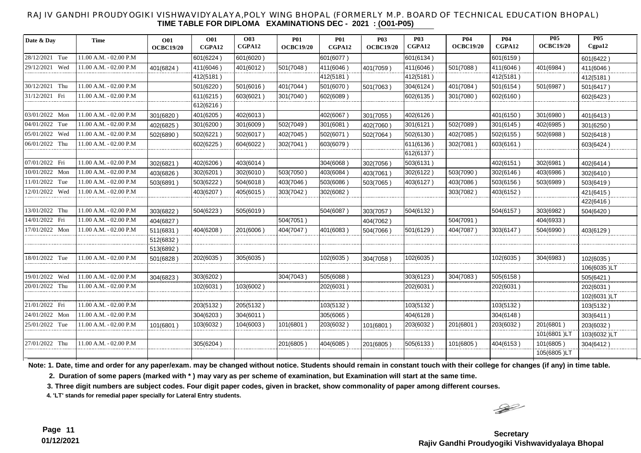#### RAJIV GANDHI PROUDYOGIKI VISHWAVIDYALAYA,POLY WING BHOPAL (FORMERLY M.P. BOARD OF TECHNICAL EDUCATION BHOPAL) **TIME TABLE FOR DIPLOMA EXAMINATIONS DEC - 2021 : (O01-P05)**

| Date & Day     | <b>Time</b>            | <b>O01</b><br><b>OCBC19/20</b> | <b>O01</b><br>CGPA12 | <b>O03</b><br>CGPA12 | <b>P01</b><br><b>OCBC19/20</b> | <b>P01</b><br>CGPA12 | <b>P03</b><br><b>OCBC19/20</b> | <b>P03</b><br>CGPA12 | <b>P04</b><br><b>OCBC19/20</b> | <b>P04</b><br>CGPA12 | <b>P05</b><br><b>OCBC19/20</b> | <b>P05</b><br>Cgpa12 |
|----------------|------------------------|--------------------------------|----------------------|----------------------|--------------------------------|----------------------|--------------------------------|----------------------|--------------------------------|----------------------|--------------------------------|----------------------|
|                |                        |                                |                      |                      |                                |                      |                                |                      |                                |                      |                                |                      |
| 28/12/2021 Tue | 11.00 A.M. - 02.00 P.M |                                | 601(6224)            | 601(6020)            |                                | 601(6077)            |                                | 601(6134)            |                                | 601(6159)            |                                | 601(6422)            |
| 29/12/2021 Wed | 11.00 A.M. - 02.00 P.M | 401(6824)                      | 411(6046)            | 401(6012)            | 501(7048)                      | 411(6046)            | 401(7059)                      | 411(6046)            | 501(7088)                      | 411(6046)            | 401(6984)                      | 411(6046)            |
|                |                        |                                | 412(5181)            |                      |                                | 412(5181)            |                                | 412(5181)            |                                | 412(5181)            |                                | 412(5181)            |
| 30/12/2021 Thu | 11.00 A.M. - 02.00 P.M |                                | 501(6220)            | 501(6016)            | 401(7044)                      | 501(6070)            | 501(7063)                      | 304(6124)            | 401(7084)                      | 501(6154)            | 501(6987                       | 501(6417)            |
| 31/12/2021 Fri | 11.00 A.M. - 02.00 P.M |                                | 611(6215)            | 603(6021)            | 301(7040)                      | 602(6089)            |                                | 602(6135)            | 301(7080)                      | 602(6160)            |                                | 602(6423)            |
|                |                        |                                | 612(6216)            |                      |                                |                      |                                |                      |                                |                      |                                |                      |
| 03/01/2022 Mon | 11.00 A.M. - 02.00 P.M | 301(6820)                      | 401(6205)            | 402(6013)            |                                | 402(6067)            | 301(7055)                      | 402(6126)            |                                | 401(6150)            | 301(6980)                      | 401(6413)            |
| 04/01/2022 Tue | 11.00 A.M. - 02.00 P.M | 402(6825)                      | 301(6200)            | 301(6009)            | 502(7049)                      | 301(6081)            | 402(7060)                      | 301(6121)            | 502(7089)                      | 301(6145)            | 402(6985)                      | 301(6250)            |
| 05/01/2022 Wed | 11.00 A.M. - 02.00 P.M | 502(6890)                      | 502(6221)            | 502(6017)            | 402(7045)                      | 502(6071)            | 502(7064)                      | 502(6130)            | 402(7085)                      | 502(6155)            | 502(6988)                      | 502(6418)            |
| 06/01/2022 Thu | 11.00 A.M. - 02.00 P.M |                                | 602(6225)            | 604(6022)            | 302(7041)                      | 603(6079)            |                                | 611(6136)            | 302(7081)                      | 603(6161)            |                                | 603(6424)            |
|                |                        |                                |                      |                      |                                |                      |                                | 612(6137)            |                                |                      |                                |                      |
| 07/01/2022 Fri | 11.00 A.M. - 02.00 P.M | 302(6821                       | 402(6206)            | 403(6014)            |                                | 304(6068)            | 302(7056)                      | 503(6131)            |                                | 402(6151)            | 302(6981                       | 402(6414)            |
| 10/01/2022 Mon | 11.00 A.M. - 02.00 P.M | 403(6826)                      | 302(6201)            | 302(6010)            | 503(7050)                      | 403(6084)            | 403(7061)                      | 302(6122)            | 503(7090)                      | 302(6146)            | 403(6986)                      | 302(6410)            |
| 11/01/2022 Tue | 11.00 A.M. - 02.00 P.M | 503(6891                       | 503(6222)            | 504(6018)            | 403(7046)                      | 503(6086)            | 503(7065)                      | 403(6127)            | 403(7086)                      | 503(6156)            | 503(6989)                      | 503(6419)            |
| 12/01/2022 Wed | 11.00 A.M. - 02.00 P.M |                                | 403(6207)            | 405(6015)            | 303(7042)                      | 302(6082)            |                                |                      | 303(7082)                      | 403(6152)            |                                | 421(6415)            |
|                |                        |                                |                      |                      |                                |                      |                                |                      |                                |                      |                                | 422(6416)            |
| 13/01/2022 Thu | 11.00 A.M. - 02.00 P.M | 303(6822)                      | 504(6223)            | 505(6019)            |                                | 504(6087)            | 303(7057)                      | 504(6132)            |                                | 504(6157)            | 303(6982)                      | 504(6420)            |
| 14/01/2022 Fri | 11.00 A.M. - 02.00 P.M | 404(6827)                      |                      |                      | 504(7051)                      |                      | 404(7062)                      |                      | 504(7091)                      |                      | 404(6933)                      |                      |
| 17/01/2022 Mon | 11.00 A.M. - 02.00 P.M | 511(6831)                      | 404(6208)            | 201(6006)            | 404(7047)                      | 401(6083)            | 504(7066)                      | 501(6129)            | 404(7087)                      | 303(6147)            | 504(6990)                      | 403(6129)            |
|                |                        | 512(6832)                      |                      |                      |                                |                      |                                |                      |                                |                      |                                |                      |
|                |                        | 513(6892)                      |                      |                      |                                |                      |                                |                      |                                |                      |                                |                      |
| 18/01/2022 Tue | 11.00 A.M. - 02.00 P.M | 501(6828)                      | 202(6035)            | 305(6035)            |                                | 102(6035)            | 304(7058)                      | 102(6035)            |                                | 102(6035)            | 304(6983)                      | 102(6035)            |
|                |                        |                                |                      |                      |                                |                      |                                |                      |                                |                      |                                | 106(6035)LT          |
| 19/01/2022 Wed | 11.00 A.M. - 02.00 P.M | 304(6823)                      | 303(6202)            |                      | 304(7043)                      | 505(6088)            |                                | 303(6123)            | 304(7083)                      | 505(6158)            |                                | 505(6421)            |
| 20/01/2022 Thu | 11.00 A.M. - 02.00 P.M |                                | 102(6031)            | 103(6002)            |                                | 202(6031)            |                                | 202(6031)            |                                | 202(6031)            |                                | 202(6031)            |
|                |                        |                                |                      |                      |                                |                      |                                |                      |                                |                      |                                | 102(6031)LT          |
| 21/01/2022 Fri | 11.00 A.M. - 02.00 P.M |                                | 203(5132)            | 205(5132)            |                                | 103(5132)            |                                | 103(5132)            |                                | 103(5132)            |                                | 103(5132)            |
| 24/01/2022 Mon | 11.00 A.M. - 02.00 P.M |                                | 304(6203)            | 304(6011)            |                                | 305(6065)            |                                | 404(6128)            |                                | 304(6148)            |                                | 303(6411)            |
| 25/01/2022 Tue | 11.00 A.M. - 02.00 P.M | 101(6801)                      | 103(6032)            | 104(6003)            | 101(6801)                      | 203(6032)            | 101(6801)                      | 203(6032)            | 201(6801)                      | 203(6032)            | 201(6801)                      | 203(6032)            |
|                |                        |                                |                      |                      |                                |                      |                                |                      |                                |                      | 101(6801)LT                    | 103(6032)LT          |
| 27/01/2022 Thu | 11.00 A.M. - 02.00 P.M |                                | 305(6204)            |                      | 201(6805)                      | 404(6085)            | 201(6805)                      | 505(6133)            | 101(6805)                      | 404(6153)            | 101(6805)                      | 304(6412)            |
|                |                        |                                |                      |                      |                                |                      |                                |                      |                                |                      | 105(6805)LT                    |                      |

**Note: 1. Date, time and order for any paper/exam. may be changed without notice. Students should remain in constant touch with their college for changes (if any) in time table.**

 **2. Duration of some papers (marked with \* ) may vary as per scheme of examination, but Examination will start at the same time.**

**3. Three digit numbers are subject codes. Four digit paper codes, given in bracket, show commonality of paper among different courses.** 

**4. 'LT' stands for remedial paper specially for Lateral Entry students.**

 $\begin{picture}(120,15) \put(0,0){\line(1,0){15}} \put(15,0){\line(1,0){15}} \put(15,0){\line(1,0){15}} \put(15,0){\line(1,0){15}} \put(15,0){\line(1,0){15}} \put(15,0){\line(1,0){15}} \put(15,0){\line(1,0){15}} \put(15,0){\line(1,0){15}} \put(15,0){\line(1,0){15}} \put(15,0){\line(1,0){15}} \put(15,0){\line(1,0){15}} \put(15,0){\line($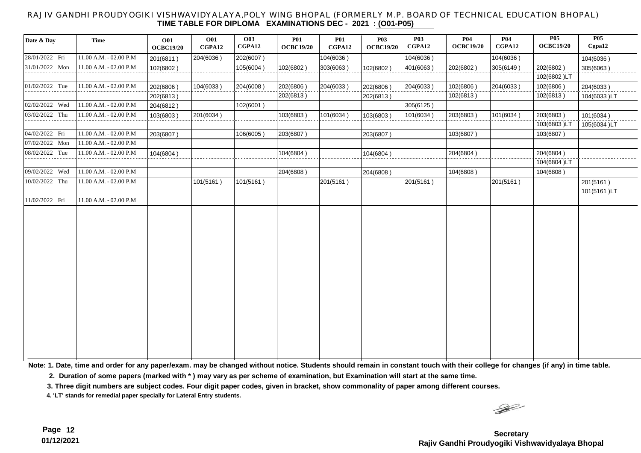#### RAJIV GANDHI PROUDYOGIKI VISHWAVIDYALAYA,POLY WING BHOPAL (FORMERLY M.P. BOARD OF TECHNICAL EDUCATION BHOPAL) **TIME TABLE FOR DIPLOMA EXAMINATIONS DEC - 2021 : (O01-P05)**

| Date & Day       | <b>Time</b>            | <b>O01</b><br><b>OCBC19/20</b> | <b>O01</b><br>CGPA12 | <b>O03</b><br>CGPA12 | <b>P01</b><br><b>OCBC19/20</b> | <b>P01</b><br>CGPA12 | <b>P03</b><br><b>OCBC19/20</b> | <b>P03</b><br>CGPA12 | <b>P04</b><br><b>OCBC19/20</b> | <b>P04</b><br>CGPA12 | <b>P05</b><br><b>OCBC19/20</b> | <b>P05</b><br>Cgpa12 |
|------------------|------------------------|--------------------------------|----------------------|----------------------|--------------------------------|----------------------|--------------------------------|----------------------|--------------------------------|----------------------|--------------------------------|----------------------|
| 28/01/2022 Fri   | 11.00 A.M. - 02.00 P.M | 201(6811)                      | 204(6036)            | 202(6007)            |                                | 104(6036)            |                                | 104(6036)            |                                | 104(6036)            |                                | 104(6036)            |
| 31/01/2022 Mon   | 11.00 A.M. - 02.00 P.M | 102(6802)                      |                      | 105(6004)            | 102(6802)                      | 303(6063)            | 102(6802)                      | 401(6063)            | 202(6802)                      | 305(6149)            | 202(6802)                      | 305(6063)            |
|                  |                        |                                |                      |                      |                                |                      |                                |                      |                                |                      | 102(6802)LT                    |                      |
| $01/02/2022$ Tue | 11.00 A.M. - 02.00 P.M | 202(6806)                      | 104(6033)            | 204(6008)            | 202(6806)                      | 204(6033)            | 202(6806)                      | 204(6033)            | 102(6806)                      | 204(6033)            | 102(6806)                      | 204(6033)            |
|                  |                        | 202(6813)                      |                      |                      | 202(6813)                      |                      | 202(6813)                      |                      | 102(6813)                      |                      | 102(6813)                      | 104(6033)LT          |
| 02/02/2022 Wed   | 11.00 A.M. - 02.00 P.M | 204(6812)                      |                      | 102(6001)            |                                |                      |                                | 305(6125)            |                                |                      |                                |                      |
| 03/02/2022 Thu   | 11.00 A.M. - 02.00 P.M | 103(6803)                      | 201(6034)            |                      | 103(6803)                      | 101(6034)            | 103(6803)                      | 101(6034)            | 203(6803)                      | 101(6034)            | 203(6803)                      | 101(6034)            |
|                  |                        |                                |                      |                      |                                |                      |                                |                      |                                |                      | 103(6803)LT                    | 105(6034)LT          |
| 04/02/2022 Fri   | 11.00 A.M. - 02.00 P.M | 203(6807)                      |                      | 106(6005)            | 203(6807)                      |                      | 203(6807)                      |                      | 103(6807)                      |                      | 103(6807)                      |                      |
| 07/02/2022 Mon   | 11.00 A.M. - 02.00 P.M |                                |                      |                      |                                |                      |                                |                      |                                |                      |                                |                      |
| 08/02/2022 Tue   | 11.00 A.M. - 02.00 P.M | 104(6804)                      |                      |                      | 104(6804)                      |                      | 104(6804)                      |                      | 204(6804)                      |                      | 204(6804)                      |                      |
|                  |                        |                                |                      |                      |                                |                      |                                |                      |                                |                      | 104(6804)LT                    |                      |
| 09/02/2022 Wed   | 11.00 A.M. - 02.00 P.M |                                |                      |                      | 204(6808)                      |                      | 204(6808)                      |                      | 104(6808)                      |                      | 104(6808)                      |                      |
| 10/02/2022 Thu   | 11.00 A.M. - 02.00 P.M |                                | 101(5161)            | 101(5161)            |                                | 201(5161)            |                                | 201(5161)            |                                | 201(5161)            |                                | 201(5161)            |
|                  |                        |                                |                      |                      |                                |                      |                                |                      |                                |                      |                                | 101(5161)LT          |
| 11/02/2022 Fri   | 11.00 A.M. - 02.00 P.M |                                |                      |                      |                                |                      |                                |                      |                                |                      |                                |                      |
|                  |                        |                                |                      |                      |                                |                      |                                |                      |                                |                      |                                |                      |

**Note: 1. Date, time and order for any paper/exam. may be changed without notice. Students should remain in constant touch with their college for changes (if any) in time table.**

 **2. Duration of some papers (marked with \* ) may vary as per scheme of examination, but Examination will start at the same time.**

**3. Three digit numbers are subject codes. Four digit paper codes, given in bracket, show commonality of paper among different courses.** 

**4. 'LT' stands for remedial paper specially for Lateral Entry students.**

 $\begin{picture}(120,15) \put(0,0){\line(1,0){15}} \put(15,0){\line(1,0){15}} \put(15,0){\line(1,0){15}} \put(15,0){\line(1,0){15}} \put(15,0){\line(1,0){15}} \put(15,0){\line(1,0){15}} \put(15,0){\line(1,0){15}} \put(15,0){\line(1,0){15}} \put(15,0){\line(1,0){15}} \put(15,0){\line(1,0){15}} \put(15,0){\line(1,0){15}} \put(15,0){\line($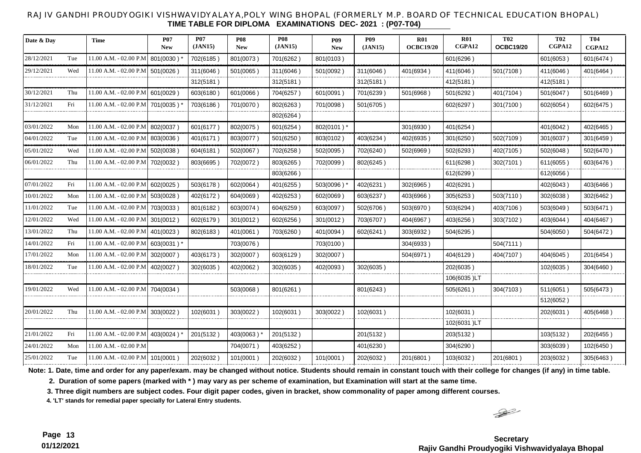#### RAJIV GANDHI PROUDYOGIKI VISHWAVIDYALAYA,POLY WING BHOPAL (FORMERLY M.P. BOARD OF TECHNICAL EDUCATION BHOPAL) **TIME TABLE FOR DIPLOMA EXAMINATIONS DEC- 2021 : (P07-T04)**

| Date & Day |     | <b>Time</b>            | <b>P07</b><br><b>New</b> | <b>P07</b><br>(JAN15) | <b>P08</b><br><b>New</b> | <b>P08</b><br>(JAN15) | <b>P09</b><br><b>New</b> | <b>P09</b><br>(JAN15) | R <sub>01</sub><br><b>OCBC19/20</b> | <b>R01</b><br>CGPA12 | <b>T02</b><br><b>OCBC19/20</b> | <b>T02</b><br>CGPA12 | <b>T04</b><br>CGPA12 |
|------------|-----|------------------------|--------------------------|-----------------------|--------------------------|-----------------------|--------------------------|-----------------------|-------------------------------------|----------------------|--------------------------------|----------------------|----------------------|
| 28/12/2021 | Tue | 11.00 A.M. - 02.00 P.M | 801(0030)                | 702(6185)             | 801(0073)                | 701(6262)             | 801(0103)                |                       |                                     | 601(6296)            |                                | 601(6053)            | 601(6474)            |
| 29/12/2021 | Wed | 11.00 A.M. - 02.00 P.M | 501(0026)                | 311(6046)             | 501(0065)                | 311(6046)             | 501(0092)                | 311(6046)             | 401(6934)                           | 411(6046)            | 501(7108)                      | 411(6046)            | 401(6464)            |
|            |     |                        |                          | 312(5181)             |                          | 312(5181)             |                          | 312(5181)             |                                     | 412(5181)            |                                | 412(5181)            |                      |
| 30/12/2021 | Thu | 11.00 A.M. - 02.00 P.M | 601(0029)                | 603(6180)             | 601(0066)                | 704(6257)             | 601(0091)                | 701(6239)             | 501(6968)                           | 501(6292)            | 401(7104)                      | 501(6047)            | 501(6469)            |
| 31/12/2021 | Fri | 11.00 A.M. - 02.00 P.M | 701(0035)'               | 703(6186)             | 701(0070)                | 802(6263)             | 701(0098)                | 501(6705)             |                                     | 602(6297)            | 301(7100 )                     | 602(6054)            | 602(6475)            |
|            |     |                        |                          |                       |                          | 802(6264)             |                          |                       |                                     |                      |                                |                      |                      |
| 03/01/2022 | Mon | 11.00 A.M. - 02.00 P.M | 802(0037)                | 601(6177)             | 802(0075)                | 601(6254)             | 802(0101) *              |                       | 301(6930)                           | 401(6254)            |                                | 401(6042)            | 402(6465)            |
| 04/01/2022 | Tue | 11.00 A.M. - 02.00 P.M | 803(0036)                | 401(6171)             | 803(0077)                | 501(6250)             | 803(0102)                | 403(6234)             | 402(6935)                           | 301(6250)            | 502(7109)                      | 301(6037)            | 301(6459)            |
| 05/01/2022 | Wed | 11.00 A.M. - 02.00 P.M | 502(0038)                | 604(6181)             | 502(0067)                | 702(6258)             | 502(0095)                | 702(6240)             | 502(6969)                           | 502(6293)            | 402(7105)                      | 502(6048)            | 502(6470)            |
| 06/01/2022 | Thu | 11.00 A.M. - 02.00 P.M | 702(0032)                | 803(6695)             | 702(0072)                | 803(6265)             | 702(0099)                | 802(6245)             |                                     | 611(6298)            | 302(7101)                      | 611(6055)            | 603(6476)            |
|            |     |                        |                          |                       |                          | 803(6266)             |                          |                       |                                     | 612(6299)            |                                | 612(6056)            |                      |
| 07/01/2022 | Fri | 11.00 A.M. - 02.00 P.M | 602(0025)                | 503(6178)             | 602(0064)                | 401(6255)             | 503(0096)                | 402(6231)             | 302(6965)                           | 402(6291)            |                                | 402(6043)            | 403(6466)            |
| 10/01/2022 | Mon | 11.00 A.M. - 02.00 P.M | 503(0028)                | 402(6172)             | 604(0069)                | 402(6253)             | 602(0069)                | 603(6237)             | 403(6966)                           | 305(6253)            | 503(7110)                      | 302(6038)            | 302(6462)            |
| 11/01/2022 | Tue | 11.00 A.M. - 02.00 P.M | 703(0033)                | 801(6182)             | 603(0074)                | 604(6259)             | 603(0097)                | 502(6706)             | 503(6970)                           | 503(6294)            | 403(7106)                      | 503(6049)            | 503(6471)            |
| 12/01/2022 | Wed | 11.00 A.M. - 02.00 P.M | 301(0012)                | 602(6179)             | 301(0012)                | 602(6256)             | 301(0012)                | 703(6707)             | 404(6967)                           | 403(6256)            | 303(7102)                      | 403(6044)            | 404(6467)            |
| 13/01/2022 | Thu | 11.00 A.M. - 02.00 P.M | 401(0023)                | 802(6183)             | 401(0061)                | 703(6260)             | 401(0094)                | 602(6241)             | 303(6932)                           | 504(6295)            |                                | 504(6050)            | 504(6472)            |
| 14/01/2022 | Fri | 11.00 A.M. - 02.00 P.M | 603(0031) *              |                       | 703(0076)                |                       | 703(0100)                |                       | 304(6933)                           |                      | 504(7111)                      |                      |                      |
| 17/01/2022 | Mon | 11.00 A.M. - 02.00 P.M | 302(0007)                | 403(6173)             | 302(0007)                | 603(6129)             | 302(0007)                |                       | 504(6971)                           | 404(6129)            | 404(7107)                      | 404(6045)            | 201(6454)            |
| 18/01/2022 | Tue | 11.00 A.M. - 02.00 P.M | 402(0027)                | 302(6035)             | 402(0062)                | 302(6035)             | 402(0093)                | 302(6035)             |                                     | 202(6035)            |                                | 102(6035)            | 304(6460)            |
|            |     |                        |                          |                       |                          |                       |                          |                       |                                     | 106(6035)LT          |                                |                      |                      |
| 19/01/2022 | Wed | 11.00 A.M. - 02.00 P.M | 704(0034)                |                       | 503(0068)                | 801(6261)             |                          | 801(6243)             |                                     | 505(6261)            | 304(7103)                      | 511(6051)            | 505(6473)            |
|            |     |                        |                          |                       |                          |                       |                          |                       |                                     |                      |                                | 512(6052)            |                      |
| 20/01/2022 | Thu | 11.00 A.M. - 02.00 P.M | 303(0022)                | 102(6031)             | 303(0022)                | 102(6031)             | 303(0022)                | 102(6031)             |                                     | 102(6031)            |                                | 202(6031)            | 405(6468)            |
|            |     |                        |                          |                       |                          |                       |                          |                       |                                     | 102(6031)LT          |                                |                      |                      |
| 21/01/2022 | Fri | 11.00 A.M. - 02.00 P.M | 403(0024)*               | 201(5132)             | 403(0063)*               | 201(5132)             |                          | 201(5132)             |                                     | 203(5132)            |                                | 103(5132)            | 202(6455)            |
| 24/01/2022 | Mon | 11.00 A.M. - 02.00 P.M |                          |                       | 704(0071)                | 403(6252)             |                          | 401(6230)             |                                     | 304(6290)            |                                | 303(6039)            | 102(6450)            |
| 25/01/2022 | Tue | 11.00 A.M. - 02.00 P.M | 101(0001)                | 202(6032)             | 101(0001)                | 202(6032)             | 101(0001)                | 202(6032)             | 201(6801)                           | 103(6032)            | 201(6801)                      | 203(6032)            | 305(6463)            |

**Note: 1. Date, time and order for any paper/exam. may be changed without notice. Students should remain in constant touch with their college for changes (if any) in time table.**

 **2. Duration of some papers (marked with \* ) may vary as per scheme of examination, but Examination will start at the same time.**

**3. Three digit numbers are subject codes. Four digit paper codes, given in bracket, show commonality of paper among different courses.** 

**4. 'LT' stands for remedial paper specially for Lateral Entry students.**

 $\frac{1}{2}$ 

**Page 13 Secretary Rajiv Gandhi Proudyogiki Vishwavidyalaya Bhopal**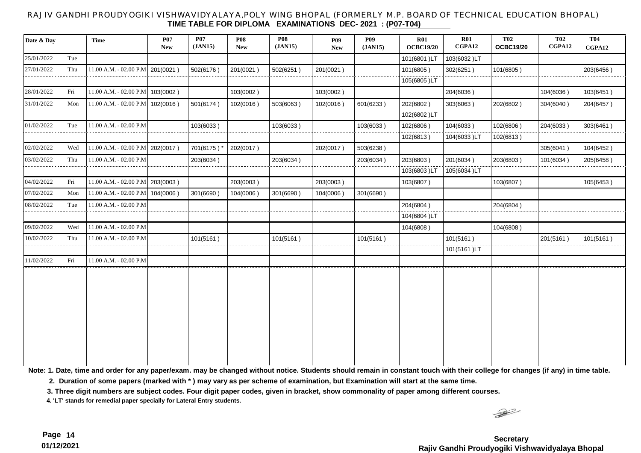#### RAJIV GANDHI PROUDYOGIKI VISHWAVIDYALAYA,POLY WING BHOPAL (FORMERLY M.P. BOARD OF TECHNICAL EDUCATION BHOPAL) **TIME TABLE FOR DIPLOMA EXAMINATIONS DEC- 2021 : (P07-T04)**

| Date & Day |     | <b>Time</b>                        | <b>P07</b><br><b>New</b> | <b>P07</b><br>(JAN15) | <b>P08</b><br><b>New</b> | <b>P08</b><br>(JAN15) | <b>P09</b><br><b>New</b> | <b>P09</b><br>(JAN15) | R01<br><b>OCBC19/20</b> | R01<br>CGPA12 | <b>T02</b><br><b>OCBC19/20</b> | <b>T02</b><br>CGPA12 | <b>T04</b><br>CGPA12 |
|------------|-----|------------------------------------|--------------------------|-----------------------|--------------------------|-----------------------|--------------------------|-----------------------|-------------------------|---------------|--------------------------------|----------------------|----------------------|
| 25/01/2022 | Tue |                                    |                          |                       |                          |                       |                          |                       | 101(6801)LT             | 103(6032)LT   |                                |                      |                      |
| 27/01/2022 | Thu | 11.00 A.M. - 02.00 P.M             | 201(0021)                | 502(6176)             | 201(0021)                | 502(6251)             | 201(0021)                |                       | 101(6805)               | 302(6251)     | 101(6805)                      |                      | 203(6456)            |
|            |     |                                    |                          |                       |                          |                       |                          |                       | 105(6805)LT             |               |                                |                      |                      |
| 28/01/2022 | Fri | 11.00 A.M. - 02.00 P.M             | 103(0002)                |                       | 103(0002)                |                       | 103(0002)                |                       |                         | 204(6036)     |                                | 104(6036)            | 103(6451)            |
| 31/01/2022 | Mon | 11.00 A.M. - 02.00 P.M             | 102(0016)                | 501(6174)             | 102(0016)                | 503(6063)             | 102(0016)                | 601(6233)             | 202(6802)               | 303(6063)     | 202(6802)                      | 304(6040)            | 204(6457)            |
|            |     |                                    |                          |                       |                          |                       |                          |                       | 102(6802)LT             |               |                                |                      |                      |
| 01/02/2022 | Tue | 11.00 A.M. - 02.00 P.M             |                          | 103(6033)             |                          | 103(6033)             |                          | 103(6033)             | 102(6806)               | 104(6033)     | 102(6806)                      | 204(6033)            | 303(6461)            |
|            |     |                                    |                          |                       |                          |                       |                          |                       | 102(6813)               | 104(6033)LT   | 102(6813)                      |                      |                      |
| 02/02/2022 | Wed | 11.00 A.M. - 02.00 P.M             | 202(0017)                | 701(6175)'            | 202(0017)                |                       | 202(0017)                | 503(6238)             |                         |               |                                | 305(6041)            | 104(6452)            |
| 03/02/2022 | Thu | 11.00 A.M. - 02.00 P.M             |                          | 203(6034)             |                          | 203(6034)             |                          | 203(6034)             | 203(6803)               | 201(6034)     | 203(6803)                      | 101(6034)            | 205(6458)            |
|            |     |                                    |                          |                       |                          |                       |                          |                       | 103(6803)LT             | 105(6034)LT   |                                |                      |                      |
| 04/02/2022 | Fri | 11.00 A.M. - 02.00 P.M 203(0003)   |                          |                       | 203(0003)                |                       | 203(0003)                |                       | 103(6807)               |               | 103(6807)                      |                      | 105(6453)            |
| 07/02/2022 | Mon | $11.00$ A.M. - 02.00 P.M 104(0006) |                          | 301(6690)             | 104(0006)                | 301(6690)             | 104(0006)                | 301(6690)             |                         |               |                                |                      |                      |
| 08/02/2022 | Tue | 11.00 A.M. - 02.00 P.M             |                          |                       |                          |                       |                          |                       | 204(6804)               |               | 204(6804)                      |                      |                      |
|            |     |                                    |                          |                       |                          |                       |                          |                       | 104(6804)LT             |               |                                |                      |                      |
| 09/02/2022 | Wed | 11.00 A.M. - 02.00 P.M             |                          |                       |                          |                       |                          |                       | 104(6808)               |               | 104(6808)                      |                      |                      |
| 10/02/2022 | Thu | 11.00 A.M. - 02.00 P.M             |                          | 101(5161)             |                          | 101(5161)             |                          | 101(5161)             |                         | 101(5161)     |                                | 201(5161)            | 101(5161)            |
|            |     |                                    |                          |                       |                          |                       |                          |                       |                         | 101(5161)LT   |                                |                      |                      |
| 11/02/2022 | Fri | $11.00$ A.M. - 02.00 P.M           |                          |                       |                          |                       |                          |                       |                         |               |                                |                      |                      |
|            |     |                                    |                          |                       |                          |                       |                          |                       |                         |               |                                |                      |                      |

**Note: 1. Date, time and order for any paper/exam. may be changed without notice. Students should remain in constant touch with their college for changes (if any) in time table.**

 **2. Duration of some papers (marked with \* ) may vary as per scheme of examination, but Examination will start at the same time.**

**3. Three digit numbers are subject codes. Four digit paper codes, given in bracket, show commonality of paper among different courses.** 

**4. 'LT' stands for remedial paper specially for Lateral Entry students.**

 $\rightarrow$ 

**Page 14 Secretary Rajiv Gandhi Proudyogiki Vishwavidyalaya Bhopal**

**01/12/2021**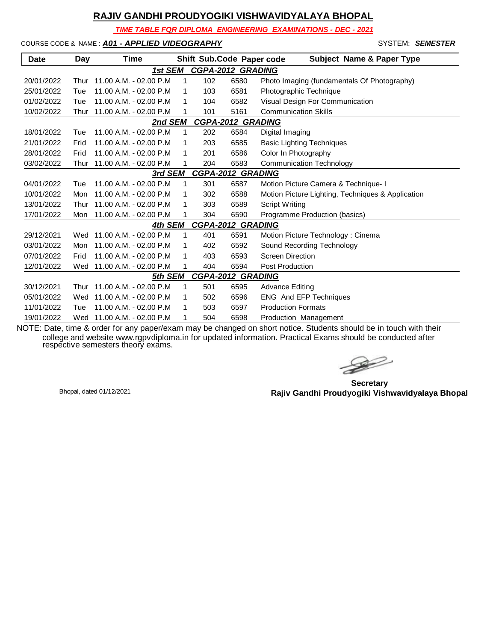*TIME TABLE FOR DIPLOMA ENGINEERING EXAMINATIONS - DEC - 2021*

COURSE CODE & NAME : *A01 - APPLIED VIDEOGRAPHY* - SYSTEM: *SEMESTER*

| <b>Date</b> | Day  | Time                   |   |     | Shift Sub.Code Paper code | <b>Subject Name &amp; Paper Type</b>              |
|-------------|------|------------------------|---|-----|---------------------------|---------------------------------------------------|
|             |      | 1st SEM                |   |     | <b>CGPA-2012 GRADING</b>  |                                                   |
| 20/01/2022  | Thur | 11.00 A.M. - 02.00 P.M | 1 | 102 | 6580                      | Photo Imaging (fundamentals Of Photography)       |
| 25/01/2022  | Tue  | 11.00 A.M. - 02.00 P.M | 1 | 103 | 6581                      | Photographic Technique                            |
| 01/02/2022  | Tue  | 11.00 A.M. - 02.00 P.M | 1 | 104 | 6582                      | Visual Design For Communication                   |
| 10/02/2022  | Thur | 11.00 A.M. - 02.00 P.M | 1 | 101 | 5161                      | <b>Communication Skills</b>                       |
|             |      | 2nd SEM                |   |     | <b>CGPA-2012 GRADING</b>  |                                                   |
| 18/01/2022  | Tue  | 11.00 A.M. - 02.00 P.M | 1 | 202 | 6584                      | Digital Imaging                                   |
| 21/01/2022  | Frid | 11.00 A.M. - 02.00 P.M | 1 | 203 | 6585                      | <b>Basic Lighting Techniques</b>                  |
| 28/01/2022  | Frid | 11.00 A.M. - 02.00 P.M | 1 | 201 | 6586                      | Color In Photography                              |
| 03/02/2022  | Thur | 11.00 A.M. - 02.00 P.M | 1 | 204 | 6583                      | <b>Communication Technology</b>                   |
|             |      | 3rd SEM                |   |     | <b>CGPA-2012 GRADING</b>  |                                                   |
| 04/01/2022  | Tue  | 11.00 A.M. - 02.00 P.M | 1 | 301 | 6587                      | Motion Picture Camera & Technique- I              |
| 10/01/2022  | Mon  | 11.00 A.M. - 02.00 P.M | 1 | 302 | 6588                      | Motion Picture Lighting, Techniques & Application |
| 13/01/2022  | Thur | 11.00 A.M. - 02.00 P.M | 1 | 303 | 6589                      | <b>Script Writing</b>                             |
| 17/01/2022  | Mon  | 11.00 A.M. - 02.00 P.M | 1 | 304 | 6590                      | Programme Production (basics)                     |
|             |      | 4th SEM                |   |     | <b>CGPA-2012 GRADING</b>  |                                                   |
| 29/12/2021  | Wed  | 11.00 A.M. - 02.00 P.M | 1 | 401 | 6591                      | Motion Picture Technology: Cinema                 |
| 03/01/2022  | Mon  | 11.00 A.M. - 02.00 P.M | 1 | 402 | 6592                      | Sound Recording Technology                        |
| 07/01/2022  | Frid | 11.00 A.M. - 02.00 P.M | 1 | 403 | 6593                      | <b>Screen Direction</b>                           |
| 12/01/2022  | Wed  | 11.00 A.M. - 02.00 P.M | 1 | 404 | 6594                      | <b>Post Production</b>                            |
|             |      | 5th SEM                |   |     | <b>CGPA-2012 GRADING</b>  |                                                   |
| 30/12/2021  | Thur | 11.00 A.M. - 02.00 P.M | 1 | 501 | 6595                      | <b>Advance Editing</b>                            |
| 05/01/2022  | Wed  | 11.00 A.M. - 02.00 P.M | 1 | 502 | 6596                      | ENG And EFP Techniques                            |
| 11/01/2022  | Tue  | 11.00 A.M. - 02.00 P.M | 1 | 503 | 6597                      | <b>Production Formats</b>                         |
| 19/01/2022  | Wed  | 11.00 A.M. - 02.00 P.M | 1 | 504 | 6598                      | Production Management                             |

 $\rightarrow$ 

**Secretary Rajiv Gandhi Proudyogiki Vishwavidyalaya Bhopal** Bhopal, dated 01/12/2021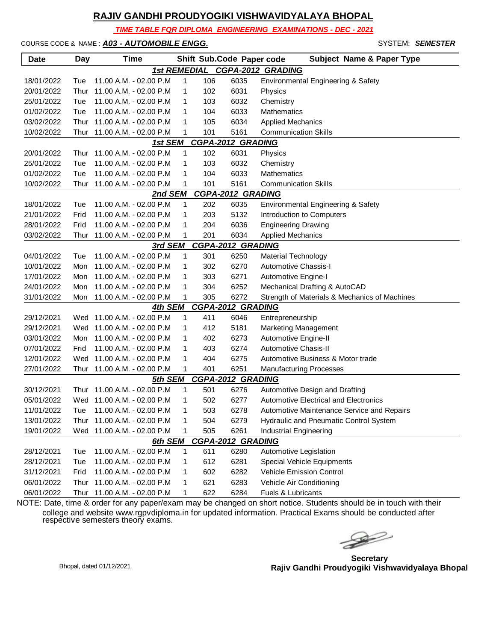*TIME TABLE FOR DIPLOMA ENGINEERING EXAMINATIONS - DEC - 2021*

#### COURSE CODE & NAME : *A03 - AUTOMOBILE ENGG.* - SYSTEM: *SEMESTER*

| <b>Date</b> | Day  | Time                        |              |     | Shift Sub.Code Paper code | <b>Subject Name &amp; Paper Type</b>          |
|-------------|------|-----------------------------|--------------|-----|---------------------------|-----------------------------------------------|
|             |      | <b>1st REMEDIAL</b>         |              |     |                           | <b>CGPA-2012 GRADING</b>                      |
| 18/01/2022  | Tue  | 11.00 A.M. - 02.00 P.M      | 1            | 106 | 6035                      | Environmental Engineering & Safety            |
| 20/01/2022  | Thur | 11.00 A.M. - 02.00 P.M      | 1            | 102 | 6031                      | Physics                                       |
| 25/01/2022  | Tue  | 11.00 A.M. - 02.00 P.M      | 1            | 103 | 6032                      | Chemistry                                     |
| 01/02/2022  | Tue  | 11.00 A.M. - 02.00 P.M      | 1            | 104 | 6033                      | Mathematics                                   |
| 03/02/2022  | Thur | 11.00 A.M. - 02.00 P.M      | 1            | 105 | 6034                      | <b>Applied Mechanics</b>                      |
| 10/02/2022  |      | Thur 11.00 A.M. - 02.00 P.M | 1            | 101 | 5161                      | <b>Communication Skills</b>                   |
|             |      | 1st SEM                     |              |     | <b>CGPA-2012 GRADING</b>  |                                               |
| 20/01/2022  |      | Thur 11.00 A.M. - 02.00 P.M | $\mathbf{1}$ | 102 | 6031                      | Physics                                       |
| 25/01/2022  | Tue  | 11.00 A.M. - 02.00 P.M      | 1            | 103 | 6032                      | Chemistry                                     |
| 01/02/2022  | Tue  | 11.00 A.M. - 02.00 P.M      | 1            | 104 | 6033                      | Mathematics                                   |
| 10/02/2022  | Thur | 11.00 A.M. - 02.00 P.M      | 1            | 101 | 5161                      | <b>Communication Skills</b>                   |
|             |      | 2nd SEM                     |              |     | <b>CGPA-2012 GRADING</b>  |                                               |
| 18/01/2022  | Tue  | 11.00 A.M. - 02.00 P.M      | 1            | 202 | 6035                      | Environmental Engineering & Safety            |
| 21/01/2022  | Frid | 11.00 A.M. - 02.00 P.M      | 1            | 203 | 5132                      | Introduction to Computers                     |
| 28/01/2022  | Frid | 11.00 A.M. - 02.00 P.M      | 1            | 204 | 6036                      | <b>Engineering Drawing</b>                    |
| 03/02/2022  | Thur | 11.00 A.M. - 02.00 P.M      | 1            | 201 | 6034                      | <b>Applied Mechanics</b>                      |
|             |      | <u>3rd SEM</u>              |              |     | <b>CGPA-2012 GRADING</b>  |                                               |
| 04/01/2022  | Tue  | 11.00 A.M. - 02.00 P.M      | 1            | 301 | 6250                      | Material Technology                           |
| 10/01/2022  | Mon  | 11.00 A.M. - 02.00 P.M      | 1            | 302 | 6270                      | Automotive Chassis-I                          |
| 17/01/2022  | Mon  | 11.00 A.M. - 02.00 P.M      | 1            | 303 | 6271                      | Automotive Engine-I                           |
| 24/01/2022  | Mon  | 11.00 A.M. - 02.00 P.M      | 1            | 304 | 6252                      | Mechanical Drafting & AutoCAD                 |
| 31/01/2022  | Mon  | 11.00 A.M. - 02.00 P.M      | 1            | 305 | 6272                      | Strength of Materials & Mechanics of Machines |
|             |      | 4th SEM                     |              |     | <b>CGPA-2012 GRADING</b>  |                                               |
| 29/12/2021  |      | Wed 11.00 A.M. - 02.00 P.M  | 1            | 411 | 6046                      | Entrepreneurship                              |
| 29/12/2021  |      | Wed 11.00 A.M. - 02.00 P.M  | 1            | 412 | 5181                      | <b>Marketing Management</b>                   |
| 03/01/2022  | Mon  | 11.00 A.M. - 02.00 P.M      | 1            | 402 | 6273                      | Automotive Engine-II                          |
| 07/01/2022  | Frid | 11.00 A.M. - 02.00 P.M      | 1            | 403 | 6274                      | Automotive Chasis-II                          |
| 12/01/2022  |      | Wed 11.00 A.M. - 02.00 P.M  | 1            | 404 | 6275                      | Automotive Business & Motor trade             |
| 27/01/2022  | Thur | 11.00 A.M. - 02.00 P.M      | 1            | 401 | 6251                      | <b>Manufacturing Processes</b>                |
|             |      | 5th SEM                     |              |     | <b>CGPA-2012 GRADING</b>  |                                               |
| 30/12/2021  | Thur | 11.00 A.M. - 02.00 P.M      | 1            | 501 | 6276                      | Automotive Design and Drafting                |
| 05/01/2022  |      | Wed 11.00 A.M. - 02.00 P.M  | 1            | 502 | 6277                      | Automotive Electrical and Electronics         |
| 11/01/2022  |      | Tue 11.00 A.M. - 02.00 P.M  |              | 503 | 6278                      | Automotive Maintenance Service and Repairs    |
| 13/01/2022  |      | Thur 11.00 A.M. - 02.00 P.M | 1            | 504 | 6279                      | Hydraulic and Pneumatic Control System        |
| 19/01/2022  |      | Wed 11.00 A.M. - 02.00 P.M  | 1            | 505 | 6261                      | Industrial Engineering                        |
|             |      | 6th SEM                     |              |     | <b>CGPA-2012 GRADING</b>  |                                               |
| 28/12/2021  | Tue  | 11.00 A.M. - 02.00 P.M      | 1            | 611 | 6280                      | Automotive Legislation                        |
| 28/12/2021  | Tue  | 11.00 A.M. - 02.00 P.M      | 1            | 612 | 6281                      | Special Vehicle Equipments                    |
| 31/12/2021  | Frid | 11.00 A.M. - 02.00 P.M      | 1            | 602 | 6282                      | Vehicle Emission Control                      |
| 06/01/2022  | Thur | 11.00 A.M. - 02.00 P.M      | 1            | 621 | 6283                      | Vehicle Air Conditioning                      |
| 06/01/2022  | Thur | 11.00 A.M. - 02.00 P.M      | 1            | 622 | 6284                      | Fuels & Lubricants                            |

 $\begin{picture}(120,17)(-20,0) \put(0,0){\vector(1,0){10}} \put(15,0){\vector(1,0){10}} \put(15,0){\vector(1,0){10}} \put(15,0){\vector(1,0){10}} \put(15,0){\vector(1,0){10}} \put(15,0){\vector(1,0){10}} \put(15,0){\vector(1,0){10}} \put(15,0){\vector(1,0){10}} \put(15,0){\vector(1,0){10}} \put(15,0){\vector(1,0){10}} \put(15,0){\vector(1,0){10}} \put(15$ 

**Secretary Rajiv Gandhi Proudyogiki Vishwavidyalaya Bhopal** Bhopal, dated 01/12/2021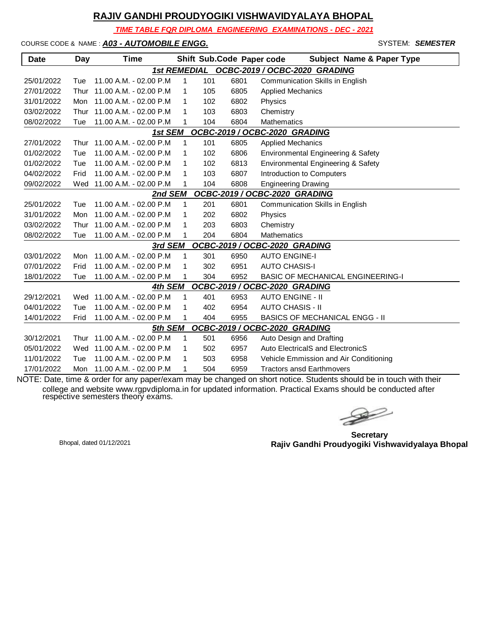*TIME TABLE FOR DIPLOMA ENGINEERING EXAMINATIONS - DEC - 2021*

#### COURSE CODE & NAME : *A03 - AUTOMOBILE ENGG.* - SYSTEM: *SEMESTER*

| <b>Date</b>                              | Day  | <b>Time</b>            |              |     |      | Shift Sub.Code Paper code<br><b>Subject Name &amp; Paper Type</b> |  |  |  |  |
|------------------------------------------|------|------------------------|--------------|-----|------|-------------------------------------------------------------------|--|--|--|--|
|                                          |      |                        |              |     |      | 1st REMEDIAL OCBC-2019 / OCBC-2020 GRADING                        |  |  |  |  |
| 25/01/2022                               | Tue  | 11.00 A.M. - 02.00 P.M | 1            | 101 | 6801 | Communication Skills in English                                   |  |  |  |  |
| 27/01/2022                               | Thur | 11.00 A.M. - 02.00 P.M | 1            | 105 | 6805 | <b>Applied Mechanics</b>                                          |  |  |  |  |
| 31/01/2022                               | Mon  | 11.00 A.M. - 02.00 P.M | 1            | 102 | 6802 | Physics                                                           |  |  |  |  |
| 03/02/2022                               | Thur | 11.00 A.M. - 02.00 P.M | 1            | 103 | 6803 | Chemistry                                                         |  |  |  |  |
| 08/02/2022                               | Tue  | 11.00 A.M. - 02.00 P.M | 1            | 104 | 6804 | <b>Mathematics</b>                                                |  |  |  |  |
| OCBC-2019 / OCBC-2020 GRADING<br>1st SEM |      |                        |              |     |      |                                                                   |  |  |  |  |
| 27/01/2022                               | Thur | 11.00 A.M. - 02.00 P.M | 1            | 101 | 6805 | <b>Applied Mechanics</b>                                          |  |  |  |  |
| 01/02/2022                               | Tue  | 11.00 A.M. - 02.00 P.M | 1            | 102 | 6806 | Environmental Engineering & Safety                                |  |  |  |  |
| 01/02/2022                               | Tue  | 11.00 A.M. - 02.00 P.M | 1            | 102 | 6813 | Environmental Engineering & Safety                                |  |  |  |  |
| 04/02/2022                               | Frid | 11.00 A.M. - 02.00 P.M | 1            | 103 | 6807 | Introduction to Computers                                         |  |  |  |  |
| 09/02/2022                               | Wed  | 11.00 A.M. - 02.00 P.M | 1            | 104 | 6808 | <b>Engineering Drawing</b>                                        |  |  |  |  |
|                                          |      | 2nd SEM                |              |     |      | OCBC-2019 / OCBC-2020 GRADING                                     |  |  |  |  |
| 25/01/2022                               | Tue  | 11.00 A.M. - 02.00 P.M | $\mathbf{1}$ | 201 | 6801 | Communication Skills in English                                   |  |  |  |  |
| 31/01/2022                               | Mon  | 11.00 A.M. - 02.00 P.M | 1            | 202 | 6802 | Physics                                                           |  |  |  |  |
| 03/02/2022                               | Thur | 11.00 A.M. - 02.00 P.M | 1            | 203 | 6803 | Chemistry                                                         |  |  |  |  |
| 08/02/2022                               | Tue  | 11.00 A.M. - 02.00 P.M | 1            | 204 | 6804 | <b>Mathematics</b>                                                |  |  |  |  |
|                                          |      | 3rd SEM                |              |     |      | OCBC-2019 / OCBC-2020 GRADING                                     |  |  |  |  |
| 03/01/2022                               | Mon  | 11.00 A.M. - 02.00 P.M | 1            | 301 | 6950 | <b>AUTO ENGINE-I</b>                                              |  |  |  |  |
| 07/01/2022                               | Frid | 11.00 A.M. - 02.00 P.M | 1            | 302 | 6951 | <b>AUTO CHASIS-I</b>                                              |  |  |  |  |
| 18/01/2022                               | Tue  | 11.00 A.M. - 02.00 P.M |              | 304 | 6952 | <b>BASIC OF MECHANICAL ENGINEERING-I</b>                          |  |  |  |  |
|                                          |      | 4th SEM                |              |     |      | OCBC-2019 / OCBC-2020 GRADING                                     |  |  |  |  |
| 29/12/2021                               | Wed  | 11.00 A.M. - 02.00 P.M | $\mathbf{1}$ | 401 | 6953 | <b>AUTO ENGINE - II</b>                                           |  |  |  |  |
| 04/01/2022                               | Tue  | 11.00 A.M. - 02.00 P.M | 1            | 402 | 6954 | <b>AUTO CHASIS - II</b>                                           |  |  |  |  |
| 14/01/2022                               | Frid | 11.00 A.M. - 02.00 P.M | 1            | 404 | 6955 | <b>BASICS OF MECHANICAL ENGG - II</b>                             |  |  |  |  |
|                                          |      | 5th SEM                |              |     |      | OCBC-2019 / OCBC-2020 GRADING                                     |  |  |  |  |
| 30/12/2021                               | Thur | 11.00 A.M. - 02.00 P.M | 1            | 501 | 6956 | Auto Design and Drafting                                          |  |  |  |  |
| 05/01/2022                               | Wed  | 11.00 A.M. - 02.00 P.M | 1            | 502 | 6957 | Auto ElectricalS and ElectronicS                                  |  |  |  |  |
| 11/01/2022                               | Tue  | 11.00 A.M. - 02.00 P.M | 1            | 503 | 6958 | Vehicle Emmission and Air Conditioning                            |  |  |  |  |
| 17/01/2022                               | Mon  | 11.00 A.M. - 02.00 P.M | 1            | 504 | 6959 | <b>Tractors ansd Earthmovers</b>                                  |  |  |  |  |

 $\begin{picture}(120,15) \put(0,0){\line(1,0){15}} \put(15,0){\line(1,0){15}} \put(15,0){\line(1,0){15}} \put(15,0){\line(1,0){15}} \put(15,0){\line(1,0){15}} \put(15,0){\line(1,0){15}} \put(15,0){\line(1,0){15}} \put(15,0){\line(1,0){15}} \put(15,0){\line(1,0){15}} \put(15,0){\line(1,0){15}} \put(15,0){\line(1,0){15}} \put(15,0){\line($ 

**Secretary Rajiv Gandhi Proudyogiki Vishwavidyalaya Bhopal** Bhopal, dated 01/12/2021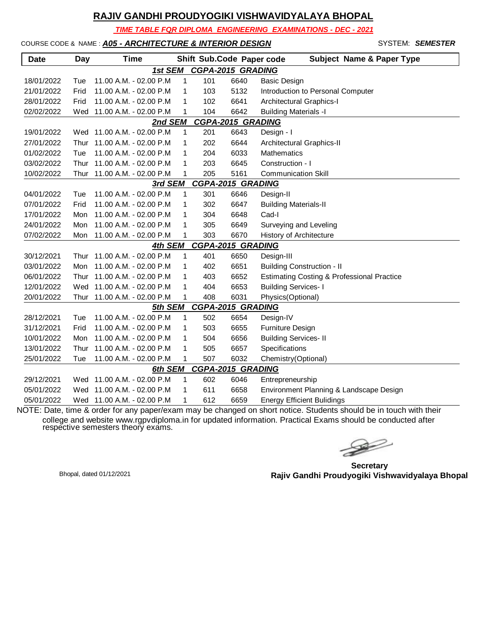*TIME TABLE FOR DIPLOMA ENGINEERING EXAMINATIONS - DEC - 2021*

### COURSE CODE & NAME : *A05 - ARCHITECTURE & INTERIOR DESIGN* - SYSTEM: *SEMESTER*

| <b>Date</b> | Day  | <b>Time</b>                 |              |     | Shift Sub.Code Paper code | <b>Subject Name &amp; Paper Type</b>       |
|-------------|------|-----------------------------|--------------|-----|---------------------------|--------------------------------------------|
|             |      | 1st SEM                     |              |     | <b>CGPA-2015 GRADING</b>  |                                            |
| 18/01/2022  | Tue  | 11.00 A.M. - 02.00 P.M      | 1            | 101 | 6640                      | <b>Basic Design</b>                        |
| 21/01/2022  | Frid | 11.00 A.M. - 02.00 P.M      | 1            | 103 | 5132                      | Introduction to Personal Computer          |
| 28/01/2022  | Frid | 11.00 A.M. - 02.00 P.M      | 1            | 102 | 6641                      | Architectural Graphics-I                   |
| 02/02/2022  |      | Wed 11.00 A.M. - 02.00 P.M  | 1            | 104 | 6642                      | <b>Building Materials -I</b>               |
|             |      | 2nd SEM                     |              |     | <b>CGPA-2015 GRADING</b>  |                                            |
| 19/01/2022  |      | Wed 11.00 A.M. - 02.00 P.M  | 1            | 201 | 6643                      | Design - I                                 |
| 27/01/2022  | Thur | 11.00 A.M. - 02.00 P.M      | 1            | 202 | 6644                      | Architectural Graphics-II                  |
| 01/02/2022  | Tue  | 11.00 A.M. - 02.00 P.M      | 1            | 204 | 6033                      | <b>Mathematics</b>                         |
| 03/02/2022  | Thur | 11.00 A.M. - 02.00 P.M      | 1            | 203 | 6645                      | Construction - I                           |
| 10/02/2022  | Thur | 11.00 A.M. - 02.00 P.M      | $\mathbf{1}$ | 205 | 5161                      | <b>Communication Skill</b>                 |
|             |      | 3rd SEM                     |              |     | <b>CGPA-2015 GRADING</b>  |                                            |
| 04/01/2022  | Tue  | 11.00 A.M. - 02.00 P.M      | 1            | 301 | 6646                      | Design-II                                  |
| 07/01/2022  | Frid | 11.00 A.M. - 02.00 P.M      | 1            | 302 | 6647                      | <b>Building Materials-II</b>               |
| 17/01/2022  | Mon  | 11.00 A.M. - 02.00 P.M      | 1            | 304 | 6648                      | Cad-I                                      |
| 24/01/2022  | Mon  | 11.00 A.M. - 02.00 P.M      | 1            | 305 | 6649                      | Surveying and Leveling                     |
| 07/02/2022  | Mon  | 11.00 A.M. - 02.00 P.M      | 1            | 303 | 6670                      | History of Architecture                    |
|             |      | 4th SEM                     |              |     | <b>CGPA-2015 GRADING</b>  |                                            |
| 30/12/2021  | Thur | 11.00 A.M. - 02.00 P.M      | 1            | 401 | 6650                      | Design-III                                 |
| 03/01/2022  | Mon  | 11.00 A.M. - 02.00 P.M      | 1            | 402 | 6651                      | <b>Building Construction - II</b>          |
| 06/01/2022  | Thur | 11.00 A.M. - 02.00 P.M      | 1            | 403 | 6652                      | Estimating Costing & Professional Practice |
| 12/01/2022  | Wed  | 11.00 A.M. - 02.00 P.M      | 1            | 404 | 6653                      | <b>Building Services-1</b>                 |
| 20/01/2022  |      | Thur 11.00 A.M. - 02.00 P.M | 1            | 408 | 6031                      | Physics(Optional)                          |
|             |      | 5th SEM                     |              |     | <b>CGPA-2015 GRADING</b>  |                                            |
| 28/12/2021  | Tue  | 11.00 A.M. - 02.00 P.M      | 1            | 502 | 6654                      | Design-IV                                  |
| 31/12/2021  | Frid | 11.00 A.M. - 02.00 P.M      | 1            | 503 | 6655                      | Furniture Design                           |
| 10/01/2022  | Mon  | 11.00 A.M. - 02.00 P.M.     | 1            | 504 | 6656                      | <b>Building Services-II</b>                |
| 13/01/2022  | Thur | 11.00 A.M. - 02.00 P.M      | 1            | 505 | 6657                      | Specifications                             |
| 25/01/2022  | Tue  | 11.00 A.M. - 02.00 P.M      | 1            | 507 | 6032                      | Chemistry(Optional)                        |
|             |      | 6th SEM                     |              |     | <b>CGPA-2015 GRADING</b>  |                                            |
| 29/12/2021  |      | Wed 11.00 A.M. - 02.00 P.M  | $\mathbf{1}$ | 602 | 6046                      | Entrepreneurship                           |
| 05/01/2022  | Wed  | 11.00 A.M. - 02.00 P.M      | 1            | 611 | 6658                      | Environment Planning & Landscape Design    |
| 05/01/2022  |      | Wed 11.00 A.M. - 02.00 P.M  | 1            | 612 | 6659                      | <b>Energy Efficient Bulidings</b>          |

 $\rightarrow$ 

**Secretary Rajiv Gandhi Proudyogiki Vishwavidyalaya Bhopal** Bhopal, dated 01/12/2021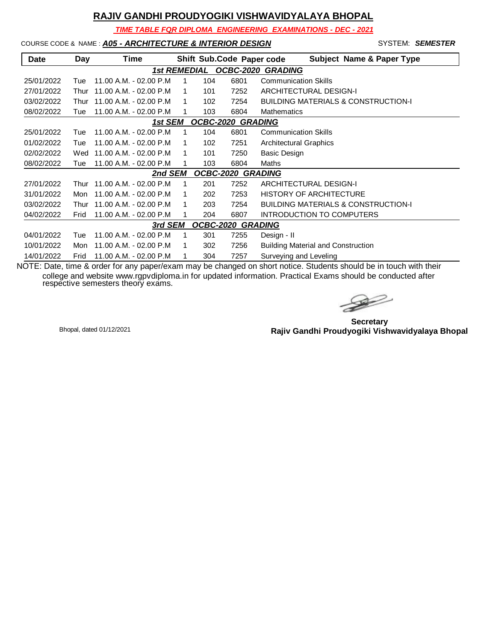*TIME TABLE FOR DIPLOMA ENGINEERING EXAMINATIONS - DEC - 2021*

### COURSE CODE & NAME : *A05 - ARCHITECTURE & INTERIOR DESIGN* - SYSTEM: *SEMESTER*

| <b>Date</b> | Day  | Time                    |   |     | Shift Sub.Code Paper code | <b>Subject Name &amp; Paper Type</b>           |
|-------------|------|-------------------------|---|-----|---------------------------|------------------------------------------------|
|             |      | <b>1st REMEDIAL</b>     |   |     | <b>OCBC-2020</b>          | <b>GRADING</b>                                 |
| 25/01/2022  | Tue  | 11.00 A.M. - 02.00 P.M. |   | 104 | 6801                      | <b>Communication Skills</b>                    |
| 27/01/2022  | Thur | 11.00 A.M. - 02.00 P.M. |   | 101 | 7252                      | <b>ARCHITECTURAL DESIGN-I</b>                  |
| 03/02/2022  | Thur | 11.00 A.M. - 02.00 P.M. | 1 | 102 | 7254                      | <b>BUILDING MATERIALS &amp; CONSTRUCTION-I</b> |
| 08/02/2022  | Tue  | 11.00 A.M. - 02.00 P.M  |   | 103 | 6804                      | Mathematics                                    |
|             |      | 1st SEM                 |   |     | OCBC-2020 GRADING         |                                                |
| 25/01/2022  | Tue  | 11.00 A.M. - 02.00 P.M. | 1 | 104 | 6801                      | <b>Communication Skills</b>                    |
| 01/02/2022  | Tue  | 11.00 A.M. - 02.00 P.M. |   | 102 | 7251                      | <b>Architectural Graphics</b>                  |
| 02/02/2022  | Wed  | 11.00 A.M. - 02.00 P.M  | 1 | 101 | 7250                      | Basic Design                                   |
| 08/02/2022  | Tue  | 11.00 A.M. - 02.00 P.M. | 1 | 103 | 6804                      | Maths                                          |
|             |      | 2nd SEM                 |   |     | OCBC-2020 GRADING         |                                                |
| 27/01/2022  | Thur | 11.00 A.M. - 02.00 P.M. | 1 | 201 | 7252                      | ARCHITECTURAL DESIGN-I                         |
| 31/01/2022  | Mon  | 11.00 A.M. - 02.00 P.M. | 1 | 202 | 7253                      | <b>HISTORY OF ARCHITECTURE</b>                 |
| 03/02/2022  | Thur | 11.00 A.M. - 02.00 P.M. | 1 | 203 | 7254                      | <b>BUILDING MATERIALS &amp; CONSTRUCTION-I</b> |
| 04/02/2022  | Frid | 11.00 A.M. - 02.00 P.M  |   | 204 | 6807                      | <b>INTRODUCTION TO COMPUTERS</b>               |
|             |      | 3rd SEM                 |   |     | <b>OCBC-2020 GRADING</b>  |                                                |
| 04/01/2022  | Tue  | 11.00 A.M. - 02.00 P.M. | 1 | 301 | 7255                      | Design - II                                    |
| 10/01/2022  | Mon  | 11.00 A.M. - 02.00 P.M. | 1 | 302 | 7256                      | <b>Building Material and Construction</b>      |
| 14/01/2022  | Frid | 11.00 A.M. - 02.00 P.M  |   | 304 | 7257                      | Surveying and Leveling                         |

 $\rightarrow$ 

**Secretary Rajiv Gandhi Proudyogiki Vishwavidyalaya Bhopal** Bhopal, dated 01/12/2021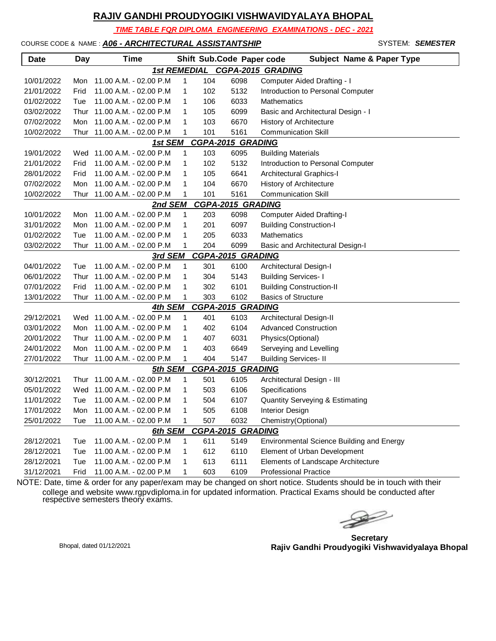*TIME TABLE FOR DIPLOMA ENGINEERING EXAMINATIONS - DEC - 2021*

#### COURSE CODE & NAME : *A06 - ARCHITECTURAL ASSISTANTSHIP* - SYSTEM: *SEMESTER*

| <b>Date</b> | Day  | Time                        |   |     | Shift Sub.Code Paper code | <b>Subject Name &amp; Paper Type</b>       |
|-------------|------|-----------------------------|---|-----|---------------------------|--------------------------------------------|
|             |      |                             |   |     |                           | 1st REMEDIAL CGPA-2015 GRADING             |
| 10/01/2022  | Mon  | 11.00 A.M. - 02.00 P.M      | 1 | 104 | 6098                      | Computer Aided Drafting - I                |
| 21/01/2022  | Frid | 11.00 A.M. - 02.00 P.M      | 1 | 102 | 5132                      | Introduction to Personal Computer          |
| 01/02/2022  | Tue  | 11.00 A.M. - 02.00 P.M      | 1 | 106 | 6033                      | Mathematics                                |
| 03/02/2022  | Thur | 11.00 A.M. - 02.00 P.M      | 1 | 105 | 6099                      | Basic and Architectural Design - I         |
| 07/02/2022  | Mon  | 11.00 A.M. - 02.00 P.M      | 1 | 103 | 6670                      | History of Architecture                    |
| 10/02/2022  | Thur | 11.00 A.M. - 02.00 P.M      | 1 | 101 | 5161                      | <b>Communication Skill</b>                 |
|             |      | 1st SEM                     |   |     | <b>CGPA-2015 GRADING</b>  |                                            |
| 19/01/2022  |      | Wed 11.00 A.M. - 02.00 P.M  | 1 | 103 | 6095                      | <b>Building Materials</b>                  |
| 21/01/2022  | Frid | 11.00 A.M. - 02.00 P.M      | 1 | 102 | 5132                      | Introduction to Personal Computer          |
| 28/01/2022  | Frid | 11.00 A.M. - 02.00 P.M      | 1 | 105 | 6641                      | Architectural Graphics-I                   |
| 07/02/2022  | Mon  | 11.00 A.M. - 02.00 P.M      | 1 | 104 | 6670                      | History of Architecture                    |
| 10/02/2022  | Thur | 11.00 A.M. - 02.00 P.M      | 1 | 101 | 5161                      | <b>Communication Skill</b>                 |
|             |      | <u>2nd SEM</u>              |   |     | <b>CGPA-2015 GRADING</b>  |                                            |
| 10/01/2022  | Mon  | 11.00 A.M. - 02.00 P.M      | 1 | 203 | 6098                      | <b>Computer Aided Drafting-I</b>           |
| 31/01/2022  | Mon  | 11.00 A.M. - 02.00 P.M      | 1 | 201 | 6097                      | <b>Building Construction-I</b>             |
| 01/02/2022  | Tue  | 11.00 A.M. - 02.00 P.M      | 1 | 205 | 6033                      | Mathematics                                |
| 03/02/2022  | Thur | 11.00 A.M. - 02.00 P.M      | 1 | 204 | 6099                      | Basic and Architectural Design-I           |
|             |      | 3rd SEM                     |   |     | <b>CGPA-2015 GRADING</b>  |                                            |
| 04/01/2022  | Tue  | 11.00 A.M. - 02.00 P.M      | 1 | 301 | 6100                      | Architectural Design-I                     |
| 06/01/2022  | Thur | 11.00 A.M. - 02.00 P.M      | 1 | 304 | 5143                      | <b>Building Services-1</b>                 |
| 07/01/2022  | Frid | 11.00 A.M. - 02.00 P.M      | 1 | 302 | 6101                      | <b>Building Construction-II</b>            |
| 13/01/2022  | Thur | 11.00 A.M. - 02.00 P.M      | 1 | 303 | 6102                      | <b>Basics of Structure</b>                 |
|             |      | 4th SEM                     |   |     | <b>CGPA-2015 GRADING</b>  |                                            |
| 29/12/2021  |      | Wed 11.00 A.M. - 02.00 P.M  | 1 | 401 | 6103                      | Architectural Design-II                    |
| 03/01/2022  | Mon  | 11.00 A.M. - 02.00 P.M      | 1 | 402 | 6104                      | <b>Advanced Construction</b>               |
| 20/01/2022  | Thur | 11.00 A.M. - 02.00 P.M      | 1 | 407 | 6031                      | Physics(Optional)                          |
| 24/01/2022  | Mon  | 11.00 A.M. - 02.00 P.M      | 1 | 403 | 6649                      | Serveying and Levelling                    |
| 27/01/2022  |      | Thur 11.00 A.M. - 02.00 P.M | 1 | 404 | 5147                      | <b>Building Services- II</b>               |
|             |      | 5th SEM                     |   |     | <b>CGPA-2015 GRADING</b>  |                                            |
| 30/12/2021  | Thur | 11.00 A.M. - 02.00 P.M      | 1 | 501 | 6105                      | Architectural Design - III                 |
| 05/01/2022  | Wed  | 11.00 A.M. - 02.00 P.M      | 1 | 503 | 6106                      | Specifications                             |
| 11/01/2022  | Tue  | 11.00 A.M. - 02.00 P.M      | 1 | 504 | 6107                      | <b>Quantity Serveying &amp; Estimating</b> |
| 17/01/2022  | Mon  | 11.00 A.M. - 02.00 P.M      | 1 | 505 | 6108                      | Interior Design                            |
| 25/01/2022  | Tue  | 11.00 A.M. - 02.00 P.M      | 1 | 507 | 6032                      | Chemistry(Optional)                        |
|             |      | 6th SEM                     |   |     | <b>CGPA-2015 GRADING</b>  |                                            |
| 28/12/2021  | Tue  | 11.00 A.M. - 02.00 P.M      | 1 | 611 | 5149                      | Environmental Science Building and Energy  |
| 28/12/2021  | Tue  | 11.00 A.M. - 02.00 P.M      | 1 | 612 | 6110                      | Element of Urban Development               |
| 28/12/2021  | Tue  | 11.00 A.M. - 02.00 P.M      | 1 | 613 | 6111                      | Elements of Landscape Architecture         |
| 31/12/2021  | Frid | 11.00 A.M. - 02.00 P.M      | 1 | 603 | 6109                      | <b>Professional Practice</b>               |

 $\begin{picture}(120,17)(-20,17)(-20,17)(-20,17)(-20,17)(-20,17)(-20,17)(-20,17)(-20,17)(-20,17)(-20,17)(-20,17)(-20,17)(-20,17)(-20,17)(-20,17)(-20,17)(-20,17)(-20,17)(-20,17)(-20,17)(-20,17)(-20,17)(-20,17)(-20,17)(-20,17)(-20,17)(-20,17)(-20,17)(-20,17)(-20,1$ 

**Secretary Rajiv Gandhi Proudyogiki Vishwavidyalaya Bhopal** Bhopal, dated 01/12/2021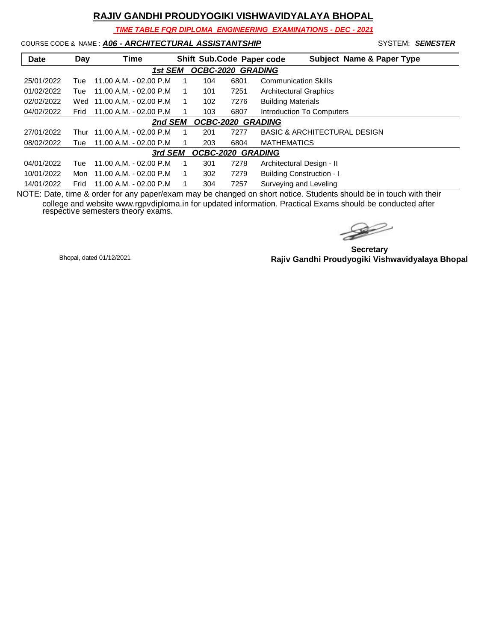*TIME TABLE FOR DIPLOMA ENGINEERING EXAMINATIONS - DEC - 2021*

### COURSE CODE & NAME : *A06 - ARCHITECTURAL ASSISTANTSHIP* - SYSTEM: *SEMESTER*

| Date       | Day  | Time                    |     |      | <b>Subject Name &amp; Paper Type</b><br>Shift Sub.Code Paper code |
|------------|------|-------------------------|-----|------|-------------------------------------------------------------------|
|            |      | 1st SEM                 |     |      | <b>OCBC-2020 GRADING</b>                                          |
| 25/01/2022 | Tue  | 11.00 A.M. - 02.00 P.M. | 104 | 6801 | <b>Communication Skills</b>                                       |
| 01/02/2022 | Tue  | 11.00 A.M. - 02.00 P.M. | 101 | 7251 | <b>Architectural Graphics</b>                                     |
| 02/02/2022 | Wed  | 11.00 A.M. - 02.00 P.M  | 102 | 7276 | <b>Building Materials</b>                                         |
| 04/02/2022 | Frid | 11.00 A.M. - 02.00 P.M. | 103 | 6807 | <b>Introduction To Computers</b>                                  |
|            |      | 2nd SEM                 |     |      | OCBC-2020 GRADING                                                 |
| 27/01/2022 | Thur | 11.00 A.M. - 02.00 P.M. | 201 | 7277 | <b>BASIC &amp; ARCHITECTURAL DESIGN</b>                           |
| 08/02/2022 | Tue  | 11.00 A.M. - 02.00 P.M  | 203 | 6804 | <b>MATHEMATICS</b>                                                |
|            |      | 3rd SEM                 |     |      | <b>OCBC-2020 GRADING</b>                                          |
| 04/01/2022 | Tue  | 11.00 A.M. - 02.00 P.M. | 301 | 7278 | Architectural Design - II                                         |
| 10/01/2022 | Mon  | 11.00 A.M. - 02.00 P.M. | 302 | 7279 | <b>Building Construction - I</b>                                  |
| 14/01/2022 | Frid | 11.00 A.M. - 02.00 P.M. | 304 | 7257 | Surveying and Leveling                                            |

NOTE: Date, time & order for any paper/exam may be changed on short notice. Students should be in touch with their college and website www.rgpvdiploma.in for updated information. Practical Exams should be conducted after respective semesters theory exams.

 $\rightarrow$ 

**Secretary Rajiv Gandhi Proudyogiki Vishwavidyalaya Bhopal** Bhopal, dated 01/12/2021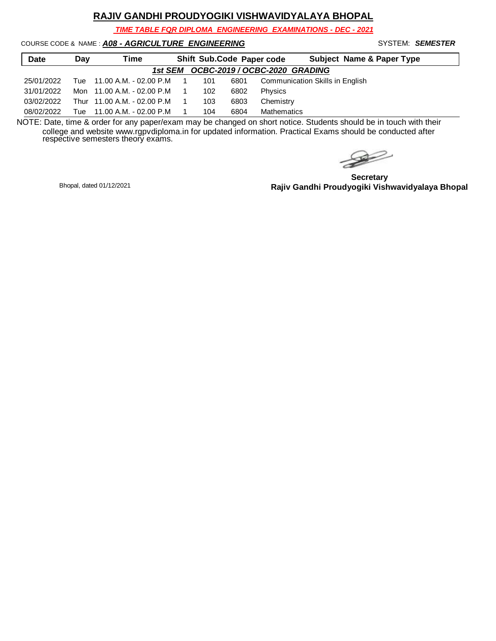*TIME TABLE FOR DIPLOMA ENGINEERING EXAMINATIONS - DEC - 2021*

COURSE CODE & NAME : *A08 - AGRICULTURE ENGINEERING* - SYSTEM: *SEMESTER*

| <b>Date</b> | Day | Time                        |                |     |      | Shift Sub.Code Paper code<br><b>Subject Name &amp; Paper Type</b> |
|-------------|-----|-----------------------------|----------------|-----|------|-------------------------------------------------------------------|
|             |     |                             |                |     |      | 1st SEM OCBC-2019 / OCBC-2020 GRADING                             |
| 25/01/2022  |     | Tue 11.00 A.M. - 02.00 P.M  | $\overline{1}$ | 101 | 6801 | Communication Skills in English                                   |
| 31/01/2022  |     | Mon 11.00 A.M. - 02.00 P.M  |                | 102 | 6802 | Physics                                                           |
| 03/02/2022  |     | Thur 11.00 A.M. - 02.00 P.M |                | 103 | 6803 | Chemistry                                                         |
| 08/02/2022  | Tue | 11.00 A.M. - 02.00 P.M      |                | 104 | 6804 | Mathematics                                                       |

 $\rightarrow$ 

**Secretary Rajiv Gandhi Proudyogiki Vishwavidyalaya Bhopal** Bhopal, dated 01/12/2021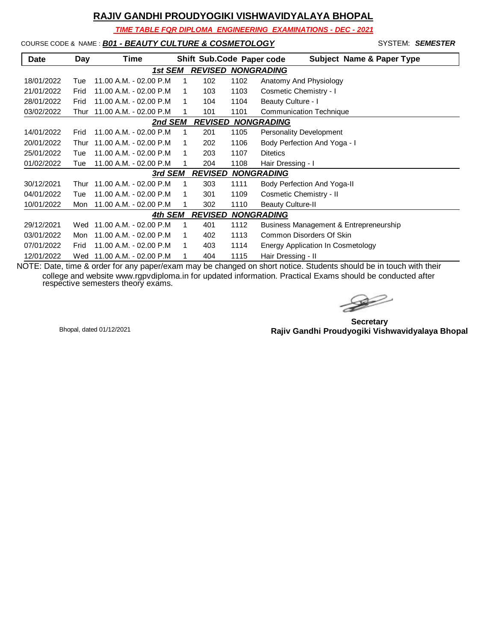*TIME TABLE FOR DIPLOMA ENGINEERING EXAMINATIONS - DEC - 2021*

### COURSE CODE & NAME : *B01 - BEAUTY CULTURE & COSMETOLOGY* SYSTEM: SEMESTER

| <b>Date</b> | Day  | Time                    |   | Shift Sub.Code Paper code |      | <b>Subject Name &amp; Paper Type</b>   |
|-------------|------|-------------------------|---|---------------------------|------|----------------------------------------|
|             |      | 1st SEM                 |   | <b>REVISED</b>            |      | <b>NONGRADING</b>                      |
| 18/01/2022  | Tue  | 11.00 A.M. - 02.00 P.M  | 1 | 102                       | 1102 | Anatomy And Physiology                 |
| 21/01/2022  | Frid | 11.00 A.M. - 02.00 P.M. |   | 103                       | 1103 | Cosmetic Chemistry - I                 |
| 28/01/2022  | Frid | 11.00 A.M. - 02.00 P.M. |   | 104                       | 1104 | Beauty Culture - I                     |
| 03/02/2022  | Thur | 11.00 A.M. - 02.00 P.M  |   | 101                       | 1101 | <b>Communication Technique</b>         |
|             |      | 2nd SEM                 |   |                           |      | <b>REVISED NONGRADING</b>              |
| 14/01/2022  | Frid | 11.00 A.M. - 02.00 P.M  |   | 201                       | 1105 | <b>Personality Development</b>         |
| 20/01/2022  | Thur | 11.00 A.M. - 02.00 P.M. |   | 202                       | 1106 | Body Perfection And Yoga - I           |
| 25/01/2022  | Tue  | 11.00 A.M. - 02.00 P.M  |   | 203                       | 1107 | <b>Ditetics</b>                        |
| 01/02/2022  | Tue  | 11.00 A.M. - 02.00 P.M  |   | 204                       | 1108 | Hair Dressing - I                      |
|             |      | 3rd SEM                 |   | <b>REVISED</b>            |      | <b>NONGRADING</b>                      |
| 30/12/2021  | Thur | 11.00 A.M. - 02.00 P.M  |   | 303                       | 1111 | Body Perfection And Yoga-II            |
| 04/01/2022  | Tue  | 11.00 A.M. - 02.00 P.M. |   | 301                       | 1109 | Cosmetic Chemistry - II                |
| 10/01/2022  | Mon  | 11.00 A.M. - 02.00 P.M  |   | 302                       | 1110 | <b>Beauty Culture-II</b>               |
|             |      | 4th SEM                 |   | <b>REVISED</b>            |      | <b>NONGRADING</b>                      |
| 29/12/2021  | Wed  | 11.00 A.M. - 02.00 P.M  |   | 401                       | 1112 | Business Management & Entrepreneurship |
| 03/01/2022  | Mon  | 11.00 A.M. - 02.00 P.M  | 1 | 402                       | 1113 | Common Disorders Of Skin               |
| 07/01/2022  | Frid | 11.00 A.M. - 02.00 P.M  |   | 403                       | 1114 | Energy Application In Cosmetology      |
| 12/01/2022  | Wed  | 11.00 A.M. - 02.00 P.M  |   | 404                       | 1115 | Hair Dressing - II                     |

 $\rightarrow$ 

**Secretary Rajiv Gandhi Proudyogiki Vishwavidyalaya Bhopal** Bhopal, dated 01/12/2021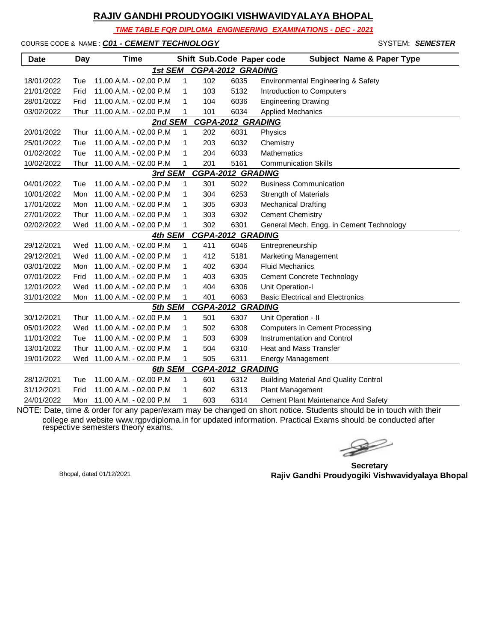*TIME TABLE FOR DIPLOMA ENGINEERING EXAMINATIONS - DEC - 2021*

COURSE CODE & NAME : *C01 - CEMENT TECHNOLOGY* - SYSTEM: *SEMESTER*

| <b>Date</b> | Day  | <b>Time</b>                |              |     | Shift Sub.Code Paper code | <b>Subject Name &amp; Paper Type</b>         |
|-------------|------|----------------------------|--------------|-----|---------------------------|----------------------------------------------|
|             |      | 1st SEM                    |              |     | <b>CGPA-2012 GRADING</b>  |                                              |
| 18/01/2022  | Tue  | 11.00 A.M. - 02.00 P.M     | $\mathbf{1}$ | 102 | 6035                      | Environmental Engineering & Safety           |
| 21/01/2022  | Frid | 11.00 A.M. - 02.00 P.M     | 1            | 103 | 5132                      | Introduction to Computers                    |
| 28/01/2022  | Frid | 11.00 A.M. - 02.00 P.M     | 1            | 104 | 6036                      | <b>Engineering Drawing</b>                   |
| 03/02/2022  | Thur | 11.00 A.M. - 02.00 P.M     | 1            | 101 | 6034                      | <b>Applied Mechanics</b>                     |
|             |      | 2nd SEM                    |              |     | <b>CGPA-2012 GRADING</b>  |                                              |
| 20/01/2022  | Thur | 11.00 A.M. - 02.00 P.M     | $\mathbf{1}$ | 202 | 6031                      | Physics                                      |
| 25/01/2022  | Tue  | 11.00 A.M. - 02.00 P.M     | 1            | 203 | 6032                      | Chemistry                                    |
| 01/02/2022  | Tue  | 11.00 A.M. - 02.00 P.M     | 1            | 204 | 6033                      | <b>Mathematics</b>                           |
| 10/02/2022  | Thur | 11.00 A.M. - 02.00 P.M     | 1            | 201 | 5161                      | <b>Communication Skills</b>                  |
|             |      | 3rd SEM                    |              |     | <b>CGPA-2012 GRADING</b>  |                                              |
| 04/01/2022  | Tue  | 11.00 A.M. - 02.00 P.M     | 1            | 301 | 5022                      | <b>Business Communication</b>                |
| 10/01/2022  | Mon  | 11.00 A.M. - 02.00 P.M     | 1            | 304 | 6253                      | <b>Strength of Materials</b>                 |
| 17/01/2022  | Mon  | 11.00 A.M. - 02.00 P.M     | 1            | 305 | 6303                      | <b>Mechanical Drafting</b>                   |
| 27/01/2022  | Thur | 11.00 A.M. - 02.00 P.M     | 1            | 303 | 6302                      | <b>Cement Chemistry</b>                      |
| 02/02/2022  |      | Wed 11.00 A.M. - 02.00 P.M | 1            | 302 | 6301                      | General Mech. Engg. in Cement Technology     |
|             |      | 4th SEM                    |              |     | <b>CGPA-2012 GRADING</b>  |                                              |
| 29/12/2021  |      | Wed 11.00 A.M. - 02.00 P.M | 1            | 411 | 6046                      | Entrepreneurship                             |
| 29/12/2021  | Wed  | 11.00 A.M. - 02.00 P.M     | 1            | 412 | 5181                      | Marketing Management                         |
| 03/01/2022  | Mon  | 11.00 A.M. - 02.00 P.M     | 1            | 402 | 6304                      | <b>Fluid Mechanics</b>                       |
| 07/01/2022  | Frid | 11.00 A.M. - 02.00 P.M     | 1            | 403 | 6305                      | <b>Cement Concrete Technology</b>            |
| 12/01/2022  | Wed  | 11.00 A.M. - 02.00 P.M     | 1            | 404 | 6306                      | Unit Operation-I                             |
| 31/01/2022  | Mon  | 11.00 A.M. - 02.00 P.M     | 1            | 401 | 6063                      | <b>Basic Electrical and Electronics</b>      |
|             |      | 5th SEM                    |              |     | <b>CGPA-2012 GRADING</b>  |                                              |
| 30/12/2021  | Thur | 11.00 A.M. - 02.00 P.M     | 1            | 501 | 6307                      | Unit Operation - II                          |
| 05/01/2022  |      | Wed 11.00 A.M. - 02.00 P.M | 1            | 502 | 6308                      | <b>Computers in Cement Processing</b>        |
| 11/01/2022  | Tue  | 11.00 A.M. - 02.00 P.M     | 1            | 503 | 6309                      | <b>Instrumentation and Control</b>           |
| 13/01/2022  | Thur | 11.00 A.M. - 02.00 P.M     | 1            | 504 | 6310                      | <b>Heat and Mass Transfer</b>                |
| 19/01/2022  | Wed  | 11.00 A.M. - 02.00 P.M     | 1            | 505 | 6311                      | <b>Energy Management</b>                     |
|             |      | 6th SEM                    |              |     | <b>CGPA-2012 GRADING</b>  |                                              |
| 28/12/2021  | Tue  | 11.00 A.M. - 02.00 P.M     | 1            | 601 | 6312                      | <b>Building Material And Quality Control</b> |
| 31/12/2021  | Frid | 11.00 A.M. - 02.00 P.M     | $\mathbf{1}$ | 602 | 6313                      | Plant Management                             |
| 24/01/2022  | Mon  | 11.00 A.M. - 02.00 P.M     | 1            | 603 | 6314                      | Cement Plant Maintenance And Safety          |

 $\rightarrow$ 

**Secretary Rajiv Gandhi Proudyogiki Vishwavidyalaya Bhopal** Bhopal, dated 01/12/2021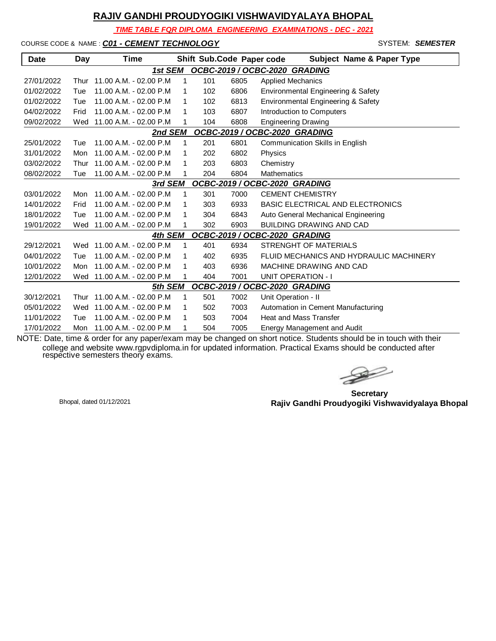*TIME TABLE FOR DIPLOMA ENGINEERING EXAMINATIONS - DEC - 2021*

COURSE CODE & NAME : *C01 - CEMENT TECHNOLOGY* - SYSTEM: *SEMESTER*

| <b>Date</b> | Day  | Time                   |   |     | Shift Sub.Code Paper code | <b>Subject Name &amp; Paper Type</b>    |
|-------------|------|------------------------|---|-----|---------------------------|-----------------------------------------|
|             |      | 1st SEM                |   |     |                           | OCBC-2019 / OCBC-2020 GRADING           |
| 27/01/2022  | Thur | 11.00 A.M. - 02.00 P.M | 1 | 101 | 6805                      | <b>Applied Mechanics</b>                |
| 01/02/2022  | Tue  | 11.00 A.M. - 02.00 P.M | 1 | 102 | 6806                      | Environmental Engineering & Safety      |
| 01/02/2022  | Tue  | 11.00 A.M. - 02.00 P.M | 1 | 102 | 6813                      | Environmental Engineering & Safety      |
| 04/02/2022  | Frid | 11.00 A.M. - 02.00 P.M | 1 | 103 | 6807                      | Introduction to Computers               |
| 09/02/2022  | Wed  | 11.00 A.M. - 02.00 P.M | 1 | 104 | 6808                      | <b>Engineering Drawing</b>              |
|             |      | 2nd SEM                |   |     |                           | OCBC-2019 / OCBC-2020 GRADING           |
| 25/01/2022  | Tue  | 11.00 A.M. - 02.00 P.M | 1 | 201 | 6801                      | Communication Skills in English         |
| 31/01/2022  | Mon  | 11.00 A.M. - 02.00 P.M | 1 | 202 | 6802                      | Physics                                 |
| 03/02/2022  | Thur | 11.00 A.M. - 02.00 P.M | 1 | 203 | 6803                      | Chemistry                               |
| 08/02/2022  | Tue  | 11.00 A.M. - 02.00 P.M | 1 | 204 | 6804                      | <b>Mathematics</b>                      |
|             |      | 3rd SEM                |   |     |                           | OCBC-2019 / OCBC-2020 GRADING           |
| 03/01/2022  | Mon  | 11.00 A.M. - 02.00 P.M | 1 | 301 | 7000                      | <b>CEMENT CHEMISTRY</b>                 |
| 14/01/2022  | Frid | 11.00 A.M. - 02.00 P.M | 1 | 303 | 6933                      | <b>BASIC ELECTRICAL AND ELECTRONICS</b> |
| 18/01/2022  | Tue  | 11.00 A.M. - 02.00 P.M | 1 | 304 | 6843                      | Auto General Mechanical Engineering     |
| 19/01/2022  | Wed  | 11.00 A.M. - 02.00 P.M | 1 | 302 | 6903                      | <b>BUILDING DRAWING AND CAD</b>         |
|             |      | 4th SEM                |   |     |                           | OCBC-2019 / OCBC-2020 GRADING           |
| 29/12/2021  | Wed  | 11.00 A.M. - 02.00 P.M | 1 | 401 | 6934                      | STRENGHT OF MATERIALS                   |
| 04/01/2022  | Tue  | 11.00 A.M. - 02.00 P.M | 1 | 402 | 6935                      | FLUID MECHANICS AND HYDRAULIC MACHINERY |
| 10/01/2022  | Mon  | 11.00 A.M. - 02.00 P.M | 1 | 403 | 6936                      | MACHINE DRAWING AND CAD                 |
| 12/01/2022  | Wed  | 11.00 A.M. - 02.00 P.M |   | 404 | 7001                      | <b>UNIT OPERATION - I</b>               |
|             |      | <b>5th SEM</b>         |   |     |                           | OCBC-2019 / OCBC-2020 GRADING           |
| 30/12/2021  | Thur | 11.00 A.M. - 02.00 P.M | 1 | 501 | 7002                      | Unit Operation - II                     |
| 05/01/2022  | Wed  | 11.00 A.M. - 02.00 P.M | 1 | 502 | 7003                      | Automation in Cement Manufacturing      |
| 11/01/2022  | Tue  | 11.00 A.M. - 02.00 P.M | 1 | 503 | 7004                      | <b>Heat and Mass Transfer</b>           |
| 17/01/2022  | Mon  | 11.00 A.M. - 02.00 P.M | 1 | 504 | 7005                      | Energy Management and Audit             |

 $\mathbb{R}$ 

**Secretary Rajiv Gandhi Proudyogiki Vishwavidyalaya Bhopal** Bhopal, dated 01/12/2021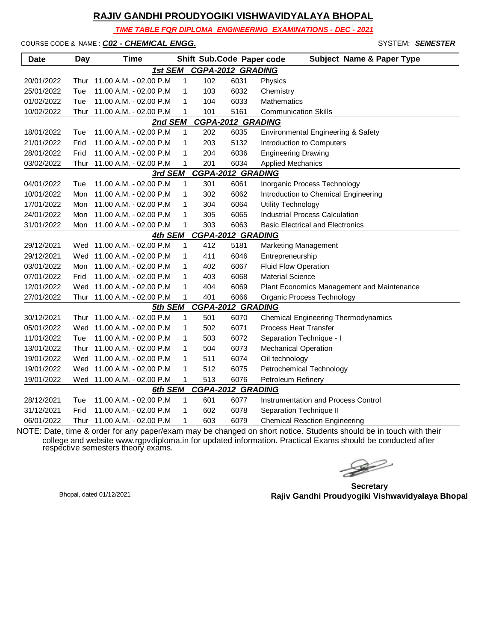*TIME TABLE FOR DIPLOMA ENGINEERING EXAMINATIONS - DEC - 2021*

COURSE CODE & NAME : *C02 - CHEMICAL ENGG.* - SYSTEM: *SEMESTER*

| <b>Date</b> | Day  | <b>Time</b>                 |              |     | Shift Sub.Code Paper code | <b>Subject Name &amp; Paper Type</b>       |
|-------------|------|-----------------------------|--------------|-----|---------------------------|--------------------------------------------|
|             |      | 1st SEM                     |              |     | <b>CGPA-2012 GRADING</b>  |                                            |
| 20/01/2022  | Thur | 11.00 A.M. - 02.00 P.M      | 1            | 102 | 6031                      | Physics                                    |
| 25/01/2022  | Tue  | 11.00 A.M. - 02.00 P.M      | 1            | 103 | 6032                      | Chemistry                                  |
| 01/02/2022  | Tue  | 11.00 A.M. - 02.00 P.M      | 1            | 104 | 6033                      | Mathematics                                |
| 10/02/2022  | Thur | 11.00 A.M. - 02.00 P.M      | 1            | 101 | 5161                      | <b>Communication Skills</b>                |
|             |      | 2nd SEM                     |              |     | <b>CGPA-2012 GRADING</b>  |                                            |
| 18/01/2022  | Tue  | 11.00 A.M. - 02.00 P.M      | 1            | 202 | 6035                      | Environmental Engineering & Safety         |
| 21/01/2022  | Frid | 11.00 A.M. - 02.00 P.M      | 1            | 203 | 5132                      | Introduction to Computers                  |
| 28/01/2022  | Frid | 11.00 A.M. - 02.00 P.M      | 1            | 204 | 6036                      | <b>Engineering Drawing</b>                 |
| 03/02/2022  | Thur | 11.00 A.M. - 02.00 P.M      | 1            | 201 | 6034                      | <b>Applied Mechanics</b>                   |
|             |      | 3rd SEM                     |              |     | <b>CGPA-2012 GRADING</b>  |                                            |
| 04/01/2022  | Tue  | 11.00 A.M. - 02.00 P.M      | $\mathbf{1}$ | 301 | 6061                      | Inorganic Process Technology               |
| 10/01/2022  | Mon  | 11.00 A.M. - 02.00 P.M      | 1            | 302 | 6062                      | Introduction to Chemical Engineering       |
| 17/01/2022  | Mon  | 11.00 A.M. - 02.00 P.M      | 1            | 304 | 6064                      | Utility Technology                         |
| 24/01/2022  | Mon  | 11.00 A.M. - 02.00 P.M      | 1            | 305 | 6065                      | <b>Industrial Process Calculation</b>      |
| 31/01/2022  | Mon  | 11.00 A.M. - 02.00 P.M      | 1            | 303 | 6063                      | <b>Basic Electrical and Electronics</b>    |
|             |      | 4th SEM                     |              |     | <b>CGPA-2012 GRADING</b>  |                                            |
| 29/12/2021  |      | Wed 11.00 A.M. - 02.00 P.M  | 1            | 412 | 5181                      | <b>Marketing Management</b>                |
| 29/12/2021  | Wed  | 11.00 A.M. - 02.00 P.M      | $\mathbf{1}$ | 411 | 6046                      | Entrepreneurship                           |
| 03/01/2022  | Mon  | 11.00 A.M. - 02.00 P.M      | $\mathbf{1}$ | 402 | 6067                      | <b>Fluid Flow Operation</b>                |
| 07/01/2022  | Frid | 11.00 A.M. - 02.00 P.M      | $\mathbf{1}$ | 403 | 6068                      | <b>Material Science</b>                    |
| 12/01/2022  |      | Wed 11.00 A.M. - 02.00 P.M  | 1            | 404 | 6069                      | Plant Economics Management and Maintenance |
| 27/01/2022  |      | Thur 11.00 A.M. - 02.00 P.M | 1            | 401 | 6066                      | Organic Process Technology                 |
|             |      | 5th SEM                     |              |     | <b>CGPA-2012 GRADING</b>  |                                            |
| 30/12/2021  |      | Thur 11.00 A.M. - 02.00 P.M | 1            | 501 | 6070                      | <b>Chemical Engineering Thermodynamics</b> |
| 05/01/2022  | Wed  | 11.00 A.M. - 02.00 P.M      | 1            | 502 | 6071                      | <b>Process Heat Transfer</b>               |
| 11/01/2022  | Tue  | 11.00 A.M. - 02.00 P.M      | 1            | 503 | 6072                      | Separation Technique - I                   |
| 13/01/2022  | Thur | 11.00 A.M. - 02.00 P.M      | 1            | 504 | 6073                      | <b>Mechanical Operation</b>                |
| 19/01/2022  | Wed  | 11.00 A.M. - 02.00 P.M      | 1            | 511 | 6074                      | Oil technology                             |
| 19/01/2022  |      | Wed 11.00 A.M. - 02.00 P.M  | 1            | 512 | 6075                      | Petrochemical Technology                   |
| 19/01/2022  |      | Wed 11.00 A.M. - 02.00 P.M  | $\mathbf{1}$ | 513 | 6076                      | Petroleum Refinery                         |
|             |      | 6th SEM                     |              |     | CGPA-2012 GRADING         |                                            |
| 28/12/2021  | Tue  | 11.00 A.M. - 02.00 P.M      | $\mathbf{1}$ | 601 | 6077                      | Instrumentation and Process Control        |
| 31/12/2021  | Frid | 11.00 A.M. - 02.00 P.M      | 1            | 602 | 6078                      | Separation Technique II                    |
| 06/01/2022  | Thur | - 11.00 A.M. - 02.00 P.M    | 1            | 603 | 6079                      | <b>Chemical Reaction Engineering</b>       |

 $\begin{picture}(120,17)(-20,17)(-20,17)(-20,17)(-20,17)(-20,17)(-20,17)(-20,17)(-20,17)(-20,17)(-20,17)(-20,17)(-20,17)(-20,17)(-20,17)(-20,17)(-20,17)(-20,17)(-20,17)(-20,17)(-20,17)(-20,17)(-20,17)(-20,17)(-20,17)(-20,17)(-20,17)(-20,17)(-20,17)(-20,17)(-20,1$ 

**Secretary Rajiv Gandhi Proudyogiki Vishwavidyalaya Bhopal** Bhopal, dated 01/12/2021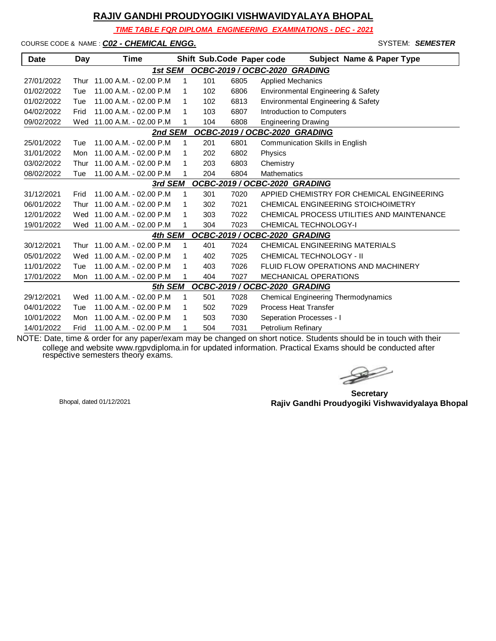*TIME TABLE FOR DIPLOMA ENGINEERING EXAMINATIONS - DEC - 2021*

COURSE CODE & NAME : *C02 - CHEMICAL ENGG.* - SYSTEM: *SEMESTER*

| <b>Date</b>                              | Day  | Time                       |              |     | Shift Sub.Code Paper code | <b>Subject Name &amp; Paper Type</b>       |  |
|------------------------------------------|------|----------------------------|--------------|-----|---------------------------|--------------------------------------------|--|
|                                          |      | 1st SEM                    |              |     |                           | OCBC-2019 / OCBC-2020 GRADING              |  |
| 27/01/2022                               | Thur | 11.00 A.M. - 02.00 P.M     | 1            | 101 | 6805                      | <b>Applied Mechanics</b>                   |  |
| 01/02/2022                               | Tue  | 11.00 A.M. - 02.00 P.M     | $\mathbf 1$  | 102 | 6806                      | Environmental Engineering & Safety         |  |
| 01/02/2022                               | Tue  | 11.00 A.M. - 02.00 P.M.    | -1           | 102 | 6813                      | Environmental Engineering & Safety         |  |
| 04/02/2022                               | Frid | 11.00 A.M. - 02.00 P.M.    | 1            | 103 | 6807                      | Introduction to Computers                  |  |
| 09/02/2022                               | Wed  | 11.00 A.M. - 02.00 P.M     |              | 104 | 6808                      | <b>Engineering Drawing</b>                 |  |
|                                          |      | 2nd SEM                    |              |     |                           | OCBC-2019 / OCBC-2020 GRADING              |  |
| 25/01/2022                               | Tue  | 11.00 A.M. - 02.00 P.M     | $\mathbf{1}$ | 201 | 6801                      | Communication Skills in English            |  |
| 31/01/2022                               | Mon  | 11.00 A.M. - 02.00 P.M     | 1            | 202 | 6802                      | Physics                                    |  |
| 03/02/2022                               | Thur | 11.00 A.M. - 02.00 P.M.    | 1            | 203 | 6803                      | Chemistry                                  |  |
| 08/02/2022                               | Tue  | 11.00 A.M. - 02.00 P.M     | 1            | 204 | 6804                      | <b>Mathematics</b>                         |  |
| OCBC-2019 / OCBC-2020 GRADING<br>3rd SEM |      |                            |              |     |                           |                                            |  |
| 31/12/2021                               | Frid | 11.00 A.M. - 02.00 P.M     | 1            | 301 | 7020                      | APPIED CHEMISTRY FOR CHEMICAL ENGINEERING  |  |
| 06/01/2022                               | Thur | 11.00 A.M. - 02.00 P.M     | 1            | 302 | 7021                      | CHEMICAL ENGINEERING STOICHOIMETRY         |  |
| 12/01/2022                               |      | Wed 11.00 A.M. - 02.00 P.M | -1           | 303 | 7022                      | CHEMICAL PROCESS UTILITIES AND MAINTENANCE |  |
| 19/01/2022                               |      | Wed 11.00 A.M. - 02.00 P.M |              | 304 | 7023                      | CHEMICAL TECHNOLOGY-I                      |  |
|                                          |      | 4th SEM                    |              |     |                           | OCBC-2019 / OCBC-2020 GRADING              |  |
| 30/12/2021                               | Thur | $11.00 A.M. - 02.00 P.M.$  | $\mathbf{1}$ | 401 | 7024                      | CHEMICAL ENGINEERING MATERIALS             |  |
| 05/01/2022                               | Wed  | 11.00 A.M. - 02.00 P.M     | -1           | 402 | 7025                      | CHEMICAL TECHNOLOGY - II                   |  |
| 11/01/2022                               | Tue  | 11.00 A.M. - 02.00 P.M     | 1            | 403 | 7026                      | FLUID FLOW OPERATIONS AND MACHINERY        |  |
| 17/01/2022                               | Mon  | 11.00 A.M. - 02.00 P.M     |              | 404 | 7027                      | <b>MECHANICAL OPERATIONS</b>               |  |
|                                          |      | 5th SEM                    |              |     |                           | OCBC-2019 / OCBC-2020 GRADING              |  |
| 29/12/2021                               | Wed  | 11.00 A.M. - 02.00 P.M     | 1            | 501 | 7028                      | Chemical Engineering Thermodynamics        |  |
| 04/01/2022                               | Tue  | 11.00 A.M. - 02.00 P.M     | 1            | 502 | 7029                      | <b>Process Heat Transfer</b>               |  |
| 10/01/2022                               | Mon  | 11.00 A.M. - 02.00 P.M     | 1            | 503 | 7030                      | Seperation Processes - I                   |  |
| 14/01/2022                               | Frid | 11.00 A.M. - 02.00 P.M     | 1            | 504 | 7031                      | Petrolium Refinary                         |  |

 $\rightarrow$ 

**Secretary Rajiv Gandhi Proudyogiki Vishwavidyalaya Bhopal** Bhopal, dated 01/12/2021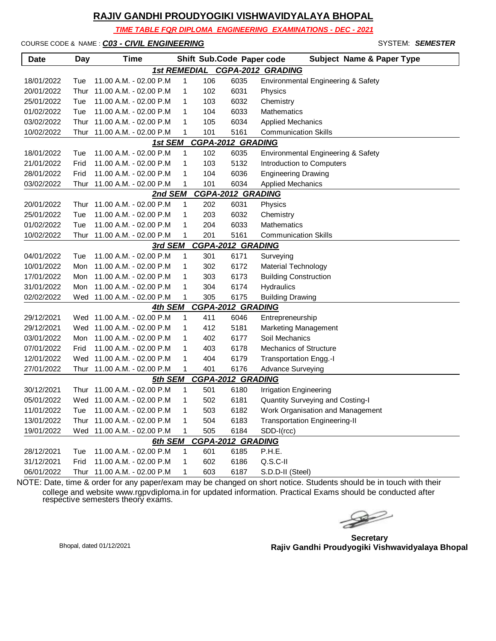*TIME TABLE FOR DIPLOMA ENGINEERING EXAMINATIONS - DEC - 2021*

#### COURSE CODE & NAME : *C03 - CIVIL ENGINEERING* - SYSTEM: *SEMESTER*

| <b>Date</b> | Day  | <b>Time</b>                       |                     |     | Shift Sub.Code Paper code        | <b>Subject Name &amp; Paper Type</b> |
|-------------|------|-----------------------------------|---------------------|-----|----------------------------------|--------------------------------------|
|             |      |                                   | <b>1st REMEDIAL</b> |     |                                  | CGPA-2012 GRADING                    |
| 18/01/2022  | Tue  | 11.00 A.M. - 02.00 P.M            | 1                   | 106 | 6035                             | Environmental Engineering & Safety   |
| 20/01/2022  | Thur | 11.00 A.M. - 02.00 P.M            | 1                   | 102 | 6031                             | Physics                              |
| 25/01/2022  | Tue  | 11.00 A.M. - 02.00 P.M            | 1                   | 103 | 6032                             | Chemistry                            |
| 01/02/2022  | Tue  | 11.00 A.M. - 02.00 P.M            | 1                   | 104 | 6033                             | <b>Mathematics</b>                   |
| 03/02/2022  | Thur | 11.00 A.M. - 02.00 P.M            | 1                   | 105 | 6034                             | <b>Applied Mechanics</b>             |
| 10/02/2022  | Thur | 11.00 A.M. - 02.00 P.M            | 1                   | 101 | 5161                             | <b>Communication Skills</b>          |
|             |      | 1st SEM                           |                     |     | CGPA-2012 GRADING                |                                      |
| 18/01/2022  | Tue  | 11.00 A.M. - 02.00 P.M            | 1                   | 102 | 6035                             | Environmental Engineering & Safety   |
| 21/01/2022  | Frid | 11.00 A.M. - 02.00 P.M            | 1                   | 103 | 5132                             | Introduction to Computers            |
| 28/01/2022  | Frid | 11.00 A.M. - 02.00 P.M            | 1                   | 104 | 6036                             | <b>Engineering Drawing</b>           |
| 03/02/2022  | Thur | 11.00 A.M. - 02.00 P.M            | 1                   | 101 | 6034                             | <b>Applied Mechanics</b>             |
|             |      | 2nd SEM                           |                     |     | <b>CGPA-2012 GRADING</b>         |                                      |
| 20/01/2022  | Thur | 11.00 A.M. - 02.00 P.M            | $\mathbf{1}$        | 202 | 6031                             | Physics                              |
| 25/01/2022  | Tue  | 11.00 A.M. - 02.00 P.M            | 1                   | 203 | 6032                             | Chemistry                            |
| 01/02/2022  | Tue  | 11.00 A.M. - 02.00 P.M            | 1                   | 204 | 6033                             | Mathematics                          |
| 10/02/2022  | Thur | 11.00 A.M. - 02.00 P.M            | 1                   | 201 | 5161                             | <b>Communication Skills</b>          |
|             |      | 3rd SEM                           |                     |     | <b>CGPA-2012 GRADING</b>         |                                      |
| 04/01/2022  | Tue  | 11.00 A.M. - 02.00 P.M            | 1                   | 301 | 6171                             | Surveying                            |
| 10/01/2022  | Mon  | 11.00 A.M. - 02.00 P.M            | 1                   | 302 | 6172                             | <b>Material Technology</b>           |
| 17/01/2022  | Mon  | 11.00 A.M. - 02.00 P.M            | 1                   | 303 | 6173                             | <b>Building Construction</b>         |
| 31/01/2022  | Mon  | 11.00 A.M. - 02.00 P.M            | 1                   | 304 | 6174                             | Hydraulics                           |
| 02/02/2022  |      | Wed 11.00 A.M. - 02.00 P.M        | 1                   | 305 | 6175                             | <b>Building Drawing</b>              |
|             |      | 4th SEM                           |                     |     | <b>CGPA-2012 GRADING</b>         |                                      |
| 29/12/2021  |      | Wed 11.00 A.M. - 02.00 P.M        | 1                   | 411 | 6046                             | Entrepreneurship                     |
| 29/12/2021  | Wed  | 11.00 A.M. - 02.00 P.M            | 1                   | 412 | 5181                             | <b>Marketing Management</b>          |
| 03/01/2022  | Mon  | 11.00 A.M. - 02.00 P.M            | 1                   | 402 | 6177                             | Soil Mechanics                       |
| 07/01/2022  | Frid | 11.00 A.M. - 02.00 P.M            | 1                   | 403 | 6178                             | Mechanics of Structure               |
| 12/01/2022  | Wed  | 11.00 A.M. - 02.00 P.M            | 1                   | 404 | 6179                             | Transportation Engg.-I               |
| 27/01/2022  | Thur | 11.00 A.M. - 02.00 P.M            | 1                   | 401 | 6176                             | <b>Advance Surveying</b>             |
|             |      | 5th SEM                           |                     |     | <b>CGPA-2012 GRADING</b>         |                                      |
| 30/12/2021  | Thur | 11.00 A.M. - 02.00 P.M            | 1                   | 501 | 6180                             | <b>Irrigation Engineering</b>        |
| 05/01/2022  |      | Wed 11.00 A.M. - 02.00 P.M        | 1                   | 502 | 6181                             | Quantity Surveying and Costing-I     |
| 11/01/2022  | Tue  | 11.00 A.M. - 02.00 P.M            | 1                   | 503 | 6182                             | Work Organisation and Management     |
| 13/01/2022  |      | Thur 11.00 A.M. - 02.00 P.M       | 1                   | 504 | 6183                             | <b>Transportation Engineering-II</b> |
| 19/01/2022  | Wed  | 11.00 A.M. - 02.00 P.M            | 1                   | 505 | 6184                             | SDD-I(rcc)                           |
| 28/12/2021  | Tue  | 6th SEM<br>11.00 A.M. - 02.00 P.M | $\mathbf{1}$        | 601 | <b>CGPA-2012 GRADING</b><br>6185 | P.H.E.                               |
| 31/12/2021  | Frid | 11.00 A.M. - 02.00 P.M            | 1                   | 602 | 6186                             | $Q.S.C-II$                           |
|             |      | 11.00 A.M. - 02.00 P.M            |                     |     |                                  |                                      |
| 06/01/2022  | Thur |                                   | 1                   | 603 | 6187                             | S.D.D-II (Steel)                     |

 $\begin{picture}(120,17)(-20,17)(-20,17)(-20,17)(-20,17)(-20,17)(-20,17)(-20,17)(-20,17)(-20,17)(-20,17)(-20,17)(-20,17)(-20,17)(-20,17)(-20,17)(-20,17)(-20,17)(-20,17)(-20,17)(-20,17)(-20,17)(-20,17)(-20,17)(-20,17)(-20,17)(-20,17)(-20,17)(-20,17)(-20,17)(-20,1$ 

**Secretary Rajiv Gandhi Proudyogiki Vishwavidyalaya Bhopal** Bhopal, dated 01/12/2021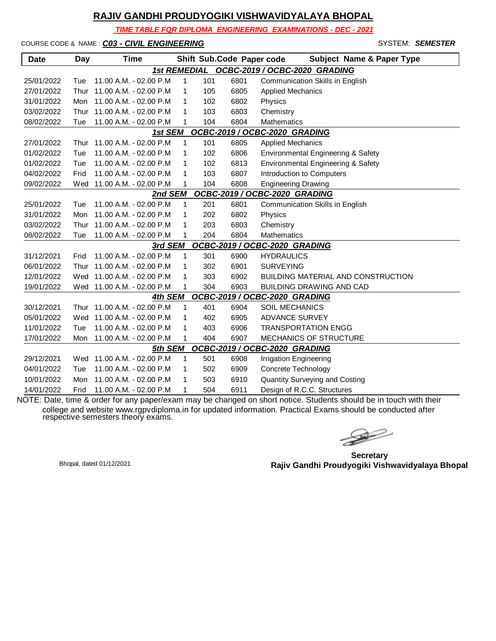*TIME TABLE FOR DIPLOMA ENGINEERING EXAMINATIONS - DEC - 2021*

COURSE CODE & NAME : *C03 - CIVIL ENGINEERING* - SYSTEM: *SEMESTER*

| <b>Date</b>                              | Day                                                  | <b>Time</b>                |              |     |      | Shift Sub.Code Paper code<br><b>Subject Name &amp; Paper Type</b> |  |  |  |  |
|------------------------------------------|------------------------------------------------------|----------------------------|--------------|-----|------|-------------------------------------------------------------------|--|--|--|--|
|                                          | OCBC-2019 / OCBC-2020 GRADING<br><b>1st REMEDIAL</b> |                            |              |     |      |                                                                   |  |  |  |  |
| 25/01/2022                               | Tue                                                  | 11.00 A.M. - 02.00 P.M     | $\mathbf{1}$ | 101 | 6801 | Communication Skills in English                                   |  |  |  |  |
| 27/01/2022                               | Thur                                                 | 11.00 A.M. - 02.00 P.M     | 1            | 105 | 6805 | <b>Applied Mechanics</b>                                          |  |  |  |  |
| 31/01/2022                               | Mon                                                  | 11.00 A.M. - 02.00 P.M     | 1            | 102 | 6802 | Physics                                                           |  |  |  |  |
| 03/02/2022                               | Thur                                                 | 11.00 A.M. - 02.00 P.M     | 1            | 103 | 6803 | Chemistry                                                         |  |  |  |  |
| 08/02/2022                               | Tue                                                  | 11.00 A.M. - 02.00 P.M     | 1            | 104 | 6804 | <b>Mathematics</b>                                                |  |  |  |  |
| OCBC-2019 / OCBC-2020 GRADING<br>1st SEM |                                                      |                            |              |     |      |                                                                   |  |  |  |  |
| 27/01/2022                               | Thur                                                 | 11.00 A.M. - 02.00 P.M     | 1            | 101 | 6805 | <b>Applied Mechanics</b>                                          |  |  |  |  |
| 01/02/2022                               | Tue                                                  | 11.00 A.M. - 02.00 P.M     | 1            | 102 | 6806 | Environmental Engineering & Safety                                |  |  |  |  |
| 01/02/2022                               | Tue                                                  | 11.00 A.M. - 02.00 P.M     | 1            | 102 | 6813 | Environmental Engineering & Safety                                |  |  |  |  |
| 04/02/2022                               | Frid                                                 | 11.00 A.M. - 02.00 P.M     | 1            | 103 | 6807 | Introduction to Computers                                         |  |  |  |  |
| 09/02/2022                               |                                                      | Wed 11.00 A.M. - 02.00 P.M | 1            | 104 | 6808 | <b>Engineering Drawing</b>                                        |  |  |  |  |
|                                          |                                                      | 2nd SEM                    |              |     |      | OCBC-2019 / OCBC-2020 GRADING                                     |  |  |  |  |
| 25/01/2022                               | Tue                                                  | 11.00 A.M. - 02.00 P.M     | 1            | 201 | 6801 | Communication Skills in English                                   |  |  |  |  |
| 31/01/2022                               | Mon                                                  | 11.00 A.M. - 02.00 P.M     | 1            | 202 | 6802 | Physics                                                           |  |  |  |  |
| 03/02/2022                               | Thur                                                 | 11.00 A.M. - 02.00 P.M     | 1            | 203 | 6803 | Chemistry                                                         |  |  |  |  |
| 08/02/2022                               | Tue                                                  | 11.00 A.M. - 02.00 P.M     | 1            | 204 | 6804 | <b>Mathematics</b>                                                |  |  |  |  |
|                                          |                                                      | 3rd SEM                    |              |     |      | OCBC-2019 / OCBC-2020 GRADING                                     |  |  |  |  |
| 31/12/2021                               | Frid                                                 | 11.00 A.M. - 02.00 P.M     | $\mathbf{1}$ | 301 | 6900 | <b>HYDRAULICS</b>                                                 |  |  |  |  |
| 06/01/2022                               | <b>Thur</b>                                          | 11.00 A.M. - 02.00 P.M     | 1            | 302 | 6901 | <b>SURVEYING</b>                                                  |  |  |  |  |
| 12/01/2022                               |                                                      | Wed 11.00 A.M. - 02.00 P.M | 1            | 303 | 6902 | <b>BUILDING MATERIAL AND CONSTRUCTION</b>                         |  |  |  |  |
| 19/01/2022                               |                                                      | Wed 11.00 A.M. - 02.00 P.M | 1            | 304 | 6903 | BUILDING DRAWING AND CAD                                          |  |  |  |  |
|                                          |                                                      | 4th SEM                    |              |     |      | OCBC-2019 / OCBC-2020 GRADING                                     |  |  |  |  |
| 30/12/2021                               | Thur                                                 | 11.00 A.M. - 02.00 P.M     | 1            | 401 | 6904 | <b>SOIL MECHANICS</b>                                             |  |  |  |  |
| 05/01/2022                               | Wed                                                  | 11.00 A.M. - 02.00 P.M     | 1            | 402 | 6905 | <b>ADVANCE SURVEY</b>                                             |  |  |  |  |
| 11/01/2022                               | Tue                                                  | 11.00 A.M. - 02.00 P.M     | 1            | 403 | 6906 | <b>TRANSPORTATION ENGG</b>                                        |  |  |  |  |
| 17/01/2022                               | Mon                                                  | 11.00 A.M. - 02.00 P.M     | 1            | 404 | 6907 | MECHANICS OF STRUCTURE                                            |  |  |  |  |
|                                          |                                                      | 5th SEM                    |              |     |      | OCBC-2019 / OCBC-2020 GRADING                                     |  |  |  |  |
| 29/12/2021                               |                                                      | Wed 11.00 A.M. - 02.00 P.M | $\mathbf{1}$ | 501 | 6908 | <b>Irrigation Engineering</b>                                     |  |  |  |  |
| 04/01/2022                               | Tue                                                  | 11.00 A.M. - 02.00 P.M     | 1            | 502 | 6909 | Concrete Technology                                               |  |  |  |  |
| 10/01/2022                               | Mon                                                  | 11.00 A.M. - 02.00 P.M     | 1            | 503 | 6910 | <b>Quantity Surveying and Costing</b>                             |  |  |  |  |
| 14/01/2022                               | Frid                                                 | 11.00 A.M. - 02.00 P.M     | 1            | 504 | 6911 | Design of R.C.C. Structures                                       |  |  |  |  |

 $\begin{picture}(120,17)(-20,17)(-20,17)(-20,17)(-20,17)(-20,17)(-20,17)(-20,17)(-20,17)(-20,17)(-20,17)(-20,17)(-20,17)(-20,17)(-20,17)(-20,17)(-20,17)(-20,17)(-20,17)(-20,17)(-20,17)(-20,17)(-20,17)(-20,17)(-20,17)(-20,17)(-20,17)(-20,17)(-20,17)(-20,17)(-20,1$ 

**Secretary Rajiv Gandhi Proudyogiki Vishwavidyalaya Bhopal** Bhopal, dated 01/12/2021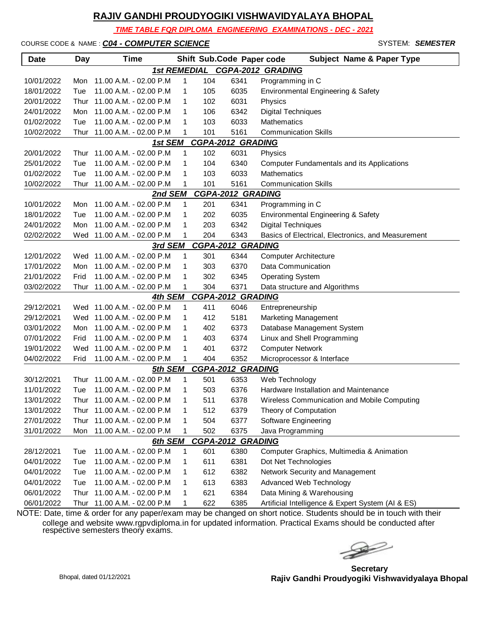*TIME TABLE FOR DIPLOMA ENGINEERING EXAMINATIONS - DEC - 2021*

COURSE CODE & NAME : *C04 - COMPUTER SCIENCE* - SYSTEM: *SEMESTER*

| <b>Date</b>                                                        | Day                       | <b>Time</b>                                                                                                                         |                       |                                 | Shift Sub.Code Paper code            | <b>Subject Name &amp; Paper Type</b>                                                                                                                                 |
|--------------------------------------------------------------------|---------------------------|-------------------------------------------------------------------------------------------------------------------------------------|-----------------------|---------------------------------|--------------------------------------|----------------------------------------------------------------------------------------------------------------------------------------------------------------------|
|                                                                    |                           |                                                                                                                                     |                       |                                 |                                      | 1st REMEDIAL CGPA-2012 GRADING                                                                                                                                       |
| 10/01/2022                                                         | Mon                       | 11.00 A.M. - 02.00 P.M                                                                                                              | $\mathbf{1}$          | 104                             | 6341                                 | Programming in C                                                                                                                                                     |
| 18/01/2022                                                         | Tue                       | 11.00 A.M. - 02.00 P.M                                                                                                              | 1                     | 105                             | 6035                                 | Environmental Engineering & Safety                                                                                                                                   |
| 20/01/2022                                                         | Thur                      | 11.00 A.M. - 02.00 P.M                                                                                                              | 1                     | 102                             | 6031                                 | Physics                                                                                                                                                              |
| 24/01/2022                                                         | Mon                       | 11.00 A.M. - 02.00 P.M                                                                                                              | 1                     | 106                             | 6342                                 | <b>Digital Techniques</b>                                                                                                                                            |
| 01/02/2022                                                         | Tue                       | 11.00 A.M. - 02.00 P.M                                                                                                              | 1                     | 103                             | 6033                                 | Mathematics                                                                                                                                                          |
| 10/02/2022                                                         | Thur                      | 11.00 A.M. - 02.00 P.M                                                                                                              | 1                     | 101                             | 5161                                 | <b>Communication Skills</b>                                                                                                                                          |
|                                                                    |                           | 1st SEM                                                                                                                             |                       |                                 | <b>CGPA-2012 GRADING</b>             |                                                                                                                                                                      |
| 20/01/2022                                                         |                           | Thur 11.00 A.M. - 02.00 P.M                                                                                                         | $\mathbf{1}$          | 102                             | 6031                                 | Physics                                                                                                                                                              |
| 25/01/2022                                                         | Tue                       | 11.00 A.M. - 02.00 P.M                                                                                                              | 1                     | 104                             | 6340                                 | Computer Fundamentals and its Applications                                                                                                                           |
| 01/02/2022                                                         | Tue                       | 11.00 A.M. - 02.00 P.M                                                                                                              | 1                     | 103                             | 6033                                 | <b>Mathematics</b>                                                                                                                                                   |
| 10/02/2022                                                         | Thur                      | 11.00 A.M. - 02.00 P.M                                                                                                              | 1                     | 101                             | 5161                                 | <b>Communication Skills</b>                                                                                                                                          |
|                                                                    |                           | 2nd SEM                                                                                                                             |                       |                                 | <b>CGPA-2012 GRADING</b>             |                                                                                                                                                                      |
| 10/01/2022                                                         | Mon                       | 11.00 A.M. - 02.00 P.M                                                                                                              | 1                     | 201                             | 6341                                 | Programming in C                                                                                                                                                     |
| 18/01/2022                                                         | Tue                       | 11.00 A.M. - 02.00 P.M                                                                                                              | 1                     | 202                             | 6035                                 | Environmental Engineering & Safety                                                                                                                                   |
| 24/01/2022                                                         | Mon                       | 11.00 A.M. - 02.00 P.M                                                                                                              | 1                     | 203                             | 6342                                 | <b>Digital Techniques</b>                                                                                                                                            |
| 02/02/2022                                                         | Wed                       | 11.00 A.M. - 02.00 P.M                                                                                                              | 1                     | 204                             | 6343                                 | Basics of Electrical, Electronics, and Measurement                                                                                                                   |
|                                                                    |                           | 3rd SEM                                                                                                                             |                       |                                 | <b>CGPA-2012 GRADING</b>             |                                                                                                                                                                      |
| 12/01/2022                                                         |                           | Wed 11.00 A.M. - 02.00 P.M                                                                                                          | $\mathbf{1}$          | 301                             | 6344                                 | <b>Computer Architecture</b>                                                                                                                                         |
| 17/01/2022                                                         |                           | Mon 11.00 A.M. - 02.00 P.M                                                                                                          | 1                     | 303                             | 6370                                 | Data Communication                                                                                                                                                   |
| 21/01/2022                                                         | Frid                      | 11.00 A.M. - 02.00 P.M                                                                                                              | 1                     | 302                             | 6345                                 | <b>Operating System</b>                                                                                                                                              |
| 03/02/2022                                                         | Thur                      | 11.00 A.M. - 02.00 P.M                                                                                                              | 1                     | 304                             | 6371                                 | Data structure and Algorithms                                                                                                                                        |
|                                                                    |                           | 4th SEM                                                                                                                             |                       |                                 | <b>CGPA-2012 GRADING</b>             |                                                                                                                                                                      |
| 29/12/2021                                                         |                           | Wed 11.00 A.M. - 02.00 P.M                                                                                                          | 1                     | 411                             | 6046                                 | Entrepreneurship                                                                                                                                                     |
| 29/12/2021                                                         |                           | Wed 11.00 A.M. - 02.00 P.M                                                                                                          | 1                     | 412                             | 5181                                 | <b>Marketing Management</b>                                                                                                                                          |
| 03/01/2022                                                         | Mon.                      | 11.00 A.M. - 02.00 P.M                                                                                                              | 1                     | 402                             | 6373                                 | Database Management System                                                                                                                                           |
| 07/01/2022                                                         | Frid                      | 11.00 A.M. - 02.00 P.M                                                                                                              | 1                     | 403                             | 6374                                 | Linux and Shell Programming                                                                                                                                          |
| 19/01/2022                                                         | Wed                       | 11.00 A.M. - 02.00 P.M                                                                                                              | 1                     | 401                             | 6372                                 | <b>Computer Network</b>                                                                                                                                              |
| 04/02/2022                                                         | Frid                      | 11.00 A.M. - 02.00 P.M                                                                                                              | 1                     | 404                             | 6352                                 | Microprocessor & Interface                                                                                                                                           |
|                                                                    |                           | 5th SEM                                                                                                                             |                       |                                 | <b>CGPA-2012 GRADING</b>             |                                                                                                                                                                      |
| 30/12/2021                                                         | Thur                      | 11.00 A.M. - 02.00 P.M                                                                                                              | 1                     | 501                             | 6353                                 | Web Technology                                                                                                                                                       |
| 11/01/2022                                                         | Tue                       | 11.00 A.M. - 02.00 P.M                                                                                                              | 1                     | 503                             | 6376                                 | Hardware Installation and Maintenance                                                                                                                                |
| 13/01/2022                                                         |                           | Thur 11.00 A.M. - 02.00 P.M                                                                                                         | 1                     | 511                             | 6378                                 | Wireless Communication and Mobile Computing                                                                                                                          |
| 13/01/2022                                                         |                           | Thur 11.00 A.M. - 02.00 P.M                                                                                                         | 1                     | 512                             | 6379                                 | Theory of Computation                                                                                                                                                |
| 27/01/2022                                                         |                           | Thur 11.00 A.M. - 02.00 P.M                                                                                                         | 1                     | 504                             | 6377                                 | Software Engineering                                                                                                                                                 |
| 31/01/2022                                                         | Mon                       | 11.00 A.M. - 02.00 P.M                                                                                                              | 1                     | 502                             | 6375                                 | Java Programming                                                                                                                                                     |
|                                                                    |                           | 6th SEM                                                                                                                             |                       |                                 | <b>CGPA-2012 GRADING</b>             |                                                                                                                                                                      |
| 28/12/2021                                                         | Tue                       | 11.00 A.M. - 02.00 P.M                                                                                                              | 1                     | 601                             | 6380                                 | Computer Graphics, Multimedia & Animation                                                                                                                            |
|                                                                    |                           |                                                                                                                                     |                       |                                 |                                      |                                                                                                                                                                      |
|                                                                    |                           |                                                                                                                                     |                       |                                 |                                      |                                                                                                                                                                      |
|                                                                    |                           |                                                                                                                                     |                       |                                 |                                      |                                                                                                                                                                      |
|                                                                    |                           |                                                                                                                                     |                       |                                 |                                      |                                                                                                                                                                      |
| 04/01/2022<br>04/01/2022<br>04/01/2022<br>06/01/2022<br>06/01/2022 | Tue<br>Tue<br>Tue<br>Thur | 11.00 A.M. - 02.00 P.M<br>11.00 A.M. - 02.00 P.M<br>11.00 A.M. - 02.00 P.M<br>11.00 A.M. - 02.00 P.M<br>Thur 11.00 A.M. - 02.00 P.M | 1<br>1<br>1<br>1<br>1 | 611<br>612<br>613<br>621<br>622 | 6381<br>6382<br>6383<br>6384<br>6385 | Dot Net Technologies<br>Network Security and Management<br>Advanced Web Technology<br>Data Mining & Warehousing<br>Artificial Intelligence & Expert System (AI & ES) |

 $\mathscr{D}$ 

**Secretary Rajiv Gandhi Proudyogiki Vishwavidyalaya Bhopal** Bhopal, dated 01/12/2021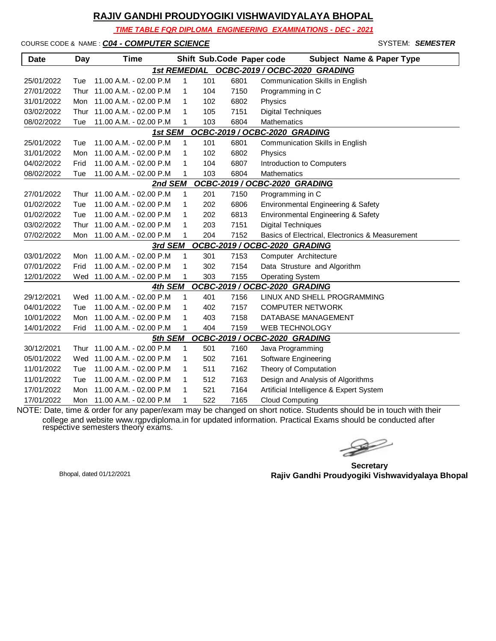*TIME TABLE FOR DIPLOMA ENGINEERING EXAMINATIONS - DEC - 2021*

COURSE CODE & NAME : *C04 - COMPUTER SCIENCE* - SYSTEM: *SEMESTER*

| <b>Date</b> | <b>Day</b> | <b>Time</b>                |              |     | Shift Sub.Code Paper code | <b>Subject Name &amp; Paper Type</b>            |
|-------------|------------|----------------------------|--------------|-----|---------------------------|-------------------------------------------------|
|             |            | <b>1st REMEDIAL</b>        |              |     |                           | OCBC-2019 / OCBC-2020 GRADING                   |
| 25/01/2022  | Tue        | 11.00 A.M. - 02.00 P.M     | 1            | 101 | 6801                      | Communication Skills in English                 |
| 27/01/2022  | Thur       | 11.00 A.M. - 02.00 P.M     | 1            | 104 | 7150                      | Programming in C                                |
| 31/01/2022  | Mon        | 11.00 A.M. - 02.00 P.M     | 1            | 102 | 6802                      | Physics                                         |
| 03/02/2022  | Thur       | 11.00 A.M. - 02.00 P.M     | 1            | 105 | 7151                      | <b>Digital Techniques</b>                       |
| 08/02/2022  | Tue        | 11.00 A.M. - 02.00 P.M     | 1            | 103 | 6804                      | Mathematics                                     |
|             |            | 1st SEM                    |              |     |                           | OCBC-2019 / OCBC-2020 GRADING                   |
| 25/01/2022  | Tue        | 11.00 A.M. - 02.00 P.M     | 1            | 101 | 6801                      | Communication Skills in English                 |
| 31/01/2022  | Mon        | 11.00 A.M. - 02.00 P.M     | 1            | 102 | 6802                      | Physics                                         |
| 04/02/2022  | Frid       | 11.00 A.M. - 02.00 P.M     | 1            | 104 | 6807                      | Introduction to Computers                       |
| 08/02/2022  | Tue        | 11.00 A.M. - 02.00 P.M     | 1            | 103 | 6804                      | <b>Mathematics</b>                              |
|             |            | 2nd SEM                    |              |     |                           | OCBC-2019 / OCBC-2020 GRADING                   |
| 27/01/2022  | Thur       | 11.00 A.M. - 02.00 P.M     | 1            | 201 | 7150                      | Programming in C                                |
| 01/02/2022  | Tue        | 11.00 A.M. - 02.00 P.M     | 1            | 202 | 6806                      | Environmental Engineering & Safety              |
| 01/02/2022  | Tue        | 11.00 A.M. - 02.00 P.M     | 1            | 202 | 6813                      | Environmental Engineering & Safety              |
| 03/02/2022  | Thur       | 11.00 A.M. - 02.00 P.M     | $\mathbf{1}$ | 203 | 7151                      | <b>Digital Techniques</b>                       |
| 07/02/2022  | Mon        | 11.00 A.M. - 02.00 P.M     | 1            | 204 | 7152                      | Basics of Electrical, Electronics & Measurement |
|             |            | 3rd SEM                    |              |     |                           | OCBC-2019 / OCBC-2020 GRADING                   |
| 03/01/2022  | Mon        | 11.00 A.M. - 02.00 P.M     | 1            | 301 | 7153                      | Computer Architecture                           |
| 07/01/2022  | Frid       | 11.00 A.M. - 02.00 P.M     | 1            | 302 | 7154                      | Data Strusture and Algorithm                    |
| 12/01/2022  |            | Wed 11.00 A.M. - 02.00 P.M | 1            | 303 | 7155                      | <b>Operating System</b>                         |
|             |            | 4th SEM                    |              |     |                           | OCBC-2019 / OCBC-2020 GRADING                   |
| 29/12/2021  | Wed        | 11.00 A.M. - 02.00 P.M     | 1            | 401 | 7156                      | LINUX AND SHELL PROGRAMMING                     |
| 04/01/2022  | Tue        | 11.00 A.M. - 02.00 P.M     | 1            | 402 | 7157                      | <b>COMPUTER NETWORK</b>                         |
| 10/01/2022  | Mon        | 11.00 A.M. - 02.00 P.M     | 1            | 403 | 7158                      | DATABASE MANAGEMENT                             |
| 14/01/2022  | Frid       | 11.00 A.M. - 02.00 P.M     | 1            | 404 | 7159                      | <b>WEB TECHNOLOGY</b>                           |
|             |            | 5th SEM                    |              |     |                           | OCBC-2019 / OCBC-2020 GRADING                   |
| 30/12/2021  | Thur       | 11.00 A.M. - 02.00 P.M     | $\mathbf{1}$ | 501 | 7160                      | Java Programming                                |
| 05/01/2022  | Wed        | 11.00 A.M. - 02.00 P.M     | 1            | 502 | 7161                      | Software Engineering                            |
| 11/01/2022  | Tue        | 11.00 A.M. - 02.00 P.M     | 1            | 511 | 7162                      | Theory of Computation                           |
| 11/01/2022  | Tue        | 11.00 A.M. - 02.00 P.M     | 1            | 512 | 7163                      | Design and Analysis of Algorithms               |
| 17/01/2022  | Mon        | 11.00 A.M. - 02.00 P.M     | 1            | 521 | 7164                      | Artificial Intelligence & Expert System         |
| 17/01/2022  | Mon        | 11.00 A.M. - 02.00 P.M     | 1            | 522 | 7165                      | <b>Cloud Computing</b>                          |

NOTE: Date, time & order for any paper/exam may be changed on short notice. Students should be in touch with their college and website www.rgpvdiploma.in for updated information. Practical Exams should be conducted after respective semesters theory exams.

 $\trianglerighteq$ 

**Secretary Rajiv Gandhi Proudyogiki Vishwavidyalaya Bhopal** Bhopal, dated 01/12/2021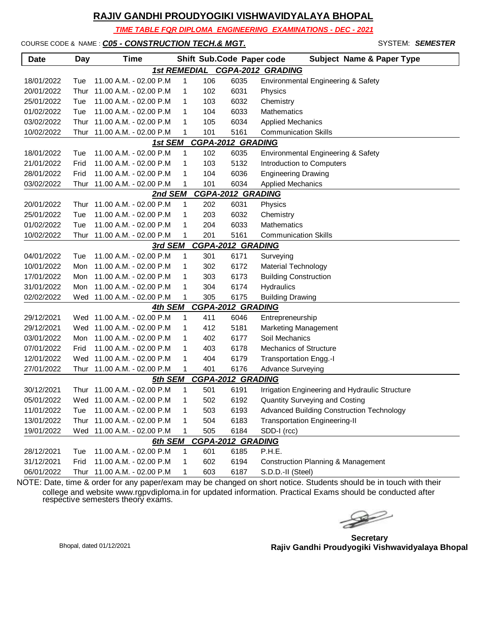*TIME TABLE FOR DIPLOMA ENGINEERING EXAMINATIONS - DEC - 2021*

COURSE CODE & NAME : **C05 - CONSTRUCTION TECH.& MGT.** And the system: **Semester** 

| <b>Date</b> | <b>Day</b> | <b>Time</b>                 |                     |     | Shift Sub.Code Paper code | <b>Subject Name &amp; Paper Type</b>           |
|-------------|------------|-----------------------------|---------------------|-----|---------------------------|------------------------------------------------|
|             |            |                             | <b>1st REMEDIAL</b> |     |                           | CGPA-2012 GRADING                              |
| 18/01/2022  | Tue        | 11.00 A.M. - 02.00 P.M.     | 1                   | 106 | 6035                      | Environmental Engineering & Safety             |
| 20/01/2022  | Thur       | 11.00 A.M. - 02.00 P.M      | 1                   | 102 | 6031                      | Physics                                        |
| 25/01/2022  | Tue        | 11.00 A.M. - 02.00 P.M      | 1                   | 103 | 6032                      | Chemistry                                      |
| 01/02/2022  | Tue        | 11.00 A.M. - 02.00 P.M      | 1                   | 104 | 6033                      | Mathematics                                    |
| 03/02/2022  | Thur       | 11.00 A.M. - 02.00 P.M      | 1                   | 105 | 6034                      | <b>Applied Mechanics</b>                       |
| 10/02/2022  | Thur       | 11.00 A.M. - 02.00 P.M      | 1                   | 101 | 5161                      | <b>Communication Skills</b>                    |
|             |            | 1st SEM                     |                     |     | <b>CGPA-2012 GRADING</b>  |                                                |
| 18/01/2022  | Tue        | 11.00 A.M. - 02.00 P.M      | 1                   | 102 | 6035                      | <b>Environmental Engineering &amp; Safety</b>  |
| 21/01/2022  | Frid       | 11.00 A.M. - 02.00 P.M      | 1                   | 103 | 5132                      | Introduction to Computers                      |
| 28/01/2022  | Frid       | 11.00 A.M. - 02.00 P.M      | 1                   | 104 | 6036                      | <b>Engineering Drawing</b>                     |
| 03/02/2022  | Thur       | 11.00 A.M. - 02.00 P.M      | 1                   | 101 | 6034                      | <b>Applied Mechanics</b>                       |
|             |            | 2nd SEM                     |                     |     | CGPA-2012 GRADING         |                                                |
| 20/01/2022  | Thur       | 11.00 A.M. - 02.00 P.M      | 1                   | 202 | 6031                      | Physics                                        |
| 25/01/2022  | Tue        | 11.00 A.M. - 02.00 P.M      | 1                   | 203 | 6032                      | Chemistry                                      |
| 01/02/2022  | Tue        | 11.00 A.M. - 02.00 P.M      | 1                   | 204 | 6033                      | <b>Mathematics</b>                             |
| 10/02/2022  | Thur       | 11.00 A.M. - 02.00 P.M      | 1                   | 201 | 5161                      | <b>Communication Skills</b>                    |
|             |            | 3rd SEM                     |                     |     | <b>CGPA-2012 GRADING</b>  |                                                |
| 04/01/2022  | Tue        | 11.00 A.M. - 02.00 P.M      | 1                   | 301 | 6171                      | Surveying                                      |
| 10/01/2022  | Mon        | 11.00 A.M. - 02.00 P.M      | 1                   | 302 | 6172                      | <b>Material Technology</b>                     |
| 17/01/2022  | Mon        | 11.00 A.M. - 02.00 P.M      | 1                   | 303 | 6173                      | <b>Building Construction</b>                   |
| 31/01/2022  | Mon        | 11.00 A.M. - 02.00 P.M      | 1                   | 304 | 6174                      | Hydraulics                                     |
| 02/02/2022  | Wed        | 11.00 A.M. - 02.00 P.M      | 1                   | 305 | 6175                      | <b>Building Drawing</b>                        |
|             |            | 4th SEM                     |                     |     | <b>CGPA-2012 GRADING</b>  |                                                |
| 29/12/2021  |            | Wed 11.00 A.M. - 02.00 P.M  | 1                   | 411 | 6046                      | Entrepreneurship                               |
| 29/12/2021  |            | Wed 11.00 A.M. - 02.00 P.M  | 1                   | 412 | 5181                      | <b>Marketing Management</b>                    |
| 03/01/2022  | Mon        | 11.00 A.M. - 02.00 P.M      | 1                   | 402 | 6177                      | Soil Mechanics                                 |
| 07/01/2022  | Frid       | 11.00 A.M. - 02.00 P.M      | 1                   | 403 | 6178                      | <b>Mechanics of Structure</b>                  |
| 12/01/2022  | Wed        | 11.00 A.M. - 02.00 P.M      | 1                   | 404 | 6179                      | <b>Transportation Engg.-I</b>                  |
| 27/01/2022  | Thur       | 11.00 A.M. - 02.00 P.M      | 1                   | 401 | 6176                      | <b>Advance Surveying</b>                       |
|             |            | 5th SEM                     |                     |     | <b>CGPA-2012 GRADING</b>  |                                                |
| 30/12/2021  | Thur       | 11.00 A.M. - 02.00 P.M      | 1                   | 501 | 6191                      | Irrigation Engineering and Hydraulic Structure |
| 05/01/2022  |            | Wed 11.00 A.M. - 02.00 P.M  | 1                   | 502 | 6192                      | <b>Quantity Surveying and Costing</b>          |
| 11/01/2022  | Tue        | 11.00 A.M. - 02.00 P.M      | 1                   | 503 | 6193                      | Advanced Building Construction Technology      |
| 13/01/2022  |            | Thur 11.00 A.M. - 02.00 P.M | 1                   | 504 | 6183                      | <b>Transportation Engineering-II</b>           |
| 19/01/2022  | Wed        | 11.00 A.M. - 02.00 P.M      | 1                   | 505 | 6184                      | SDD-I (rcc)                                    |
|             |            | 6th SEM                     |                     |     | <b>CGPA-2012 GRADING</b>  |                                                |
| 28/12/2021  | Tue        | 11.00 A.M. - 02.00 P.M      | 1                   | 601 | 6185                      | P.H.E.                                         |
| 31/12/2021  | Frid       | 11.00 A.M. - 02.00 P.M      | 1                   | 602 | 6194                      | <b>Construction Planning &amp; Management</b>  |
| 06/01/2022  | Thur       | 11.00 A.M. - 02.00 P.M      | 1                   | 603 | 6187                      | S.D.D.-II (Steel)                              |

 $\begin{picture}(120,17)(-20,17)(-20,17)(-20,17)(-20,17)(-20,17)(-20,17)(-20,17)(-20,17)(-20,17)(-20,17)(-20,17)(-20,17)(-20,17)(-20,17)(-20,17)(-20,17)(-20,17)(-20,17)(-20,17)(-20,17)(-20,17)(-20,17)(-20,17)(-20,17)(-20,17)(-20,17)(-20,17)(-20,17)(-20,17)(-20,1$ 

**Secretary Rajiv Gandhi Proudyogiki Vishwavidyalaya Bhopal** Bhopal, dated 01/12/2021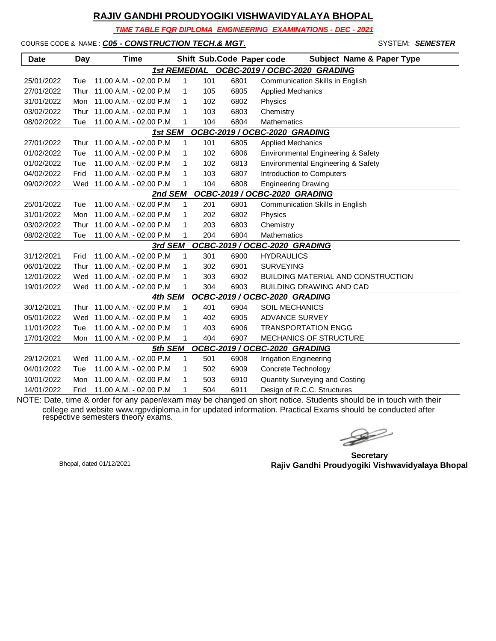*TIME TABLE FOR DIPLOMA ENGINEERING EXAMINATIONS - DEC - 2021*

COURSE CODE & NAME : **C05 - CONSTRUCTION TECH.& MGT.** 

**Date Day Time Shift Sub.Code Paper** 

|      | SYSTEM: SEMESTER                     |
|------|--------------------------------------|
| code | <b>Subject Name &amp; Paper Type</b> |
|      | OCBC-2020 GRADING                    |

|                                          |      |                             |              |     |      | 1st REMEDIAL OCBC-2019 / OCBC-2020 GRADING |  |  |  |
|------------------------------------------|------|-----------------------------|--------------|-----|------|--------------------------------------------|--|--|--|
| 25/01/2022                               | Tue  | 11.00 A.M. - 02.00 P.M      | $\mathbf{1}$ | 101 | 6801 | Communication Skills in English            |  |  |  |
| 27/01/2022                               | Thur | 11.00 A.M. - 02.00 P.M      | 1            | 105 | 6805 | <b>Applied Mechanics</b>                   |  |  |  |
| 31/01/2022                               | Mon  | 11.00 A.M. - 02.00 P.M      | 1            | 102 | 6802 | Physics                                    |  |  |  |
| 03/02/2022                               | Thur | 11.00 A.M. - 02.00 P.M      | 1            | 103 | 6803 | Chemistry                                  |  |  |  |
| 08/02/2022                               | Tue  | 11.00 A.M. - 02.00 P.M      | 1            | 104 | 6804 | <b>Mathematics</b>                         |  |  |  |
| 1st SEM<br>OCBC-2019 / OCBC-2020 GRADING |      |                             |              |     |      |                                            |  |  |  |
| 27/01/2022                               | Thur | 11.00 A.M. - 02.00 P.M      | $\mathbf{1}$ | 101 | 6805 | <b>Applied Mechanics</b>                   |  |  |  |
| 01/02/2022                               | Tue  | 11.00 A.M. - 02.00 P.M      | 1            | 102 | 6806 | Environmental Engineering & Safety         |  |  |  |
| 01/02/2022                               | Tue  | 11.00 A.M. - 02.00 P.M      | 1            | 102 | 6813 | Environmental Engineering & Safety         |  |  |  |
| 04/02/2022                               | Frid | 11.00 A.M. - 02.00 P.M      | 1            | 103 | 6807 | Introduction to Computers                  |  |  |  |
| 09/02/2022                               |      | Wed 11.00 A.M. - 02.00 P.M  | 1            | 104 | 6808 | <b>Engineering Drawing</b>                 |  |  |  |
|                                          |      | 2nd SEM                     |              |     |      | OCBC-2019 / OCBC-2020 GRADING              |  |  |  |
| 25/01/2022                               | Tue  | 11.00 A.M. - 02.00 P.M.     | $\mathbf{1}$ | 201 | 6801 | Communication Skills in English            |  |  |  |
| 31/01/2022                               | Mon  | 11.00 A.M. - 02.00 P.M      | 1            | 202 | 6802 | Physics                                    |  |  |  |
| 03/02/2022                               | Thur | 11.00 A.M. - 02.00 P.M      | 1            | 203 | 6803 | Chemistry                                  |  |  |  |
| 08/02/2022                               | Tue  | 11.00 A.M. - 02.00 P.M      | 1            | 204 | 6804 | Mathematics                                |  |  |  |
|                                          |      | 3rd SEM                     |              |     |      | OCBC-2019 / OCBC-2020 GRADING              |  |  |  |
| 31/12/2021                               | Frid | 11.00 A.M. - 02.00 P.M.     | 1            | 301 | 6900 | <b>HYDRAULICS</b>                          |  |  |  |
| 06/01/2022                               | Thur | 11.00 A.M. - 02.00 P.M      | $\mathbf{1}$ | 302 | 6901 | <b>SURVEYING</b>                           |  |  |  |
| 12/01/2022                               |      | Wed 11.00 A.M. - 02.00 P.M  | 1            | 303 | 6902 | <b>BUILDING MATERIAL AND CONSTRUCTION</b>  |  |  |  |
| 19/01/2022                               |      | Wed 11.00 A.M. - 02.00 P.M  | 1            | 304 | 6903 | <b>BUILDING DRAWING AND CAD</b>            |  |  |  |
|                                          |      | 4th SEM                     |              |     |      | OCBC-2019 / OCBC-2020 GRADING              |  |  |  |
| 30/12/2021                               |      | Thur 11.00 A.M. - 02.00 P.M | 1            | 401 | 6904 | <b>SOIL MECHANICS</b>                      |  |  |  |
| 05/01/2022                               | Wed  | 11.00 A.M. - 02.00 P.M      | 1            | 402 | 6905 | <b>ADVANCE SURVEY</b>                      |  |  |  |
| 11/01/2022                               | Tue  | 11.00 A.M. - 02.00 P.M      | 1            | 403 | 6906 | <b>TRANSPORTATION ENGG</b>                 |  |  |  |
| 17/01/2022                               | Mon  | 11.00 A.M. - 02.00 P.M      | 1            | 404 | 6907 | <b>MECHANICS OF STRUCTURE</b>              |  |  |  |
|                                          |      | 5th SEM                     |              |     |      | OCBC-2019 / OCBC-2020 GRADING              |  |  |  |
| 29/12/2021                               |      | Wed 11.00 A.M. - 02.00 P.M  | $\mathbf{1}$ | 501 | 6908 | <b>Irrigation Engineering</b>              |  |  |  |
| 04/01/2022                               | Tue  | 11.00 A.M. - 02.00 P.M      | 1            | 502 | 6909 | Concrete Technology                        |  |  |  |
| 10/01/2022                               | Mon  | 11.00 A.M. - 02.00 P.M      | 1            | 503 | 6910 | <b>Quantity Surveying and Costing</b>      |  |  |  |
| 14/01/2022                               | Frid | 11.00 A.M. - 02.00 P.M      | 1            | 504 | 6911 | Design of R.C.C. Structures                |  |  |  |

 $\begin{picture}(120,17)(-20,17)(-20,17)(-20,17)(-20,17)(-20,17)(-20,17)(-20,17)(-20,17)(-20,17)(-20,17)(-20,17)(-20,17)(-20,17)(-20,17)(-20,17)(-20,17)(-20,17)(-20,17)(-20,17)(-20,17)(-20,17)(-20,17)(-20,17)(-20,17)(-20,17)(-20,17)(-20,17)(-20,17)(-20,17)(-20,1$ 

**Secretary Rajiv Gandhi Proudyogiki Vishwavidyalaya Bhopal** Bhopal, dated 01/12/2021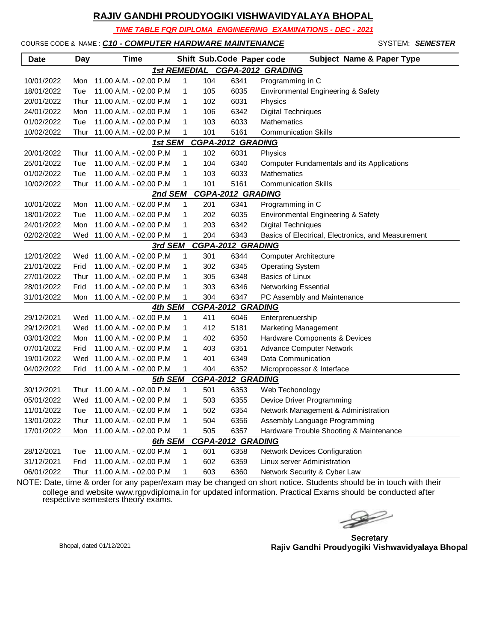*TIME TABLE FOR DIPLOMA ENGINEERING EXAMINATIONS - DEC - 2021*

### COURSE CODE & NAME : *C10 - COMPUTER HARDWARE MAINTENANCE* - SYSTEM: *SEMESTER*

| <b>Date</b> | <b>Day</b> | <b>Time</b>                 |   |     | Shift Sub.Code Paper code | <b>Subject Name &amp; Paper Type</b>               |
|-------------|------------|-----------------------------|---|-----|---------------------------|----------------------------------------------------|
|             |            | <b>1st REMEDIAL</b>         |   |     |                           | CGPA-2012 GRADING                                  |
| 10/01/2022  | Mon        | 11.00 A.M. - 02.00 P.M      | 1 | 104 | 6341                      | Programming in C                                   |
| 18/01/2022  | Tue        | 11.00 A.M. - 02.00 P.M      | 1 | 105 | 6035                      | Environmental Engineering & Safety                 |
| 20/01/2022  | Thur       | 11.00 A.M. - 02.00 P.M      | 1 | 102 | 6031                      | Physics                                            |
| 24/01/2022  | Mon        | 11.00 A.M. - 02.00 P.M      | 1 | 106 | 6342                      | <b>Digital Techniques</b>                          |
| 01/02/2022  | Tue        | 11.00 A.M. - 02.00 P.M      | 1 | 103 | 6033                      | Mathematics                                        |
| 10/02/2022  |            | Thur 11.00 A.M. - 02.00 P.M | 1 | 101 | 5161                      | <b>Communication Skills</b>                        |
|             |            | 1st SEM                     |   |     | <b>CGPA-2012 GRADING</b>  |                                                    |
| 20/01/2022  |            | Thur 11.00 A.M. - 02.00 P.M | 1 | 102 | 6031                      | Physics                                            |
| 25/01/2022  | Tue        | 11.00 A.M. - 02.00 P.M      | 1 | 104 | 6340                      | Computer Fundamentals and its Applications         |
| 01/02/2022  | Tue        | 11.00 A.M. - 02.00 P.M      | 1 | 103 | 6033                      | Mathematics                                        |
| 10/02/2022  |            | Thur 11.00 A.M. - 02.00 P.M | 1 | 101 | 5161                      | <b>Communication Skills</b>                        |
|             |            | 2nd SEM                     |   |     | <b>CGPA-2012 GRADING</b>  |                                                    |
| 10/01/2022  | Mon        | 11.00 A.M. - 02.00 P.M      | 1 | 201 | 6341                      | Programming in C                                   |
| 18/01/2022  | Tue        | 11.00 A.M. - 02.00 P.M      | 1 | 202 | 6035                      | Environmental Engineering & Safety                 |
| 24/01/2022  | Mon        | 11.00 A.M. - 02.00 P.M      | 1 | 203 | 6342                      | <b>Digital Techniques</b>                          |
| 02/02/2022  |            | Wed 11.00 A.M. - 02.00 P.M  | 1 | 204 | 6343                      | Basics of Electrical, Electronics, and Measurement |
|             |            | 3rd SEM                     |   |     | <b>CGPA-2012 GRADING</b>  |                                                    |
| 12/01/2022  | Wed        | 11.00 A.M. - 02.00 P.M      | 1 | 301 | 6344                      | <b>Computer Architecture</b>                       |
| 21/01/2022  | Frid       | 11.00 A.M. - 02.00 P.M      | 1 | 302 | 6345                      | <b>Operating System</b>                            |
| 27/01/2022  | Thur       | 11.00 A.M. - 02.00 P.M      | 1 | 305 | 6348                      | Basics of Linux                                    |
| 28/01/2022  | Frid       | 11.00 A.M. - 02.00 P.M      | 1 | 303 | 6346                      | <b>Networking Essential</b>                        |
| 31/01/2022  | Mon        | 11.00 A.M. - 02.00 P.M      | 1 | 304 | 6347                      | PC Assembly and Maintenance                        |
|             |            | 4th SEM                     |   |     | <b>CGPA-2012 GRADING</b>  |                                                    |
| 29/12/2021  |            | Wed 11.00 A.M. - 02.00 P.M  | 1 | 411 | 6046                      | Enterprenuership                                   |
| 29/12/2021  | Wed        | 11.00 A.M. - 02.00 P.M      | 1 | 412 | 5181                      | Marketing Management                               |
| 03/01/2022  | Mon        | 11.00 A.M. - 02.00 P.M      | 1 | 402 | 6350                      | Hardware Components & Devices                      |
| 07/01/2022  | Frid       | 11.00 A.M. - 02.00 P.M      | 1 | 403 | 6351                      | <b>Advance Computer Network</b>                    |
| 19/01/2022  | Wed        | 11.00 A.M. - 02.00 P.M      | 1 | 401 | 6349                      | Data Communication                                 |
| 04/02/2022  | Frid       | 11.00 A.M. - 02.00 P.M      | 1 | 404 | 6352                      | Microprocessor & Interface                         |
|             |            | 5th SEM                     |   |     | <b>CGPA-2012 GRADING</b>  |                                                    |
| 30/12/2021  | Thur       | 11.00 A.M. - 02.00 P.M      | 1 | 501 | 6353                      | Web Techonology                                    |
| 05/01/2022  |            | Wed 11.00 A.M. - 02.00 P.M  | 1 | 503 | 6355                      | Device Driver Programming                          |
| 11/01/2022  | Tue        | 11.00 A.M. - 02.00 P.M      | 1 | 502 | 6354                      | Network Management & Administration                |
| 13/01/2022  |            | Thur 11.00 A.M. - 02.00 P.M | 1 | 504 | 6356                      | Assembly Language Programming                      |
| 17/01/2022  | Mon        | 11.00 A.M. - 02.00 P.M      | 1 | 505 | 6357                      | Hardware Trouble Shooting & Maintenance            |
|             |            | 6th SEM                     |   |     | <b>CGPA-2012 GRADING</b>  |                                                    |
| 28/12/2021  | Tue        | 11.00 A.M. - 02.00 P.M      | 1 | 601 | 6358                      | Network Devices Configuration                      |
| 31/12/2021  | Frid       | 11.00 A.M. - 02.00 P.M      | 1 | 602 | 6359                      | Linux server Administration                        |
| 06/01/2022  |            | Thur 11.00 A.M. - 02.00 P.M | 1 | 603 | 6360                      | Network Security & Cyber Law                       |

 $\begin{picture}(120,17)(-20,17)(-20,17)(-20,17)(-20,17)(-20,17)(-20,17)(-20,17)(-20,17)(-20,17)(-20,17)(-20,17)(-20,17)(-20,17)(-20,17)(-20,17)(-20,17)(-20,17)(-20,17)(-20,17)(-20,17)(-20,17)(-20,17)(-20,17)(-20,17)(-20,17)(-20,17)(-20,17)(-20,17)(-20,17)(-20,1$ 

**Secretary Rajiv Gandhi Proudyogiki Vishwavidyalaya Bhopal** Bhopal, dated 01/12/2021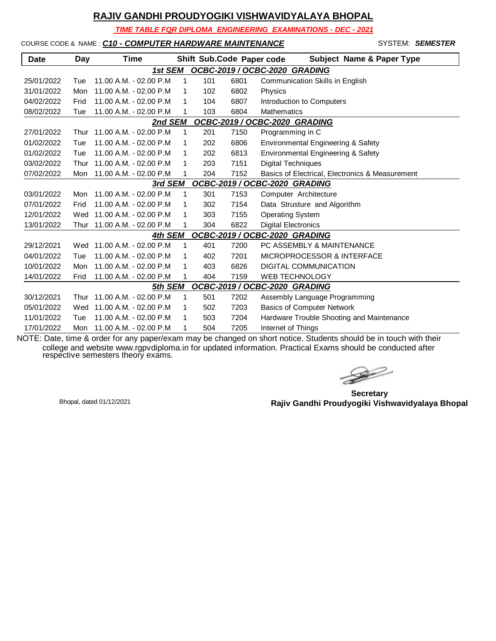*TIME TABLE FOR DIPLOMA ENGINEERING EXAMINATIONS - DEC - 2021*

### COURSE CODE & NAME : *C10 - COMPUTER HARDWARE MAINTENANCE* - SYSTEM: *SEMESTER*

| <b>Date</b>                   | Day  | <b>Time</b>             |              | Shift Sub.Code Paper code |      | <b>Subject Name &amp; Paper Type</b>                 |
|-------------------------------|------|-------------------------|--------------|---------------------------|------|------------------------------------------------------|
|                               |      | 1st SEM                 |              |                           |      | OCBC-2019 / OCBC-2020 GRADING                        |
| 25/01/2022                    | Tue  | 11.00 A.M. - 02.00 P.M. | 1            | 101                       | 6801 | Communication Skills in English                      |
| 31/01/2022                    | Mon  | 11.00 A.M. - 02.00 P.M  | 1            | 102                       | 6802 | Physics                                              |
| 04/02/2022                    | Frid | 11.00 A.M. - 02.00 P.M. | 1            | 104                       | 6807 | Introduction to Computers                            |
| 08/02/2022                    | Tue  | 11.00 A.M. - 02.00 P.M  | 1            | 103                       | 6804 | <b>Mathematics</b>                                   |
|                               |      | 2nd SEM                 |              |                           |      | OCBC-2019 / OCBC-2020 GRADING                        |
| 27/01/2022                    | Thur | 11.00 A.M. - 02.00 P.M  | 1            | 201                       | 7150 | Programming in C                                     |
| 01/02/2022                    | Tue  | 11.00 A.M. - 02.00 P.M  | $\mathbf 1$  | 202                       | 6806 | Environmental Engineering & Safety                   |
| 01/02/2022                    | Tue  | 11.00 A.M. - 02.00 P.M  | 1            | 202                       | 6813 | Environmental Engineering & Safety                   |
| 03/02/2022                    | Thur | 11.00 A.M. - 02.00 P.M  | 1            | 203                       | 7151 | <b>Digital Techniques</b>                            |
| 07/02/2022                    | Mon  | 11.00 A.M. - 02.00 P.M  |              | 204                       | 7152 | Basics of Electrical, Electronics & Measurement      |
|                               |      | 3rd SEM                 |              |                           |      | OCBC-2019 / OCBC-2020 GRADING                        |
| 03/01/2022                    | Mon  | 11.00 A.M. - 02.00 P.M  | 1            | 301                       | 7153 | Computer Architecture                                |
| 07/01/2022                    | Frid | 11.00 A.M. - 02.00 P.M. | 1            | 302                       | 7154 | Data Strusture and Algorithm                         |
| 12/01/2022                    | Wed  | 11.00 A.M. - 02.00 P.M  | 1            | 303                       | 7155 | <b>Operating System</b>                              |
| 13/01/2022                    | Thur | 11.00 A.M. - 02.00 P.M  | 1            | 304                       | 6822 | <b>Digital Electronics</b>                           |
|                               |      | 4th SEM                 |              |                           |      | OCBC-2019 / OCBC-2020 GRADING                        |
| 29/12/2021                    | Wed  | 11.00 A.M. - 02.00 P.M  | 1            | 401                       | 7200 | PC ASSEMBLY & MAINTENANCE                            |
| 04/01/2022                    | Tue  | 11.00 A.M. - 02.00 P.M. | 1            | 402                       | 7201 | MICROPROCESSOR & INTERFACE                           |
| 10/01/2022                    | Mon  | 11.00 A.M. - 02.00 P.M. | 1            | 403                       | 6826 | <b>DIGITAL COMMUNICATION</b>                         |
| 14/01/2022                    | Frid | 11.00 A.M. - 02.00 P.M  |              | 404                       | 7159 | <b>WEB TECHNOLOGY</b>                                |
|                               |      | 5th SEM                 |              |                           |      | OCBC-2019 / OCBC-2020 GRADING                        |
| 30/12/2021                    | Thur | 11.00 A.M. - 02.00 P.M  | $\mathbf{1}$ | 501                       | 7202 | Assembly Language Programming                        |
| 05/01/2022                    | Wed  | 11.00 A.M. - 02.00 P.M  | 1            | 502                       | 7203 | <b>Basics of Computer Network</b>                    |
| 11/01/2022                    | Tue  | 11.00 A.M. - 02.00 P.M  | 1            | 503                       | 7204 | Hardware Trouble Shooting and Maintenance            |
| 17/01/2022<br>$\sim$ $  \sim$ | Mon  | 11.00 A.M. - 02.00 P.M  | 1            | 504                       | 7205 | Internet of Things<br><b>Assessment Company</b><br>. |

 $\geqslant$ 

**Secretary Rajiv Gandhi Proudyogiki Vishwavidyalaya Bhopal** Bhopal, dated 01/12/2021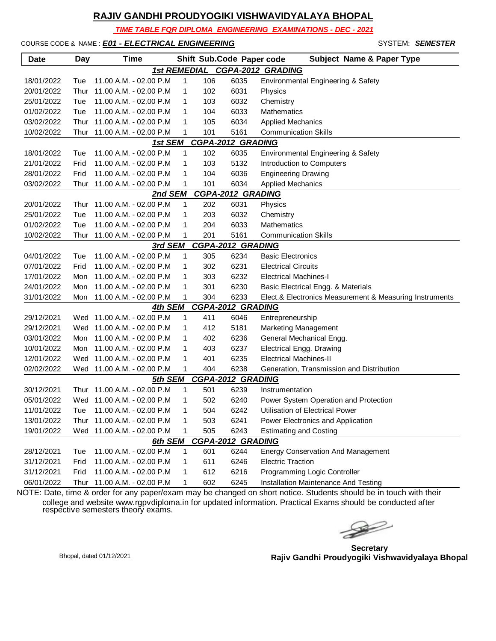*TIME TABLE FOR DIPLOMA ENGINEERING EXAMINATIONS - DEC - 2021*

COURSE CODE & NAME : *E01 - ELECTRICAL ENGINEERING* - SYSTEM: *SEMESTER*

| <b>Date</b>                              | Day  | <b>Time</b>                 |              |     | Shift Sub.Code Paper code | <b>Subject Name &amp; Paper Type</b>                    |  |  |  |
|------------------------------------------|------|-----------------------------|--------------|-----|---------------------------|---------------------------------------------------------|--|--|--|
| <b>1st REMEDIAL</b><br>CGPA-2012 GRADING |      |                             |              |     |                           |                                                         |  |  |  |
| 18/01/2022                               | Tue  | 11.00 A.M. - 02.00 P.M      | 1            | 106 | 6035                      | Environmental Engineering & Safety                      |  |  |  |
| 20/01/2022                               | Thur | 11.00 A.M. - 02.00 P.M      | 1            | 102 | 6031                      | Physics                                                 |  |  |  |
| 25/01/2022                               | Tue  | 11.00 A.M. - 02.00 P.M      | 1            | 103 | 6032                      | Chemistry                                               |  |  |  |
| 01/02/2022                               | Tue  | 11.00 A.M. - 02.00 P.M      | 1            | 104 | 6033                      | Mathematics                                             |  |  |  |
| 03/02/2022                               | Thur | 11.00 A.M. - 02.00 P.M      | 1            | 105 | 6034                      | <b>Applied Mechanics</b>                                |  |  |  |
| 10/02/2022                               | Thur | 11.00 A.M. - 02.00 P.M      | 1            | 101 | 5161                      | <b>Communication Skills</b>                             |  |  |  |
| CGPA-2012 GRADING<br>1st SEM             |      |                             |              |     |                           |                                                         |  |  |  |
| 18/01/2022                               | Tue  | 11.00 A.M. - 02.00 P.M      | 1            | 102 | 6035                      | Environmental Engineering & Safety                      |  |  |  |
| 21/01/2022                               | Frid | 11.00 A.M. - 02.00 P.M      | 1            | 103 | 5132                      | Introduction to Computers                               |  |  |  |
| 28/01/2022                               | Frid | 11.00 A.M. - 02.00 P.M      | 1            | 104 | 6036                      | <b>Engineering Drawing</b>                              |  |  |  |
| 03/02/2022                               | Thur | 11.00 A.M. - 02.00 P.M      | 1            | 101 | 6034                      | <b>Applied Mechanics</b>                                |  |  |  |
| <b>CGPA-2012 GRADING</b><br>2nd SEM      |      |                             |              |     |                           |                                                         |  |  |  |
| 20/01/2022                               | Thur | 11.00 A.M. - 02.00 P.M      | $\mathbf{1}$ | 202 | 6031                      | Physics                                                 |  |  |  |
| 25/01/2022                               | Tue  | 11.00 A.M. - 02.00 P.M      | 1            | 203 | 6032                      | Chemistry                                               |  |  |  |
| 01/02/2022                               | Tue  | 11.00 A.M. - 02.00 P.M      | 1            | 204 | 6033                      | Mathematics                                             |  |  |  |
| 10/02/2022                               | Thur | 11.00 A.M. - 02.00 P.M      | 1            | 201 | 5161                      | <b>Communication Skills</b>                             |  |  |  |
|                                          |      | 3rd SEM                     |              |     | CGPA-2012 GRADING         |                                                         |  |  |  |
| 04/01/2022                               | Tue  | 11.00 A.M. - 02.00 P.M      | 1            | 305 | 6234                      | <b>Basic Electronics</b>                                |  |  |  |
| 07/01/2022                               | Frid | 11.00 A.M. - 02.00 P.M      | 1            | 302 | 6231                      | <b>Electrical Circuits</b>                              |  |  |  |
| 17/01/2022                               | Mon  | 11.00 A.M. - 02.00 P.M      | 1            | 303 | 6232                      | <b>Electrical Machines-I</b>                            |  |  |  |
| 24/01/2022                               | Mon  | 11.00 A.M. - 02.00 P.M      | 1            | 301 | 6230                      | Basic Electrical Engg. & Materials                      |  |  |  |
| 31/01/2022                               | Mon  | 11.00 A.M. - 02.00 P.M      | 1            | 304 | 6233                      | Elect.& Electronics Measurement & Measuring Instruments |  |  |  |
|                                          |      | 4th SEM                     |              |     | <b>CGPA-2012 GRADING</b>  |                                                         |  |  |  |
| 29/12/2021                               |      | Wed 11.00 A.M. - 02.00 P.M  | 1            | 411 | 6046                      | Entrepreneurship                                        |  |  |  |
| 29/12/2021                               |      | Wed 11.00 A.M. - 02.00 P.M  | 1            | 412 | 5181                      | <b>Marketing Management</b>                             |  |  |  |
| 03/01/2022                               | Mon  | 11.00 A.M. - 02.00 P.M      | 1            | 402 | 6236                      | General Mechanical Engg.                                |  |  |  |
| 10/01/2022                               | Mon  | 11.00 A.M. - 02.00 P.M      | 1            | 403 | 6237                      | <b>Electrical Engg. Drawing</b>                         |  |  |  |
| 12/01/2022                               | Wed  | 11.00 A.M. - 02.00 P.M      | 1            | 401 | 6235                      | <b>Electrical Machines-II</b>                           |  |  |  |
| 02/02/2022                               |      | Wed 11.00 A.M. - 02.00 P.M  | 1            | 404 | 6238                      | Generation, Transmission and Distribution               |  |  |  |
|                                          |      | 5th SEM                     |              |     | <b>CGPA-2012 GRADING</b>  |                                                         |  |  |  |
| 30/12/2021                               | Thur | 11.00 A.M. - 02.00 P.M      | 1            | 501 | 6239                      | Instrumentation                                         |  |  |  |
| 05/01/2022                               |      | Wed 11.00 A.M. - 02.00 P.M  | 1            | 502 | 6240                      | Power System Operation and Protection                   |  |  |  |
| 11/01/2022                               | Tue  | 11.00 A.M. - 02.00 P.M      | 1            | 504 | 6242                      | Utilisation of Electrical Power                         |  |  |  |
| 13/01/2022                               |      | Thur 11.00 A.M. - 02.00 P.M | 1            | 503 | 6241                      | Power Electronics and Application                       |  |  |  |
| 19/01/2022                               | Wed  | 11.00 A.M. - 02.00 P.M      | 1            | 505 | 6243                      | <b>Estimating and Costing</b>                           |  |  |  |
|                                          |      | 6th SEM                     |              |     | <b>CGPA-2012 GRADING</b>  |                                                         |  |  |  |
| 28/12/2021                               | Tue  | 11.00 A.M. - 02.00 P.M      | $\mathbf{1}$ | 601 | 6244                      | <b>Energy Conservation And Management</b>               |  |  |  |
| 31/12/2021                               | Frid | 11.00 A.M. - 02.00 P.M      | 1            | 611 | 6246                      | <b>Electric Traction</b>                                |  |  |  |
| 31/12/2021                               | Frid | 11.00 A.M. - 02.00 P.M      | 1            | 612 | 6216                      | Programming Logic Controller                            |  |  |  |
| 06/01/2022                               | Thur | 11.00 A.M. - 02.00 P.M      | 1            | 602 | 6245                      | Installation Maintenance And Testing                    |  |  |  |

 $\rightarrow$ 

**Secretary Rajiv Gandhi Proudyogiki Vishwavidyalaya Bhopal** Bhopal, dated 01/12/2021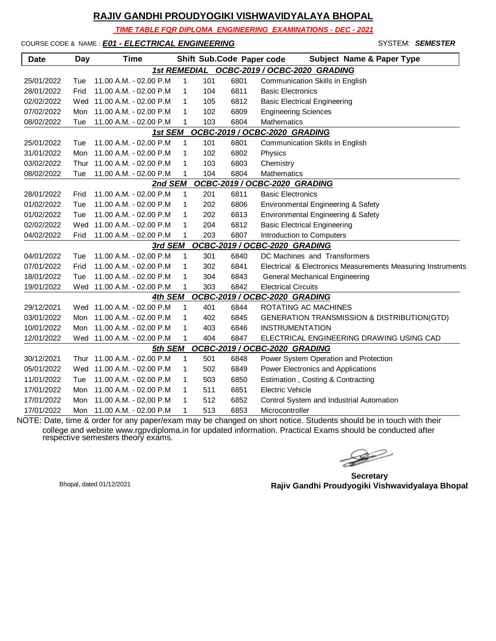*TIME TABLE FOR DIPLOMA ENGINEERING EXAMINATIONS - DEC - 2021*

COURSE CODE & NAME : *E01 - ELECTRICAL ENGINEERING* - SYSTEM: *SEMESTER*

| <b>Date</b> | <b>Day</b>                                           | <b>Time</b>                 |   |     |      | <b>Subject Name &amp; Paper Type</b><br>Shift Sub.Code Paper code |  |  |  |  |
|-------------|------------------------------------------------------|-----------------------------|---|-----|------|-------------------------------------------------------------------|--|--|--|--|
|             | <b>1st REMEDIAL</b><br>OCBC-2019 / OCBC-2020 GRADING |                             |   |     |      |                                                                   |  |  |  |  |
| 25/01/2022  | Tue                                                  | 11.00 A.M. - 02.00 P.M      | 1 | 101 | 6801 | Communication Skills in English                                   |  |  |  |  |
| 28/01/2022  | Frid                                                 | 11.00 A.M. - 02.00 P.M      | 1 | 104 | 6811 | <b>Basic Electronics</b>                                          |  |  |  |  |
| 02/02/2022  | Wed                                                  | 11.00 A.M. - 02.00 P.M      | 1 | 105 | 6812 | <b>Basic Electrical Engineering</b>                               |  |  |  |  |
| 07/02/2022  | Mon                                                  | 11.00 A.M. - 02.00 P.M      | 1 | 102 | 6809 | <b>Engineering Sciences</b>                                       |  |  |  |  |
| 08/02/2022  | Tue                                                  | 11.00 A.M. - 02.00 P.M      | 1 | 103 | 6804 | Mathematics                                                       |  |  |  |  |
|             |                                                      | 1st SEM                     |   |     |      | OCBC-2019 / OCBC-2020 GRADING                                     |  |  |  |  |
| 25/01/2022  | Tue                                                  | 11.00 A.M. - 02.00 P.M      | 1 | 101 | 6801 | Communication Skills in English                                   |  |  |  |  |
| 31/01/2022  | Mon                                                  | 11.00 A.M. - 02.00 P.M      | 1 | 102 | 6802 | Physics                                                           |  |  |  |  |
| 03/02/2022  | Thur                                                 | 11.00 A.M. - 02.00 P.M      | 1 | 103 | 6803 | Chemistry                                                         |  |  |  |  |
| 08/02/2022  | Tue                                                  | 11.00 A.M. - 02.00 P.M      | 1 | 104 | 6804 | Mathematics                                                       |  |  |  |  |
|             |                                                      | 2nd SEM                     |   |     |      | OCBC-2019 / OCBC-2020 GRADING                                     |  |  |  |  |
| 28/01/2022  | Frid                                                 | 11.00 A.M. - 02.00 P.M      | 1 | 201 | 6811 | <b>Basic Electronics</b>                                          |  |  |  |  |
| 01/02/2022  | Tue                                                  | 11.00 A.M. - 02.00 P.M      | 1 | 202 | 6806 | Environmental Engineering & Safety                                |  |  |  |  |
| 01/02/2022  | Tue                                                  | 11.00 A.M. - 02.00 P.M      | 1 | 202 | 6813 | Environmental Engineering & Safety                                |  |  |  |  |
| 02/02/2022  | Wed                                                  | 11.00 A.M. - 02.00 P.M      | 1 | 204 | 6812 | <b>Basic Electrical Engineering</b>                               |  |  |  |  |
| 04/02/2022  | Frid                                                 | 11.00 A.M. - 02.00 P.M      | 1 | 203 | 6807 | Introduction to Computers                                         |  |  |  |  |
|             |                                                      | 3rd SEM                     |   |     |      | OCBC-2019 / OCBC-2020 GRADING                                     |  |  |  |  |
| 04/01/2022  | Tue                                                  | 11.00 A.M. - 02.00 P.M      | 1 | 301 | 6840 | DC Machines and Transformers                                      |  |  |  |  |
| 07/01/2022  | Frid                                                 | 11.00 A.M. - 02.00 P.M      | 1 | 302 | 6841 | Electrical & Electronics Measurements Measuring Instruments       |  |  |  |  |
| 18/01/2022  | Tue                                                  | 11.00 A.M. - 02.00 P.M      | 1 | 304 | 6843 | General Mechanical Engineering                                    |  |  |  |  |
| 19/01/2022  | Wed                                                  | 11.00 A.M. - 02.00 P.M      | 1 | 303 | 6842 | <b>Electrical Circuits</b>                                        |  |  |  |  |
|             |                                                      | 4th SEM                     |   |     |      | OCBC-2019 / OCBC-2020 GRADING                                     |  |  |  |  |
| 29/12/2021  |                                                      | Wed 11.00 A.M. - 02.00 P.M  | 1 | 401 | 6844 | ROTATING AC MACHINES                                              |  |  |  |  |
| 03/01/2022  | Mon                                                  | 11.00 A.M. - 02.00 P.M      | 1 | 402 | 6845 | <b>GENERATION TRANSMISSION &amp; DISTRIBUTION(GTD)</b>            |  |  |  |  |
| 10/01/2022  | Mon                                                  | 11.00 A.M. - 02.00 P.M      | 1 | 403 | 6846 | <b>INSTRUMENTATION</b>                                            |  |  |  |  |
| 12/01/2022  |                                                      | Wed 11.00 A.M. - 02.00 P.M  | 1 | 404 | 6847 | ELECTRICAL ENGINEERING DRAWING USING CAD                          |  |  |  |  |
|             |                                                      | 5th SEM                     |   |     |      | OCBC-2019 / OCBC-2020 GRADING                                     |  |  |  |  |
| 30/12/2021  |                                                      | Thur 11.00 A.M. - 02.00 P.M | 1 | 501 | 6848 | Power System Operation and Protection                             |  |  |  |  |
| 05/01/2022  | Wed                                                  | 11.00 A.M. - 02.00 P.M      | 1 | 502 | 6849 | Power Electronics and Applications                                |  |  |  |  |
| 11/01/2022  | Tue                                                  | 11.00 A.M. - 02.00 P.M      | 1 | 503 | 6850 | Estimation, Costing & Contracting                                 |  |  |  |  |
| 17/01/2022  | Mon                                                  | 11.00 A.M. - 02.00 P.M      | 1 | 511 | 6851 | <b>Electric Vehicle</b>                                           |  |  |  |  |
| 17/01/2022  | Mon                                                  | 11.00 A.M. - 02.00 P.M      | 1 | 512 | 6852 | Control System and Industrial Automation                          |  |  |  |  |
| 17/01/2022  | Mon                                                  | 11.00 A.M. - 02.00 P.M      | 1 | 513 | 6853 | Microcontroller                                                   |  |  |  |  |

 $\gg$ 

**Secretary Rajiv Gandhi Proudyogiki Vishwavidyalaya Bhopal** Bhopal, dated 01/12/2021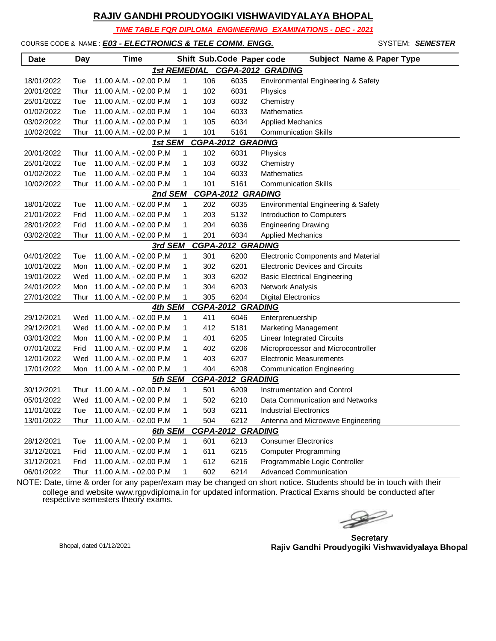*TIME TABLE FOR DIPLOMA ENGINEERING EXAMINATIONS - DEC - 2021*

#### COURSE CODE & NAME : *E03 - ELECTRONICS & TELE COMM. ENGG.* STARBER STEM: **SEMESTER**

| <b>Date</b>                                     | <b>Day</b> | <b>Time</b>                 |              |     | Shift Sub.Code Paper code | <b>Subject Name &amp; Paper Type</b>   |  |  |  |  |
|-------------------------------------------------|------------|-----------------------------|--------------|-----|---------------------------|----------------------------------------|--|--|--|--|
| <b>CGPA-2012 GRADING</b><br><b>1st REMEDIAL</b> |            |                             |              |     |                           |                                        |  |  |  |  |
| 18/01/2022                                      | Tue        | 11.00 A.M. - 02.00 P.M      | 1            | 106 | 6035                      | Environmental Engineering & Safety     |  |  |  |  |
| 20/01/2022                                      | Thur       | 11.00 A.M. - 02.00 P.M      | 1            | 102 | 6031                      | Physics                                |  |  |  |  |
| 25/01/2022                                      | Tue        | 11.00 A.M. - 02.00 P.M      | 1            | 103 | 6032                      | Chemistry                              |  |  |  |  |
| 01/02/2022                                      | Tue        | 11.00 A.M. - 02.00 P.M      | 1            | 104 | 6033                      | <b>Mathematics</b>                     |  |  |  |  |
| 03/02/2022                                      | Thur       | 11.00 A.M. - 02.00 P.M      | 1            | 105 | 6034                      | <b>Applied Mechanics</b>               |  |  |  |  |
| 10/02/2022                                      | Thur       | 11.00 A.M. - 02.00 P.M      | 1            | 101 | 5161                      | <b>Communication Skills</b>            |  |  |  |  |
|                                                 |            | 1st SEM                     |              |     | <b>CGPA-2012 GRADING</b>  |                                        |  |  |  |  |
| 20/01/2022                                      | Thur       | 11.00 A.M. - 02.00 P.M      | 1            | 102 | 6031                      | Physics                                |  |  |  |  |
| 25/01/2022                                      | Tue        | 11.00 A.M. - 02.00 P.M      | 1            | 103 | 6032                      | Chemistry                              |  |  |  |  |
| 01/02/2022                                      | Tue        | 11.00 A.M. - 02.00 P.M      | 1            | 104 | 6033                      | Mathematics                            |  |  |  |  |
| 10/02/2022                                      | Thur       | 11.00 A.M. - 02.00 P.M      | 1            | 101 | 5161                      | <b>Communication Skills</b>            |  |  |  |  |
| <b>CGPA-2012 GRADING</b><br>2nd SEM             |            |                             |              |     |                           |                                        |  |  |  |  |
| 18/01/2022                                      | Tue        | 11.00 A.M. - 02.00 P.M      | $\mathbf{1}$ | 202 | 6035                      | Environmental Engineering & Safety     |  |  |  |  |
| 21/01/2022                                      | Frid       | 11.00 A.M. - 02.00 P.M      | 1            | 203 | 5132                      | Introduction to Computers              |  |  |  |  |
| 28/01/2022                                      | Frid       | 11.00 A.M. - 02.00 P.M      | 1            | 204 | 6036                      | <b>Engineering Drawing</b>             |  |  |  |  |
| 03/02/2022                                      | Thur       | 11.00 A.M. - 02.00 P.M      | 1            | 201 | 6034                      | <b>Applied Mechanics</b>               |  |  |  |  |
| <b>CGPA-2012 GRADING</b><br>3rd SEM             |            |                             |              |     |                           |                                        |  |  |  |  |
| 04/01/2022                                      | Tue        | 11.00 A.M. - 02.00 P.M      | 1            | 301 | 6200                      | Electronic Components and Material     |  |  |  |  |
| 10/01/2022                                      | Mon        | 11.00 A.M. - 02.00 P.M      | 1            | 302 | 6201                      | <b>Electronic Devices and Circuits</b> |  |  |  |  |
| 19/01/2022                                      | Wed        | 11.00 A.M. - 02.00 P.M      | 1            | 303 | 6202                      | <b>Basic Electrical Engineering</b>    |  |  |  |  |
| 24/01/2022                                      | Mon        | 11.00 A.M. - 02.00 P.M      | 1            | 304 | 6203                      | Network Analysis                       |  |  |  |  |
| 27/01/2022                                      | Thur       | 11.00 A.M. - 02.00 P.M      | 1            | 305 | 6204                      | <b>Digital Electronics</b>             |  |  |  |  |
|                                                 |            | 4th SEM                     |              |     | <b>CGPA-2012 GRADING</b>  |                                        |  |  |  |  |
| 29/12/2021                                      |            | Wed 11.00 A.M. - 02.00 P.M  | 1            | 411 | 6046                      | Enterprenuership                       |  |  |  |  |
| 29/12/2021                                      |            | Wed 11.00 A.M. - 02.00 P.M  | 1            | 412 | 5181                      | <b>Marketing Management</b>            |  |  |  |  |
| 03/01/2022                                      | Mon        | 11.00 A.M. - 02.00 P.M      | 1            | 401 | 6205                      | <b>Linear Integrated Circuits</b>      |  |  |  |  |
| 07/01/2022                                      | Frid       | 11.00 A.M. - 02.00 P.M      | 1            | 402 | 6206                      | Microprocessor and Microcontroller     |  |  |  |  |
| 12/01/2022                                      | Wed        | 11.00 A.M. - 02.00 P.M      | 1            | 403 | 6207                      | <b>Electronic Measurements</b>         |  |  |  |  |
| 17/01/2022                                      | Mon        | 11.00 A.M. - 02.00 P.M      | 1            | 404 | 6208                      | <b>Communication Engineering</b>       |  |  |  |  |
|                                                 |            | 5th SEM                     |              |     | <b>CGPA-2012 GRADING</b>  |                                        |  |  |  |  |
| 30/12/2021                                      | Thur       | 11.00 A.M. - 02.00 P.M      | 1            | 501 | 6209                      | Instrumentation and Control            |  |  |  |  |
| 05/01/2022                                      |            | Wed 11.00 A.M. - 02.00 P.M  | 1            | 502 | 6210                      | Data Communication and Networks        |  |  |  |  |
| 11/01/2022                                      | Tue        | 11.00 A.M. - 02.00 P.M      | 1            | 503 | 6211                      | <b>Industrial Electronics</b>          |  |  |  |  |
| 13/01/2022                                      |            | Thur 11.00 A.M. - 02.00 P.M | 1            | 504 | 6212                      | Antenna and Microwave Engineering      |  |  |  |  |
|                                                 |            | 6th SEM                     |              |     | <b>CGPA-2012 GRADING</b>  |                                        |  |  |  |  |
| 28/12/2021                                      | Tue        | 11.00 A.M. - 02.00 P.M      | 1            | 601 | 6213                      | <b>Consumer Electronics</b>            |  |  |  |  |
| 31/12/2021                                      | Frid       | 11.00 A.M. - 02.00 P.M      | 1            | 611 | 6215                      | <b>Computer Programming</b>            |  |  |  |  |
| 31/12/2021                                      | Frid       | 11.00 A.M. - 02.00 P.M      | $\mathbf{1}$ | 612 | 6216                      | Programmable Logic Controller          |  |  |  |  |
| 06/01/2022                                      | Thur       | 11.00 A.M. - 02.00 P.M      | 1            | 602 | 6214                      | <b>Advanced Communication</b>          |  |  |  |  |

 $\begin{picture}(120,17)(-20,17)(-20,17)(-20,17)(-20,17)(-20,17)(-20,17)(-20,17)(-20,17)(-20,17)(-20,17)(-20,17)(-20,17)(-20,17)(-20,17)(-20,17)(-20,17)(-20,17)(-20,17)(-20,17)(-20,17)(-20,17)(-20,17)(-20,17)(-20,17)(-20,17)(-20,17)(-20,17)(-20,17)(-20,17)(-20,1$ 

**Secretary Rajiv Gandhi Proudyogiki Vishwavidyalaya Bhopal** Bhopal, dated 01/12/2021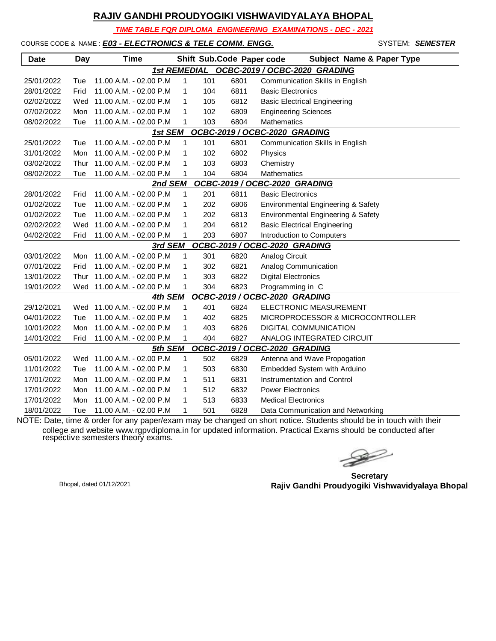*TIME TABLE FOR DIPLOMA ENGINEERING EXAMINATIONS - DEC - 2021*

#### COURSE CODE & NAME : *E03 - ELECTRONICS & TELE COMM. ENGG.* STARBER STEM: **SEMESTER**

| <b>Date</b>                                | Day        | <b>Time</b>                |              |     | Shift Sub.Code Paper code | <b>Subject Name &amp; Paper Type</b>   |  |  |  |
|--------------------------------------------|------------|----------------------------|--------------|-----|---------------------------|----------------------------------------|--|--|--|
| 1st REMEDIAL OCBC-2019 / OCBC-2020 GRADING |            |                            |              |     |                           |                                        |  |  |  |
| 25/01/2022                                 | Tue        | 11.00 A.M. - 02.00 P.M     | $\mathbf{1}$ | 101 | 6801                      | <b>Communication Skills in English</b> |  |  |  |
| 28/01/2022                                 | Frid       | 11.00 A.M. - 02.00 P.M     | 1            | 104 | 6811                      | <b>Basic Electronics</b>               |  |  |  |
| 02/02/2022                                 | Wed        | 11.00 A.M. - 02.00 P.M     | 1            | 105 | 6812                      | <b>Basic Electrical Engineering</b>    |  |  |  |
| 07/02/2022                                 | <b>Mon</b> | 11.00 A.M. - 02.00 P.M     | $\mathbf{1}$ | 102 | 6809                      | <b>Engineering Sciences</b>            |  |  |  |
| 08/02/2022                                 | Tue        | 11.00 A.M. - 02.00 P.M     | 1            | 103 | 6804                      | Mathematics                            |  |  |  |
| OCBC-2019 / OCBC-2020 GRADING<br>1st SEM   |            |                            |              |     |                           |                                        |  |  |  |
| 25/01/2022                                 | Tue        | 11.00 A.M. - 02.00 P.M     | 1            | 101 | 6801                      | Communication Skills in English        |  |  |  |
| 31/01/2022                                 | Mon        | 11.00 A.M. - 02.00 P.M     | 1            | 102 | 6802                      | Physics                                |  |  |  |
| 03/02/2022                                 | Thur       | 11.00 A.M. - 02.00 P.M     | $\mathbf{1}$ | 103 | 6803                      | Chemistry                              |  |  |  |
| 08/02/2022                                 | Tue        | 11.00 A.M. - 02.00 P.M     | $\mathbf{1}$ | 104 | 6804                      | Mathematics                            |  |  |  |
| OCBC-2019 / OCBC-2020 GRADING<br>2nd SEM   |            |                            |              |     |                           |                                        |  |  |  |
| 28/01/2022                                 | Frid       | 11.00 A.M. - 02.00 P.M     | 1            | 201 | 6811                      | <b>Basic Electronics</b>               |  |  |  |
| 01/02/2022                                 | Tue        | 11.00 A.M. - 02.00 P.M     | 1            | 202 | 6806                      | Environmental Engineering & Safety     |  |  |  |
| 01/02/2022                                 | Tue        | 11.00 A.M. - 02.00 P.M     | 1            | 202 | 6813                      | Environmental Engineering & Safety     |  |  |  |
| 02/02/2022                                 | Wed        | 11.00 A.M. - 02.00 P.M     | $\mathbf{1}$ | 204 | 6812                      | <b>Basic Electrical Engineering</b>    |  |  |  |
| 04/02/2022                                 | Frid       | 11.00 A.M. - 02.00 P.M     | $\mathbf{1}$ | 203 | 6807                      | Introduction to Computers              |  |  |  |
|                                            |            | 3rd SEM                    |              |     |                           | OCBC-2019 / OCBC-2020 GRADING          |  |  |  |
| 03/01/2022                                 | Mon        | 11.00 A.M. - 02.00 P.M     | 1            | 301 | 6820                      | Analog Circuit                         |  |  |  |
| 07/01/2022                                 | Frid       | 11.00 A.M. - 02.00 P.M     | $\mathbf{1}$ | 302 | 6821                      | Analog Communication                   |  |  |  |
| 13/01/2022                                 | Thur       | 11.00 A.M. - 02.00 P.M     | 1            | 303 | 6822                      | <b>Digital Electronics</b>             |  |  |  |
| 19/01/2022                                 |            | Wed 11.00 A.M. - 02.00 P.M | 1            | 304 | 6823                      | Programming in C                       |  |  |  |
|                                            |            | 4th SEM                    |              |     |                           | OCBC-2019 / OCBC-2020 GRADING          |  |  |  |
| 29/12/2021                                 |            | Wed 11.00 A.M. - 02.00 P.M | 1            | 401 | 6824                      | ELECTRONIC MEASUREMENT                 |  |  |  |
| 04/01/2022                                 | Tue        | 11.00 A.M. - 02.00 P.M     | 1            | 402 | 6825                      | MICROPROCESSOR & MICROCONTROLLER       |  |  |  |
| 10/01/2022                                 | Mon        | 11.00 A.M. - 02.00 P.M     | $\mathbf{1}$ | 403 | 6826                      | <b>DIGITAL COMMUNICATION</b>           |  |  |  |
| 14/01/2022                                 | Frid       | 11.00 A.M. - 02.00 P.M     | 1            | 404 | 6827                      | ANALOG INTEGRATED CIRCUIT              |  |  |  |
|                                            |            | 5th SEM                    |              |     |                           | OCBC-2019 / OCBC-2020 GRADING          |  |  |  |
| 05/01/2022                                 |            | Wed 11.00 A.M. - 02.00 P.M | 1            | 502 | 6829                      | Antenna and Wave Propogation           |  |  |  |
| 11/01/2022                                 | Tue        | 11.00 A.M. - 02.00 P.M     | 1            | 503 | 6830                      | Embedded System with Arduino           |  |  |  |
| 17/01/2022                                 | Mon        | 11.00 A.M. - 02.00 P.M     | 1            | 511 | 6831                      | Instrumentation and Control            |  |  |  |
| 17/01/2022                                 | Mon        | 11.00 A.M. - 02.00 P.M     | 1            | 512 | 6832                      | <b>Power Electronics</b>               |  |  |  |
| 17/01/2022                                 | Mon        | 11.00 A.M. - 02.00 P.M     | 1            | 513 | 6833                      | <b>Medical Electronics</b>             |  |  |  |
| 18/01/2022                                 | Tue        | 11.00 A.M. - 02.00 P.M     | 1            | 501 | 6828                      | Data Communication and Networking      |  |  |  |

**Secretary Rajiv Gandhi Proudyogiki Vishwavidyalaya Bhopal** Bhopal, dated 01/12/2021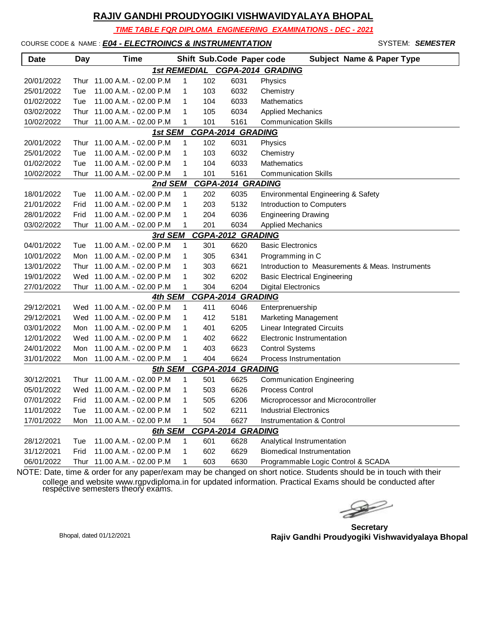*TIME TABLE FOR DIPLOMA ENGINEERING EXAMINATIONS - DEC - 2021*

#### COURSE CODE & NAME : *E04 - ELECTROINCS & INSTRUMENTATION* - SYSTEM: *SEMESTER*

| <b>Date</b>                                     | Day                          | Time                       |              |     | Shift Sub.Code Paper code | <b>Subject Name &amp; Paper Type</b>             |  |  |  |  |  |
|-------------------------------------------------|------------------------------|----------------------------|--------------|-----|---------------------------|--------------------------------------------------|--|--|--|--|--|
| <b>CGPA-2014 GRADING</b><br><b>1st REMEDIAL</b> |                              |                            |              |     |                           |                                                  |  |  |  |  |  |
| 20/01/2022                                      | Thur                         | 11.00 A.M. - 02.00 P.M     | 1            | 102 | 6031                      | Physics                                          |  |  |  |  |  |
| 25/01/2022                                      | Tue                          | 11.00 A.M. - 02.00 P.M     | 1            | 103 | 6032                      | Chemistry                                        |  |  |  |  |  |
| 01/02/2022                                      | Tue                          | 11.00 A.M. - 02.00 P.M     | 1            | 104 | 6033                      | Mathematics                                      |  |  |  |  |  |
| 03/02/2022                                      | Thur                         | 11.00 A.M. - 02.00 P.M     | $\mathbf{1}$ | 105 | 6034                      | <b>Applied Mechanics</b>                         |  |  |  |  |  |
| 10/02/2022                                      | Thur                         | 11.00 A.M. - 02.00 P.M     | 1            | 101 | 5161                      | <b>Communication Skills</b>                      |  |  |  |  |  |
|                                                 | CGPA-2014 GRADING<br>1st SEM |                            |              |     |                           |                                                  |  |  |  |  |  |
| 20/01/2022                                      | Thur                         | 11.00 A.M. - 02.00 P.M     | $\mathbf{1}$ | 102 | 6031                      | Physics                                          |  |  |  |  |  |
| 25/01/2022                                      | Tue                          | 11.00 A.M. - 02.00 P.M     | 1            | 103 | 6032                      | Chemistry                                        |  |  |  |  |  |
| 01/02/2022                                      | Tue                          | 11.00 A.M. - 02.00 P.M     | 1            | 104 | 6033                      | <b>Mathematics</b>                               |  |  |  |  |  |
| 10/02/2022                                      | Thur                         | 11.00 A.M. - 02.00 P.M     | 1            | 101 | 5161                      | <b>Communication Skills</b>                      |  |  |  |  |  |
| <b>CGPA-2014 GRADING</b><br>2nd SEM             |                              |                            |              |     |                           |                                                  |  |  |  |  |  |
| 18/01/2022                                      | Tue                          | 11.00 A.M. - 02.00 P.M     | 1            | 202 | 6035                      | Environmental Engineering & Safety               |  |  |  |  |  |
| 21/01/2022                                      | Frid                         | 11.00 A.M. - 02.00 P.M     | $\mathbf{1}$ | 203 | 5132                      | Introduction to Computers                        |  |  |  |  |  |
| 28/01/2022                                      | Frid                         | 11.00 A.M. - 02.00 P.M     | 1            | 204 | 6036                      | <b>Engineering Drawing</b>                       |  |  |  |  |  |
| 03/02/2022                                      | Thur                         | 11.00 A.M. - 02.00 P.M     | 1            | 201 | 6034                      | <b>Applied Mechanics</b>                         |  |  |  |  |  |
| <b>CGPA-2012 GRADING</b><br>3rd SEM             |                              |                            |              |     |                           |                                                  |  |  |  |  |  |
| 04/01/2022                                      | Tue                          | 11.00 A.M. - 02.00 P.M     | 1            | 301 | 6620                      | <b>Basic Electronics</b>                         |  |  |  |  |  |
| 10/01/2022                                      | Mon                          | 11.00 A.M. - 02.00 P.M     | 1            | 305 | 6341                      | Programming in C                                 |  |  |  |  |  |
| 13/01/2022                                      | Thur                         | 11.00 A.M. - 02.00 P.M     | $\mathbf{1}$ | 303 | 6621                      | Introduction to Measurements & Meas. Instruments |  |  |  |  |  |
| 19/01/2022                                      |                              | Wed 11.00 A.M. - 02.00 P.M | $\mathbf{1}$ | 302 | 6202                      | <b>Basic Electrical Engineering</b>              |  |  |  |  |  |
| 27/01/2022                                      | Thur                         | 11.00 A.M. - 02.00 P.M     | 1            | 304 | 6204                      | <b>Digital Electronics</b>                       |  |  |  |  |  |
|                                                 |                              | <u>4th SEM</u>             |              |     | <b>CGPA-2014 GRADING</b>  |                                                  |  |  |  |  |  |
| 29/12/2021                                      |                              | Wed 11.00 A.M. - 02.00 P.M | 1            | 411 | 6046                      | Enterprenuership                                 |  |  |  |  |  |
| 29/12/2021                                      |                              | Wed 11.00 A.M. - 02.00 P.M | 1            | 412 | 5181                      | <b>Marketing Management</b>                      |  |  |  |  |  |
| 03/01/2022                                      | Mon                          | 11.00 A.M. - 02.00 P.M     | $\mathbf{1}$ | 401 | 6205                      | <b>Linear Integrated Circuits</b>                |  |  |  |  |  |
| 12/01/2022                                      |                              | Wed 11.00 A.M. - 02.00 P.M | $\mathbf{1}$ | 402 | 6622                      | Electronic Instrumentation                       |  |  |  |  |  |
| 24/01/2022                                      | Mon                          | 11.00 A.M. - 02.00 P.M     | 1            | 403 | 6623                      | <b>Control Systems</b>                           |  |  |  |  |  |
| 31/01/2022                                      | Mon                          | 11.00 A.M. - 02.00 P.M     | 1            | 404 | 6624                      | Process Instrumentation                          |  |  |  |  |  |
|                                                 |                              | 5th SEM                    |              |     | <b>CGPA-2014 GRADING</b>  |                                                  |  |  |  |  |  |
| 30/12/2021                                      | Thur                         | 11.00 A.M. - 02.00 P.M     | 1            | 501 | 6625                      | <b>Communication Engineering</b>                 |  |  |  |  |  |
| 05/01/2022                                      |                              | Wed 11.00 A.M. - 02.00 P.M | 1            | 503 | 6626                      | <b>Process Control</b>                           |  |  |  |  |  |
| 07/01/2022                                      | Frid                         | 11.00 A.M. - 02.00 P.M     | $\mathbf{1}$ | 505 | 6206                      | Microprocessor and Microcontroller               |  |  |  |  |  |
| 11/01/2022                                      | Tue                          | 11.00 A.M. - 02.00 P.M     | 1            | 502 | 6211                      | Industrial Electronics                           |  |  |  |  |  |
| 17/01/2022                                      | Mon                          | 11.00 A.M. - 02.00 P.M     | 1            | 504 | 6627                      | Instrumentation & Control                        |  |  |  |  |  |
|                                                 |                              | 6th SEM                    |              |     | <b>CGPA-2014 GRADING</b>  |                                                  |  |  |  |  |  |
| 28/12/2021                                      | Tue                          | 11.00 A.M. - 02.00 P.M     | 1            | 601 | 6628                      | Analytical Instrumentation                       |  |  |  |  |  |
| 31/12/2021                                      | Frid                         | 11.00 A.M. - 02.00 P.M     | 1            | 602 | 6629                      | <b>Biomedical Instrumentation</b>                |  |  |  |  |  |
| 06/01/2022                                      | Thur                         | 11.00 A.M. - 02.00 P.M     | 1            | 603 | 6630                      | Programmable Logic Control & SCADA               |  |  |  |  |  |

**Secretary Rajiv Gandhi Proudyogiki Vishwavidyalaya Bhopal** Bhopal, dated 01/12/2021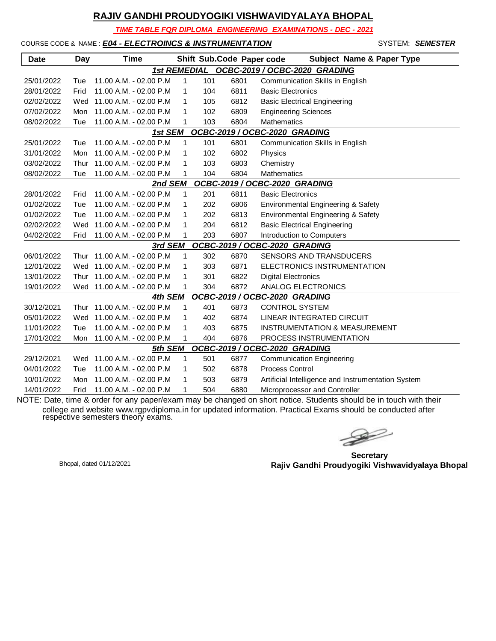*TIME TABLE FOR DIPLOMA ENGINEERING EXAMINATIONS - DEC - 2021*

#### COURSE CODE & NAME : *E04 - ELECTROINCS & INSTRUMENTATION* - SYSTEM: *SEMESTER*

| <b>Date</b>                                | <b>Day</b> | Time                       |   |     | Shift Sub.Code Paper code | <b>Subject Name &amp; Paper Type</b>               |  |  |  |
|--------------------------------------------|------------|----------------------------|---|-----|---------------------------|----------------------------------------------------|--|--|--|
| 1st REMEDIAL OCBC-2019 / OCBC-2020 GRADING |            |                            |   |     |                           |                                                    |  |  |  |
| 25/01/2022                                 | Tue        | 11.00 A.M. - 02.00 P.M     | 1 | 101 | 6801                      | Communication Skills in English                    |  |  |  |
| 28/01/2022                                 | Frid       | 11.00 A.M. - 02.00 P.M     | 1 | 104 | 6811                      | <b>Basic Electronics</b>                           |  |  |  |
| 02/02/2022                                 | Wed        | 11.00 A.M. - 02.00 P.M     | 1 | 105 | 6812                      | <b>Basic Electrical Engineering</b>                |  |  |  |
| 07/02/2022                                 | Mon        | 11.00 A.M. - 02.00 P.M     | 1 | 102 | 6809                      | <b>Engineering Sciences</b>                        |  |  |  |
| 08/02/2022                                 | Tue        | 11.00 A.M. - 02.00 P.M     | 1 | 103 | 6804                      | <b>Mathematics</b>                                 |  |  |  |
|                                            |            | 1st SEM                    |   |     |                           | OCBC-2019 / OCBC-2020 GRADING                      |  |  |  |
| 25/01/2022                                 | Tue        | 11.00 A.M. - 02.00 P.M     | 1 | 101 | 6801                      | Communication Skills in English                    |  |  |  |
| 31/01/2022                                 | Mon        | 11.00 A.M. - 02.00 P.M     | 1 | 102 | 6802                      | Physics                                            |  |  |  |
| 03/02/2022                                 | Thur       | 11.00 A.M. - 02.00 P.M     | 1 | 103 | 6803                      | Chemistry                                          |  |  |  |
| 08/02/2022                                 | Tue        | 11.00 A.M. - 02.00 P.M     | 1 | 104 | 6804                      | <b>Mathematics</b>                                 |  |  |  |
| OCBC-2019 / OCBC-2020 GRADING<br>2nd SEM   |            |                            |   |     |                           |                                                    |  |  |  |
| 28/01/2022                                 | Frid       | 11.00 A.M. - 02.00 P.M     | 1 | 201 | 6811                      | <b>Basic Electronics</b>                           |  |  |  |
| 01/02/2022                                 | Tue        | 11.00 A.M. - 02.00 P.M     | 1 | 202 | 6806                      | Environmental Engineering & Safety                 |  |  |  |
| 01/02/2022                                 | Tue        | 11.00 A.M. - 02.00 P.M     | 1 | 202 | 6813                      | Environmental Engineering & Safety                 |  |  |  |
| 02/02/2022                                 | Wed        | 11.00 A.M. - 02.00 P.M     | 1 | 204 | 6812                      | <b>Basic Electrical Engineering</b>                |  |  |  |
| 04/02/2022                                 | Frid       | 11.00 A.M. - 02.00 P.M     | 1 | 203 | 6807                      | Introduction to Computers                          |  |  |  |
|                                            |            | 3rd SEM                    |   |     |                           | OCBC-2019 / OCBC-2020 GRADING                      |  |  |  |
| 06/01/2022                                 | Thur       | 11.00 A.M. - 02.00 P.M     | 1 | 302 | 6870                      | SENSORS AND TRANSDUCERS                            |  |  |  |
| 12/01/2022                                 |            | Wed 11.00 A.M. - 02.00 P.M | 1 | 303 | 6871                      | ELECTRONICS INSTRUMENTATION                        |  |  |  |
| 13/01/2022                                 | Thur       | 11.00 A.M. - 02.00 P.M     | 1 | 301 | 6822                      | <b>Digital Electronics</b>                         |  |  |  |
| 19/01/2022                                 |            | Wed 11.00 A.M. - 02.00 P.M | 1 | 304 | 6872                      | ANALOG ELECTRONICS                                 |  |  |  |
|                                            |            | 4th SEM                    |   |     |                           | OCBC-2019 / OCBC-2020 GRADING                      |  |  |  |
| 30/12/2021                                 | Thur       | 11.00 A.M. - 02.00 P.M     | 1 | 401 | 6873                      | <b>CONTROL SYSTEM</b>                              |  |  |  |
| 05/01/2022                                 | Wed        | 11.00 A.M. - 02.00 P.M     | 1 | 402 | 6874                      | LINEAR INTEGRATED CIRCUIT                          |  |  |  |
| 11/01/2022                                 | Tue        | 11.00 A.M. - 02.00 P.M     | 1 | 403 | 6875                      | <b>INSTRUMENTATION &amp; MEASUREMENT</b>           |  |  |  |
| 17/01/2022                                 | Mon        | 11.00 A.M. - 02.00 P.M     | 1 | 404 | 6876                      | PROCESS INSTRUMENTATION                            |  |  |  |
|                                            |            | 5th SEM                    |   |     |                           | OCBC-2019 / OCBC-2020 GRADING                      |  |  |  |
| 29/12/2021                                 |            | Wed 11.00 A.M. - 02.00 P.M | 1 | 501 | 6877                      | <b>Communication Engineering</b>                   |  |  |  |
| 04/01/2022                                 | Tue        | 11.00 A.M. - 02.00 P.M     | 1 | 502 | 6878                      | <b>Process Control</b>                             |  |  |  |
| 10/01/2022                                 | Mon        | 11.00 A.M. - 02.00 P.M     | 1 | 503 | 6879                      | Artificial Intelligence and Instrumentation System |  |  |  |
| 14/01/2022                                 | Frid       | 11.00 A.M. - 02.00 P.M     | 1 | 504 | 6880                      | Microprocessor and Controller                      |  |  |  |

 $\begin{picture}(120,17)(-20,17)(-20,17)(-20,17)(-20,17)(-20,17)(-20,17)(-20,17)(-20,17)(-20,17)(-20,17)(-20,17)(-20,17)(-20,17)(-20,17)(-20,17)(-20,17)(-20,17)(-20,17)(-20,17)(-20,17)(-20,17)(-20,17)(-20,17)(-20,17)(-20,17)(-20,17)(-20,17)(-20,17)(-20,17)(-20,1$ 

**Secretary Rajiv Gandhi Proudyogiki Vishwavidyalaya Bhopal** Bhopal, dated 01/12/2021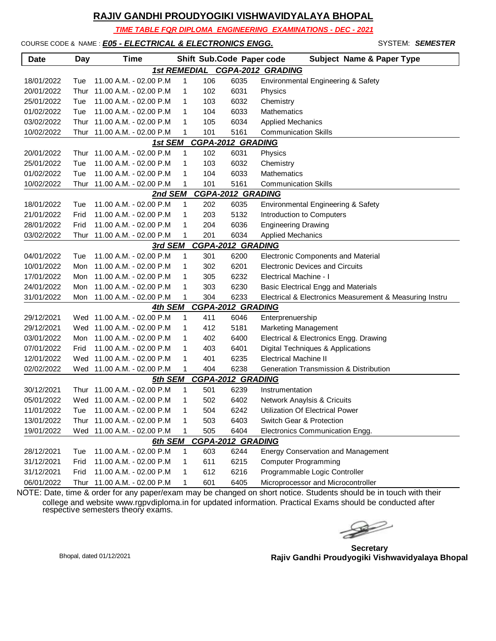*TIME TABLE FOR DIPLOMA ENGINEERING EXAMINATIONS - DEC - 2021*

### COURSE CODE & NAME : *E05 - ELECTRICAL & ELECTRONICS ENGG.* SYSTEM: SEMESTER

| <b>Date</b>                         | <b>Day</b> | Time                        |              |     | Shift Sub.Code Paper code | <b>Subject Name &amp; Paper Type</b>                    |  |  |  |
|-------------------------------------|------------|-----------------------------|--------------|-----|---------------------------|---------------------------------------------------------|--|--|--|
| 1st REMEDIAL CGPA-2012 GRADING      |            |                             |              |     |                           |                                                         |  |  |  |
| 18/01/2022                          | Tue        | 11.00 A.M. - 02.00 P.M      | 1            | 106 | 6035                      | Environmental Engineering & Safety                      |  |  |  |
| 20/01/2022                          | Thur       | 11.00 A.M. - 02.00 P.M      | 1            | 102 | 6031                      | Physics                                                 |  |  |  |
| 25/01/2022                          | Tue        | 11.00 A.M. - 02.00 P.M      | 1            | 103 | 6032                      | Chemistry                                               |  |  |  |
| 01/02/2022                          | Tue        | 11.00 A.M. - 02.00 P.M      | 1            | 104 | 6033                      | <b>Mathematics</b>                                      |  |  |  |
| 03/02/2022                          | Thur       | 11.00 A.M. - 02.00 P.M      | 1            | 105 | 6034                      | <b>Applied Mechanics</b>                                |  |  |  |
| 10/02/2022                          | Thur       | 11.00 A.M. - 02.00 P.M      | 1            | 101 | 5161                      | <b>Communication Skills</b>                             |  |  |  |
| <b>CGPA-2012 GRADING</b><br>1st SEM |            |                             |              |     |                           |                                                         |  |  |  |
| 20/01/2022                          | Thur       | 11.00 A.M. - 02.00 P.M      | 1            | 102 | 6031                      | Physics                                                 |  |  |  |
| 25/01/2022                          | Tue        | 11.00 A.M. - 02.00 P.M      | 1            | 103 | 6032                      | Chemistry                                               |  |  |  |
| 01/02/2022                          | Tue        | 11.00 A.M. - 02.00 P.M      | 1            | 104 | 6033                      | Mathematics                                             |  |  |  |
| 10/02/2022                          | Thur       | 11.00 A.M. - 02.00 P.M      | 1            | 101 | 5161                      | <b>Communication Skills</b>                             |  |  |  |
|                                     |            | 2nd SEM                     |              |     | <b>CGPA-2012 GRADING</b>  |                                                         |  |  |  |
| 18/01/2022                          | Tue        | 11.00 A.M. - 02.00 P.M      | $\mathbf{1}$ | 202 | 6035                      | Environmental Engineering & Safety                      |  |  |  |
| 21/01/2022                          | Frid       | 11.00 A.M. - 02.00 P.M      | $\mathbf{1}$ | 203 | 5132                      | Introduction to Computers                               |  |  |  |
| 28/01/2022                          | Frid       | 11.00 A.M. - 02.00 P.M      | 1            | 204 | 6036                      | <b>Engineering Drawing</b>                              |  |  |  |
| 03/02/2022                          | Thur       | 11.00 A.M. - 02.00 P.M      | 1            | 201 | 6034                      | <b>Applied Mechanics</b>                                |  |  |  |
|                                     |            | 3rd SEM                     |              |     | <b>CGPA-2012 GRADING</b>  |                                                         |  |  |  |
| 04/01/2022                          | Tue        | 11.00 A.M. - 02.00 P.M      | 1            | 301 | 6200                      | Electronic Components and Material                      |  |  |  |
| 10/01/2022                          | Mon        | 11.00 A.M. - 02.00 P.M      | 1            | 302 | 6201                      | <b>Electronic Devices and Circuits</b>                  |  |  |  |
| 17/01/2022                          | Mon        | 11.00 A.M. - 02.00 P.M      | 1            | 305 | 6232                      | Electrical Machine - I                                  |  |  |  |
| 24/01/2022                          | Mon        | 11.00 A.M. - 02.00 P.M      | 1            | 303 | 6230                      | Basic Electrical Engg and Materials                     |  |  |  |
| 31/01/2022                          | Mon        | 11.00 A.M. - 02.00 P.M      | 1            | 304 | 6233                      | Electrical & Electronics Measurement & Measuring Instru |  |  |  |
|                                     |            | 4th SEM                     |              |     | <b>CGPA-2012 GRADING</b>  |                                                         |  |  |  |
| 29/12/2021                          |            | Wed 11.00 A.M. - 02.00 P.M  | $\mathbf{1}$ | 411 | 6046                      | Enterprenuership                                        |  |  |  |
| 29/12/2021                          |            | Wed 11.00 A.M. - 02.00 P.M  | $\mathbf{1}$ | 412 | 5181                      | <b>Marketing Management</b>                             |  |  |  |
| 03/01/2022                          | Mon        | 11.00 A.M. - 02.00 P.M      | 1            | 402 | 6400                      | Electrical & Electronics Engg. Drawing                  |  |  |  |
| 07/01/2022                          | Frid       | 11.00 A.M. - 02.00 P.M      | 1            | 403 | 6401                      | Digital Techniques & Applications                       |  |  |  |
| 12/01/2022                          | Wed        | 11.00 A.M. - 02.00 P.M      | 1            | 401 | 6235                      | <b>Electrical Machine II</b>                            |  |  |  |
| 02/02/2022                          |            | Wed 11.00 A.M. - 02.00 P.M  | 1            | 404 | 6238                      | Generation Transmission & Distribution                  |  |  |  |
|                                     |            | 5th SEM                     |              |     | <b>CGPA-2012 GRADING</b>  |                                                         |  |  |  |
| 30/12/2021                          | Thur       | 11.00 A.M. - 02.00 P.M      | 1            | 501 | 6239                      | Instrumentation                                         |  |  |  |
| 05/01/2022                          |            | Wed 11.00 A.M. - 02.00 P.M  | 1            | 502 | 6402                      | Network Anaylsis & Cricuits                             |  |  |  |
| 11/01/2022                          | Tue        | 11.00 A.M. - 02.00 P.M      | 1            | 504 | 6242                      | <b>Utilization Of Electrical Power</b>                  |  |  |  |
| 13/01/2022                          |            | Thur 11.00 A.M. - 02.00 P.M | 1            | 503 | 6403                      | Switch Gear & Protection                                |  |  |  |
| 19/01/2022                          | Wed        | 11.00 A.M. - 02.00 P.M      | 1            | 505 | 6404                      | Electronics Communication Engg.                         |  |  |  |
|                                     |            | 6th SEM                     |              |     | <b>CGPA-2012 GRADING</b>  |                                                         |  |  |  |
| 28/12/2021                          | Tue        | 11.00 A.M. - 02.00 P.M      | 1            | 603 | 6244                      | <b>Energy Conservation and Management</b>               |  |  |  |
| 31/12/2021                          | Frid       | 11.00 A.M. - 02.00 P.M      | 1            | 611 | 6215                      | <b>Computer Programming</b>                             |  |  |  |
| 31/12/2021                          | Frid       | 11.00 A.M. - 02.00 P.M      | 1            | 612 | 6216                      | Programmable Logic Controller                           |  |  |  |
| 06/01/2022                          | Thur       | 11.00 A.M. - 02.00 P.M      | 1            | 601 | 6405                      | Microprocessor and Microcontroller                      |  |  |  |

 $\rightarrow$ 

**Secretary Rajiv Gandhi Proudyogiki Vishwavidyalaya Bhopal** Bhopal, dated 01/12/2021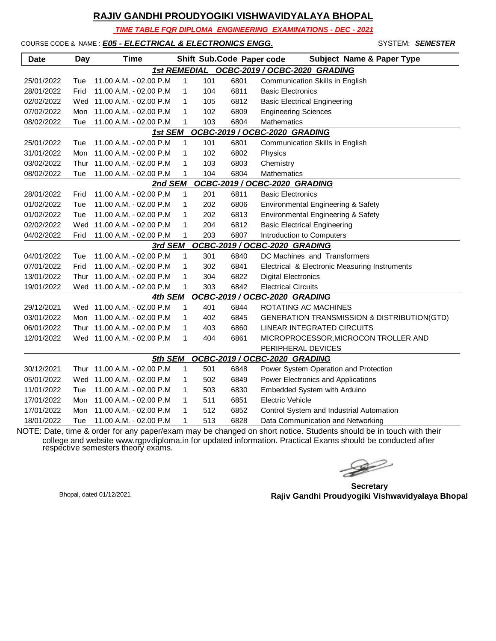*TIME TABLE FOR DIPLOMA ENGINEERING EXAMINATIONS - DEC - 2021*

#### COURSE CODE & NAME : *E05 - ELECTRICAL & ELECTRONICS ENGG.* - SYSTEM: *SEMESTER*

| <b>Date</b>                                | Day  | <b>Time</b>                 |              |     | Shift Sub.Code Paper code | <b>Subject Name &amp; Paper Type</b>          |  |  |  |
|--------------------------------------------|------|-----------------------------|--------------|-----|---------------------------|-----------------------------------------------|--|--|--|
| 1st REMEDIAL OCBC-2019 / OCBC-2020 GRADING |      |                             |              |     |                           |                                               |  |  |  |
| 25/01/2022                                 | Tue  | 11.00 A.M. - 02.00 P.M      | $\mathbf{1}$ | 101 | 6801                      | <b>Communication Skills in English</b>        |  |  |  |
| 28/01/2022                                 | Frid | 11.00 A.M. - 02.00 P.M      | 1            | 104 | 6811                      | <b>Basic Electronics</b>                      |  |  |  |
| 02/02/2022                                 | Wed  | 11.00 A.M. - 02.00 P.M      | 1            | 105 | 6812                      | <b>Basic Electrical Engineering</b>           |  |  |  |
| 07/02/2022                                 | Mon  | 11.00 A.M. - 02.00 P.M      | 1            | 102 | 6809                      | <b>Engineering Sciences</b>                   |  |  |  |
| 08/02/2022                                 | Tue  | 11.00 A.M. - 02.00 P.M      | 1            | 103 | 6804                      | Mathematics                                   |  |  |  |
| OCBC-2019 / OCBC-2020 GRADING<br>1st SEM   |      |                             |              |     |                           |                                               |  |  |  |
| 25/01/2022                                 | Tue  | 11.00 A.M. - 02.00 P.M      | 1            | 101 | 6801                      | Communication Skills in English               |  |  |  |
| 31/01/2022                                 | Mon  | 11.00 A.M. - 02.00 P.M      | $\mathbf{1}$ | 102 | 6802                      | Physics                                       |  |  |  |
| 03/02/2022                                 | Thur | 11.00 A.M. - 02.00 P.M      | 1            | 103 | 6803                      | Chemistry                                     |  |  |  |
| 08/02/2022                                 | Tue  | 11.00 A.M. - 02.00 P.M      | 1            | 104 | 6804                      | <b>Mathematics</b>                            |  |  |  |
| OCBC-2019 / OCBC-2020 GRADING<br>2nd SEM   |      |                             |              |     |                           |                                               |  |  |  |
| 28/01/2022                                 | Frid | 11.00 A.M. - 02.00 P.M      | 1            | 201 | 6811                      | <b>Basic Electronics</b>                      |  |  |  |
| 01/02/2022                                 | Tue  | 11.00 A.M. - 02.00 P.M      | 1            | 202 | 6806                      | Environmental Engineering & Safety            |  |  |  |
| 01/02/2022                                 | Tue  | 11.00 A.M. - 02.00 P.M      | 1            | 202 | 6813                      | Environmental Engineering & Safety            |  |  |  |
| 02/02/2022                                 | Wed  | 11.00 A.M. - 02.00 P.M      | 1            | 204 | 6812                      | <b>Basic Electrical Engineering</b>           |  |  |  |
| 04/02/2022                                 | Frid | 11.00 A.M. - 02.00 P.M      | 1            | 203 | 6807                      | Introduction to Computers                     |  |  |  |
| OCBC-2019 / OCBC-2020 GRADING<br>3rd SEM   |      |                             |              |     |                           |                                               |  |  |  |
| 04/01/2022                                 | Tue  | 11.00 A.M. - 02.00 P.M      | $\mathbf{1}$ | 301 | 6840                      | DC Machines and Transformers                  |  |  |  |
| 07/01/2022                                 | Frid | 11.00 A.M. - 02.00 P.M      | 1            | 302 | 6841                      | Electrical & Electronic Measuring Instruments |  |  |  |
| 13/01/2022                                 |      | Thur 11.00 A.M. - 02.00 P.M | 1            | 304 | 6822                      | <b>Digital Electronics</b>                    |  |  |  |
| 19/01/2022                                 |      | Wed 11.00 A.M. - 02.00 P.M  | 1            | 303 | 6842                      | <b>Electrical Circuits</b>                    |  |  |  |
|                                            |      | 4th SEM                     |              |     |                           | OCBC-2019 / OCBC-2020 GRADING                 |  |  |  |
| 29/12/2021                                 |      | Wed 11.00 A.M. - 02.00 P.M  | $\mathbf{1}$ | 401 | 6844                      | ROTATING AC MACHINES                          |  |  |  |
| 03/01/2022                                 | Mon  | 11.00 A.M. - 02.00 P.M      | $\mathbf{1}$ | 402 | 6845                      | GENERATION TRANSMISSION & DISTRIBUTION(GTD)   |  |  |  |
| 06/01/2022                                 |      | Thur 11.00 A.M. - 02.00 P.M | $\mathbf{1}$ | 403 | 6860                      | LINEAR INTEGRATED CIRCUITS                    |  |  |  |
| 12/01/2022                                 |      | Wed 11.00 A.M. - 02.00 P.M  | $\mathbf{1}$ | 404 | 6861                      | MICROPROCESSOR, MICROCON TROLLER AND          |  |  |  |
|                                            |      |                             |              |     |                           | PERIPHERAL DEVICES                            |  |  |  |
|                                            |      | 5th SEM                     |              |     |                           | OCBC-2019 / OCBC-2020 GRADING                 |  |  |  |
| 30/12/2021                                 |      | Thur 11.00 A.M. - 02.00 P.M | 1            | 501 | 6848                      | Power System Operation and Protection         |  |  |  |
| 05/01/2022                                 | Wed  | 11.00 A.M. - 02.00 P.M      | 1            | 502 | 6849                      | Power Electronics and Applications            |  |  |  |
| 11/01/2022                                 | Tue  | 11.00 A.M. - 02.00 P.M      | 1            | 503 | 6830                      | Embedded System with Arduino                  |  |  |  |
| 17/01/2022                                 | Mon  | 11.00 A.M. - 02.00 P.M      | 1            | 511 | 6851                      | Electric Vehicle                              |  |  |  |
| 17/01/2022                                 | Mon  | 11.00 A.M. - 02.00 P.M      | 1            | 512 | 6852                      | Control System and Industrial Automation      |  |  |  |
| 18/01/2022                                 | Tue  | 11.00 A.M. - 02.00 P.M      | 1            | 513 | 6828                      | Data Communication and Networking             |  |  |  |

 $\begin{picture}(120,17)(-20,17)(-20,17)(-20,17)(-20,17)(-20,17)(-20,17)(-20,17)(-20,17)(-20,17)(-20,17)(-20,17)(-20,17)(-20,17)(-20,17)(-20,17)(-20,17)(-20,17)(-20,17)(-20,17)(-20,17)(-20,17)(-20,17)(-20,17)(-20,17)(-20,17)(-20,17)(-20,17)(-20,17)(-20,17)(-20,1$ 

**Secretary Rajiv Gandhi Proudyogiki Vishwavidyalaya Bhopal** Bhopal, dated 01/12/2021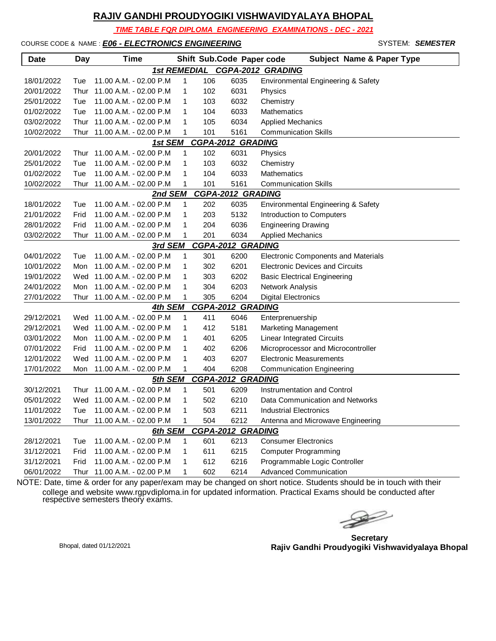*TIME TABLE FOR DIPLOMA ENGINEERING EXAMINATIONS - DEC - 2021*

#### COURSE CODE & NAME : *E06 - ELECTRONICS ENGINEERING* - SYSTEM: *SEMESTER*

| <b>Date</b>                                | Day  | Time                       |   |     | Shift Sub.Code Paper code | <b>Subject Name &amp; Paper Type</b>       |  |  |  |
|--------------------------------------------|------|----------------------------|---|-----|---------------------------|--------------------------------------------|--|--|--|
| <b>1st REMEDIAL</b><br>CGPA-2012 GRADING   |      |                            |   |     |                           |                                            |  |  |  |
| 18/01/2022                                 | Tue  | 11.00 A.M. - 02.00 P.M     | 1 | 106 | 6035                      | Environmental Engineering & Safety         |  |  |  |
| 20/01/2022                                 | Thur | 11.00 A.M. - 02.00 P.M     | 1 | 102 | 6031                      | Physics                                    |  |  |  |
| 25/01/2022                                 | Tue  | 11.00 A.M. - 02.00 P.M     | 1 | 103 | 6032                      | Chemistry                                  |  |  |  |
| 01/02/2022                                 | Tue  | 11.00 A.M. - 02.00 P.M     | 1 | 104 | 6033                      | Mathematics                                |  |  |  |
| 03/02/2022                                 | Thur | 11.00 A.M. - 02.00 P.M     | 1 | 105 | 6034                      | <b>Applied Mechanics</b>                   |  |  |  |
| 10/02/2022                                 | Thur | 11.00 A.M. - 02.00 P.M     | 1 | 101 | 5161                      | <b>Communication Skills</b>                |  |  |  |
|                                            |      | 1st SEM                    |   |     | <b>CGPA-2012 GRADING</b>  |                                            |  |  |  |
| 20/01/2022                                 | Thur | 11.00 A.M. - 02.00 P.M     | 1 | 102 | 6031                      | Physics                                    |  |  |  |
| 25/01/2022                                 | Tue  | 11.00 A.M. - 02.00 P.M     | 1 | 103 | 6032                      | Chemistry                                  |  |  |  |
| 01/02/2022                                 | Tue  | 11.00 A.M. - 02.00 P.M     | 1 | 104 | 6033                      | <b>Mathematics</b>                         |  |  |  |
| 10/02/2022                                 | Thur | 11.00 A.M. - 02.00 P.M     | 1 | 101 | 5161                      | <b>Communication Skills</b>                |  |  |  |
| <b>CGPA-2012 GRADING</b><br>2nd SEM        |      |                            |   |     |                           |                                            |  |  |  |
| 18/01/2022                                 | Tue  | 11.00 A.M. - 02.00 P.M     | 1 | 202 | 6035                      | Environmental Engineering & Safety         |  |  |  |
| 21/01/2022                                 | Frid | 11.00 A.M. - 02.00 P.M     | 1 | 203 | 5132                      | Introduction to Computers                  |  |  |  |
| 28/01/2022                                 | Frid | 11.00 A.M. - 02.00 P.M     | 1 | 204 | 6036                      | <b>Engineering Drawing</b>                 |  |  |  |
| 03/02/2022                                 | Thur | 11.00 A.M. - 02.00 P.M     | 1 | 201 | 6034                      | <b>Applied Mechanics</b>                   |  |  |  |
| <b>CGPA-2012 GRADING</b><br><u>3rd SEM</u> |      |                            |   |     |                           |                                            |  |  |  |
| 04/01/2022                                 | Tue  | 11.00 A.M. - 02.00 P.M     | 1 | 301 | 6200                      | <b>Electronic Components and Materials</b> |  |  |  |
| 10/01/2022                                 | Mon  | 11.00 A.M. - 02.00 P.M     | 1 | 302 | 6201                      | <b>Electronic Devices and Circuits</b>     |  |  |  |
| 19/01/2022                                 | Wed  | 11.00 A.M. - 02.00 P.M     | 1 | 303 | 6202                      | <b>Basic Electrical Engineering</b>        |  |  |  |
| 24/01/2022                                 | Mon  | 11.00 A.M. - 02.00 P.M     | 1 | 304 | 6203                      | Network Analysis                           |  |  |  |
| 27/01/2022                                 | Thur | 11.00 A.M. - 02.00 P.M     | 1 | 305 | 6204                      | <b>Digital Electronics</b>                 |  |  |  |
|                                            |      | 4th SEM                    |   |     | CGPA-2012 GRADING         |                                            |  |  |  |
| 29/12/2021                                 |      | Wed 11.00 A.M. - 02.00 P.M | 1 | 411 | 6046                      | Enterprenuership                           |  |  |  |
| 29/12/2021                                 |      | Wed 11.00 A.M. - 02.00 P.M | 1 | 412 | 5181                      | Marketing Management                       |  |  |  |
| 03/01/2022                                 | Mon  | 11.00 A.M. - 02.00 P.M     | 1 | 401 | 6205                      | <b>Linear Integrated Circuits</b>          |  |  |  |
| 07/01/2022                                 | Frid | 11.00 A.M. - 02.00 P.M     | 1 | 402 | 6206                      | Microprocessor and Microcontroller         |  |  |  |
| 12/01/2022                                 | Wed  | 11.00 A.M. - 02.00 P.M     | 1 | 403 | 6207                      | <b>Electronic Measurements</b>             |  |  |  |
| 17/01/2022                                 | Mon  | 11.00 A.M. - 02.00 P.M     | 1 | 404 | 6208                      | <b>Communication Engineering</b>           |  |  |  |
|                                            |      | 5th SEM                    |   |     | <b>CGPA-2012 GRADING</b>  |                                            |  |  |  |
| 30/12/2021                                 | Thur | 11.00 A.M. - 02.00 P.M     | 1 | 501 | 6209                      | <b>Instrumentation and Control</b>         |  |  |  |
| 05/01/2022                                 |      | Wed 11.00 A.M. - 02.00 P.M | 1 | 502 | 6210                      | Data Communication and Networks            |  |  |  |
| 11/01/2022                                 | Tue  | 11.00 A.M. - 02.00 P.M     |   | 503 | 6211                      | <b>Industrial Electronics</b>              |  |  |  |
| 13/01/2022                                 | Thur | 11.00 A.M. - 02.00 P.M     | 1 | 504 | 6212                      | Antenna and Microwave Engineering          |  |  |  |
|                                            |      | 6th SEM                    |   |     | <b>CGPA-2012 GRADING</b>  |                                            |  |  |  |
| 28/12/2021                                 | Tue  | 11.00 A.M. - 02.00 P.M     | 1 | 601 | 6213                      | <b>Consumer Electronics</b>                |  |  |  |
| 31/12/2021                                 | Frid | 11.00 A.M. - 02.00 P.M     | 1 | 611 | 6215                      | <b>Computer Programming</b>                |  |  |  |
| 31/12/2021                                 | Frid | 11.00 A.M. - 02.00 P.M     | 1 | 612 | 6216                      | Programmable Logic Controller              |  |  |  |
| 06/01/2022                                 | Thur | 11.00 A.M. - 02.00 P.M     | 1 | 602 | 6214                      | <b>Advanced Communication</b>              |  |  |  |

 $\begin{picture}(120,17)(-20,17)(-20,17)(-20,17)(-20,17)(-20,17)(-20,17)(-20,17)(-20,17)(-20,17)(-20,17)(-20,17)(-20,17)(-20,17)(-20,17)(-20,17)(-20,17)(-20,17)(-20,17)(-20,17)(-20,17)(-20,17)(-20,17)(-20,17)(-20,17)(-20,17)(-20,17)(-20,17)(-20,17)(-20,17)(-20,1$ 

**Secretary Rajiv Gandhi Proudyogiki Vishwavidyalaya Bhopal** Bhopal, dated 01/12/2021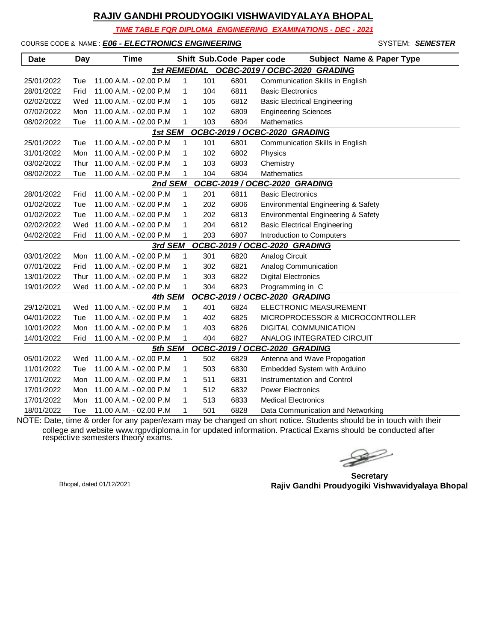*TIME TABLE FOR DIPLOMA ENGINEERING EXAMINATIONS - DEC - 2021*

#### COURSE CODE & NAME : *E06 - ELECTRONICS ENGINEERING* - SYSTEM: *SEMESTER*

| <b>Date</b>                                          | <b>Day</b> | <b>Time</b>                |              |     | Shift Sub.Code Paper code | <b>Subject Name &amp; Paper Type</b> |  |  |  |
|------------------------------------------------------|------------|----------------------------|--------------|-----|---------------------------|--------------------------------------|--|--|--|
| OCBC-2019 / OCBC-2020 GRADING<br><b>1st REMEDIAL</b> |            |                            |              |     |                           |                                      |  |  |  |
| 25/01/2022                                           | Tue        | 11.00 A.M. - 02.00 P.M     | 1            | 101 | 6801                      | Communication Skills in English      |  |  |  |
| 28/01/2022                                           | Frid       | 11.00 A.M. - 02.00 P.M     | 1            | 104 | 6811                      | <b>Basic Electronics</b>             |  |  |  |
| 02/02/2022                                           | Wed        | 11.00 A.M. - 02.00 P.M     | 1            | 105 | 6812                      | <b>Basic Electrical Engineering</b>  |  |  |  |
| 07/02/2022                                           | Mon        | 11.00 A.M. - 02.00 P.M     | 1            | 102 | 6809                      | <b>Engineering Sciences</b>          |  |  |  |
| 08/02/2022                                           | Tue        | 11.00 A.M. - 02.00 P.M     | 1            | 103 | 6804                      | Mathematics                          |  |  |  |
| OCBC-2019 / OCBC-2020 GRADING<br>1st SEM             |            |                            |              |     |                           |                                      |  |  |  |
| 25/01/2022                                           | Tue        | 11.00 A.M. - 02.00 P.M     | 1            | 101 | 6801                      | Communication Skills in English      |  |  |  |
| 31/01/2022                                           | Mon        | 11.00 A.M. - 02.00 P.M     | 1            | 102 | 6802                      | Physics                              |  |  |  |
| 03/02/2022                                           | Thur       | 11.00 A.M. - 02.00 P.M     | 1            | 103 | 6803                      | Chemistry                            |  |  |  |
| 08/02/2022                                           | Tue        | 11.00 A.M. - 02.00 P.M     | 1            | 104 | 6804                      | Mathematics                          |  |  |  |
|                                                      |            | 2nd SEM                    |              |     |                           | OCBC-2019 / OCBC-2020 GRADING        |  |  |  |
| 28/01/2022                                           | Frid       | 11.00 A.M. - 02.00 P.M     | 1            | 201 | 6811                      | <b>Basic Electronics</b>             |  |  |  |
| 01/02/2022                                           | Tue        | 11.00 A.M. - 02.00 P.M     | 1            | 202 | 6806                      | Environmental Engineering & Safety   |  |  |  |
| 01/02/2022                                           | Tue        | 11.00 A.M. - 02.00 P.M     | 1            | 202 | 6813                      | Environmental Engineering & Safety   |  |  |  |
| 02/02/2022                                           | Wed        | 11.00 A.M. - 02.00 P.M     | 1            | 204 | 6812                      | <b>Basic Electrical Engineering</b>  |  |  |  |
| 04/02/2022                                           | Frid       | 11.00 A.M. - 02.00 P.M     | 1            | 203 | 6807                      | Introduction to Computers            |  |  |  |
|                                                      |            | 3rd SEM                    |              |     |                           | OCBC-2019 / OCBC-2020 GRADING        |  |  |  |
| 03/01/2022                                           | Mon        | 11.00 A.M. - 02.00 P.M     | 1            | 301 | 6820                      | <b>Analog Circuit</b>                |  |  |  |
| 07/01/2022                                           | Frid       | 11.00 A.M. - 02.00 P.M     | 1            | 302 | 6821                      | Analog Communication                 |  |  |  |
| 13/01/2022                                           | Thur       | 11.00 A.M. - 02.00 P.M     | 1            | 303 | 6822                      | <b>Digital Electronics</b>           |  |  |  |
| 19/01/2022                                           | Wed        | 11.00 A.M. - 02.00 P.M     | 1            | 304 | 6823                      | Programming in C                     |  |  |  |
|                                                      |            | 4th SEM                    |              |     |                           | OCBC-2019 / OCBC-2020 GRADING        |  |  |  |
| 29/12/2021                                           |            | Wed 11.00 A.M. - 02.00 P.M | $\mathbf{1}$ | 401 | 6824                      | ELECTRONIC MEASUREMENT               |  |  |  |
| 04/01/2022                                           | Tue        | 11.00 A.M. - 02.00 P.M     | 1            | 402 | 6825                      | MICROPROCESSOR & MICROCONTROLLER     |  |  |  |
| 10/01/2022                                           | Mon        | 11.00 A.M. - 02.00 P.M     | 1            | 403 | 6826                      | DIGITAL COMMUNICATION                |  |  |  |
| 14/01/2022                                           | Frid       | 11.00 A.M. - 02.00 P.M     | 1            | 404 | 6827                      | ANALOG INTEGRATED CIRCUIT            |  |  |  |
|                                                      |            | 5th SEM                    |              |     |                           | OCBC-2019 / OCBC-2020 GRADING        |  |  |  |
| 05/01/2022                                           | Wed        | 11.00 A.M. - 02.00 P.M     | 1            | 502 | 6829                      | Antenna and Wave Propogation         |  |  |  |
| 11/01/2022                                           | Tue        | 11.00 A.M. - 02.00 P.M     | 1            | 503 | 6830                      | Embedded System with Arduino         |  |  |  |
| 17/01/2022                                           | Mon        | 11.00 A.M. - 02.00 P.M     | 1            | 511 | 6831                      | Instrumentation and Control          |  |  |  |
| 17/01/2022                                           | Mon        | 11.00 A.M. - 02.00 P.M     | 1            | 512 | 6832                      | <b>Power Electronics</b>             |  |  |  |
| 17/01/2022                                           | Mon        | 11.00 A.M. - 02.00 P.M     | 1            | 513 | 6833                      | <b>Medical Electronics</b>           |  |  |  |
| 18/01/2022                                           | Tue        | 11.00 A.M. - 02.00 P.M     | 1            | 501 | 6828                      | Data Communication and Networking    |  |  |  |

 $\gg$ 

**Secretary Rajiv Gandhi Proudyogiki Vishwavidyalaya Bhopal** Bhopal, dated 01/12/2021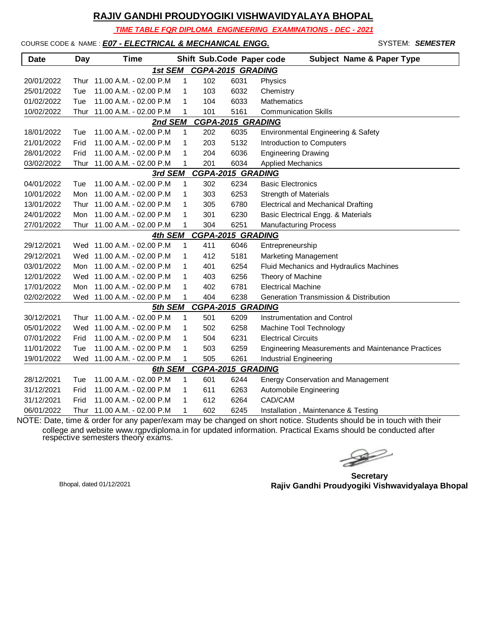*TIME TABLE FOR DIPLOMA ENGINEERING EXAMINATIONS - DEC - 2021*

#### COURSE CODE & NAME : *E07 - ELECTRICAL & MECHANICAL ENGG.* - SYSTEM: *SEMESTER*

| <b>Date</b>                         | <b>Day</b>                          | <b>Time</b>                 |              |     | Shift Sub.Code Paper code | <b>Subject Name &amp; Paper Type</b>                      |  |  |  |  |
|-------------------------------------|-------------------------------------|-----------------------------|--------------|-----|---------------------------|-----------------------------------------------------------|--|--|--|--|
|                                     | <b>CGPA-2015 GRADING</b><br>1st SEM |                             |              |     |                           |                                                           |  |  |  |  |
| 20/01/2022                          | Thur                                | 11.00 A.M. - 02.00 P.M      | 1            | 102 | 6031                      | Physics                                                   |  |  |  |  |
| 25/01/2022                          | Tue                                 | 11.00 A.M. - 02.00 P.M      | 1            | 103 | 6032                      | Chemistry                                                 |  |  |  |  |
| 01/02/2022                          | Tue                                 | 11.00 A.M. - 02.00 P.M      | 1            | 104 | 6033                      | <b>Mathematics</b>                                        |  |  |  |  |
| 10/02/2022                          | Thur                                | 11.00 A.M. - 02.00 P.M      | 1            | 101 | 5161                      | <b>Communication Skills</b>                               |  |  |  |  |
|                                     | <b>CGPA-2015 GRADING</b><br>2nd SEM |                             |              |     |                           |                                                           |  |  |  |  |
| 18/01/2022                          | Tue                                 | 11.00 A.M. - 02.00 P.M      | 1            | 202 | 6035                      | Environmental Engineering & Safety                        |  |  |  |  |
| 21/01/2022                          | Frid                                | 11.00 A.M. - 02.00 P.M      | 1            | 203 | 5132                      | Introduction to Computers                                 |  |  |  |  |
| 28/01/2022                          | Frid                                | 11.00 A.M. - 02.00 P.M      | 1            | 204 | 6036                      | <b>Engineering Drawing</b>                                |  |  |  |  |
| 03/02/2022                          | Thur                                | 11.00 A.M. - 02.00 P.M      | 1            | 201 | 6034                      | <b>Applied Mechanics</b>                                  |  |  |  |  |
| <b>CGPA-2015 GRADING</b><br>3rd SEM |                                     |                             |              |     |                           |                                                           |  |  |  |  |
| 04/01/2022                          | Tue                                 | 11.00 A.M. - 02.00 P.M      | 1            | 302 | 6234                      | <b>Basic Electronics</b>                                  |  |  |  |  |
| 10/01/2022                          | Mon                                 | 11.00 A.M. - 02.00 P.M      | 1            | 303 | 6253                      | <b>Strength of Materials</b>                              |  |  |  |  |
| 13/01/2022                          | Thur                                | 11.00 A.M. - 02.00 P.M      | 1            | 305 | 6780                      | <b>Electrical and Mechanical Drafting</b>                 |  |  |  |  |
| 24/01/2022                          | Mon                                 | 11.00 A.M. - 02.00 P.M      | 1            | 301 | 6230                      | Basic Electrical Engg. & Materials                        |  |  |  |  |
| 27/01/2022                          |                                     | Thur 11.00 A.M. - 02.00 P.M | 1            | 304 | 6251                      | <b>Manufacturing Process</b>                              |  |  |  |  |
| <b>CGPA-2015 GRADING</b><br>4th SEM |                                     |                             |              |     |                           |                                                           |  |  |  |  |
| 29/12/2021                          |                                     | Wed 11.00 A.M. - 02.00 P.M  | 1            | 411 | 6046                      | Entrepreneurship                                          |  |  |  |  |
| 29/12/2021                          |                                     | Wed 11.00 A.M. - 02.00 P.M  | 1            | 412 | 5181                      | <b>Marketing Management</b>                               |  |  |  |  |
| 03/01/2022                          | Mon                                 | 11.00 A.M. - 02.00 P.M      | 1            | 401 | 6254                      | Fluid Mechanics and Hydraulics Machines                   |  |  |  |  |
| 12/01/2022                          |                                     | Wed 11.00 A.M. - 02.00 P.M  | 1            | 403 | 6256                      | Theory of Machine                                         |  |  |  |  |
| 17/01/2022                          | Mon                                 | 11.00 A.M. - 02.00 P.M      | 1            | 402 | 6781                      | <b>Electrical Machine</b>                                 |  |  |  |  |
| 02/02/2022                          |                                     | Wed 11.00 A.M. - 02.00 P.M  | 1            | 404 | 6238                      | Generation Transmission & Distribution                    |  |  |  |  |
|                                     |                                     | 5th SEM                     |              |     | <b>CGPA-2015 GRADING</b>  |                                                           |  |  |  |  |
| 30/12/2021                          |                                     | Thur 11.00 A.M. - 02.00 P.M | $\mathbf{1}$ | 501 | 6209                      | Instrumentation and Control                               |  |  |  |  |
| 05/01/2022                          |                                     | Wed 11.00 A.M. - 02.00 P.M  | 1            | 502 | 6258                      | Machine Tool Technology                                   |  |  |  |  |
| 07/01/2022                          | Frid                                | 11.00 A.M. - 02.00 P.M      | 1            | 504 | 6231                      | <b>Electrical Circuits</b>                                |  |  |  |  |
| 11/01/2022                          | Tue                                 | 11.00 A.M. - 02.00 P.M      | 1            | 503 | 6259                      | <b>Engineering Measurements and Maintenance Practices</b> |  |  |  |  |
| 19/01/2022                          |                                     | Wed 11.00 A.M. - 02.00 P.M  | 1            | 505 | 6261                      | Industrial Engineering                                    |  |  |  |  |
|                                     |                                     | 6th SEM                     |              |     | <b>CGPA-2015 GRADING</b>  |                                                           |  |  |  |  |
| 28/12/2021                          | Tue                                 | 11.00 A.M. - 02.00 P.M      | 1            | 601 | 6244                      | <b>Energy Conservation and Management</b>                 |  |  |  |  |
| 31/12/2021                          | Frid                                | 11.00 A.M. - 02.00 P.M      | 1            | 611 | 6263                      | Automobile Engineering                                    |  |  |  |  |
| 31/12/2021                          | Frid                                | 11.00 A.M. - 02.00 P.M      | 1            | 612 | 6264                      | CAD/CAM                                                   |  |  |  |  |
| 06/01/2022                          |                                     | Thur 11.00 A.M. - 02.00 P.M | 1            | 602 | 6245                      | Installation, Maintenance & Testing                       |  |  |  |  |

 $\gg$ 

**Secretary Rajiv Gandhi Proudyogiki Vishwavidyalaya Bhopal** Bhopal, dated 01/12/2021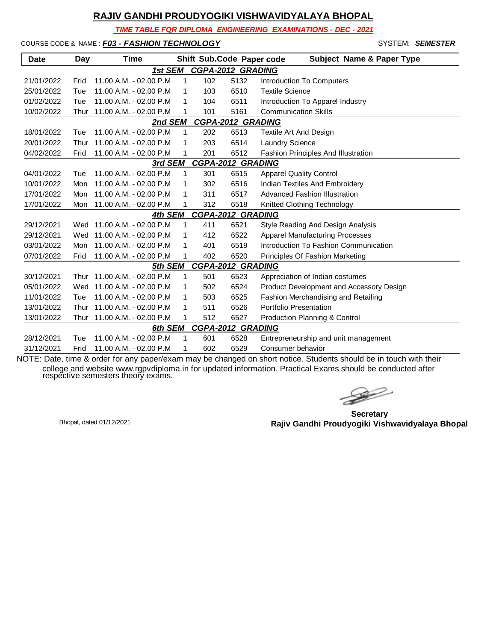*TIME TABLE FOR DIPLOMA ENGINEERING EXAMINATIONS - DEC - 2021*

COURSE CODE & NAME : *F03 - FASHION TECHNOLOGY* - SYSTEM: *SEMESTER*

| <b>Date</b>                         | Day  | <b>Time</b>                |   |     | Shift Sub.Code Paper code | <b>Subject Name &amp; Paper Type</b>       |  |  |  |
|-------------------------------------|------|----------------------------|---|-----|---------------------------|--------------------------------------------|--|--|--|
|                                     |      | 1st SEM                    |   |     | <b>CGPA-2012 GRADING</b>  |                                            |  |  |  |
| 21/01/2022                          | Frid | 11.00 A.M. - 02.00 P.M.    | 1 | 102 | 5132                      | Introduction To Computers                  |  |  |  |
| 25/01/2022                          | Tue  | 11.00 A.M. - 02.00 P.M     | 1 | 103 | 6510                      | <b>Textile Science</b>                     |  |  |  |
| 01/02/2022                          | Tue  | 11.00 A.M. - 02.00 P.M.    | 1 | 104 | 6511                      | Introduction To Apparel Industry           |  |  |  |
| 10/02/2022                          | Thur | 11.00 A.M. - 02.00 P.M     |   | 101 | 5161                      | <b>Communication Skills</b>                |  |  |  |
| <b>CGPA-2012 GRADING</b><br>2nd SEM |      |                            |   |     |                           |                                            |  |  |  |
| 18/01/2022                          | Tue  | $11.00 A.M. - 02.00 P.M.$  | 1 | 202 | 6513                      | Textile Art And Design                     |  |  |  |
| 20/01/2022                          | Thur | 11.00 A.M. - 02.00 P.M.    | 1 | 203 | 6514                      | <b>Laundry Science</b>                     |  |  |  |
| 04/02/2022                          | Frid | 11.00 A.M. - 02.00 P.M     | 1 | 201 | 6512                      | <b>Fashion Principles And Illustration</b> |  |  |  |
|                                     |      | 3rd SEM                    |   |     | <b>CGPA-2012 GRADING</b>  |                                            |  |  |  |
| 04/01/2022                          | Tue  | 11.00 A.M. - 02.00 P.M.    | 1 | 301 | 6515                      | <b>Apparel Quality Control</b>             |  |  |  |
| 10/01/2022                          | Mon  | 11.00 A.M. - 02.00 P.M     | 1 | 302 | 6516                      | Indian Textiles And Embroidery             |  |  |  |
| 17/01/2022                          | Mon  | 11.00 A.M. - 02.00 P.M     | 1 | 311 | 6517                      | <b>Advanced Fashion Illustration</b>       |  |  |  |
| 17/01/2022                          | Mon  | 11.00 A.M. - 02.00 P.M     |   | 312 | 6518                      | Knitted Clothing Technology                |  |  |  |
|                                     |      | 4th SEM                    |   |     | <b>CGPA-2012 GRADING</b>  |                                            |  |  |  |
| 29/12/2021                          |      | Wed 11.00 A.M. - 02.00 P.M | 1 | 411 | 6521                      | Style Reading And Design Analysis          |  |  |  |
| 29/12/2021                          | Wed  | 11.00 A.M. - 02.00 P.M     | 1 | 412 | 6522                      | <b>Apparel Manufacturing Processes</b>     |  |  |  |
| 03/01/2022                          | Mon  | 11.00 A.M. - 02.00 P.M.    | 1 | 401 | 6519                      | Introduction To Fashion Communication      |  |  |  |
| 07/01/2022                          | Frid | 11.00 A.M. - 02.00 P.M     | 1 | 402 | 6520                      | Principles Of Fashion Marketing            |  |  |  |
|                                     |      | 5th SEM                    |   |     | <b>CGPA-2012 GRADING</b>  |                                            |  |  |  |
| 30/12/2021                          | Thur | 11.00 A.M. - 02.00 P.M     | 1 | 501 | 6523                      | Appreciation of Indian costumes            |  |  |  |
| 05/01/2022                          | Wed  | 11.00 A.M. - 02.00 P.M     | 1 | 502 | 6524                      | Product Development and Accessory Design   |  |  |  |
| 11/01/2022                          | Tue  | 11.00 A.M. - 02.00 P.M.    | 1 | 503 | 6525                      | Fashion Merchandising and Retailing        |  |  |  |
| 13/01/2022                          | Thur | 11.00 A.M. - 02.00 P.M     | 1 | 511 | 6526                      | Portfolio Presentation                     |  |  |  |
| 13/01/2022                          | Thur | 11.00 A.M. - 02.00 P.M     |   | 512 | 6527                      | Production Planning & Control              |  |  |  |
|                                     |      | 6th SEM                    |   |     | <b>CGPA-2012 GRADING</b>  |                                            |  |  |  |
| 28/12/2021                          | Tue  | 11.00 A.M. - 02.00 P.M     | 1 | 601 | 6528                      | Entrepreneurship and unit management       |  |  |  |
| 31/12/2021                          | Frid | 11.00 A.M. - 02.00 P.M     | 1 | 602 | 6529                      | Consumer behavior                          |  |  |  |

 $\rightarrow$ 

**Secretary Rajiv Gandhi Proudyogiki Vishwavidyalaya Bhopal** Bhopal, dated 01/12/2021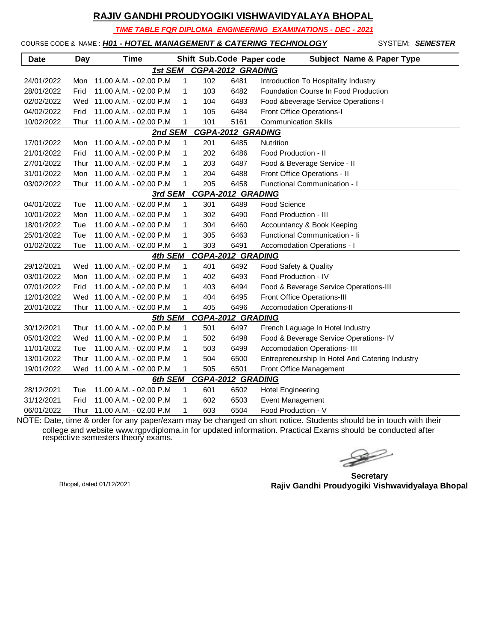*TIME TABLE FOR DIPLOMA ENGINEERING EXAMINATIONS - DEC - 2021*

COURSE CODE & NAME : *H01 - HOTEL MANAGEMENT & CATERING TECHNOLOGY* - SYSTEM: *SEMESTER*

| <b>Date</b> | Day  | <b>Time</b>                 |   |     | Shift Sub.Code Paper code | <b>Subject Name &amp; Paper Type</b>            |
|-------------|------|-----------------------------|---|-----|---------------------------|-------------------------------------------------|
|             |      | 1st SEM                     |   |     | <b>CGPA-2012 GRADING</b>  |                                                 |
| 24/01/2022  | Mon  | 11.00 A.M. - 02.00 P.M      | 1 | 102 | 6481                      | Introduction To Hospitality Industry            |
| 28/01/2022  | Frid | 11.00 A.M. - 02.00 P.M      | 1 | 103 | 6482                      | Foundation Course In Food Production            |
| 02/02/2022  | Wed  | 11.00 A.M. - 02.00 P.M      | 1 | 104 | 6483                      | Food & beverage Service Operations-I            |
| 04/02/2022  | Frid | 11.00 A.M. - 02.00 P.M      | 1 | 105 | 6484                      | Front Office Operations-I                       |
| 10/02/2022  | Thur | 11.00 A.M. - 02.00 P.M      | 1 | 101 | 5161                      | <b>Communication Skills</b>                     |
|             |      | 2nd SEM                     |   |     | CGPA-2012 GRADING         |                                                 |
| 17/01/2022  | Mon  | 11.00 A.M. - 02.00 P.M      | 1 | 201 | 6485                      | <b>Nutrition</b>                                |
| 21/01/2022  | Frid | 11.00 A.M. - 02.00 P.M      | 1 | 202 | 6486                      | Food Production - II                            |
| 27/01/2022  | Thur | 11.00 A.M. - 02.00 P.M      | 1 | 203 | 6487                      | Food & Beverage Service - II                    |
| 31/01/2022  | Mon  | 11.00 A.M. - 02.00 P.M      | 1 | 204 | 6488                      | Front Office Operations - II                    |
| 03/02/2022  | Thur | 11.00 A.M. - 02.00 P.M      | 1 | 205 | 6458                      | Functional Communication - I                    |
|             |      | 3rd SEM                     |   |     | <b>CGPA-2012 GRADING</b>  |                                                 |
| 04/01/2022  | Tue  | 11.00 A.M. - 02.00 P.M      | 1 | 301 | 6489                      | <b>Food Science</b>                             |
| 10/01/2022  | Mon  | 11.00 A.M. - 02.00 P.M      | 1 | 302 | 6490                      | Food Production - III                           |
| 18/01/2022  | Tue  | 11.00 A.M. - 02.00 P.M      | 1 | 304 | 6460                      | Accountancy & Book Keeping                      |
| 25/01/2022  | Tue  | 11.00 A.M. - 02.00 P.M      | 1 | 305 | 6463                      | Functional Communication - Ii                   |
| 01/02/2022  | Tue  | 11.00 A.M. - 02.00 P.M      | 1 | 303 | 6491                      | Accomodation Operations - I                     |
|             |      | 4th SEM                     |   |     | CGPA-2012 GRADING         |                                                 |
| 29/12/2021  | Wed  | 11.00 A.M. - 02.00 P.M      | 1 | 401 | 6492                      | Food Safety & Quality                           |
| 03/01/2022  | Mon  | 11.00 A.M. - 02.00 P.M      | 1 | 402 | 6493                      | Food Production - IV                            |
| 07/01/2022  | Frid | 11.00 A.M. - 02.00 P.M      | 1 | 403 | 6494                      | Food & Beverage Service Operations-III          |
| 12/01/2022  | Wed  | 11.00 A.M. - 02.00 P.M      | 1 | 404 | 6495                      | Front Office Operations-III                     |
| 20/01/2022  |      | Thur 11.00 A.M. - 02.00 P.M | 1 | 405 | 6496                      | <b>Accomodation Operations-II</b>               |
|             |      | 5th SEM                     |   |     | <b>CGPA-2012 GRADING</b>  |                                                 |
| 30/12/2021  |      | Thur 11.00 A.M. - 02.00 P.M | 1 | 501 | 6497                      | French Laguage In Hotel Industry                |
| 05/01/2022  | Wed  | 11.00 A.M. - 02.00 P.M      | 1 | 502 | 6498                      | Food & Beverage Service Operations- IV          |
| 11/01/2022  | Tue  | 11.00 A.M. - 02.00 P.M      | 1 | 503 | 6499                      | Accomodation Operations- III                    |
| 13/01/2022  | Thur | 11.00 A.M. - 02.00 P.M      | 1 | 504 | 6500                      | Entrepreneurship In Hotel And Catering Industry |
| 19/01/2022  |      | Wed 11.00 A.M. - 02.00 P.M  | 1 | 505 | 6501                      | Front Office Management                         |
|             |      | 6th SEM                     |   |     | <b>CGPA-2012 GRADING</b>  |                                                 |
| 28/12/2021  | Tue  | 11.00 A.M. - 02.00 P.M      | 1 | 601 | 6502                      | <b>Hotel Engineering</b>                        |
| 31/12/2021  | Frid | 11.00 A.M. - 02.00 P.M      | 1 | 602 | 6503                      | Event Management                                |
| 06/01/2022  | Thur | 11.00 A.M. - 02.00 P.M      | 1 | 603 | 6504                      | Food Production - V                             |

 $\gg$ 

**Secretary Rajiv Gandhi Proudyogiki Vishwavidyalaya Bhopal** Bhopal, dated 01/12/2021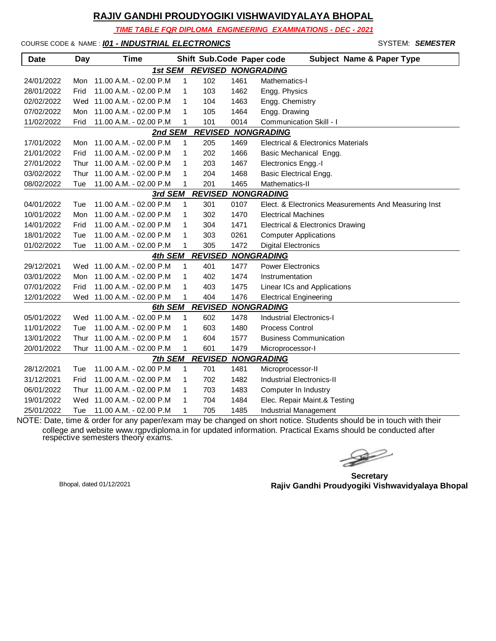*TIME TABLE FOR DIPLOMA ENGINEERING EXAMINATIONS - DEC - 2021*

COURSE CODE & NAME : *I01 - INDUSTRIAL ELECTRONICS* - SYSTEM: *SEMESTER*

| <b>Date</b> | Day  | <b>Time</b>                |              | Shift Sub.Code Paper code |      | <b>Subject Name &amp; Paper Type</b>                 |
|-------------|------|----------------------------|--------------|---------------------------|------|------------------------------------------------------|
|             |      | 1st SEM                    |              |                           |      | <b>REVISED NONGRADING</b>                            |
| 24/01/2022  | Mon  | 11.00 A.M. - 02.00 P.M     | 1            | 102                       | 1461 | Mathematics-I                                        |
| 28/01/2022  | Frid | 11.00 A.M. - 02.00 P.M     | 1            | 103                       | 1462 | Engg. Physics                                        |
| 02/02/2022  | Wed  | 11.00 A.M. - 02.00 P.M     | 1            | 104                       | 1463 | Engg. Chemistry                                      |
| 07/02/2022  | Mon  | 11.00 A.M. - 02.00 P.M     | 1            | 105                       | 1464 | Engg. Drawing                                        |
| 11/02/2022  | Frid | 11.00 A.M. - 02.00 P.M     | 1            | 101                       | 0014 | Communication Skill - I                              |
|             |      | 2nd SEM                    |              |                           |      | <b>REVISED NONGRADING</b>                            |
| 17/01/2022  | Mon  | 11.00 A.M. - 02.00 P.M     | $\mathbf 1$  | 205                       | 1469 | Electrical & Electronics Materials                   |
| 21/01/2022  | Frid | 11.00 A.M. - 02.00 P.M     | 1            | 202                       | 1466 | Basic Mechanical Engg.                               |
| 27/01/2022  | Thur | 11.00 A.M. - 02.00 P.M     | 1            | 203                       | 1467 | Electronics Engg.-I                                  |
| 03/02/2022  | Thur | 11.00 A.M. - 02.00 P.M     | 1            | 204                       | 1468 | <b>Basic Electrical Engg.</b>                        |
| 08/02/2022  | Tue  | 11.00 A.M. - 02.00 P.M     | 1            | 201                       | 1465 | Mathematics-II                                       |
|             |      | 3rd SEM                    |              | <b>REVISED</b>            |      | <b>NONGRADING</b>                                    |
| 04/01/2022  | Tue  | 11.00 A.M. - 02.00 P.M     | 1            | 301                       | 0107 | Elect. & Electronics Measurements And Measuring Inst |
| 10/01/2022  | Mon  | 11.00 A.M. - 02.00 P.M     | 1            | 302                       | 1470 | <b>Electrical Machines</b>                           |
| 14/01/2022  | Frid | 11.00 A.M. - 02.00 P.M     | 1            | 304                       | 1471 | Electrical & Electronics Drawing                     |
| 18/01/2022  | Tue  | 11.00 A.M. - 02.00 P.M     | 1            | 303                       | 0261 | <b>Computer Applications</b>                         |
| 01/02/2022  | Tue  | 11.00 A.M. - 02.00 P.M     | 1            | 305                       | 1472 | <b>Digital Electronics</b>                           |
|             |      | 4th SEM                    |              | <b>REVISED</b>            |      | <b>NONGRADING</b>                                    |
| 29/12/2021  | Wed  | 11.00 A.M. - 02.00 P.M     | 1            | 401                       | 1477 | <b>Power Electronics</b>                             |
| 03/01/2022  | Mon  | 11.00 A.M. - 02.00 P.M     | 1            | 402                       | 1474 | Instrumentation                                      |
| 07/01/2022  | Frid | 11.00 A.M. - 02.00 P.M     | $\mathbf{1}$ | 403                       | 1475 | Linear ICs and Applications                          |
| 12/01/2022  |      | Wed 11.00 A.M. - 02.00 P.M | 1            | 404                       | 1476 | <b>Electrical Engineering</b>                        |
|             |      | 6th SEM                    |              | <b>REVISED</b>            |      | <b>NONGRADING</b>                                    |
| 05/01/2022  |      | Wed 11.00 A.M. - 02.00 P.M | $\mathbf 1$  | 602                       | 1478 | <b>Industrial Electronics-I</b>                      |
| 11/01/2022  | Tue  | 11.00 A.M. - 02.00 P.M     | 1            | 603                       | 1480 | <b>Process Control</b>                               |
| 13/01/2022  | Thur | 11.00 A.M. - 02.00 P.M     | 1            | 604                       | 1577 | <b>Business Communication</b>                        |
| 20/01/2022  | Thur | 11.00 A.M. - 02.00 P.M     | 1            | 601                       | 1479 | Microprocessor-I                                     |
|             |      | 7th SEM                    |              | <b>REVISED</b>            |      | <b>NONGRADING</b>                                    |
| 28/12/2021  | Tue  | 11.00 A.M. - 02.00 P.M     | $\mathbf 1$  | 701                       | 1481 | Microprocessor-II                                    |
| 31/12/2021  | Frid | 11.00 A.M. - 02.00 P.M     | $\mathbf{1}$ | 702                       | 1482 | <b>Industrial Electronics-II</b>                     |
| 06/01/2022  | Thur | 11.00 A.M. - 02.00 P.M     | 1            | 703                       | 1483 | Computer In Industry                                 |
| 19/01/2022  | Wed  | 11.00 A.M. - 02.00 P.M     | 1            | 704                       | 1484 | Elec. Repair Maint.& Testing                         |
| 25/01/2022  | Tue  | 11.00 A.M. - 02.00 P.M     | 1            | 705                       | 1485 | Industrial Management                                |

 $\gg$ 

**Secretary Rajiv Gandhi Proudyogiki Vishwavidyalaya Bhopal** Bhopal, dated 01/12/2021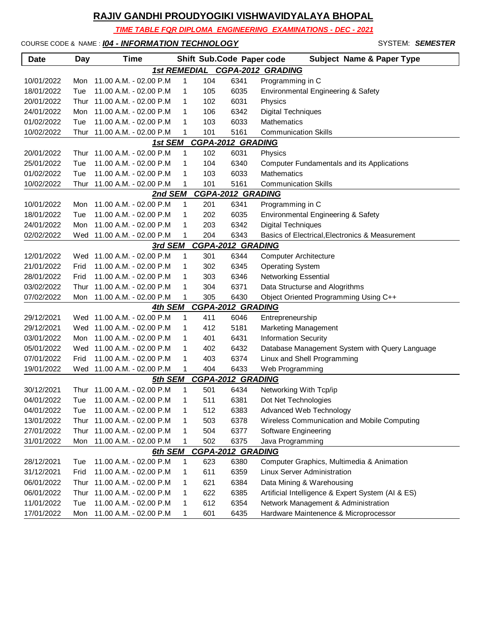*TIME TABLE FOR DIPLOMA ENGINEERING EXAMINATIONS - DEC - 2021*

COURSE CODE & NAME : *IO4 - INFORMATION TECHNOLOGY* **SYSTEM: SEMESTER** 

| <b>Date</b> | <b>Day</b> | <b>Time</b>                       |   |     | Shift Sub.Code Paper code        | <b>Subject Name &amp; Paper Type</b>              |
|-------------|------------|-----------------------------------|---|-----|----------------------------------|---------------------------------------------------|
|             |            |                                   |   |     |                                  | 1st REMEDIAL CGPA-2012 GRADING                    |
| 10/01/2022  | Mon        | 11.00 A.M. - 02.00 P.M            | 1 | 104 | 6341                             | Programming in C                                  |
| 18/01/2022  | Tue        | 11.00 A.M. - 02.00 P.M            | 1 | 105 | 6035                             | Environmental Engineering & Safety                |
| 20/01/2022  | Thur       | 11.00 A.M. - 02.00 P.M            | 1 | 102 | 6031                             | Physics                                           |
| 24/01/2022  | Mon        | 11.00 A.M. - 02.00 P.M            | 1 | 106 | 6342                             | <b>Digital Techniques</b>                         |
| 01/02/2022  | Tue        | 11.00 A.M. - 02.00 P.M            | 1 | 103 | 6033                             | Mathematics                                       |
| 10/02/2022  | Thur       | 11.00 A.M. - 02.00 P.M            | 1 | 101 | 5161                             | <b>Communication Skills</b>                       |
|             |            | 1st SEM                           |   |     | <b>CGPA-2012 GRADING</b>         |                                                   |
| 20/01/2022  | Thur       | 11.00 A.M. - 02.00 P.M            | 1 | 102 | 6031                             | Physics                                           |
| 25/01/2022  | Tue        | 11.00 A.M. - 02.00 P.M            | 1 | 104 | 6340                             | <b>Computer Fundamentals and its Applications</b> |
| 01/02/2022  | Tue        | 11.00 A.M. - 02.00 P.M            | 1 | 103 | 6033                             | Mathematics                                       |
| 10/02/2022  | Thur       | 11.00 A.M. - 02.00 P.M            | 1 | 101 | 5161                             | <b>Communication Skills</b>                       |
|             |            | 2nd SEM                           |   |     | <b>CGPA-2012 GRADING</b>         |                                                   |
| 10/01/2022  | Mon        | 11.00 A.M. - 02.00 P.M            | 1 | 201 | 6341                             | Programming in C                                  |
| 18/01/2022  | Tue        | 11.00 A.M. - 02.00 P.M            | 1 | 202 | 6035                             | Environmental Engineering & Safety                |
| 24/01/2022  | Mon        | 11.00 A.M. - 02.00 P.M            | 1 | 203 | 6342                             | <b>Digital Techniques</b>                         |
| 02/02/2022  |            | Wed 11.00 A.M. - 02.00 P.M        | 1 | 204 | 6343                             | Basics of Electrical, Electronics & Measurement   |
|             |            | 3rd SEM                           |   |     | <b>CGPA-2012 GRADING</b>         |                                                   |
| 12/01/2022  | Wed        | 11.00 A.M. - 02.00 P.M            | 1 | 301 | 6344                             | <b>Computer Architecture</b>                      |
| 21/01/2022  | Frid       | 11.00 A.M. - 02.00 P.M            | 1 | 302 | 6345                             | <b>Operating System</b>                           |
| 28/01/2022  | Frid       | 11.00 A.M. - 02.00 P.M            | 1 | 303 | 6346                             | <b>Networking Essential</b>                       |
| 03/02/2022  | Thur       | 11.00 A.M. - 02.00 P.M            | 1 | 304 | 6371                             | Data Structurse and Alogrithms                    |
| 07/02/2022  | Mon        | 11.00 A.M. - 02.00 P.M            | 1 | 305 | 6430                             | Object Oriented Programming Using C++             |
|             |            | 4th SEM                           |   |     | <b>CGPA-2012 GRADING</b>         |                                                   |
| 29/12/2021  |            | Wed 11.00 A.M. - 02.00 P.M        | 1 | 411 | 6046                             | Entrepreneurship                                  |
| 29/12/2021  |            | Wed 11.00 A.M. - 02.00 P.M        | 1 | 412 | 5181                             | Marketing Management                              |
| 03/01/2022  | Mon        | 11.00 A.M. - 02.00 P.M            | 1 | 401 | 6431                             | <b>Information Security</b>                       |
| 05/01/2022  |            | Wed 11.00 A.M. - 02.00 P.M        | 1 | 402 | 6432                             | Database Management System with Query Language    |
| 07/01/2022  | Frid       | 11.00 A.M. - 02.00 P.M            | 1 | 403 | 6374                             | Linux and Shell Programming                       |
| 19/01/2022  |            | Wed 11.00 A.M. - 02.00 P.M        | 1 | 404 | 6433<br><b>CGPA-2012 GRADING</b> | Web Programming                                   |
| 30/12/2021  | Thur       | 5th SEM<br>11.00 A.M. - 02.00 P.M | 1 | 501 | 6434                             | Networking With Tcp/ip                            |
| 04/01/2022  | Tue        | 11.00 A.M. - 02.00 P.M            | 1 | 511 | 6381                             | Dot Net Technologies                              |
| 04/01/2022  | Tue        | 11.00 A.M. - 02.00 P.M            | 1 | 512 | 6383                             | Advanced Web Technology                           |
| 13/01/2022  |            | Thur 11.00 A.M. - 02.00 P.M       | 1 | 503 | 6378                             | Wireless Communication and Mobile Computing       |
| 27/01/2022  | Thur       | 11.00 A.M. - 02.00 P.M            | 1 | 504 | 6377                             | Software Engineering                              |
| 31/01/2022  | Mon        | 11.00 A.M. - 02.00 P.M            | 1 | 502 | 6375                             |                                                   |
|             |            | 6th SEM                           |   |     | <b>CGPA-2012 GRADING</b>         | Java Programming                                  |
| 28/12/2021  | Tue        | 11.00 A.M. - 02.00 P.M            | 1 | 623 | 6380                             | Computer Graphics, Multimedia & Animation         |
| 31/12/2021  | Frid       | 11.00 A.M. - 02.00 P.M            | 1 | 611 | 6359                             | <b>Linux Server Administration</b>                |
| 06/01/2022  | Thur       | 11.00 A.M. - 02.00 P.M            | 1 | 621 | 6384                             | Data Mining & Warehousing                         |
| 06/01/2022  | Thur       | 11.00 A.M. - 02.00 P.M            | 1 | 622 | 6385                             | Artificial Intelligence & Expert System (AI & ES) |
| 11/01/2022  | Tue        | 11.00 A.M. - 02.00 P.M            | 1 | 612 | 6354                             | Network Management & Administration               |
| 17/01/2022  | Mon        | 11.00 A.M. - 02.00 P.M            | 1 | 601 | 6435                             | Hardware Maintenence & Microprocessor             |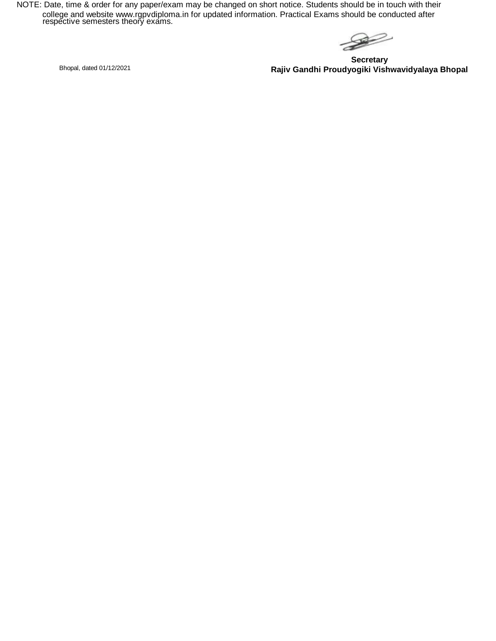$\begin{picture}(120,15) \put(0,0){\line(1,0){15}} \put(15,0){\line(1,0){15}} \put(15,0){\line(1,0){15}} \put(15,0){\line(1,0){15}} \put(15,0){\line(1,0){15}} \put(15,0){\line(1,0){15}} \put(15,0){\line(1,0){15}} \put(15,0){\line(1,0){15}} \put(15,0){\line(1,0){15}} \put(15,0){\line(1,0){15}} \put(15,0){\line(1,0){15}} \put(15,0){\line($ 

**Secretary Rajiv Gandhi Proudyogiki Vishwavidyalaya Bhopal** Bhopal, dated 01/12/2021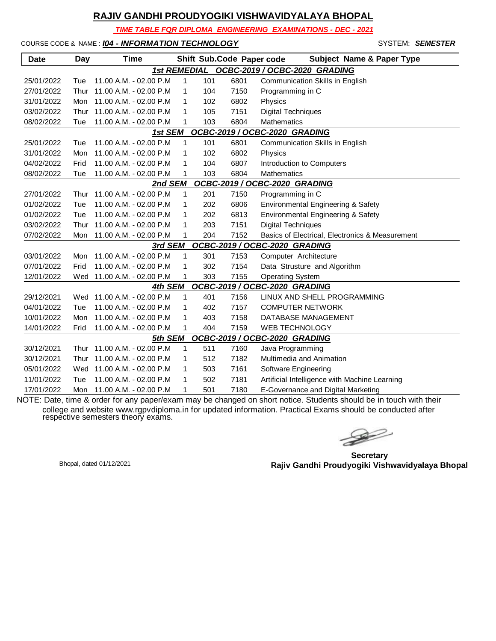*TIME TABLE FOR DIPLOMA ENGINEERING EXAMINATIONS - DEC - 2021*

COURSE CODE & NAME : *I04 - INFORMATION TECHNOLOGY* - SYSTEM: *SEMESTER*

| <b>Date</b>                              | Day  | Time                       |              |     | Shift Sub.Code Paper code | <b>Subject Name &amp; Paper Type</b>            |  |  |  |
|------------------------------------------|------|----------------------------|--------------|-----|---------------------------|-------------------------------------------------|--|--|--|
|                                          |      | <b>1st REMEDIAL</b>        |              |     |                           | OCBC-2019 / OCBC-2020 GRADING                   |  |  |  |
| 25/01/2022                               | Tue  | 11.00 A.M. - 02.00 P.M     | 1            | 101 | 6801                      | <b>Communication Skills in English</b>          |  |  |  |
| 27/01/2022                               | Thur | 11.00 A.M. - 02.00 P.M     | $\mathbf{1}$ | 104 | 7150                      | Programming in C                                |  |  |  |
| 31/01/2022                               | Mon  | 11.00 A.M. - 02.00 P.M     | 1            | 102 | 6802                      | Physics                                         |  |  |  |
| 03/02/2022                               | Thur | 11.00 A.M. - 02.00 P.M     | 1            | 105 | 7151                      | <b>Digital Techniques</b>                       |  |  |  |
| 08/02/2022                               | Tue  | 11.00 A.M. - 02.00 P.M     | 1            | 103 | 6804                      | <b>Mathematics</b>                              |  |  |  |
| OCBC-2019 / OCBC-2020 GRADING<br>1st SEM |      |                            |              |     |                           |                                                 |  |  |  |
| 25/01/2022                               | Tue  | 11.00 A.M. - 02.00 P.M     | 1            | 101 | 6801                      | Communication Skills in English                 |  |  |  |
| 31/01/2022                               | Mon  | 11.00 A.M. - 02.00 P.M.    | 1            | 102 | 6802                      | Physics                                         |  |  |  |
| 04/02/2022                               | Frid | 11.00 A.M. - 02.00 P.M     | 1            | 104 | 6807                      | Introduction to Computers                       |  |  |  |
| 08/02/2022                               | Tue  | 11.00 A.M. - 02.00 P.M     | 1            | 103 | 6804                      | <b>Mathematics</b>                              |  |  |  |
|                                          |      | 2nd SEM                    |              |     |                           | OCBC-2019 / OCBC-2020 GRADING                   |  |  |  |
| 27/01/2022                               | Thur | 11.00 A.M. - 02.00 P.M     | 1            | 201 | 7150                      | Programming in C                                |  |  |  |
| 01/02/2022                               | Tue  | 11.00 A.M. - 02.00 P.M     | 1            | 202 | 6806                      | Environmental Engineering & Safety              |  |  |  |
| 01/02/2022                               | Tue  | 11.00 A.M. - 02.00 P.M     | 1            | 202 | 6813                      | Environmental Engineering & Safety              |  |  |  |
| 03/02/2022                               | Thur | 11.00 A.M. - 02.00 P.M     | 1            | 203 | 7151                      | <b>Digital Techniques</b>                       |  |  |  |
| 07/02/2022                               | Mon  | 11.00 A.M. - 02.00 P.M     |              | 204 | 7152                      | Basics of Electrical, Electronics & Measurement |  |  |  |
|                                          |      | 3rd SEM                    |              |     |                           | OCBC-2019 / OCBC-2020 GRADING                   |  |  |  |
| 03/01/2022                               | Mon  | 11.00 A.M. - 02.00 P.M     | $\mathbf{1}$ | 301 | 7153                      | Computer Architecture                           |  |  |  |
| 07/01/2022                               | Frid | 11.00 A.M. - 02.00 P.M     | 1            | 302 | 7154                      | Data Strusture and Algorithm                    |  |  |  |
| 12/01/2022                               | Wed  | 11.00 A.M. - 02.00 P.M     |              | 303 | 7155                      | <b>Operating System</b>                         |  |  |  |
|                                          |      | 4th SEM                    |              |     |                           | OCBC-2019 / OCBC-2020 GRADING                   |  |  |  |
| 29/12/2021                               |      | Wed 11.00 A.M. - 02.00 P.M | 1            | 401 | 7156                      | LINUX AND SHELL PROGRAMMING                     |  |  |  |
| 04/01/2022                               | Tue  | 11.00 A.M. - 02.00 P.M     | 1            | 402 | 7157                      | <b>COMPUTER NETWORK</b>                         |  |  |  |
| 10/01/2022                               | Mon  | 11.00 A.M. - 02.00 P.M     | 1            | 403 | 7158                      | DATABASE MANAGEMENT                             |  |  |  |
| 14/01/2022                               | Frid | 11.00 A.M. - 02.00 P.M     | 1            | 404 | 7159                      | <b>WEB TECHNOLOGY</b>                           |  |  |  |
|                                          |      | 5th SEM                    |              |     |                           | OCBC-2019 / OCBC-2020 GRADING                   |  |  |  |
| 30/12/2021                               | Thur | 11.00 A.M. - 02.00 P.M     | 1            | 511 | 7160                      | Java Programming                                |  |  |  |
| 30/12/2021                               | Thur | 11.00 A.M. - 02.00 P.M     | 1            | 512 | 7182                      | Multimedia and Animation                        |  |  |  |
| 05/01/2022                               | Wed  | 11.00 A.M. - 02.00 P.M     | 1            | 503 | 7161                      | Software Engineering                            |  |  |  |
| 11/01/2022                               | Tue  | 11.00 A.M. - 02.00 P.M     | $\mathbf{1}$ | 502 | 7181                      | Artificial Intelligence with Machine Learning   |  |  |  |
| 17/01/2022                               | Mon  | 11.00 A.M. - 02.00 P.M     | 1            | 501 | 7180                      | E-Governance and Digital Marketing              |  |  |  |

 $\begin{picture}(120,17)(-20,17)(-20,17)(-20,17)(-20,17)(-20,17)(-20,17)(-20,17)(-20,17)(-20,17)(-20,17)(-20,17)(-20,17)(-20,17)(-20,17)(-20,17)(-20,17)(-20,17)(-20,17)(-20,17)(-20,17)(-20,17)(-20,17)(-20,17)(-20,17)(-20,17)(-20,17)(-20,17)(-20,17)(-20,17)(-20,1$ 

**Secretary Rajiv Gandhi Proudyogiki Vishwavidyalaya Bhopal** Bhopal, dated 01/12/2021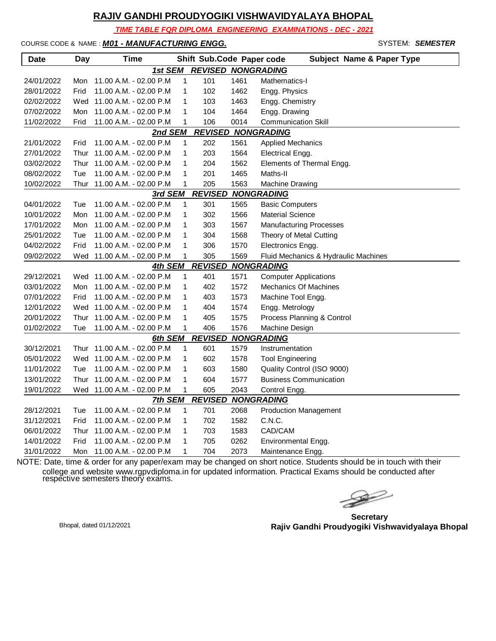*TIME TABLE FOR DIPLOMA ENGINEERING EXAMINATIONS - DEC - 2021*

COURSE CODE & NAME : *M01 - MANUFACTURING ENGG.* - SYSTEM: *SEMESTER*

| Date       | Day  | <b>Time</b>                 |              | Shift Sub.Code Paper code |      | <b>Subject Name &amp; Paper Type</b> |
|------------|------|-----------------------------|--------------|---------------------------|------|--------------------------------------|
|            |      | 1st SEM                     |              | <b>REVISED NONGRADING</b> |      |                                      |
| 24/01/2022 | Mon  | 11.00 A.M. - 02.00 P.M      | $\mathbf{1}$ | 101                       | 1461 | Mathematics-I                        |
| 28/01/2022 | Frid | 11.00 A.M. - 02.00 P.M      | 1            | 102                       | 1462 | Engg. Physics                        |
| 02/02/2022 | Wed  | 11.00 A.M. - 02.00 P.M      | 1            | 103                       | 1463 | Engg. Chemistry                      |
| 07/02/2022 | Mon  | 11.00 A.M. - 02.00 P.M      | 1            | 104                       | 1464 | Engg. Drawing                        |
| 11/02/2022 | Frid | 11.00 A.M. - 02.00 P.M      | 1            | 106                       | 0014 | <b>Communication Skill</b>           |
|            |      | 2nd SEM                     |              | <b>REVISED</b>            |      | <b>NONGRADING</b>                    |
| 21/01/2022 | Frid | 11.00 A.M. - 02.00 P.M      | 1            | 202                       | 1561 | <b>Applied Mechanics</b>             |
| 27/01/2022 | Thur | 11.00 A.M. - 02.00 P.M      | 1            | 203                       | 1564 | Electrical Engg.                     |
| 03/02/2022 | Thur | 11.00 A.M. - 02.00 P.M      | 1            | 204                       | 1562 | Elements of Thermal Engg.            |
| 08/02/2022 | Tue  | 11.00 A.M. - 02.00 P.M      | 1            | 201                       | 1465 | Maths-II                             |
| 10/02/2022 |      | Thur 11.00 A.M. - 02.00 P.M | 1            | 205                       | 1563 | <b>Machine Drawing</b>               |
|            |      | 3rd SEM                     |              | <b>REVISED</b>            |      | <b>NONGRADING</b>                    |
| 04/01/2022 | Tue  | 11.00 A.M. - 02.00 P.M      | 1            | 301                       | 1565 | <b>Basic Computers</b>               |
| 10/01/2022 | Mon  | 11.00 A.M. - 02.00 P.M      | 1            | 302                       | 1566 | <b>Material Science</b>              |
| 17/01/2022 | Mon  | 11.00 A.M. - 02.00 P.M      | 1            | 303                       | 1567 | <b>Manufacturing Processes</b>       |
| 25/01/2022 | Tue  | 11.00 A.M. - 02.00 P.M      | 1            | 304                       | 1568 | Theory of Metal Cutting              |
| 04/02/2022 | Frid | 11.00 A.M. - 02.00 P.M      | 1            | 306                       | 1570 | Electronics Engg.                    |
| 09/02/2022 |      | Wed 11.00 A.M. - 02.00 P.M  | 1            | 305                       | 1569 | Fluid Mechanics & Hydraulic Machines |
|            |      | <b>4th SEM</b>              |              | <b>REVISED</b>            |      | <b>NONGRADING</b>                    |
| 29/12/2021 |      | Wed 11.00 A.M. - 02.00 P.M  | 1            | 401                       | 1571 | <b>Computer Applications</b>         |
| 03/01/2022 | Mon  | 11.00 A.M. - 02.00 P.M      | 1            | 402                       | 1572 | <b>Mechanics Of Machines</b>         |
| 07/01/2022 | Frid | 11.00 A.M. - 02.00 P.M      | 1            | 403                       | 1573 | Machine Tool Engg.                   |
| 12/01/2022 |      | Wed 11.00 A.M. - 02.00 P.M  | 1            | 404                       | 1574 | Engg. Metrology                      |
| 20/01/2022 | Thur | 11.00 A.M. - 02.00 P.M      | 1            | 405                       | 1575 | Process Planning & Control           |
| 01/02/2022 | Tue  | 11.00 A.M. - 02.00 P.M      | 1            | 406                       | 1576 | Machine Design                       |
|            |      | 6th SEM                     |              | <b>REVISED</b>            |      | <b>NONGRADING</b>                    |
| 30/12/2021 |      | Thur 11.00 A.M. - 02.00 P.M | 1            | 601                       | 1579 | Instrumentation                      |
| 05/01/2022 |      | Wed 11.00 A.M. - 02.00 P.M  | 1            | 602                       | 1578 | <b>Tool Engineering</b>              |
| 11/01/2022 | Tue  | 11.00 A.M. - 02.00 P.M      | 1            | 603                       | 1580 | Quality Control (ISO 9000)           |
| 13/01/2022 | Thur | 11.00 A.M. - 02.00 P.M      | 1            | 604                       | 1577 | <b>Business Communication</b>        |
| 19/01/2022 |      | Wed 11.00 A.M. - 02.00 P.M  | 1            | 605                       | 2043 | Control Engg.                        |
|            |      | 7th SEM                     |              | <b>REVISED</b>            |      | <b>NONGRADING</b>                    |
| 28/12/2021 | Tue  | 11.00 A.M. - 02.00 P.M      | 1            | 701                       | 2068 | <b>Production Management</b>         |
| 31/12/2021 | Frid | 11.00 A.M. - 02.00 P.M      | 1            | 702                       | 1582 | C.N.C.                               |
| 06/01/2022 | Thur | 11.00 A.M. - 02.00 P.M      | 1            | 703                       | 1583 | CAD/CAM                              |
| 14/01/2022 | Frid | 11.00 A.M. - 02.00 P.M      | 1            | 705                       | 0262 | Environmental Engg.                  |
| 31/01/2022 | Mon  | 11.00 A.M. - 02.00 P.M      | 1            | 704                       | 2073 | Maintenance Engg.                    |

 $\blacktriangleright$ 

**Secretary Rajiv Gandhi Proudyogiki Vishwavidyalaya Bhopal** Bhopal, dated 01/12/2021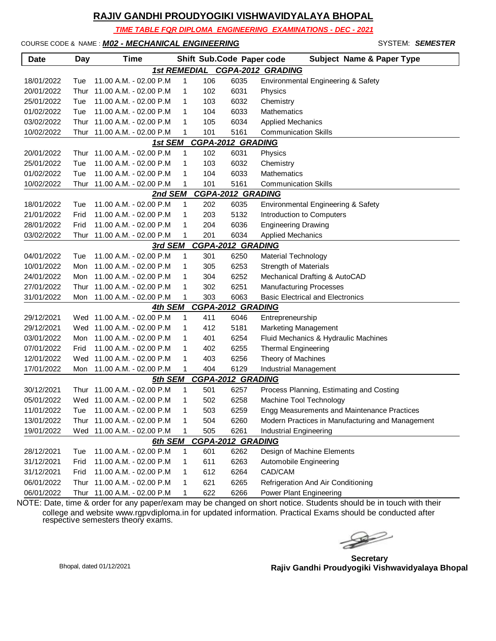*TIME TABLE FOR DIPLOMA ENGINEERING EXAMINATIONS - DEC - 2021*

COURSE CODE & NAME : *M02 - MECHANICAL ENGINEERING* - SYSTEM: *SEMESTER*

| <b>Date</b> | Day  | <b>Time</b>                 |   |     | Shift Sub.Code Paper code | <b>Subject Name &amp; Paper Type</b>             |
|-------------|------|-----------------------------|---|-----|---------------------------|--------------------------------------------------|
|             |      |                             |   |     |                           | 1st REMEDIAL CGPA-2012 GRADING                   |
| 18/01/2022  | Tue  | 11.00 A.M. - 02.00 P.M      | 1 | 106 | 6035                      | Environmental Engineering & Safety               |
| 20/01/2022  | Thur | 11.00 A.M. - 02.00 P.M      | 1 | 102 | 6031                      | Physics                                          |
| 25/01/2022  | Tue  | 11.00 A.M. - 02.00 P.M      | 1 | 103 | 6032                      | Chemistry                                        |
| 01/02/2022  | Tue  | 11.00 A.M. - 02.00 P.M      | 1 | 104 | 6033                      | Mathematics                                      |
| 03/02/2022  | Thur | 11.00 A.M. - 02.00 P.M      | 1 | 105 | 6034                      | <b>Applied Mechanics</b>                         |
| 10/02/2022  | Thur | 11.00 A.M. - 02.00 P.M      | 1 | 101 | 5161                      | <b>Communication Skills</b>                      |
|             |      | 1st SEM                     |   |     | <b>CGPA-2012 GRADING</b>  |                                                  |
| 20/01/2022  | Thur | 11.00 A.M. - 02.00 P.M      | 1 | 102 | 6031                      | Physics                                          |
| 25/01/2022  | Tue  | 11.00 A.M. - 02.00 P.M      | 1 | 103 | 6032                      | Chemistry                                        |
| 01/02/2022  | Tue  | 11.00 A.M. - 02.00 P.M      | 1 | 104 | 6033                      | <b>Mathematics</b>                               |
| 10/02/2022  | Thur | 11.00 A.M. - 02.00 P.M      | 1 | 101 | 5161                      | <b>Communication Skills</b>                      |
|             |      | 2nd SEM                     |   |     | <b>CGPA-2012 GRADING</b>  |                                                  |
| 18/01/2022  | Tue  | 11.00 A.M. - 02.00 P.M      | 1 | 202 | 6035                      | Environmental Engineering & Safety               |
| 21/01/2022  | Frid | 11.00 A.M. - 02.00 P.M      | 1 | 203 | 5132                      | Introduction to Computers                        |
| 28/01/2022  | Frid | 11.00 A.M. - 02.00 P.M      | 1 | 204 | 6036                      | <b>Engineering Drawing</b>                       |
| 03/02/2022  | Thur | 11.00 A.M. - 02.00 P.M      | 1 | 201 | 6034                      | <b>Applied Mechanics</b>                         |
|             |      | 3rd SEM                     |   |     | <b>CGPA-2012 GRADING</b>  |                                                  |
| 04/01/2022  | Tue  | 11.00 A.M. - 02.00 P.M      | 1 | 301 | 6250                      | <b>Material Technology</b>                       |
| 10/01/2022  | Mon  | 11.00 A.M. - 02.00 P.M      | 1 | 305 | 6253                      | <b>Strength of Materials</b>                     |
| 24/01/2022  | Mon  | 11.00 A.M. - 02.00 P.M      | 1 | 304 | 6252                      | Mechanical Drafting & AutoCAD                    |
| 27/01/2022  | Thur | 11.00 A.M. - 02.00 P.M      | 1 | 302 | 6251                      | <b>Manufacturing Processes</b>                   |
| 31/01/2022  | Mon  | 11.00 A.M. - 02.00 P.M      | 1 | 303 | 6063                      | <b>Basic Electrical and Electronics</b>          |
|             |      | 4th SEM                     |   |     | <b>CGPA-2012 GRADING</b>  |                                                  |
| 29/12/2021  |      | Wed 11.00 A.M. - 02.00 P.M  | 1 | 411 | 6046                      | Entrepreneurship                                 |
| 29/12/2021  |      | Wed 11.00 A.M. - 02.00 P.M  | 1 | 412 | 5181                      | <b>Marketing Management</b>                      |
| 03/01/2022  | Mon  | 11.00 A.M. - 02.00 P.M      | 1 | 401 | 6254                      | Fluid Mechanics & Hydraulic Machines             |
| 07/01/2022  | Frid | 11.00 A.M. - 02.00 P.M      | 1 | 402 | 6255                      | <b>Thermal Engineering</b>                       |
| 12/01/2022  | Wed  | 11.00 A.M. - 02.00 P.M      | 1 | 403 | 6256                      | Theory of Machines                               |
| 17/01/2022  | Mon  | 11.00 A.M. - 02.00 P.M      | 1 | 404 | 6129                      | Industrial Management                            |
|             |      | 5th SEM                     |   |     | <b>CGPA-2012 GRADING</b>  |                                                  |
| 30/12/2021  | Thur | 11.00 A.M. - 02.00 P.M      | 1 | 501 | 6257                      | Process Planning, Estimating and Costing         |
| 05/01/2022  |      | Wed 11.00 A.M. - 02.00 P.M  | 1 | 502 | 6258                      | Machine Tool Technology                          |
| 11/01/2022  |      |                             |   | 503 | 6259                      | Enga Measurements and Maintenance Practices      |
| 13/01/2022  |      | Thur 11.00 A.M. - 02.00 P.M | 1 | 504 | 6260                      | Modern Practices in Manufacturing and Management |
| 19/01/2022  | Wed  | 11.00 A.M. - 02.00 P.M      | 1 | 505 | 6261                      | Industrial Engineering                           |
|             |      | 6th SEM                     |   |     | <b>CGPA-2012 GRADING</b>  |                                                  |
| 28/12/2021  | Tue  | 11.00 A.M. - 02.00 P.M      | 1 | 601 | 6262                      | Design of Machine Elements                       |
| 31/12/2021  | Frid | 11.00 A.M. - 02.00 P.M      | 1 | 611 | 6263                      | Automobile Engineering                           |
| 31/12/2021  | Frid | 11.00 A.M. - 02.00 P.M      | 1 | 612 | 6264                      | CAD/CAM                                          |
| 06/01/2022  | Thur | 11.00 A.M. - 02.00 P.M      | 1 | 621 | 6265                      | Refrigeration And Air Conditioning               |
| 06/01/2022  |      | Thur 11.00 A.M. - 02.00 P.M | 1 | 622 | 6266                      | Power Plant Engineering                          |

 $\begin{picture}(120,15) \put(0,0){\line(1,0){15}} \put(15,0){\line(1,0){15}} \put(15,0){\line(1,0){15}} \put(15,0){\line(1,0){15}} \put(15,0){\line(1,0){15}} \put(15,0){\line(1,0){15}} \put(15,0){\line(1,0){15}} \put(15,0){\line(1,0){15}} \put(15,0){\line(1,0){15}} \put(15,0){\line(1,0){15}} \put(15,0){\line(1,0){15}} \put(15,0){\line($ 

**Secretary Rajiv Gandhi Proudyogiki Vishwavidyalaya Bhopal** Bhopal, dated 01/12/2021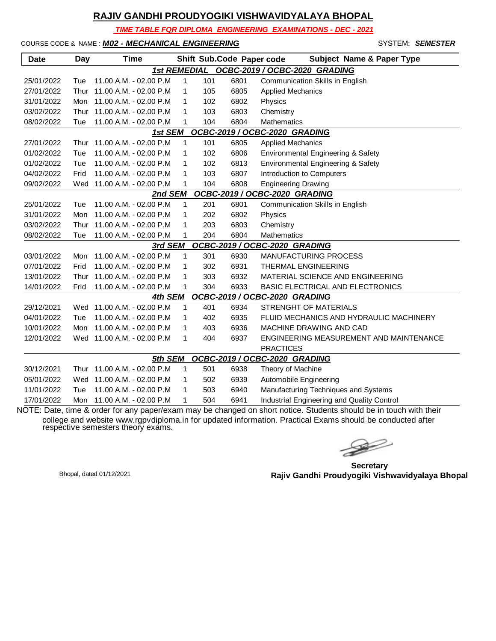*TIME TABLE FOR DIPLOMA ENGINEERING EXAMINATIONS - DEC - 2021*

COURSE CODE & NAME : **M02 - MECHANICAL ENGINEERING** 

|                                      | SYSTEM: SEMESTER |
|--------------------------------------|------------------|
| <b>Subject Name &amp; Paper Type</b> |                  |

| <b>Date</b>                              | <b>Day</b> | Time                        |              |     | Shift Sub.Code Paper code | <b>Subject Name &amp; Paper Type</b>       |  |  |  |
|------------------------------------------|------------|-----------------------------|--------------|-----|---------------------------|--------------------------------------------|--|--|--|
|                                          |            |                             |              |     |                           | 1st REMEDIAL OCBC-2019 / OCBC-2020 GRADING |  |  |  |
| 25/01/2022                               | Tue        | 11.00 A.M. - 02.00 P.M.     | $\mathbf{1}$ | 101 | 6801                      | <b>Communication Skills in English</b>     |  |  |  |
| 27/01/2022                               | Thur       | 11.00 A.M. - 02.00 P.M      | 1            | 105 | 6805                      | <b>Applied Mechanics</b>                   |  |  |  |
| 31/01/2022                               | Mon        | 11.00 A.M. - 02.00 P.M      | 1            | 102 | 6802                      | Physics                                    |  |  |  |
| 03/02/2022                               | Thur       | 11.00 A.M. - 02.00 P.M      | 1            | 103 | 6803                      | Chemistry                                  |  |  |  |
| 08/02/2022                               | Tue        | 11.00 A.M. - 02.00 P.M      | 1            | 104 | 6804                      | Mathematics                                |  |  |  |
| OCBC-2019 / OCBC-2020 GRADING<br>1st SEM |            |                             |              |     |                           |                                            |  |  |  |
| 27/01/2022                               | Thur       | 11.00 A.M. - 02.00 P.M      | $\mathbf{1}$ | 101 | 6805                      | <b>Applied Mechanics</b>                   |  |  |  |
| 01/02/2022                               | Tue        | 11.00 A.M. - 02.00 P.M.     | $\mathbf{1}$ | 102 | 6806                      | Environmental Engineering & Safety         |  |  |  |
| 01/02/2022                               | Tue        | 11.00 A.M. - 02.00 P.M      | 1            | 102 | 6813                      | Environmental Engineering & Safety         |  |  |  |
| 04/02/2022                               | Frid       | 11.00 A.M. - 02.00 P.M      | 1            | 103 | 6807                      | Introduction to Computers                  |  |  |  |
| 09/02/2022                               | Wed        | 11.00 A.M. - 02.00 P.M      | 1            | 104 | 6808                      | <b>Engineering Drawing</b>                 |  |  |  |
|                                          |            | 2nd SEM                     |              |     |                           | OCBC-2019 / OCBC-2020 GRADING              |  |  |  |
| 25/01/2022                               | Tue        | 11.00 A.M. - 02.00 P.M      | 1            | 201 | 6801                      | Communication Skills in English            |  |  |  |
| 31/01/2022                               | Mon        | 11.00 A.M. - 02.00 P.M      | 1            | 202 | 6802                      | Physics                                    |  |  |  |
| 03/02/2022                               | Thur       | 11.00 A.M. - 02.00 P.M      | 1            | 203 | 6803                      | Chemistry                                  |  |  |  |
| 08/02/2022                               | Tue        | 11.00 A.M. - 02.00 P.M      | 1            | 204 | 6804                      | <b>Mathematics</b>                         |  |  |  |
|                                          |            | 3rd SEM                     |              |     |                           | OCBC-2019 / OCBC-2020 GRADING              |  |  |  |
| 03/01/2022                               | Mon        | 11.00 A.M. - 02.00 P.M      | $\mathbf{1}$ | 301 | 6930                      | MANUFACTURING PROCESS                      |  |  |  |
| 07/01/2022                               | Frid       | 11.00 A.M. - 02.00 P.M      | $\mathbf{1}$ | 302 | 6931                      | <b>THERMAL ENGINEERING</b>                 |  |  |  |
| 13/01/2022                               | Thur       | 11.00 A.M. - 02.00 P.M      | 1            | 303 | 6932                      | MATERIAL SCIENCE AND ENGINEERING           |  |  |  |
| 14/01/2022                               | Frid       | 11.00 A.M. - 02.00 P.M      | 1            | 304 | 6933                      | BASIC ELECTRICAL AND ELECTRONICS           |  |  |  |
|                                          |            | 4th SEM                     |              |     |                           | OCBC-2019 / OCBC-2020 GRADING              |  |  |  |
| 29/12/2021                               |            | Wed 11.00 A.M. - 02.00 P.M. | 1            | 401 | 6934                      | STRENGHT OF MATERIALS                      |  |  |  |
| 04/01/2022                               | Tue        | 11.00 A.M. - 02.00 P.M      | 1            | 402 | 6935                      | FLUID MECHANICS AND HYDRAULIC MACHINERY    |  |  |  |
| 10/01/2022                               | Mon        | 11.00 A.M. - 02.00 P.M      | 1            | 403 | 6936                      | MACHINE DRAWING AND CAD                    |  |  |  |
| 12/01/2022                               | Wed        | 11.00 A.M. - 02.00 P.M      | 1            | 404 | 6937                      | ENGINEERING MEASUREMENT AND MAINTENANCE    |  |  |  |
|                                          |            |                             |              |     |                           | <b>PRACTICES</b>                           |  |  |  |
|                                          |            | 5th SEM                     |              |     |                           | OCBC-2019 / OCBC-2020 GRADING              |  |  |  |
| 30/12/2021                               |            | Thur 11.00 A.M. - 02.00 P.M | $\mathbf{1}$ | 501 | 6938                      | Theory of Machine                          |  |  |  |
| 05/01/2022                               | Wed        | 11.00 A.M. - 02.00 P.M      | 1            | 502 | 6939                      | Automobile Engineering                     |  |  |  |
| 11/01/2022                               | Tue        | 11.00 A.M. - 02.00 P.M      | 1            | 503 | 6940                      | Manufacturing Techniques and Systems       |  |  |  |
| 17/01/2022                               | Mon        | 11.00 A.M. - 02.00 P.M      | 1            | 504 | 6941                      | Industrial Engineering and Quality Control |  |  |  |

 $\geqslant$ 

**Secretary Rajiv Gandhi Proudyogiki Vishwavidyalaya Bhopal** Bhopal, dated 01/12/2021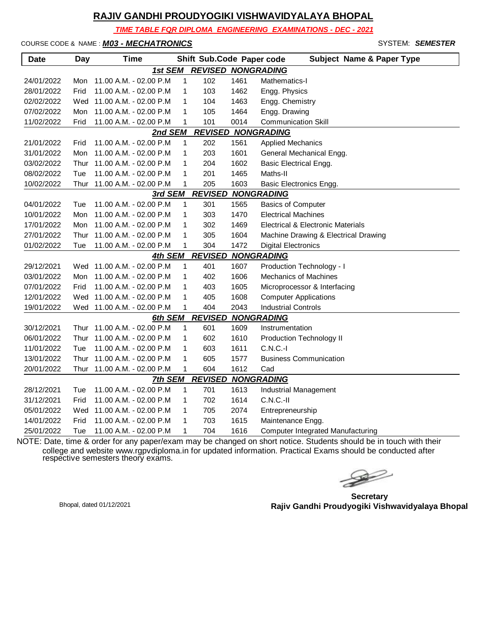*TIME TABLE FOR DIPLOMA ENGINEERING EXAMINATIONS - DEC - 2021*

#### COURSE CODE & NAME : *M03 - MECHATRONICS* - SYSTEM: *SEMESTER*

| Date       | Day  | <b>Time</b>                |              | Shift Sub.Code Paper code |      | <b>Subject Name &amp; Paper Type</b>         |
|------------|------|----------------------------|--------------|---------------------------|------|----------------------------------------------|
|            |      | 1st SEM                    |              | <b>REVISED NONGRADING</b> |      |                                              |
| 24/01/2022 | Mon  | 11.00 A.M. - 02.00 P.M     | $\mathbf{1}$ | 102                       | 1461 | Mathematics-I                                |
| 28/01/2022 | Frid | 11.00 A.M. - 02.00 P.M     | 1            | 103                       | 1462 | Engg. Physics                                |
| 02/02/2022 |      | Wed 11.00 A.M. - 02.00 P.M | 1            | 104                       | 1463 | Engg. Chemistry                              |
| 07/02/2022 | Mon  | 11.00 A.M. - 02.00 P.M     | $\mathbf{1}$ | 105                       | 1464 | Engg. Drawing                                |
| 11/02/2022 | Frid | 11.00 A.M. - 02.00 P.M     | 1            | 101                       | 0014 | <b>Communication Skill</b>                   |
|            |      | 2nd SEM                    |              |                           |      | <b>REVISED NONGRADING</b>                    |
| 21/01/2022 | Frid | 11.00 A.M. - 02.00 P.M     | 1            | 202                       | 1561 | <b>Applied Mechanics</b>                     |
| 31/01/2022 | Mon  | 11.00 A.M. - 02.00 P.M     | $\mathbf{1}$ | 203                       | 1601 | General Mechanical Engg.                     |
| 03/02/2022 | Thur | 11.00 A.M. - 02.00 P.M     | $\mathbf{1}$ | 204                       | 1602 | <b>Basic Electrical Engg.</b>                |
| 08/02/2022 | Tue  | 11.00 A.M. - 02.00 P.M     | 1            | 201                       | 1465 | Maths-II                                     |
| 10/02/2022 | Thur | 11.00 A.M. - 02.00 P.M     | 1            | 205                       | 1603 | Basic Electronics Engg.                      |
|            |      | 3rd SEM                    |              | <b>REVISED</b>            |      | <b>NONGRADING</b>                            |
| 04/01/2022 | Tue  | 11.00 A.M. - 02.00 P.M     | $\mathbf{1}$ | 301                       | 1565 | <b>Basics of Computer</b>                    |
| 10/01/2022 | Mon  | 11.00 A.M. - 02.00 P.M     | 1            | 303                       | 1470 | <b>Electrical Machines</b>                   |
| 17/01/2022 | Mon  | 11.00 A.M. - 02.00 P.M     | 1            | 302                       | 1469 | <b>Electrical &amp; Electronic Materials</b> |
| 27/01/2022 | Thur | 11.00 A.M. - 02.00 P.M     | $\mathbf{1}$ | 305                       | 1604 | Machine Drawing & Electrical Drawing         |
| 01/02/2022 | Tue  | 11.00 A.M. - 02.00 P.M     | $\mathbf{1}$ | 304                       | 1472 | <b>Digital Electronics</b>                   |
|            |      | 4th SEM                    |              | <b>REVISED</b>            |      | <b>NONGRADING</b>                            |
| 29/12/2021 | Wed  | 11.00 A.M. - 02.00 P.M     | $\mathbf 1$  | 401                       | 1607 | Production Technology - I                    |
| 03/01/2022 | Mon  | 11.00 A.M. - 02.00 P.M     | $\mathbf{1}$ | 402                       | 1606 | Mechanics of Machines                        |
| 07/01/2022 | Frid | 11.00 A.M. - 02.00 P.M     | 1            | 403                       | 1605 | Microprocessor & Interfacing                 |
| 12/01/2022 | Wed  | 11.00 A.M. - 02.00 P.M     | $\mathbf{1}$ | 405                       | 1608 | <b>Computer Applications</b>                 |
| 19/01/2022 |      | Wed 11.00 A.M. - 02.00 P.M | $\mathbf{1}$ | 404                       | 2043 | <b>Industrial Controls</b>                   |
|            |      | <b>6th SEM</b>             |              | <b>REVISED</b>            |      | <b>NONGRADING</b>                            |
| 30/12/2021 | Thur | 11.00 A.M. - 02.00 P.M     | $\mathbf{1}$ | 601                       | 1609 | Instrumentation                              |
| 06/01/2022 | Thur | 11.00 A.M. - 02.00 P.M     | $\mathbf{1}$ | 602                       | 1610 | <b>Production Technology II</b>              |
| 11/01/2022 | Tue  | 11.00 A.M. - 02.00 P.M     | 1            | 603                       | 1611 | $C.N.C.-I$                                   |
| 13/01/2022 | Thur | 11.00 A.M. - 02.00 P.M     | 1            | 605                       | 1577 | <b>Business Communication</b>                |
| 20/01/2022 | Thur | 11.00 A.M. - 02.00 P.M     | 1            | 604                       | 1612 | Cad                                          |
|            |      | <b>7th SEM</b>             |              | <b>REVISED</b>            |      | <b>NONGRADING</b>                            |
| 28/12/2021 | Tue  | 11.00 A.M. - 02.00 P.M     | $\mathbf{1}$ | 701                       | 1613 | Industrial Management                        |
| 31/12/2021 | Frid | 11.00 A.M. - 02.00 P.M     | 1            | 702                       | 1614 | $C.N.C.-II$                                  |
| 05/01/2022 | Wed  | 11.00 A.M. - 02.00 P.M     | 1            | 705                       | 2074 | Entrepreneurship                             |
| 14/01/2022 | Frid | 11.00 A.M. - 02.00 P.M     | 1            | 703                       | 1615 | Maintenance Engg.                            |
| 25/01/2022 | Tue  | 11.00 A.M. - 02.00 P.M     | 1            | 704                       | 1616 | <b>Computer Integrated Manufacturing</b>     |

 $\rightarrow$ 

**Secretary Rajiv Gandhi Proudyogiki Vishwavidyalaya Bhopal** Bhopal, dated 01/12/2021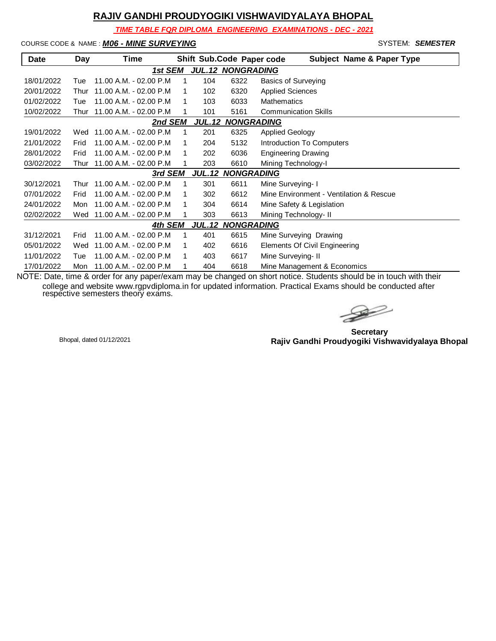*TIME TABLE FOR DIPLOMA ENGINEERING EXAMINATIONS - DEC - 2021*

#### COURSE CODE & NAME : *M06 - MINE SURVEYING* - SYSTEM: *SEMESTER*

| <b>Date</b>                                   | Day  | Time                    |   |     |                          | <b>Subject Name &amp; Paper Type</b><br>Shift Sub.Code Paper code |  |  |
|-----------------------------------------------|------|-------------------------|---|-----|--------------------------|-------------------------------------------------------------------|--|--|
|                                               |      | 1st SEM                 |   |     | <b>JUL.12 NONGRADING</b> |                                                                   |  |  |
| 18/01/2022                                    | Tue  | 11.00 A.M. - 02.00 P.M  | 1 | 104 | 6322                     | <b>Basics of Surveying</b>                                        |  |  |
| 20/01/2022                                    | Thur | 11.00 A.M. - 02.00 P.M  |   | 102 | 6320                     | <b>Applied Sciences</b>                                           |  |  |
| 01/02/2022                                    | Tue  | 11.00 A.M. - 02.00 P.M. | 1 | 103 | 6033                     | <b>Mathematics</b>                                                |  |  |
| 10/02/2022                                    | Thur | 11.00 A.M. - 02.00 P.M  | 1 | 101 | 5161                     | <b>Communication Skills</b>                                       |  |  |
| <b>NONGRADING</b><br>2nd SEM<br><b>JUL.12</b> |      |                         |   |     |                          |                                                                   |  |  |
| 19/01/2022                                    | Wed  | 11.00 A.M. - 02.00 P.M  |   | 201 | 6325                     | <b>Applied Geology</b>                                            |  |  |
| 21/01/2022                                    | Frid | 11.00 A.M. - 02.00 P.M  | 1 | 204 | 5132                     | Introduction To Computers                                         |  |  |
| 28/01/2022                                    | Frid | 11.00 A.M. - 02.00 P.M  | 1 | 202 | 6036                     | <b>Engineering Drawing</b>                                        |  |  |
| 03/02/2022                                    | Thur | 11.00 A.M. - 02.00 P.M  | 1 | 203 | 6610                     | Mining Technology-I                                               |  |  |
|                                               |      | 3rd SEM                 |   |     | <b>JUL.12 NONGRADING</b> |                                                                   |  |  |
| 30/12/2021                                    | Thur | 11.00 A.M. - 02.00 P.M  | 1 | 301 | 6611                     | Mine Surveying- I                                                 |  |  |
| 07/01/2022                                    | Frid | 11.00 A.M. - 02.00 P.M  | 1 | 302 | 6612                     | Mine Environment - Ventilation & Rescue                           |  |  |
| 24/01/2022                                    | Mon  | 11.00 A.M. - 02.00 P.M  |   | 304 | 6614                     | Mine Safety & Legislation                                         |  |  |
| 02/02/2022                                    | Wed  | 11.00 A.M. - 02.00 P.M  |   | 303 | 6613                     | Mining Technology- II                                             |  |  |
|                                               |      | 4th SEM                 |   |     | <b>JUL.12 NONGRADING</b> |                                                                   |  |  |
| 31/12/2021                                    | Frid | 11.00 A.M. - 02.00 P.M  | 1 | 401 | 6615                     | Mine Surveying Drawing                                            |  |  |
| 05/01/2022                                    | Wed  | 11.00 A.M. - 02.00 P.M  |   | 402 | 6616                     | Elements Of Civil Engineering                                     |  |  |
| 11/01/2022                                    | Tue  | 11.00 A.M. - 02.00 P.M  | 1 | 403 | 6617                     | Mine Surveying- II                                                |  |  |
| 17/01/2022                                    | Mon  | 11.00 A.M. - 02.00 P.M  |   | 404 | 6618                     | Mine Management & Economics                                       |  |  |

 $\rightarrow$ 

**Secretary Rajiv Gandhi Proudyogiki Vishwavidyalaya Bhopal** Bhopal, dated 01/12/2021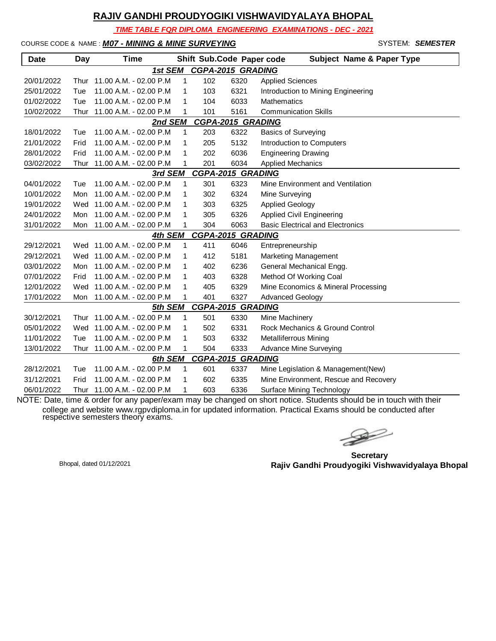*TIME TABLE FOR DIPLOMA ENGINEERING EXAMINATIONS - DEC - 2021*

COURSE CODE & NAME : *M07 - MINING & MINE SURVEYING* - SYSTEM: *SEMESTER*

| <b>Date</b> | Day  | <b>Time</b>                |              |     | Shift Sub.Code Paper code | <b>Subject Name &amp; Paper Type</b>    |
|-------------|------|----------------------------|--------------|-----|---------------------------|-----------------------------------------|
|             |      | 1st SEM                    |              |     | <b>CGPA-2015 GRADING</b>  |                                         |
| 20/01/2022  | Thur | 11.00 A.M. - 02.00 P.M     | $\mathbf{1}$ | 102 | 6320                      | <b>Applied Sciences</b>                 |
| 25/01/2022  | Tue  | 11.00 A.M. - 02.00 P.M     | 1            | 103 | 6321                      | Introduction to Mining Engineering      |
| 01/02/2022  | Tue  | 11.00 A.M. - 02.00 P.M     | 1            | 104 | 6033                      | <b>Mathematics</b>                      |
| 10/02/2022  | Thur | 11.00 A.M. - 02.00 P.M     | 1            | 101 | 5161                      | <b>Communication Skills</b>             |
|             |      | 2nd SEM                    |              |     | <b>CGPA-2015 GRADING</b>  |                                         |
| 18/01/2022  | Tue  | 11.00 A.M. - 02.00 P.M     | $\mathbf{1}$ | 203 | 6322                      | <b>Basics of Surveying</b>              |
| 21/01/2022  | Frid | 11.00 A.M. - 02.00 P.M     | 1            | 205 | 5132                      | Introduction to Computers               |
| 28/01/2022  | Frid | 11.00 A.M. - 02.00 P.M     | 1            | 202 | 6036                      | <b>Engineering Drawing</b>              |
| 03/02/2022  | Thur | 11.00 A.M. - 02.00 P.M     | 1            | 201 | 6034                      | <b>Applied Mechanics</b>                |
|             |      | 3rd SEM                    |              |     | <b>CGPA-2015 GRADING</b>  |                                         |
| 04/01/2022  | Tue  | 11.00 A.M. - 02.00 P.M     | 1            | 301 | 6323                      | Mine Environment and Ventilation        |
| 10/01/2022  | Mon  | 11.00 A.M. - 02.00 P.M     | 1            | 302 | 6324                      | Mine Surveying                          |
| 19/01/2022  | Wed  | 11.00 A.M. - 02.00 P.M     | 1            | 303 | 6325                      | <b>Applied Geology</b>                  |
| 24/01/2022  | Mon  | 11.00 A.M. - 02.00 P.M     | 1            | 305 | 6326                      | <b>Applied Civil Engineering</b>        |
| 31/01/2022  | Mon  | 11.00 A.M. - 02.00 P.M     | 1            | 304 | 6063                      | <b>Basic Electrical and Electronics</b> |
|             |      | 4th SEM                    |              |     | <b>CGPA-2015 GRADING</b>  |                                         |
| 29/12/2021  | Wed  | 11.00 A.M. - 02.00 P.M     | 1            | 411 | 6046                      | Entrepreneurship                        |
| 29/12/2021  |      | Wed 11.00 A.M. - 02.00 P.M | 1            | 412 | 5181                      | <b>Marketing Management</b>             |
| 03/01/2022  | Mon  | 11.00 A.M. - 02.00 P.M     | 1            | 402 | 6236                      | General Mechanical Engg.                |
| 07/01/2022  | Frid | 11.00 A.M. - 02.00 P.M     | 1            | 403 | 6328                      | Method Of Working Coal                  |
| 12/01/2022  | Wed  | 11.00 A.M. - 02.00 P.M     | 1            | 405 | 6329                      | Mine Economics & Mineral Processing     |
| 17/01/2022  |      | Mon 11.00 A.M. - 02.00 P.M | 1            | 401 | 6327                      | <b>Advanced Geology</b>                 |
|             |      | 5th SEM                    |              |     | <b>CGPA-2015 GRADING</b>  |                                         |
| 30/12/2021  | Thur | 11.00 A.M. - 02.00 P.M     | 1            | 501 | 6330                      | Mine Machinery                          |
| 05/01/2022  | Wed  | 11.00 A.M. - 02.00 P.M     | 1            | 502 | 6331                      | Rock Mechanics & Ground Control         |
| 11/01/2022  | Tue  | 11.00 A.M. - 02.00 P.M     | 1            | 503 | 6332                      | <b>Metalliferrous Mining</b>            |
| 13/01/2022  | Thur | 11.00 A.M. - 02.00 P.M     | 1            | 504 | 6333                      | <b>Advance Mine Surveying</b>           |
|             |      | 6th SEM                    |              |     | <b>CGPA-2015 GRADING</b>  |                                         |
| 28/12/2021  | Tue  | 11.00 A.M. - 02.00 P.M     | 1            | 601 | 6337                      | Mine Legislation & Management(New)      |
| 31/12/2021  | Frid | 11.00 A.M. - 02.00 P.M     | 1            | 602 | 6335                      | Mine Environment, Rescue and Recovery   |
| 06/01/2022  | Thur | 11.00 A.M. - 02.00 P.M     | 1            | 603 | 6336                      | <b>Surface Mining Technology</b>        |

 $\begin{picture}(120,17)(-20,17)(-20,17)(-20,17)(-20,17)(-20,17)(-20,17)(-20,17)(-20,17)(-20,17)(-20,17)(-20,17)(-20,17)(-20,17)(-20,17)(-20,17)(-20,17)(-20,17)(-20,17)(-20,17)(-20,17)(-20,17)(-20,17)(-20,17)(-20,17)(-20,17)(-20,17)(-20,17)(-20,17)(-20,17)(-20,1$ 

**Secretary Rajiv Gandhi Proudyogiki Vishwavidyalaya Bhopal** Bhopal, dated 01/12/2021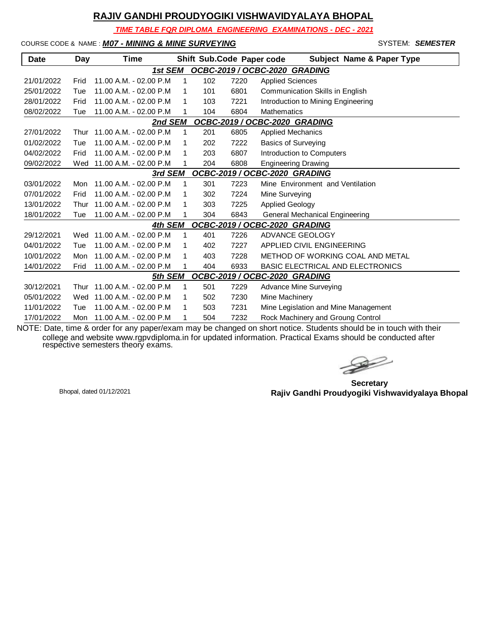*TIME TABLE FOR DIPLOMA ENGINEERING EXAMINATIONS - DEC - 2021*

COURSE CODE & NAME : *M07 - MINING & MINE SURVEYING* - SYSTEM: *SEMESTER*

| Date                                     | Day  | Time                      |   |     | Shift Sub.Code Paper code | <b>Subject Name &amp; Paper Type</b>    |  |  |
|------------------------------------------|------|---------------------------|---|-----|---------------------------|-----------------------------------------|--|--|
|                                          |      | 1st SEM                   |   |     |                           | OCBC-2019 / OCBC-2020 GRADING           |  |  |
| 21/01/2022                               | Frid | 11.00 A.M. - 02.00 P.M    | 1 | 102 | 7220                      | <b>Applied Sciences</b>                 |  |  |
| 25/01/2022                               | Tue  | 11.00 A.M. - 02.00 P.M    | 1 | 101 | 6801                      | Communication Skills in English         |  |  |
| 28/01/2022                               | Frid | 11.00 A.M. - 02.00 P.M    | 1 | 103 | 7221                      | Introduction to Mining Engineering      |  |  |
| 08/02/2022                               | Tue  | 11.00 A.M. - 02.00 P.M    |   | 104 | 6804                      | <b>Mathematics</b>                      |  |  |
| 2nd SEM<br>OCBC-2019 / OCBC-2020 GRADING |      |                           |   |     |                           |                                         |  |  |
| 27/01/2022                               | Thur | $11.00 A.M. - 02.00 P.M.$ | 1 | 201 | 6805                      | <b>Applied Mechanics</b>                |  |  |
| 01/02/2022                               | Tue  | 11.00 A.M. - 02.00 P.M    | 1 | 202 | 7222                      | <b>Basics of Surveying</b>              |  |  |
| 04/02/2022                               | Frid | 11.00 A.M. - 02.00 P.M    | 1 | 203 | 6807                      | Introduction to Computers               |  |  |
| 09/02/2022                               | Wed  | 11.00 A.M. - 02.00 P.M    |   | 204 | 6808                      | <b>Engineering Drawing</b>              |  |  |
|                                          |      | 3rd SEM                   |   |     |                           | OCBC-2019 / OCBC-2020 GRADING           |  |  |
| 03/01/2022                               | Mon  | 11.00 A.M. - 02.00 P.M    | 1 | 301 | 7223                      | Mine Environment and Ventilation        |  |  |
| 07/01/2022                               | Frid | 11.00 A.M. - 02.00 P.M    | 1 | 302 | 7224                      | Mine Surveying                          |  |  |
| 13/01/2022                               | Thur | 11.00 A.M. - 02.00 P.M    | 1 | 303 | 7225                      | <b>Applied Geology</b>                  |  |  |
| 18/01/2022                               | Tue  | 11.00 A.M. - 02.00 P.M    |   | 304 | 6843                      | General Mechanical Engineering          |  |  |
|                                          |      | 4th SEM                   |   |     |                           | OCBC-2019 / OCBC-2020 GRADING           |  |  |
| 29/12/2021                               | Wed  | 11.00 A.M. - 02.00 P.M    | 1 | 401 | 7226                      | ADVANCE GEOLOGY                         |  |  |
| 04/01/2022                               | Tue  | 11.00 A.M. - 02.00 P.M    | 1 | 402 | 7227                      | APPLIED CIVIL ENGINEERING               |  |  |
| 10/01/2022                               | Mon  | 11.00 A.M. - 02.00 P.M    | 1 | 403 | 7228                      | METHOD OF WORKING COAL AND METAL        |  |  |
| 14/01/2022                               | Frid | 11.00 A.M. - 02.00 P.M    |   | 404 | 6933                      | <b>BASIC ELECTRICAL AND ELECTRONICS</b> |  |  |
|                                          |      | 5th SEM                   |   |     |                           | OCBC-2019 / OCBC-2020 GRADING           |  |  |
| 30/12/2021                               | Thur | 11.00 A.M. - 02.00 P.M    | 1 | 501 | 7229                      | Advance Mine Surveying                  |  |  |
| 05/01/2022                               | Wed  | 11.00 A.M. - 02.00 P.M    | 1 | 502 | 7230                      | Mine Machinery                          |  |  |
| 11/01/2022                               | Tue  | 11.00 A.M. - 02.00 P.M    | 1 | 503 | 7231                      | Mine Legislation and Mine Management    |  |  |
| 17/01/2022                               | Mon  | 11.00 A.M. - 02.00 P.M    | 1 | 504 | 7232                      | Rock Machinery and Groung Control       |  |  |

 $\rightarrow$ 

**Secretary Rajiv Gandhi Proudyogiki Vishwavidyalaya Bhopal** Bhopal, dated 01/12/2021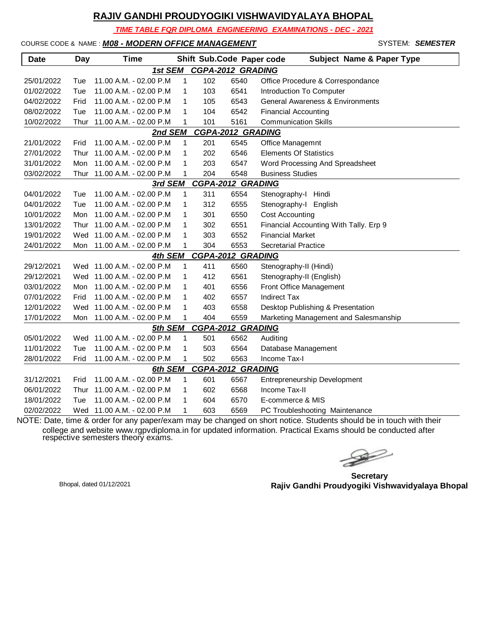*TIME TABLE FOR DIPLOMA ENGINEERING EXAMINATIONS - DEC - 2021*

#### COURSE CODE & NAME : *M08 - MODERN OFFICE MANAGEMENT* - SYSTEM: *SEMESTER*

| <b>Date</b> | Day                                 | <b>Time</b>                |              |     | Shift Sub.Code Paper code | <b>Subject Name &amp; Paper Type</b>   |  |  |  |  |
|-------------|-------------------------------------|----------------------------|--------------|-----|---------------------------|----------------------------------------|--|--|--|--|
|             |                                     | 1st SEM                    |              |     | <b>CGPA-2012 GRADING</b>  |                                        |  |  |  |  |
| 25/01/2022  | Tue                                 | 11.00 A.M. - 02.00 P.M     | 1            | 102 | 6540                      | Office Procedure & Correspondance      |  |  |  |  |
| 01/02/2022  | Tue                                 | 11.00 A.M. - 02.00 P.M     | 1            | 103 | 6541                      | Introduction To Computer               |  |  |  |  |
| 04/02/2022  | Frid                                | 11.00 A.M. - 02.00 P.M     | 1            | 105 | 6543                      | General Awareness & Environments       |  |  |  |  |
| 08/02/2022  | Tue                                 | 11.00 A.M. - 02.00 P.M     | 1            | 104 | 6542                      | <b>Financial Accounting</b>            |  |  |  |  |
| 10/02/2022  | Thur                                | 11.00 A.M. - 02.00 P.M     | 1            | 101 | 5161                      | <b>Communication Skills</b>            |  |  |  |  |
|             | <b>CGPA-2012 GRADING</b><br>2nd SEM |                            |              |     |                           |                                        |  |  |  |  |
| 21/01/2022  | Frid                                | 11.00 A.M. - 02.00 P.M     | $\mathbf{1}$ | 201 | 6545                      | Office Managemnt                       |  |  |  |  |
| 27/01/2022  | Thur                                | 11.00 A.M. - 02.00 P.M     | 1            | 202 | 6546                      | <b>Elements Of Statistics</b>          |  |  |  |  |
| 31/01/2022  | Mon                                 | 11.00 A.M. - 02.00 P.M     | 1            | 203 | 6547                      | Word Processing And Spreadsheet        |  |  |  |  |
| 03/02/2022  | Thur                                | 11.00 A.M. - 02.00 P.M     | 1            | 204 | 6548                      | <b>Business Studies</b>                |  |  |  |  |
|             |                                     | 3rd SEM                    |              |     | <b>CGPA-2012 GRADING</b>  |                                        |  |  |  |  |
| 04/01/2022  | Tue                                 | 11.00 A.M. - 02.00 P.M     | 1            | 311 | 6554                      | Stenography-I Hindi                    |  |  |  |  |
| 04/01/2022  | Tue                                 | 11.00 A.M. - 02.00 P.M     | 1            | 312 | 6555                      | Stenography-I English                  |  |  |  |  |
| 10/01/2022  | Mon                                 | 11.00 A.M. - 02.00 P.M     | 1            | 301 | 6550                      | <b>Cost Accounting</b>                 |  |  |  |  |
| 13/01/2022  | Thur                                | 11.00 A.M. - 02.00 P.M     | 1            | 302 | 6551                      | Financial Accounting With Tally. Erp 9 |  |  |  |  |
| 19/01/2022  | Wed                                 | 11.00 A.M. - 02.00 P.M     | 1            | 303 | 6552                      | <b>Financial Market</b>                |  |  |  |  |
| 24/01/2022  |                                     | Mon 11.00 A.M. - 02.00 P.M | 1            | 304 | 6553                      | <b>Secretarial Practice</b>            |  |  |  |  |
|             |                                     | 4th SEM                    |              |     | CGPA-2012 GRADING         |                                        |  |  |  |  |
| 29/12/2021  | Wed                                 | 11.00 A.M. - 02.00 P.M     | 1            | 411 | 6560                      | Stenography-II (Hindi)                 |  |  |  |  |
| 29/12/2021  | Wed                                 | 11.00 A.M. - 02.00 P.M     | 1            | 412 | 6561                      | Stenography-II (English)               |  |  |  |  |
| 03/01/2022  | Mon                                 | 11.00 A.M. - 02.00 P.M     | 1            | 401 | 6556                      | Front Office Management                |  |  |  |  |
| 07/01/2022  | Frid                                | 11.00 A.M. - 02.00 P.M     | 1            | 402 | 6557                      | <b>Indirect Tax</b>                    |  |  |  |  |
| 12/01/2022  | Wed                                 | 11.00 A.M. - 02.00 P.M     | 1            | 403 | 6558                      | Desktop Publishing & Presentation      |  |  |  |  |
| 17/01/2022  | Mon                                 | 11.00 A.M. - 02.00 P.M     | 1            | 404 | 6559                      | Marketing Management and Salesmanship  |  |  |  |  |
|             |                                     | 5th SEM                    |              |     | <b>CGPA-2012 GRADING</b>  |                                        |  |  |  |  |
| 05/01/2022  |                                     | Wed 11.00 A.M. - 02.00 P.M | 1            | 501 | 6562                      | Auditing                               |  |  |  |  |
| 11/01/2022  | Tue                                 | 11.00 A.M. - 02.00 P.M     | 1            | 503 | 6564                      | Database Management                    |  |  |  |  |
| 28/01/2022  | Frid                                | 11.00 A.M. - 02.00 P.M     | 1            | 502 | 6563                      | Income Tax-I                           |  |  |  |  |
|             |                                     | 6th SEM                    |              |     | <b>CGPA-2012 GRADING</b>  |                                        |  |  |  |  |
| 31/12/2021  | Frid                                | 11.00 A.M. - 02.00 P.M     | 1            | 601 | 6567                      | Entrepreneurship Development           |  |  |  |  |
| 06/01/2022  | Thur                                | 11.00 A.M. - 02.00 P.M     | 1            | 602 | 6568                      | Income Tax-II                          |  |  |  |  |
| 18/01/2022  | Tue                                 | 11.00 A.M. - 02.00 P.M     | 1            | 604 | 6570                      | E-commerce & MIS                       |  |  |  |  |
| 02/02/2022  | Wed                                 | 11.00 A.M. - 02.00 P.M     | 1            | 603 | 6569                      | PC Troubleshooting Maintenance         |  |  |  |  |

 $\gg$ 

**Secretary Rajiv Gandhi Proudyogiki Vishwavidyalaya Bhopal** Bhopal, dated 01/12/2021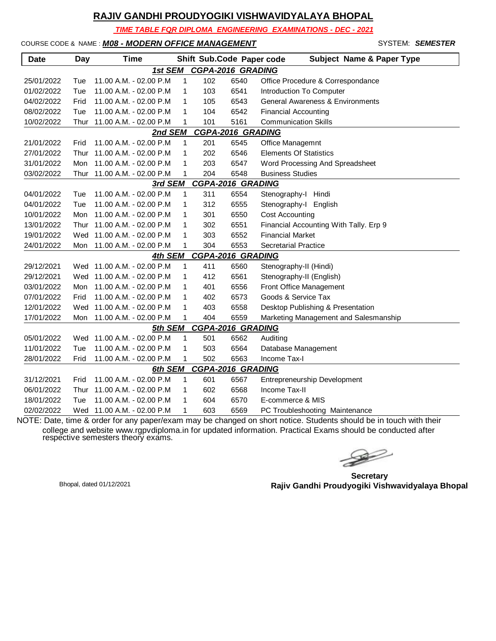*TIME TABLE FOR DIPLOMA ENGINEERING EXAMINATIONS - DEC - 2021*

#### COURSE CODE & NAME : *M08 - MODERN OFFICE MANAGEMENT* - SYSTEM: *SEMESTER*

| <b>Date</b> | Day  | <b>Time</b>                |              |     | Shift Sub.Code Paper code | <b>Subject Name &amp; Paper Type</b>   |
|-------------|------|----------------------------|--------------|-----|---------------------------|----------------------------------------|
|             |      | 1st SEM                    |              |     | <b>CGPA-2016 GRADING</b>  |                                        |
| 25/01/2022  | Tue  | 11.00 A.M. - 02.00 P.M     | 1            | 102 | 6540                      | Office Procedure & Correspondance      |
| 01/02/2022  | Tue  | 11.00 A.M. - 02.00 P.M     | 1            | 103 | 6541                      | Introduction To Computer               |
| 04/02/2022  | Frid | 11.00 A.M. - 02.00 P.M     | 1            | 105 | 6543                      | General Awareness & Environments       |
| 08/02/2022  | Tue  | 11.00 A.M. - 02.00 P.M     | 1            | 104 | 6542                      | <b>Financial Accounting</b>            |
| 10/02/2022  | Thur | 11.00 A.M. - 02.00 P.M     | 1            | 101 | 5161                      | <b>Communication Skills</b>            |
|             |      | 2nd SEM                    |              |     | <b>CGPA-2016 GRADING</b>  |                                        |
| 21/01/2022  | Frid | 11.00 A.M. - 02.00 P.M     | $\mathbf{1}$ | 201 | 6545                      | Office Managemnt                       |
| 27/01/2022  | Thur | 11.00 A.M. - 02.00 P.M     | 1            | 202 | 6546                      | <b>Elements Of Statistics</b>          |
| 31/01/2022  | Mon  | 11.00 A.M. - 02.00 P.M     | 1            | 203 | 6547                      | Word Processing And Spreadsheet        |
| 03/02/2022  | Thur | 11.00 A.M. - 02.00 P.M     | 1            | 204 | 6548                      | <b>Business Studies</b>                |
|             |      | 3rd SEM                    |              |     | <b>CGPA-2016 GRADING</b>  |                                        |
| 04/01/2022  | Tue  | 11.00 A.M. - 02.00 P.M     | 1            | 311 | 6554                      | Stenography-I Hindi                    |
| 04/01/2022  | Tue  | 11.00 A.M. - 02.00 P.M     | 1            | 312 | 6555                      | Stenography-I English                  |
| 10/01/2022  | Mon  | 11.00 A.M. - 02.00 P.M     | 1            | 301 | 6550                      | <b>Cost Accounting</b>                 |
| 13/01/2022  | Thur | 11.00 A.M. - 02.00 P.M     | 1            | 302 | 6551                      | Financial Accounting With Tally. Erp 9 |
| 19/01/2022  | Wed  | 11.00 A.M. - 02.00 P.M     | 1            | 303 | 6552                      | <b>Financial Market</b>                |
| 24/01/2022  |      | Mon 11.00 A.M. - 02.00 P.M | 1            | 304 | 6553                      | <b>Secretarial Practice</b>            |
|             |      | 4th SEM                    |              |     | CGPA-2016 GRADING         |                                        |
| 29/12/2021  | Wed  | 11.00 A.M. - 02.00 P.M     | 1            | 411 | 6560                      | Stenography-II (Hindi)                 |
| 29/12/2021  | Wed  | 11.00 A.M. - 02.00 P.M     | 1            | 412 | 6561                      | Stenography-II (English)               |
| 03/01/2022  | Mon  | 11.00 A.M. - 02.00 P.M     | 1            | 401 | 6556                      | Front Office Management                |
| 07/01/2022  | Frid | 11.00 A.M. - 02.00 P.M     | 1            | 402 | 6573                      | Goods & Service Tax                    |
| 12/01/2022  | Wed  | 11.00 A.M. - 02.00 P.M     | 1            | 403 | 6558                      | Desktop Publishing & Presentation      |
| 17/01/2022  | Mon  | 11.00 A.M. - 02.00 P.M     | 1            | 404 | 6559                      | Marketing Management and Salesmanship  |
|             |      | 5th SEM                    |              |     | <b>CGPA-2016 GRADING</b>  |                                        |
| 05/01/2022  |      | Wed 11.00 A.M. - 02.00 P.M | 1            | 501 | 6562                      | Auditing                               |
| 11/01/2022  | Tue  | 11.00 A.M. - 02.00 P.M     | 1            | 503 | 6564                      | Database Management                    |
| 28/01/2022  | Frid | 11.00 A.M. - 02.00 P.M     | 1            | 502 | 6563                      | Income Tax-I                           |
|             |      | 6th SEM                    |              |     | <b>CGPA-2016 GRADING</b>  |                                        |
| 31/12/2021  | Frid | 11.00 A.M. - 02.00 P.M     | 1            | 601 | 6567                      | Entrepreneurship Development           |
| 06/01/2022  | Thur | 11.00 A.M. - 02.00 P.M     | 1            | 602 | 6568                      | Income Tax-II                          |
| 18/01/2022  | Tue  | 11.00 A.M. - 02.00 P.M     | 1            | 604 | 6570                      | E-commerce & MIS                       |
| 02/02/2022  | Wed  | 11.00 A.M. - 02.00 P.M     | 1            | 603 | 6569                      | PC Troubleshooting Maintenance         |

 $\gg$ 

**Secretary Rajiv Gandhi Proudyogiki Vishwavidyalaya Bhopal** Bhopal, dated 01/12/2021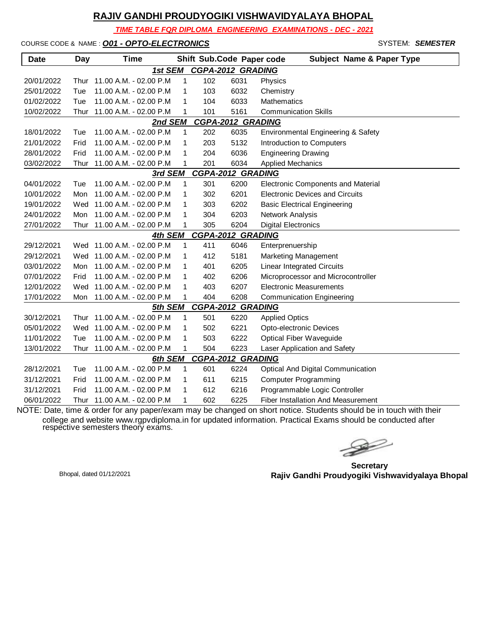*TIME TABLE FOR DIPLOMA ENGINEERING EXAMINATIONS - DEC - 2021*

COURSE CODE & NAME : *O01 - OPTO-ELECTRONICS* - SYSTEM: *SEMESTER*

| <b>Date</b>                         | Day  | <b>Time</b>                |              |                          |      | Shift Sub.Code Paper code<br><b>Subject Name &amp; Paper Type</b> |  |  |  |  |
|-------------------------------------|------|----------------------------|--------------|--------------------------|------|-------------------------------------------------------------------|--|--|--|--|
| <b>CGPA-2012 GRADING</b><br>1st SEM |      |                            |              |                          |      |                                                                   |  |  |  |  |
| 20/01/2022                          | Thur | 11.00 A.M. - 02.00 P.M     | $\mathbf{1}$ | 102                      | 6031 | Physics                                                           |  |  |  |  |
| 25/01/2022                          | Tue  | 11.00 A.M. - 02.00 P.M     | 1            | 103                      | 6032 | Chemistry                                                         |  |  |  |  |
| 01/02/2022                          | Tue  | 11.00 A.M. - 02.00 P.M     | 1            | 104                      | 6033 | Mathematics                                                       |  |  |  |  |
| 10/02/2022                          | Thur | 11.00 A.M. - 02.00 P.M     | 1            | 101                      | 5161 | <b>Communication Skills</b>                                       |  |  |  |  |
| <b>CGPA-2012 GRADING</b><br>2nd SEM |      |                            |              |                          |      |                                                                   |  |  |  |  |
| 18/01/2022                          | Tue  | 11.00 A.M. - 02.00 P.M     | 1            | 202                      | 6035 | Environmental Engineering & Safety                                |  |  |  |  |
| 21/01/2022                          | Frid | 11.00 A.M. - 02.00 P.M     | 1            | 203                      | 5132 | Introduction to Computers                                         |  |  |  |  |
| 28/01/2022                          | Frid | 11.00 A.M. - 02.00 P.M     | 1            | 204                      | 6036 | <b>Engineering Drawing</b>                                        |  |  |  |  |
| 03/02/2022                          | Thur | 11.00 A.M. - 02.00 P.M     | 1            | 201                      | 6034 | <b>Applied Mechanics</b>                                          |  |  |  |  |
|                                     |      | 3rd SEM                    |              | <b>CGPA-2012 GRADING</b> |      |                                                                   |  |  |  |  |
| 04/01/2022                          | Tue  | 11.00 A.M. - 02.00 P.M     | 1            | 301                      | 6200 | <b>Electronic Components and Material</b>                         |  |  |  |  |
| 10/01/2022                          | Mon  | 11.00 A.M. - 02.00 P.M     | 1            | 302                      | 6201 | <b>Electronic Devices and Circuits</b>                            |  |  |  |  |
| 19/01/2022                          | Wed  | 11.00 A.M. - 02.00 P.M     | 1            | 303                      | 6202 | <b>Basic Electrical Engineering</b>                               |  |  |  |  |
| 24/01/2022                          | Mon  | 11.00 A.M. - 02.00 P.M     | 1            | 304                      | 6203 | Network Analysis                                                  |  |  |  |  |
| 27/01/2022                          | Thur | 11.00 A.M. - 02.00 P.M     | 1            | 305                      | 6204 | <b>Digital Electronics</b>                                        |  |  |  |  |
|                                     |      | 4th SEM                    |              | <b>CGPA-2012 GRADING</b> |      |                                                                   |  |  |  |  |
| 29/12/2021                          |      | Wed 11.00 A.M. - 02.00 P.M | 1            | 411                      | 6046 | Enterprenuership                                                  |  |  |  |  |
| 29/12/2021                          | Wed  | 11.00 A.M. - 02.00 P.M     | 1            | 412                      | 5181 | <b>Marketing Management</b>                                       |  |  |  |  |
| 03/01/2022                          | Mon  | 11.00 A.M. - 02.00 P.M     | 1            | 401                      | 6205 | <b>Linear Integrated Circuits</b>                                 |  |  |  |  |
| 07/01/2022                          | Frid | 11.00 A.M. - 02.00 P.M     | 1            | 402                      | 6206 | Microprocessor and Microcontroller                                |  |  |  |  |
| 12/01/2022                          | Wed  | 11.00 A.M. - 02.00 P.M     | 1            | 403                      | 6207 | <b>Electronic Measurements</b>                                    |  |  |  |  |
| 17/01/2022                          | Mon  | 11.00 A.M. - 02.00 P.M     | 1            | 404                      | 6208 | <b>Communication Engineering</b>                                  |  |  |  |  |
|                                     |      | 5th SEM                    |              | <b>CGPA-2012 GRADING</b> |      |                                                                   |  |  |  |  |
| 30/12/2021                          | Thur | 11.00 A.M. - 02.00 P.M     | 1            | 501                      | 6220 | <b>Applied Optics</b>                                             |  |  |  |  |
| 05/01/2022                          | Wed  | 11.00 A.M. - 02.00 P.M     | 1            | 502                      | 6221 | Opto-electronic Devices                                           |  |  |  |  |
| 11/01/2022                          | Tue  | 11.00 A.M. - 02.00 P.M     | 1            | 503                      | 6222 | <b>Optical Fiber Waveguide</b>                                    |  |  |  |  |
| 13/01/2022                          | Thur | 11.00 A.M. - 02.00 P.M     | 1            | 504                      | 6223 | Laser Application and Safety                                      |  |  |  |  |
|                                     |      | 6th SEM                    |              | <b>CGPA-2012 GRADING</b> |      |                                                                   |  |  |  |  |
| 28/12/2021                          | Tue  | 11.00 A.M. - 02.00 P.M     | 1            | 601                      | 6224 | <b>Optical And Digital Communication</b>                          |  |  |  |  |
| 31/12/2021                          | Frid | 11.00 A.M. - 02.00 P.M     | 1            | 611                      | 6215 | <b>Computer Programming</b>                                       |  |  |  |  |
| 31/12/2021                          | Frid | 11.00 A.M. - 02.00 P.M     | 1            | 612                      | 6216 | Programmable Logic Controller                                     |  |  |  |  |
| 06/01/2022                          | Thur | 11.00 A.M. - 02.00 P.M     | 1            | 602                      | 6225 | <b>Fiber Installation And Measurement</b>                         |  |  |  |  |

 $\rightarrow$ 

**Secretary Rajiv Gandhi Proudyogiki Vishwavidyalaya Bhopal** Bhopal, dated 01/12/2021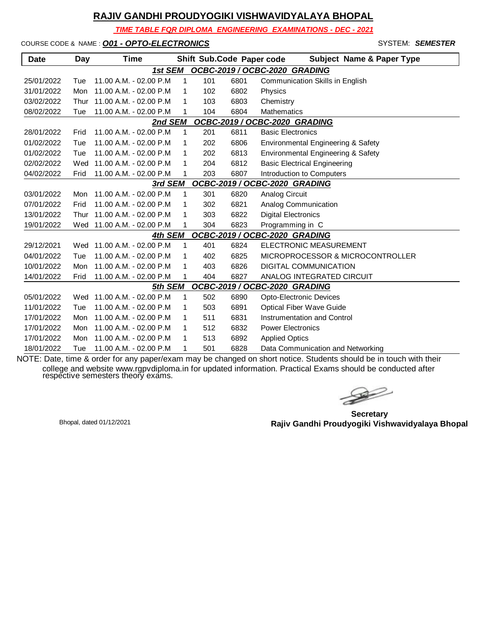*TIME TABLE FOR DIPLOMA ENGINEERING EXAMINATIONS - DEC - 2021*

COURSE CODE & NAME : *O01 - OPTO-ELECTRONICS* - SYSTEM: *SEMESTER*

| <b>Date</b>                              | Day  | Time                       |   |     | Shift Sub.Code Paper code | <b>Subject Name &amp; Paper Type</b>   |  |  |  |
|------------------------------------------|------|----------------------------|---|-----|---------------------------|----------------------------------------|--|--|--|
|                                          |      | 1st SEM                    |   |     |                           | OCBC-2019 / OCBC-2020 GRADING          |  |  |  |
| 25/01/2022                               | Tue  | 11.00 A.M. - 02.00 P.M     | 1 | 101 | 6801                      | <b>Communication Skills in English</b> |  |  |  |
| 31/01/2022                               | Mon  | 11.00 A.M. - 02.00 P.M     | 1 | 102 | 6802                      | Physics                                |  |  |  |
| 03/02/2022                               | Thur | 11.00 A.M. - 02.00 P.M     | 1 | 103 | 6803                      | Chemistry                              |  |  |  |
| 08/02/2022                               | Tue  | 11.00 A.M. - 02.00 P.M     |   | 104 | 6804                      | Mathematics                            |  |  |  |
| OCBC-2019 / OCBC-2020 GRADING<br>2nd SEM |      |                            |   |     |                           |                                        |  |  |  |
| 28/01/2022                               | Frid | 11.00 A.M. - 02.00 P.M     | 1 | 201 | 6811                      | <b>Basic Electronics</b>               |  |  |  |
| 01/02/2022                               | Tue  | 11.00 A.M. - 02.00 P.M     | 1 | 202 | 6806                      | Environmental Engineering & Safety     |  |  |  |
| 01/02/2022                               | Tue  | 11.00 A.M. - 02.00 P.M     | 1 | 202 | 6813                      | Environmental Engineering & Safety     |  |  |  |
| 02/02/2022                               | Wed  | 11.00 A.M. - 02.00 P.M     | 1 | 204 | 6812                      | <b>Basic Electrical Engineering</b>    |  |  |  |
| 04/02/2022                               | Frid | 11.00 A.M. - 02.00 P.M     | 1 | 203 | 6807                      | Introduction to Computers              |  |  |  |
| OCBC-2019 / OCBC-2020 GRADING<br>3rd SEM |      |                            |   |     |                           |                                        |  |  |  |
| 03/01/2022                               | Mon  | 11.00 A.M. - 02.00 P.M     | 1 | 301 | 6820                      | <b>Analog Circuit</b>                  |  |  |  |
| 07/01/2022                               | Frid | 11.00 A.M. - 02.00 P.M     | 1 | 302 | 6821                      | Analog Communication                   |  |  |  |
| 13/01/2022                               | Thur | 11.00 A.M. - 02.00 P.M     | 1 | 303 | 6822                      | <b>Digital Electronics</b>             |  |  |  |
| 19/01/2022                               | Wed  | 11.00 A.M. - 02.00 P.M     | 1 | 304 | 6823                      | Programming in C                       |  |  |  |
|                                          |      | 4th SEM                    |   |     |                           | OCBC-2019 / OCBC-2020 GRADING          |  |  |  |
| 29/12/2021                               | Wed  | 11.00 A.M. - 02.00 P.M     | 1 | 401 | 6824                      | <b>ELECTRONIC MEASUREMENT</b>          |  |  |  |
| 04/01/2022                               | Tue  | 11.00 A.M. - 02.00 P.M     | 1 | 402 | 6825                      | MICROPROCESSOR & MICROCONTROLLER       |  |  |  |
| 10/01/2022                               | Mon  | 11.00 A.M. - 02.00 P.M     | 1 | 403 | 6826                      | <b>DIGITAL COMMUNICATION</b>           |  |  |  |
| 14/01/2022                               | Frid | 11.00 A.M. - 02.00 P.M     | 1 | 404 | 6827                      | ANALOG INTEGRATED CIRCUIT              |  |  |  |
|                                          |      | 5th SEM                    |   |     |                           | OCBC-2019 / OCBC-2020 GRADING          |  |  |  |
| 05/01/2022                               |      | Wed 11.00 A.M. - 02.00 P.M | 1 | 502 | 6890                      | <b>Opto-Electronic Devices</b>         |  |  |  |
| 11/01/2022                               | Tue  | 11.00 A.M. - 02.00 P.M     | 1 | 503 | 6891                      | <b>Optical Fiber Wave Guide</b>        |  |  |  |
| 17/01/2022                               | Mon  | 11.00 A.M. - 02.00 P.M     | 1 | 511 | 6831                      | Instrumentation and Control            |  |  |  |
| 17/01/2022                               | Mon  | 11.00 A.M. - 02.00 P.M     | 1 | 512 | 6832                      | <b>Power Electronics</b>               |  |  |  |
| 17/01/2022                               | Mon  | 11.00 A.M. - 02.00 P.M     | 1 | 513 | 6892                      | <b>Applied Optics</b>                  |  |  |  |
| 18/01/2022                               | Tue  | 11.00 A.M. - 02.00 P.M     | 1 | 501 | 6828                      | Data Communication and Networking      |  |  |  |

 $\rightarrow$ 

**Secretary Rajiv Gandhi Proudyogiki Vishwavidyalaya Bhopal** Bhopal, dated 01/12/2021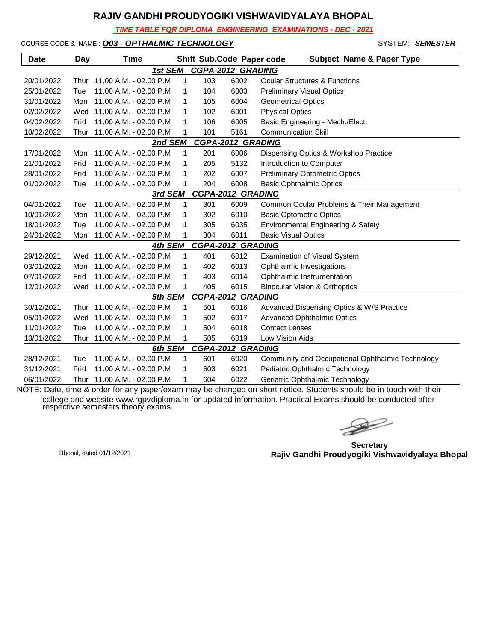*TIME TABLE FOR DIPLOMA ENGINEERING EXAMINATIONS - DEC - 2021*

COURSE CODE & NAME : *O03 - OPTHALMIC TECHNOLOGY* - SYSTEM: *SEMESTER*

| <b>Date</b> | Day  | <b>Time</b>                 |              |     | Shift Sub.Code Paper code | <b>Subject Name &amp; Paper Type</b>             |
|-------------|------|-----------------------------|--------------|-----|---------------------------|--------------------------------------------------|
|             |      | 1st SEM                     |              |     | <b>CGPA-2012 GRADING</b>  |                                                  |
| 20/01/2022  | Thur | 11.00 A.M. - 02.00 P.M      | 1            | 103 | 6002                      | <b>Ocular Structures &amp; Functions</b>         |
| 25/01/2022  | Tue  | 11.00 A.M. - 02.00 P.M      | 1            | 104 | 6003                      | <b>Preliminary Visual Optics</b>                 |
| 31/01/2022  | Mon  | 11.00 A.M. - 02.00 P.M      | 1            | 105 | 6004                      | <b>Geometrical Optics</b>                        |
| 02/02/2022  | Wed  | 11.00 A.M. - 02.00 P.M      | 1            | 102 | 6001                      | <b>Physical Optics</b>                           |
| 04/02/2022  | Frid | 11.00 A.M. - 02.00 P.M      | 1            | 106 | 6005                      | Basic Engineering - Mech./Elect.                 |
| 10/02/2022  | Thur | 11.00 A.M. - 02.00 P.M      | 1            | 101 | 5161                      | <b>Communication Skill</b>                       |
|             |      | 2nd SEM                     |              |     | <b>CGPA-2012 GRADING</b>  |                                                  |
| 17/01/2022  | Mon  | 11.00 A.M. - 02.00 P.M      | 1            | 201 | 6006                      | Dispensing Optics & Workshop Practice            |
| 21/01/2022  | Frid | 11.00 A.M. - 02.00 P.M      | 1            | 205 | 5132                      | Introduction to Computer                         |
| 28/01/2022  | Frid | 11.00 A.M. - 02.00 P.M      | 1            | 202 | 6007                      | <b>Preliminary Optometric Optics</b>             |
| 01/02/2022  | Tue  | 11.00 A.M. - 02.00 P.M      | 1            | 204 | 6008                      | <b>Basic Ophthalmic Optics</b>                   |
|             |      | 3rd SEM                     |              |     | <b>CGPA-2012 GRADING</b>  |                                                  |
| 04/01/2022  | Tue  | 11.00 A.M. - 02.00 P.M      | $\mathbf{1}$ | 301 | 6009                      | Common Ocular Problems & Their Management        |
| 10/01/2022  | Mon  | 11.00 A.M. - 02.00 P.M      | 1            | 302 | 6010                      | <b>Basic Optometric Optics</b>                   |
| 18/01/2022  | Tue  | 11.00 A.M. - 02.00 P.M      | 1            | 305 | 6035                      | Environmental Engineering & Safety               |
| 24/01/2022  | Mon  | 11.00 A.M. - 02.00 P.M      | 1            | 304 | 6011                      | <b>Basic Visual Optics</b>                       |
|             |      | 4th SEM                     |              |     | <b>CGPA-2012 GRADING</b>  |                                                  |
| 29/12/2021  | Wed  | 11.00 A.M. - 02.00 P.M      | 1            | 401 | 6012                      | <b>Examination of Visual System</b>              |
| 03/01/2022  | Mon  | 11.00 A.M. - 02.00 P.M      | 1            | 402 | 6013                      | Ophthalmic Investigations                        |
| 07/01/2022  | Frid | 11.00 A.M. - 02.00 P.M      | 1            | 403 | 6014                      | Ophthalmic Instrumentation                       |
| 12/01/2022  | Wed  | 11.00 A.M. - 02.00 P.M      | 1            | 405 | 6015                      | <b>Binocular Vision &amp; Orthoptics</b>         |
|             |      | 5th SEM                     |              |     | <b>CGPA-2012 GRADING</b>  |                                                  |
| 30/12/2021  | Thur | 11.00 A.M. - 02.00 P.M      | $\mathbf{1}$ | 501 | 6016                      | Advanced Dispensing Optics & W/S Practice        |
| 05/01/2022  | Wed  | 11.00 A.M. - 02.00 P.M      | 1            | 502 | 6017                      | <b>Advanced Ophthalmic Optics</b>                |
| 11/01/2022  | Tue  | 11.00 A.M. - 02.00 P.M      | 1            | 504 | 6018                      | <b>Contact Lenses</b>                            |
| 13/01/2022  |      | Thur 11.00 A.M. - 02.00 P.M | 1            | 505 | 6019                      | Low Vision Aids                                  |
|             |      | 6th SEM                     |              |     | <b>CGPA-2012 GRADING</b>  |                                                  |
| 28/12/2021  | Tue  | 11.00 A.M. - 02.00 P.M      | 1            | 601 | 6020                      | Community and Occupational Ophthalmic Technology |
| 31/12/2021  | Frid | 11.00 A.M. - 02.00 P.M      | 1            | 603 | 6021                      | Pediatric Ophthalmic Technology                  |
| 06/01/2022  | Thur | 11.00 A.M. - 02.00 P.M      | 1            | 604 | 6022                      | Geriatric Ophthalmic Technology                  |

 $\rightarrow$ 

**Secretary Rajiv Gandhi Proudyogiki Vishwavidyalaya Bhopal** Bhopal, dated 01/12/2021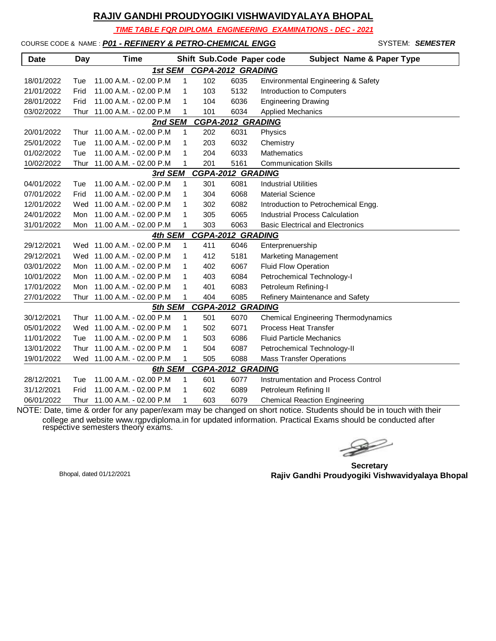*TIME TABLE FOR DIPLOMA ENGINEERING EXAMINATIONS - DEC - 2021*

#### COURSE CODE & NAME : *P01 - REFINERY & PETRO-CHEMICAL ENGG* - SYSTEM: *SEMESTER*

| Date                                | Day                                 | Time                       |   |     | Shift Sub.Code Paper code | <b>Subject Name &amp; Paper Type</b>       |  |  |  |  |
|-------------------------------------|-------------------------------------|----------------------------|---|-----|---------------------------|--------------------------------------------|--|--|--|--|
|                                     |                                     | 1st SEM                    |   |     | <b>CGPA-2012 GRADING</b>  |                                            |  |  |  |  |
| 18/01/2022                          | Tue                                 | 11.00 A.M. - 02.00 P.M     | 1 | 102 | 6035                      | Environmental Engineering & Safety         |  |  |  |  |
| 21/01/2022                          | Frid                                | 11.00 A.M. - 02.00 P.M     | 1 | 103 | 5132                      | Introduction to Computers                  |  |  |  |  |
| 28/01/2022                          | Frid                                | 11.00 A.M. - 02.00 P.M     | 1 | 104 | 6036                      | <b>Engineering Drawing</b>                 |  |  |  |  |
| 03/02/2022                          | Thur                                | 11.00 A.M. - 02.00 P.M     | 1 | 101 | 6034                      | <b>Applied Mechanics</b>                   |  |  |  |  |
| <b>CGPA-2012 GRADING</b><br>2nd SEM |                                     |                            |   |     |                           |                                            |  |  |  |  |
| 20/01/2022                          | Thur                                | 11.00 A.M. - 02.00 P.M     | 1 | 202 | 6031                      | Physics                                    |  |  |  |  |
| 25/01/2022                          | Tue                                 | 11.00 A.M. - 02.00 P.M     | 1 | 203 | 6032                      | Chemistry                                  |  |  |  |  |
| 01/02/2022                          | Tue                                 | 11.00 A.M. - 02.00 P.M     | 1 | 204 | 6033                      | <b>Mathematics</b>                         |  |  |  |  |
| 10/02/2022                          | Thur                                | 11.00 A.M. - 02.00 P.M     | 1 | 201 | 5161                      | <b>Communication Skills</b>                |  |  |  |  |
|                                     |                                     | 3rd SEM                    |   |     | <b>CGPA-2012 GRADING</b>  |                                            |  |  |  |  |
| 04/01/2022                          | Tue                                 | 11.00 A.M. - 02.00 P.M     | 1 | 301 | 6081                      | <b>Industrial Utilities</b>                |  |  |  |  |
| 07/01/2022                          | Frid                                | 11.00 A.M. - 02.00 P.M     | 1 | 304 | 6068                      | <b>Material Science</b>                    |  |  |  |  |
| 12/01/2022                          | Wed                                 | 11.00 A.M. - 02.00 P.M     | 1 | 302 | 6082                      | Introduction to Petrochemical Engg.        |  |  |  |  |
| 24/01/2022                          | Mon                                 | 11.00 A.M. - 02.00 P.M     | 1 | 305 | 6065                      | <b>Industrial Process Calculation</b>      |  |  |  |  |
| 31/01/2022                          | Mon                                 | 11.00 A.M. - 02.00 P.M     | 1 | 303 | 6063                      | <b>Basic Electrical and Electronics</b>    |  |  |  |  |
|                                     | <b>CGPA-2012 GRADING</b><br>4th SEM |                            |   |     |                           |                                            |  |  |  |  |
| 29/12/2021                          |                                     | Wed 11.00 A.M. - 02.00 P.M | 1 | 411 | 6046                      | Enterprenuership                           |  |  |  |  |
| 29/12/2021                          |                                     | Wed 11.00 A.M. - 02.00 P.M | 1 | 412 | 5181                      | Marketing Management                       |  |  |  |  |
| 03/01/2022                          | Mon                                 | 11.00 A.M. - 02.00 P.M     | 1 | 402 | 6067                      | <b>Fluid Flow Operation</b>                |  |  |  |  |
| 10/01/2022                          | Mon                                 | 11.00 A.M. - 02.00 P.M     | 1 | 403 | 6084                      | Petrochemical Technology-I                 |  |  |  |  |
| 17/01/2022                          | Mon                                 | 11.00 A.M. - 02.00 P.M     | 1 | 401 | 6083                      | Petroleum Refining-I                       |  |  |  |  |
| 27/01/2022                          | Thur                                | 11.00 A.M. - 02.00 P.M     | 1 | 404 | 6085                      | Refinery Maintenance and Safety            |  |  |  |  |
|                                     |                                     | 5th SEM                    |   |     | <b>CGPA-2012 GRADING</b>  |                                            |  |  |  |  |
| 30/12/2021                          | Thur                                | 11.00 A.M. - 02.00 P.M     | 1 | 501 | 6070                      | <b>Chemical Engineering Thermodynamics</b> |  |  |  |  |
| 05/01/2022                          | Wed                                 | 11.00 A.M. - 02.00 P.M     | 1 | 502 | 6071                      | <b>Process Heat Transfer</b>               |  |  |  |  |
| 11/01/2022                          | Tue                                 | 11.00 A.M. - 02.00 P.M     | 1 | 503 | 6086                      | <b>Fluid Particle Mechanics</b>            |  |  |  |  |
| 13/01/2022                          | Thur                                | 11.00 A.M. - 02.00 P.M     | 1 | 504 | 6087                      | Petrochemical Technology-II                |  |  |  |  |
| 19/01/2022                          |                                     | Wed 11.00 A.M. - 02.00 P.M | 1 | 505 | 6088                      | <b>Mass Transfer Operations</b>            |  |  |  |  |
|                                     |                                     | 6th SEM                    |   |     | <b>CGPA-2012 GRADING</b>  |                                            |  |  |  |  |
| 28/12/2021                          | Tue                                 | 11.00 A.M. - 02.00 P.M     | 1 | 601 | 6077                      | Instrumentation and Process Control        |  |  |  |  |
| 31/12/2021                          | Frid                                | 11.00 A.M. - 02.00 P.M     | 1 | 602 | 6089                      | Petroleum Refining II                      |  |  |  |  |
| 06/01/2022                          | Thur                                | 11.00 A.M. - 02.00 P.M     | 1 | 603 | 6079                      | <b>Chemical Reaction Engineering</b>       |  |  |  |  |

NOTE: Date, time & order for any paper/exam may be changed on short notice. Students should be in touch with their college and website www.rgpvdiploma.in for updated information. Practical Exams should be conducted after respective semesters theory exams.

 $\rightarrow$ 

**Secretary Rajiv Gandhi Proudyogiki Vishwavidyalaya Bhopal** Bhopal, dated 01/12/2021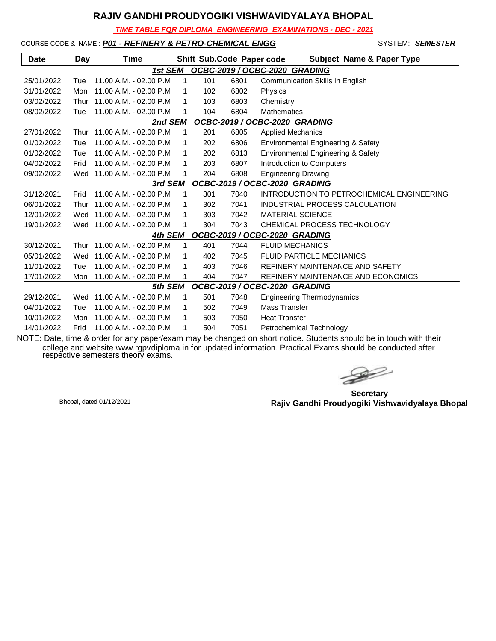*TIME TABLE FOR DIPLOMA ENGINEERING EXAMINATIONS - DEC - 2021*

#### COURSE CODE & NAME : *P01 - REFINERY & PETRO-CHEMICAL ENGG* - SYSTEM: *SEMESTER*

| Date                                     | Day  | <b>Time</b>            |   |     | Shift Sub.Code Paper code | <b>Subject Name &amp; Paper Type</b>      |  |  |
|------------------------------------------|------|------------------------|---|-----|---------------------------|-------------------------------------------|--|--|
|                                          |      | 1st SEM                |   |     |                           | OCBC-2019 / OCBC-2020 GRADING             |  |  |
| 25/01/2022                               | Tue  | 11.00 A.M. - 02.00 P.M | 1 | 101 | 6801                      | Communication Skills in English           |  |  |
| 31/01/2022                               | Mon  | 11.00 A.M. - 02.00 P.M | 1 | 102 | 6802                      | Physics                                   |  |  |
| 03/02/2022                               | Thur | 11.00 A.M. - 02.00 P.M | 1 | 103 | 6803                      | Chemistry                                 |  |  |
| 08/02/2022                               | Tue  | 11.00 A.M. - 02.00 P.M | 1 | 104 | 6804                      | <b>Mathematics</b>                        |  |  |
| OCBC-2019 / OCBC-2020 GRADING<br>2nd SEM |      |                        |   |     |                           |                                           |  |  |
| 27/01/2022                               | Thur | 11.00 A.M. - 02.00 P.M | 1 | 201 | 6805                      | <b>Applied Mechanics</b>                  |  |  |
| 01/02/2022                               | Tue  | 11.00 A.M. - 02.00 P.M | 1 | 202 | 6806                      | Environmental Engineering & Safety        |  |  |
| 01/02/2022                               | Tue  | 11.00 A.M. - 02.00 P.M | 1 | 202 | 6813                      | Environmental Engineering & Safety        |  |  |
| 04/02/2022                               | Frid | 11.00 A.M. - 02.00 P.M | 1 | 203 | 6807                      | Introduction to Computers                 |  |  |
| 09/02/2022                               | Wed  | 11.00 A.M. - 02.00 P.M | 1 | 204 | 6808                      | <b>Engineering Drawing</b>                |  |  |
| OCBC-2019 / OCBC-2020 GRADING<br>3rd SEM |      |                        |   |     |                           |                                           |  |  |
| 31/12/2021                               | Frid | 11.00 A.M. - 02.00 P.M | 1 | 301 | 7040                      | INTRODUCTION TO PETROCHEMICAL ENGINEERING |  |  |
| 06/01/2022                               | Thur | 11.00 A.M. - 02.00 P.M | 1 | 302 | 7041                      | INDUSTRIAL PROCESS CALCULATION            |  |  |
| 12/01/2022                               | Wed  | 11.00 A.M. - 02.00 P.M | 1 | 303 | 7042                      | <b>MATERIAL SCIENCE</b>                   |  |  |
| 19/01/2022                               | Wed  | 11.00 A.M. - 02.00 P.M | 1 | 304 | 7043                      | CHEMICAL PROCESS TECHNOLOGY               |  |  |
|                                          |      | 4th SEM                |   |     |                           | OCBC-2019 / OCBC-2020 GRADING             |  |  |
| 30/12/2021                               | Thur | 11.00 A.M. - 02.00 P.M | 1 | 401 | 7044                      | <b>FLUID MECHANICS</b>                    |  |  |
| 05/01/2022                               | Wed  | 11.00 A.M. - 02.00 P.M | 1 | 402 | 7045                      | FLUID PARTICLE MECHANICS                  |  |  |
| 11/01/2022                               | Tue  | 11.00 A.M. - 02.00 P.M | 1 | 403 | 7046                      | REFINERY MAINTENANCE AND SAFETY           |  |  |
| 17/01/2022                               | Mon  | 11.00 A.M. - 02.00 P.M | 1 | 404 | 7047                      | REFINERY MAINTENANCE AND ECONOMICS        |  |  |
|                                          |      | 5th SEM                |   |     |                           | OCBC-2019 / OCBC-2020 GRADING             |  |  |
| 29/12/2021                               | Wed  | 11.00 A.M. - 02.00 P.M | 1 | 501 | 7048                      | <b>Engineering Thermodynamics</b>         |  |  |
| 04/01/2022                               | Tue  | 11.00 A.M. - 02.00 P.M | 1 | 502 | 7049                      | <b>Mass Transfer</b>                      |  |  |
| 10/01/2022                               | Mon  | 11.00 A.M. - 02.00 P.M | 1 | 503 | 7050                      | <b>Heat Transfer</b>                      |  |  |
| 14/01/2022                               | Frid | 11.00 A.M. - 02.00 P.M | 1 | 504 | 7051                      | Petrochemical Technology                  |  |  |

 $\rightarrow$ 

**Secretary Rajiv Gandhi Proudyogiki Vishwavidyalaya Bhopal** Bhopal, dated 01/12/2021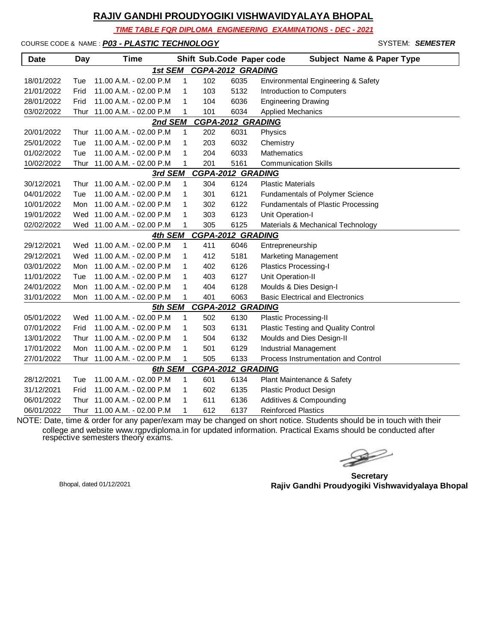*TIME TABLE FOR DIPLOMA ENGINEERING EXAMINATIONS - DEC - 2021*

COURSE CODE & NAME : *P03 - PLASTIC TECHNOLOGY* - SYSTEM: *SEMESTER*

| <b>Date</b>                         | Day                                 | Time                       |              |     | Shift Sub.Code Paper code | <b>Subject Name &amp; Paper Type</b>    |  |  |  |  |
|-------------------------------------|-------------------------------------|----------------------------|--------------|-----|---------------------------|-----------------------------------------|--|--|--|--|
|                                     | <b>CGPA-2012 GRADING</b><br>1st SEM |                            |              |     |                           |                                         |  |  |  |  |
| 18/01/2022                          | Tue                                 | 11.00 A.M. - 02.00 P.M     | 1            | 102 | 6035                      | Environmental Engineering & Safety      |  |  |  |  |
| 21/01/2022                          | Frid                                | 11.00 A.M. - 02.00 P.M     | $\mathbf{1}$ | 103 | 5132                      | Introduction to Computers               |  |  |  |  |
| 28/01/2022                          | Frid                                | 11.00 A.M. - 02.00 P.M     | 1            | 104 | 6036                      | <b>Engineering Drawing</b>              |  |  |  |  |
| 03/02/2022                          | Thur                                | 11.00 A.M. - 02.00 P.M     | 1            | 101 | 6034                      | <b>Applied Mechanics</b>                |  |  |  |  |
| <b>CGPA-2012 GRADING</b><br>2nd SEM |                                     |                            |              |     |                           |                                         |  |  |  |  |
| 20/01/2022                          | Thur                                | 11.00 A.M. - 02.00 P.M     | 1            | 202 | 6031                      | Physics                                 |  |  |  |  |
| 25/01/2022                          | Tue                                 | 11.00 A.M. - 02.00 P.M     | 1            | 203 | 6032                      | Chemistry                               |  |  |  |  |
| 01/02/2022                          | Tue                                 | 11.00 A.M. - 02.00 P.M     | 1            | 204 | 6033                      | Mathematics                             |  |  |  |  |
| 10/02/2022                          | Thur                                | 11.00 A.M. - 02.00 P.M     | 1            | 201 | 5161                      | <b>Communication Skills</b>             |  |  |  |  |
| <b>CGPA-2012 GRADING</b><br>3rd SEM |                                     |                            |              |     |                           |                                         |  |  |  |  |
| 30/12/2021                          | Thur                                | 11.00 A.M. - 02.00 P.M     | 1            | 304 | 6124                      | <b>Plastic Materials</b>                |  |  |  |  |
| 04/01/2022                          | Tue                                 | 11.00 A.M. - 02.00 P.M     | $\mathbf{1}$ | 301 | 6121                      | <b>Fundamentals of Polymer Science</b>  |  |  |  |  |
| 10/01/2022                          | Mon                                 | 11.00 A.M. - 02.00 P.M     | 1            | 302 | 6122                      | Fundamentals of Plastic Processing      |  |  |  |  |
| 19/01/2022                          | Wed                                 | 11.00 A.M. - 02.00 P.M     | 1            | 303 | 6123                      | Unit Operation-I                        |  |  |  |  |
| 02/02/2022                          | Wed                                 | 11.00 A.M. - 02.00 P.M     | 1            | 305 | 6125                      | Materials & Mechanical Technology       |  |  |  |  |
| <b>CGPA-2012 GRADING</b><br>4th SEM |                                     |                            |              |     |                           |                                         |  |  |  |  |
| 29/12/2021                          | Wed                                 | 11.00 A.M. - 02.00 P.M     | 1            | 411 | 6046                      | Entrepreneurship                        |  |  |  |  |
| 29/12/2021                          | Wed                                 | 11.00 A.M. - 02.00 P.M     | 1            | 412 | 5181                      | <b>Marketing Management</b>             |  |  |  |  |
| 03/01/2022                          | Mon                                 | 11.00 A.M. - 02.00 P.M     | 1            | 402 | 6126                      | <b>Plastics Processing-I</b>            |  |  |  |  |
| 11/01/2022                          | Tue                                 | 11.00 A.M. - 02.00 P.M     | 1            | 403 | 6127                      | Unit Operation-II                       |  |  |  |  |
| 24/01/2022                          | Mon                                 | 11.00 A.M. - 02.00 P.M     | 1            | 404 | 6128                      | Moulds & Dies Design-I                  |  |  |  |  |
| 31/01/2022                          | Mon                                 | 11.00 A.M. - 02.00 P.M     | 1            | 401 | 6063                      | <b>Basic Electrical and Electronics</b> |  |  |  |  |
|                                     |                                     | 5th SEM                    |              |     | <b>CGPA-2012 GRADING</b>  |                                         |  |  |  |  |
| 05/01/2022                          |                                     | Wed 11.00 A.M. - 02.00 P.M | 1            | 502 | 6130                      | Plastic Processing-II                   |  |  |  |  |
| 07/01/2022                          | Frid                                | 11.00 A.M. - 02.00 P.M     | 1            | 503 | 6131                      | Plastic Testing and Quality Control     |  |  |  |  |
| 13/01/2022                          | Thur                                | 11.00 A.M. - 02.00 P.M     | 1            | 504 | 6132                      | Moulds and Dies Design-II               |  |  |  |  |
| 17/01/2022                          | Mon                                 | 11.00 A.M. - 02.00 P.M     | 1            | 501 | 6129                      | <b>Industrial Management</b>            |  |  |  |  |
| 27/01/2022                          | Thur                                | 11.00 A.M. - 02.00 P.M     | 1            | 505 | 6133                      | Process Instrumentation and Control     |  |  |  |  |
|                                     |                                     | 6th SEM                    |              |     | <b>CGPA-2012 GRADING</b>  |                                         |  |  |  |  |
| 28/12/2021                          | Tue                                 | 11.00 A.M. - 02.00 P.M     | $\mathbf{1}$ | 601 | 6134                      | Plant Maintenance & Safety              |  |  |  |  |
| 31/12/2021                          | Frid                                | 11.00 A.M. - 02.00 P.M     | 1            | 602 | 6135                      | Plastic Product Design                  |  |  |  |  |
| 06/01/2022                          | Thur                                | 11.00 A.M. - 02.00 P.M     | 1            | 611 | 6136                      | Additives & Compounding                 |  |  |  |  |
| 06/01/2022                          | Thur                                | 11.00 A.M. - 02.00 P.M     | 1            | 612 | 6137                      | <b>Reinforced Plastics</b>              |  |  |  |  |

 $\gg$ 

**Secretary Rajiv Gandhi Proudyogiki Vishwavidyalaya Bhopal** Bhopal, dated 01/12/2021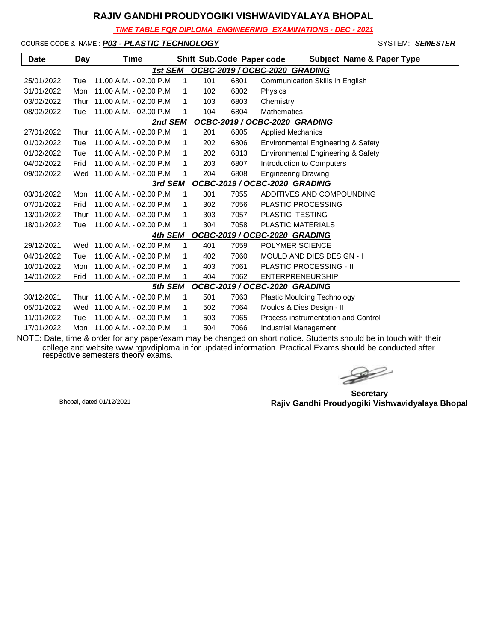*TIME TABLE FOR DIPLOMA ENGINEERING EXAMINATIONS - DEC - 2021*

COURSE CODE & NAME : *P03 - PLASTIC TECHNOLOGY* - SYSTEM: *SEMESTER*

| <b>Date</b>                              | Day                                      | Time                      |             |     | Shift Sub.Code Paper code | <b>Subject Name &amp; Paper Type</b> |  |  |  |  |
|------------------------------------------|------------------------------------------|---------------------------|-------------|-----|---------------------------|--------------------------------------|--|--|--|--|
|                                          | OCBC-2019 / OCBC-2020 GRADING<br>1st SEM |                           |             |     |                           |                                      |  |  |  |  |
| 25/01/2022                               | Tue                                      | 11.00 A.M. - 02.00 P.M    | 1           | 101 | 6801                      | Communication Skills in English      |  |  |  |  |
| 31/01/2022                               | Mon                                      | 11.00 A.M. - 02.00 P.M    | 1           | 102 | 6802                      | Physics                              |  |  |  |  |
| 03/02/2022                               | Thur                                     | 11.00 A.M. - 02.00 P.M    | 1           | 103 | 6803                      | Chemistry                            |  |  |  |  |
| 08/02/2022                               | Tue                                      | 11.00 A.M. - 02.00 P.M    | 1           | 104 | 6804                      | <b>Mathematics</b>                   |  |  |  |  |
| 2nd SEM<br>OCBC-2019 / OCBC-2020 GRADING |                                          |                           |             |     |                           |                                      |  |  |  |  |
| 27/01/2022                               | Thur                                     | 11.00 A.M. - 02.00 P.M    | $\mathbf 1$ | 201 | 6805                      | <b>Applied Mechanics</b>             |  |  |  |  |
| 01/02/2022                               | Tue                                      | 11.00 A.M. - 02.00 P.M    | 1           | 202 | 6806                      | Environmental Engineering & Safety   |  |  |  |  |
| 01/02/2022                               | Tue                                      | 11.00 A.M. - 02.00 P.M    | 1           | 202 | 6813                      | Environmental Engineering & Safety   |  |  |  |  |
| 04/02/2022                               | Frid                                     | 11.00 A.M. - 02.00 P.M    | 1           | 203 | 6807                      | Introduction to Computers            |  |  |  |  |
| 09/02/2022                               | Wed                                      | 11.00 A.M. - 02.00 P.M    | 1           | 204 | 6808                      | <b>Engineering Drawing</b>           |  |  |  |  |
| OCBC-2019 / OCBC-2020 GRADING<br>3rd SEM |                                          |                           |             |     |                           |                                      |  |  |  |  |
| 03/01/2022                               | Mon                                      | $11.00 A.M. - 02.00 P.M.$ | 1           | 301 | 7055                      | ADDITIVES AND COMPOUNDING            |  |  |  |  |
| 07/01/2022                               | Frid                                     | 11.00 A.M. - 02.00 P.M    | 1           | 302 | 7056                      | <b>PLASTIC PROCESSING</b>            |  |  |  |  |
| 13/01/2022                               | Thur                                     | 11.00 A.M. - 02.00 P.M    | 1           | 303 | 7057                      | PLASTIC TESTING                      |  |  |  |  |
| 18/01/2022                               | Tue                                      | 11.00 A.M. - 02.00 P.M    | 1           | 304 | 7058                      | <b>PLASTIC MATERIALS</b>             |  |  |  |  |
|                                          |                                          | 4th SEM                   |             |     |                           | OCBC-2019 / OCBC-2020 GRADING        |  |  |  |  |
| 29/12/2021                               | Wed                                      | 11.00 A.M. - 02.00 P.M    | 1           | 401 | 7059                      | POLYMER SCIENCE                      |  |  |  |  |
| 04/01/2022                               | Tue                                      | 11.00 A.M. - 02.00 P.M    | 1           | 402 | 7060                      | <b>MOULD AND DIES DESIGN - I</b>     |  |  |  |  |
| 10/01/2022                               | Mon                                      | 11.00 A.M. - 02.00 P.M    | 1           | 403 | 7061                      | <b>PLASTIC PROCESSING - II</b>       |  |  |  |  |
| 14/01/2022                               | Frid                                     | 11.00 A.M. - 02.00 P.M    | 1           | 404 | 7062                      | <b>ENTERPRENEURSHIP</b>              |  |  |  |  |
|                                          |                                          | 5th SEM                   |             |     |                           | OCBC-2019 / OCBC-2020 GRADING        |  |  |  |  |
| 30/12/2021                               | Thur                                     | 11.00 A.M. - 02.00 P.M    | 1           | 501 | 7063                      | <b>Plastic Moulding Technology</b>   |  |  |  |  |
| 05/01/2022                               | Wed                                      | 11.00 A.M. - 02.00 P.M    | 1           | 502 | 7064                      | Moulds & Dies Design - II            |  |  |  |  |
| 11/01/2022                               | Tue                                      | 11.00 A.M. - 02.00 P.M    | 1           | 503 | 7065                      | Process instrumentation and Control  |  |  |  |  |
| 17/01/2022                               | Mon                                      | 11.00 A.M. - 02.00 P.M    | 1           | 504 | 7066                      | Industrial Management                |  |  |  |  |

 $\rightarrow$ 

**Secretary Rajiv Gandhi Proudyogiki Vishwavidyalaya Bhopal** Bhopal, dated 01/12/2021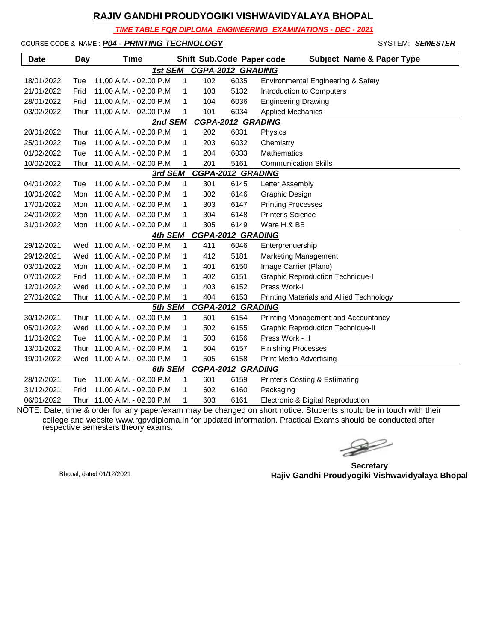*TIME TABLE FOR DIPLOMA ENGINEERING EXAMINATIONS - DEC - 2021*

COURSE CODE & NAME : *P04 - PRINTING TECHNOLOGY* - SYSTEM: *SEMESTER*

| <b>Date</b>                         | Day  | Time                        |              |     | Shift Sub.Code Paper code | <b>Subject Name &amp; Paper Type</b>     |  |  |  |
|-------------------------------------|------|-----------------------------|--------------|-----|---------------------------|------------------------------------------|--|--|--|
| <b>CGPA-2012 GRADING</b><br>1st SEM |      |                             |              |     |                           |                                          |  |  |  |
| 18/01/2022                          | Tue  | 11.00 A.M. - 02.00 P.M      | 1            | 102 | 6035                      | Environmental Engineering & Safety       |  |  |  |
| 21/01/2022                          | Frid | 11.00 A.M. - 02.00 P.M      | 1            | 103 | 5132                      | Introduction to Computers                |  |  |  |
| 28/01/2022                          | Frid | 11.00 A.M. - 02.00 P.M      | 1            | 104 | 6036                      | <b>Engineering Drawing</b>               |  |  |  |
| 03/02/2022                          | Thur | 11.00 A.M. - 02.00 P.M      | 1            | 101 | 6034                      | <b>Applied Mechanics</b>                 |  |  |  |
| <b>CGPA-2012 GRADING</b><br>2nd SEM |      |                             |              |     |                           |                                          |  |  |  |
| 20/01/2022                          | Thur | 11.00 A.M. - 02.00 P.M      | $\mathbf{1}$ | 202 | 6031                      | Physics                                  |  |  |  |
| 25/01/2022                          | Tue  | 11.00 A.M. - 02.00 P.M      | 1            | 203 | 6032                      | Chemistry                                |  |  |  |
| 01/02/2022                          | Tue  | 11.00 A.M. - 02.00 P.M      | 1            | 204 | 6033                      | Mathematics                              |  |  |  |
| 10/02/2022                          | Thur | 11.00 A.M. - 02.00 P.M      | 1            | 201 | 5161                      | <b>Communication Skills</b>              |  |  |  |
|                                     |      | 3rd SEM                     |              |     | <b>CGPA-2012 GRADING</b>  |                                          |  |  |  |
| 04/01/2022                          | Tue  | 11.00 A.M. - 02.00 P.M      | 1            | 301 | 6145                      | Letter Assembly                          |  |  |  |
| 10/01/2022                          | Mon  | 11.00 A.M. - 02.00 P.M      | 1            | 302 | 6146                      | Graphic Design                           |  |  |  |
| 17/01/2022                          | Mon  | 11.00 A.M. - 02.00 P.M      | 1            | 303 | 6147                      | <b>Printing Processes</b>                |  |  |  |
| 24/01/2022                          | Mon  | 11.00 A.M. - 02.00 P.M      | 1            | 304 | 6148                      | <b>Printer's Science</b>                 |  |  |  |
| 31/01/2022                          | Mon  | 11.00 A.M. - 02.00 P.M      | 1            | 305 | 6149                      | Ware H & BB                              |  |  |  |
|                                     |      | 4th SEM                     |              |     | <b>CGPA-2012 GRADING</b>  |                                          |  |  |  |
| 29/12/2021                          |      | Wed 11.00 A.M. - 02.00 P.M  | 1            | 411 | 6046                      | Enterprenuership                         |  |  |  |
| 29/12/2021                          | Wed  | 11.00 A.M. - 02.00 P.M      | 1            | 412 | 5181                      | <b>Marketing Management</b>              |  |  |  |
| 03/01/2022                          | Mon  | 11.00 A.M. - 02.00 P.M      | 1            | 401 | 6150                      | Image Carrier (Plano)                    |  |  |  |
| 07/01/2022                          | Frid | 11.00 A.M. - 02.00 P.M      | 1            | 402 | 6151                      | <b>Graphic Reproduction Technique-I</b>  |  |  |  |
| 12/01/2022                          | Wed  | 11.00 A.M. - 02.00 P.M      | 1            | 403 | 6152                      | Press Work-I                             |  |  |  |
| 27/01/2022                          |      | Thur 11.00 A.M. - 02.00 P.M | 1            | 404 | 6153                      | Printing Materials and Allied Technology |  |  |  |
|                                     |      | 5th SEM                     |              |     | <b>CGPA-2012 GRADING</b>  |                                          |  |  |  |
| 30/12/2021                          | Thur | 11.00 A.M. - 02.00 P.M      | 1            | 501 | 6154                      | Printing Management and Accountancy      |  |  |  |
| 05/01/2022                          |      | Wed 11.00 A.M. - 02.00 P.M  | 1            | 502 | 6155                      | <b>Graphic Reproduction Technique-II</b> |  |  |  |
| 11/01/2022                          | Tue  | 11.00 A.M. - 02.00 P.M      | 1            | 503 | 6156                      | Press Work - II                          |  |  |  |
| 13/01/2022                          | Thur | 11.00 A.M. - 02.00 P.M      | 1            | 504 | 6157                      | <b>Finishing Processes</b>               |  |  |  |
| 19/01/2022                          |      | Wed 11.00 A.M. - 02.00 P.M  | 1            | 505 | 6158                      | <b>Print Media Advertising</b>           |  |  |  |
|                                     |      | 6th SEM                     |              |     | <b>CGPA-2012 GRADING</b>  |                                          |  |  |  |
| 28/12/2021                          | Tue  | 11.00 A.M. - 02.00 P.M      | 1            | 601 | 6159                      | Printer's Costing & Estimating           |  |  |  |
| 31/12/2021                          | Frid | 11.00 A.M. - 02.00 P.M      | $\mathbf{1}$ | 602 | 6160                      | Packaging                                |  |  |  |
| 06/01/2022                          | Thur | 11.00 A.M. - 02.00 P.M      | 1            | 603 | 6161                      | Electronic & Digital Reproduction        |  |  |  |

NOTE: Date, time & order for any paper/exam may be changed on short notice. Students should be in touch with their college and website www.rgpvdiploma.in for updated information. Practical Exams should be conducted after respective semesters theory exams.

 $\rightarrow$ 

**Secretary Rajiv Gandhi Proudyogiki Vishwavidyalaya Bhopal** Bhopal, dated 01/12/2021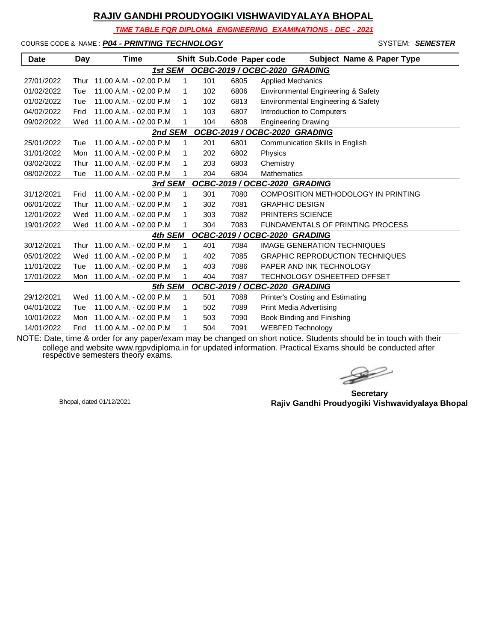*TIME TABLE FOR DIPLOMA ENGINEERING EXAMINATIONS - DEC - 2021*

COURSE CODE & NAME : *P04 - PRINTING TECHNOLOGY* - SYSTEM: *SEMESTER*

| <b>Date</b>                              | Day  | <b>Time</b>             |              |     | Shift Sub.Code Paper code | <b>Subject Name &amp; Paper Type</b>    |  |  |
|------------------------------------------|------|-------------------------|--------------|-----|---------------------------|-----------------------------------------|--|--|
|                                          |      | 1st SEM                 |              |     |                           | OCBC-2019 / OCBC-2020 GRADING           |  |  |
| 27/01/2022                               | Thur | 11.00 A.M. - 02.00 P.M  | 1            | 101 | 6805                      | <b>Applied Mechanics</b>                |  |  |
| 01/02/2022                               | Tue  | 11.00 A.M. - 02.00 P.M. | 1            | 102 | 6806                      | Environmental Engineering & Safety      |  |  |
| 01/02/2022                               | Tue  | 11.00 A.M. - 02.00 P.M  | 1            | 102 | 6813                      | Environmental Engineering & Safety      |  |  |
| 04/02/2022                               | Frid | 11.00 A.M. - 02.00 P.M. | 1            | 103 | 6807                      | Introduction to Computers               |  |  |
| 09/02/2022                               | Wed  | 11.00 A.M. - 02.00 P.M  | 1            | 104 | 6808                      | <b>Engineering Drawing</b>              |  |  |
| OCBC-2019 / OCBC-2020 GRADING<br>2nd SEM |      |                         |              |     |                           |                                         |  |  |
| 25/01/2022                               | Tue  | 11.00 A.M. - 02.00 P.M  | 1            | 201 | 6801                      | Communication Skills in English         |  |  |
| 31/01/2022                               | Mon  | 11.00 A.M. - 02.00 P.M. | 1            | 202 | 6802                      | Physics                                 |  |  |
| 03/02/2022                               | Thur | 11.00 A.M. - 02.00 P.M  | 1            | 203 | 6803                      | Chemistry                               |  |  |
| 08/02/2022                               | Tue  | 11.00 A.M. - 02.00 P.M  | 1            | 204 | 6804                      | <b>Mathematics</b>                      |  |  |
| OCBC-2019 / OCBC-2020 GRADING<br>3rd SEM |      |                         |              |     |                           |                                         |  |  |
| 31/12/2021                               | Frid | 11.00 A.M. - 02.00 P.M  | $\mathbf{1}$ | 301 | 7080                      | COMPOSITION METHODOLOGY IN PRINTING     |  |  |
| 06/01/2022                               | Thur | 11.00 A.M. - 02.00 P.M. | 1            | 302 | 7081                      | <b>GRAPHIC DESIGN</b>                   |  |  |
| 12/01/2022                               | Wed  | 11.00 A.M. - 02.00 P.M  | 1            | 303 | 7082                      | <b>PRINTERS SCIENCE</b>                 |  |  |
| 19/01/2022                               | Wed  | 11.00 A.M. - 02.00 P.M  | 1            | 304 | 7083                      | <b>FUNDAMENTALS OF PRINTING PROCESS</b> |  |  |
|                                          |      | 4th SEM                 |              |     |                           | OCBC-2019 / OCBC-2020 GRADING           |  |  |
| 30/12/2021                               | Thur | 11.00 A.M. - 02.00 P.M  | 1            | 401 | 7084                      | <b>IMAGE GENERATION TECHNIQUES</b>      |  |  |
| 05/01/2022                               | Wed  | 11.00 A.M. - 02.00 P.M. | 1            | 402 | 7085                      | <b>GRAPHIC REPRODUCTION TECHNIQUES</b>  |  |  |
| 11/01/2022                               | Tue  | 11.00 A.M. - 02.00 P.M. | 1            | 403 | 7086                      | PAPER AND INK TECHNOLOGY                |  |  |
| 17/01/2022                               | Mon  | 11.00 A.M. - 02.00 P.M  | 1            | 404 | 7087                      | TECHNOLOGY OSHEETFED OFFSET             |  |  |
|                                          |      | 5th SEM                 |              |     |                           | OCBC-2019 / OCBC-2020 GRADING           |  |  |
| 29/12/2021                               | Wed  | 11.00 A.M. - 02.00 P.M  | 1            | 501 | 7088                      | Printer's Costing and Estimating        |  |  |
| 04/01/2022                               | Tue  | 11.00 A.M. - 02.00 P.M  | 1            | 502 | 7089                      | Print Media Advertising                 |  |  |
| 10/01/2022                               | Mon  | 11.00 A.M. - 02.00 P.M  | 1            | 503 | 7090                      | Book Binding and Finishing              |  |  |
| 14/01/2022                               | Frid | 11.00 A.M. - 02.00 P.M. | 1            | 504 | 7091                      | <b>WEBFED Technology</b>                |  |  |

 $\rightarrow$ 

**Secretary Rajiv Gandhi Proudyogiki Vishwavidyalaya Bhopal** Bhopal, dated 01/12/2021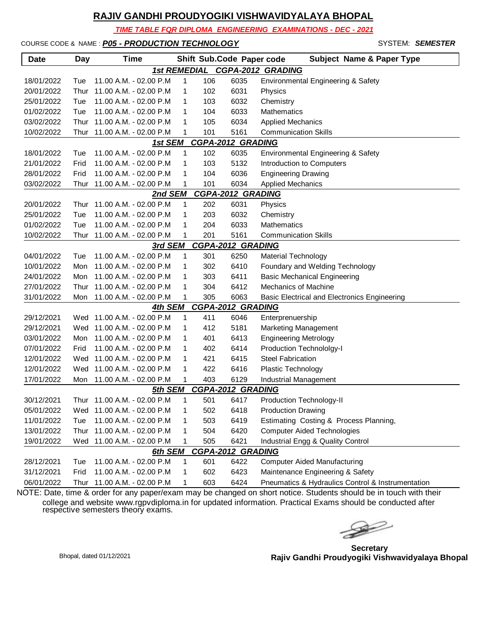*TIME TABLE FOR DIPLOMA ENGINEERING EXAMINATIONS - DEC - 2021*

COURSE CODE & NAME : **P05 - PRODUCTION TECHNOLOGY And System: SEMESTER** 

| <b>Date</b>                                     | Day  | <b>Time</b>                |   |     | Shift Sub.Code Paper code | <b>Subject Name &amp; Paper Type</b>              |  |  |  |
|-------------------------------------------------|------|----------------------------|---|-----|---------------------------|---------------------------------------------------|--|--|--|
| <b>1st REMEDIAL</b><br><b>CGPA-2012 GRADING</b> |      |                            |   |     |                           |                                                   |  |  |  |
| 18/01/2022                                      | Tue  | 11.00 A.M. - 02.00 P.M     | 1 | 106 | 6035                      | Environmental Engineering & Safety                |  |  |  |
| 20/01/2022                                      | Thur | 11.00 A.M. - 02.00 P.M     | 1 | 102 | 6031                      | Physics                                           |  |  |  |
| 25/01/2022                                      | Tue  | 11.00 A.M. - 02.00 P.M     | 1 | 103 | 6032                      | Chemistry                                         |  |  |  |
| 01/02/2022                                      | Tue  | 11.00 A.M. - 02.00 P.M     | 1 | 104 | 6033                      | Mathematics                                       |  |  |  |
| 03/02/2022                                      | Thur | 11.00 A.M. - 02.00 P.M     | 1 | 105 | 6034                      | <b>Applied Mechanics</b>                          |  |  |  |
| 10/02/2022                                      | Thur | 11.00 A.M. - 02.00 P.M     | 1 | 101 | 5161                      | <b>Communication Skills</b>                       |  |  |  |
| CGPA-2012 GRADING<br>1st SEM                    |      |                            |   |     |                           |                                                   |  |  |  |
| 18/01/2022                                      | Tue  | 11.00 A.M. - 02.00 P.M     | 1 | 102 | 6035                      | Environmental Engineering & Safety                |  |  |  |
| 21/01/2022                                      | Frid | 11.00 A.M. - 02.00 P.M     | 1 | 103 | 5132                      | Introduction to Computers                         |  |  |  |
| 28/01/2022                                      | Frid | 11.00 A.M. - 02.00 P.M     | 1 | 104 | 6036                      | <b>Engineering Drawing</b>                        |  |  |  |
| 03/02/2022                                      | Thur | 11.00 A.M. - 02.00 P.M     | 1 | 101 | 6034                      | <b>Applied Mechanics</b>                          |  |  |  |
|                                                 |      | 2nd SEM                    |   |     | <b>CGPA-2012 GRADING</b>  |                                                   |  |  |  |
| 20/01/2022                                      | Thur | 11.00 A.M. - 02.00 P.M     | 1 | 202 | 6031                      | Physics                                           |  |  |  |
| 25/01/2022                                      | Tue  | 11.00 A.M. - 02.00 P.M     | 1 | 203 | 6032                      | Chemistry                                         |  |  |  |
| 01/02/2022                                      | Tue  | 11.00 A.M. - 02.00 P.M     | 1 | 204 | 6033                      | Mathematics                                       |  |  |  |
| 10/02/2022                                      | Thur | 11.00 A.M. - 02.00 P.M     | 1 | 201 | 5161                      | <b>Communication Skills</b>                       |  |  |  |
|                                                 |      | 3rd SEM                    |   |     | <b>CGPA-2012 GRADING</b>  |                                                   |  |  |  |
| 04/01/2022                                      | Tue  | 11.00 A.M. - 02.00 P.M     | 1 | 301 | 6250                      | <b>Material Technology</b>                        |  |  |  |
| 10/01/2022                                      | Mon  | 11.00 A.M. - 02.00 P.M     | 1 | 302 | 6410                      | Foundary and Welding Technology                   |  |  |  |
| 24/01/2022                                      | Mon  | 11.00 A.M. - 02.00 P.M     | 1 | 303 | 6411                      | <b>Basic Mechanical Engineering</b>               |  |  |  |
| 27/01/2022                                      | Thur | 11.00 A.M. - 02.00 P.M     | 1 | 304 | 6412                      | <b>Mechanics of Machine</b>                       |  |  |  |
| 31/01/2022                                      | Mon  | 11.00 A.M. - 02.00 P.M     | 1 | 305 | 6063                      | Basic Electrical and Electronics Engineering      |  |  |  |
|                                                 |      | 4th SEM                    |   |     | <b>CGPA-2012 GRADING</b>  |                                                   |  |  |  |
| 29/12/2021                                      |      | Wed 11.00 A.M. - 02.00 P.M | 1 | 411 | 6046                      | Enterprenuership                                  |  |  |  |
| 29/12/2021                                      |      | Wed 11.00 A.M. - 02.00 P.M | 1 | 412 | 5181                      | <b>Marketing Management</b>                       |  |  |  |
| 03/01/2022                                      | Mon  | 11.00 A.M. - 02.00 P.M     | 1 | 401 | 6413                      | <b>Engineering Metrology</b>                      |  |  |  |
| 07/01/2022                                      | Frid | 11.00 A.M. - 02.00 P.M     | 1 | 402 | 6414                      | Production Technololgy-I                          |  |  |  |
| 12/01/2022                                      | Wed  | 11.00 A.M. - 02.00 P.M     | 1 | 421 | 6415                      | <b>Steel Fabrication</b>                          |  |  |  |
| 12/01/2022                                      | Wed  | 11.00 A.M. - 02.00 P.M     | 1 | 422 | 6416                      | Plastic Technology                                |  |  |  |
| 17/01/2022                                      | Mon  | 11.00 A.M. - 02.00 P.M     | 1 | 403 | 6129                      | Industrial Management                             |  |  |  |
|                                                 |      | 5th SEM                    |   |     | <b>CGPA-2012 GRADING</b>  |                                                   |  |  |  |
| 30/12/2021                                      | Thur | 11.00 A.M. - 02.00 P.M     | 1 | 501 | 6417                      | Production Technology-II                          |  |  |  |
| 05/01/2022                                      |      | Wed 11.00 A.M. - 02.00 P.M | 1 | 502 | 6418                      | <b>Production Drawing</b>                         |  |  |  |
| 11/01/2022                                      | Tue  | 11.00 A.M. - 02.00 P.M     | 1 | 503 | 6419                      | Estimating Costing & Process Planning,            |  |  |  |
| 13/01/2022                                      | Thur | 11.00 A.M. - 02.00 P.M     | 1 | 504 | 6420                      | <b>Computer Aided Technologies</b>                |  |  |  |
| 19/01/2022                                      | Wed  | 11.00 A.M. - 02.00 P.M     | 1 | 505 | 6421                      | Industrial Engg & Quality Control                 |  |  |  |
|                                                 |      | 6th SEM                    |   |     | <b>CGPA-2012 GRADING</b>  |                                                   |  |  |  |
| 28/12/2021                                      | Tue  | 11.00 A.M. - 02.00 P.M     | 1 | 601 | 6422                      | <b>Computer Aided Manufacturing</b>               |  |  |  |
| 31/12/2021                                      | Frid | 11.00 A.M. - 02.00 P.M     | 1 | 602 | 6423                      | Maintenance Engineering & Safety                  |  |  |  |
| 06/01/2022                                      | Thur | 11.00 A.M. - 02.00 P.M     | 1 | 603 | 6424                      | Pneumatics & Hydraulics Control & Instrumentation |  |  |  |

 $\rightarrow$ 

**Secretary Rajiv Gandhi Proudyogiki Vishwavidyalaya Bhopal** Bhopal, dated 01/12/2021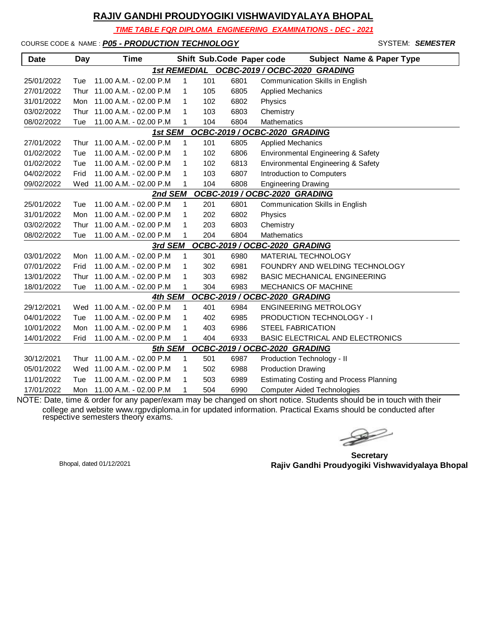*TIME TABLE FOR DIPLOMA ENGINEERING EXAMINATIONS - DEC - 2021*

COURSE CODE & NAME : *P05 - PRODUCTION TECHNOLOGY* - SYSTEM: *SEMESTER*

| <b>Date</b>                                | Day  | <b>Time</b>                 |              |     | Shift Sub.Code Paper code | <b>Subject Name &amp; Paper Type</b>           |  |  |  |
|--------------------------------------------|------|-----------------------------|--------------|-----|---------------------------|------------------------------------------------|--|--|--|
| 1st REMEDIAL OCBC-2019 / OCBC-2020 GRADING |      |                             |              |     |                           |                                                |  |  |  |
| 25/01/2022                                 | Tue  | 11.00 A.M. - 02.00 P.M.     | $\mathbf{1}$ | 101 | 6801                      | Communication Skills in English                |  |  |  |
| 27/01/2022                                 | Thur | 11.00 A.M. - 02.00 P.M      | 1            | 105 | 6805                      | <b>Applied Mechanics</b>                       |  |  |  |
| 31/01/2022                                 | Mon  | 11.00 A.M. - 02.00 P.M      | 1            | 102 | 6802                      | Physics                                        |  |  |  |
| 03/02/2022                                 | Thur | 11.00 A.M. - 02.00 P.M      | 1            | 103 | 6803                      | Chemistry                                      |  |  |  |
| 08/02/2022                                 | Tue  | 11.00 A.M. - 02.00 P.M      | 1            | 104 | 6804                      | <b>Mathematics</b>                             |  |  |  |
|                                            |      | 1st SEM                     |              |     |                           | OCBC-2019 / OCBC-2020 GRADING                  |  |  |  |
| 27/01/2022                                 | Thur | 11.00 A.M. - 02.00 P.M      | 1            | 101 | 6805                      | <b>Applied Mechanics</b>                       |  |  |  |
| 01/02/2022                                 | Tue  | 11.00 A.M. - 02.00 P.M      | 1            | 102 | 6806                      | Environmental Engineering & Safety             |  |  |  |
| 01/02/2022                                 | Tue  | 11.00 A.M. - 02.00 P.M      | 1            | 102 | 6813                      | Environmental Engineering & Safety             |  |  |  |
| 04/02/2022                                 | Frid | 11.00 A.M. - 02.00 P.M      | 1            | 103 | 6807                      | Introduction to Computers                      |  |  |  |
| 09/02/2022                                 |      | Wed 11.00 A.M. - 02.00 P.M  | 1            | 104 | 6808                      | <b>Engineering Drawing</b>                     |  |  |  |
|                                            |      | 2nd SEM                     |              |     |                           | OCBC-2019 / OCBC-2020 GRADING                  |  |  |  |
| 25/01/2022                                 | Tue  | 11.00 A.M. - 02.00 P.M.     | 1            | 201 | 6801                      | <b>Communication Skills in English</b>         |  |  |  |
| 31/01/2022                                 | Mon  | 11.00 A.M. - 02.00 P.M      | 1            | 202 | 6802                      | Physics                                        |  |  |  |
| 03/02/2022                                 | Thur | 11.00 A.M. - 02.00 P.M      | 1            | 203 | 6803                      | Chemistry                                      |  |  |  |
| 08/02/2022                                 | Tue  | 11.00 A.M. - 02.00 P.M      | 1            | 204 | 6804                      | <b>Mathematics</b>                             |  |  |  |
|                                            |      | 3rd SEM                     |              |     |                           | OCBC-2019 / OCBC-2020 GRADING                  |  |  |  |
| 03/01/2022                                 | Mon  | 11.00 A.M. - 02.00 P.M      | 1            | 301 | 6980                      | <b>MATERIAL TECHNOLOGY</b>                     |  |  |  |
| 07/01/2022                                 | Frid | 11.00 A.M. - 02.00 P.M.     | 1            | 302 | 6981                      | FOUNDRY AND WELDING TECHNOLOGY                 |  |  |  |
| 13/01/2022                                 | Thur | 11.00 A.M. - 02.00 P.M      | 1            | 303 | 6982                      | <b>BASIC MECHANICAL ENGINEERING</b>            |  |  |  |
| 18/01/2022                                 | Tue  | 11.00 A.M. - 02.00 P.M      | 1            | 304 | 6983                      | <b>MECHANICS OF MACHINE</b>                    |  |  |  |
|                                            |      | 4th SEM                     |              |     |                           | OCBC-2019 / OCBC-2020 GRADING                  |  |  |  |
| 29/12/2021                                 | Wed  | 11.00 A.M. - 02.00 P.M      | 1            | 401 | 6984                      | <b>ENGINEERING METROLOGY</b>                   |  |  |  |
| 04/01/2022                                 | Tue  | 11.00 A.M. - 02.00 P.M      | 1            | 402 | 6985                      | <b>PRODUCTION TECHNOLOGY - I</b>               |  |  |  |
| 10/01/2022                                 | Mon  | 11.00 A.M. - 02.00 P.M      | 1            | 403 | 6986                      | <b>STEEL FABRICATION</b>                       |  |  |  |
| 14/01/2022                                 | Frid | 11.00 A.M. - 02.00 P.M      | 1            | 404 | 6933                      | <b>BASIC ELECTRICAL AND ELECTRONICS</b>        |  |  |  |
|                                            |      | 5th SEM                     |              |     |                           | OCBC-2019 / OCBC-2020 GRADING                  |  |  |  |
| 30/12/2021                                 |      | Thur 11.00 A.M. - 02.00 P.M | $\mathbf{1}$ | 501 | 6987                      | Production Technology - II                     |  |  |  |
| 05/01/2022                                 | Wed  | 11.00 A.M. - 02.00 P.M      | 1            | 502 | 6988                      | <b>Production Drawing</b>                      |  |  |  |
| 11/01/2022                                 | Tue  | 11.00 A.M. - 02.00 P.M      | 1            | 503 | 6989                      | <b>Estimating Costing and Process Planning</b> |  |  |  |
| 17/01/2022                                 | Mon  | 11.00 A.M. - 02.00 P.M      | 1            | 504 | 6990                      | <b>Computer Aided Technologies</b>             |  |  |  |

 $\begin{picture}(120,17)(-20,17)(-20,17)(-20,17)(-20,17)(-20,17)(-20,17)(-20,17)(-20,17)(-20,17)(-20,17)(-20,17)(-20,17)(-20,17)(-20,17)(-20,17)(-20,17)(-20,17)(-20,17)(-20,17)(-20,17)(-20,17)(-20,17)(-20,17)(-20,17)(-20,17)(-20,17)(-20,17)(-20,17)(-20,17)(-20,1$ 

**Secretary Rajiv Gandhi Proudyogiki Vishwavidyalaya Bhopal** Bhopal, dated 01/12/2021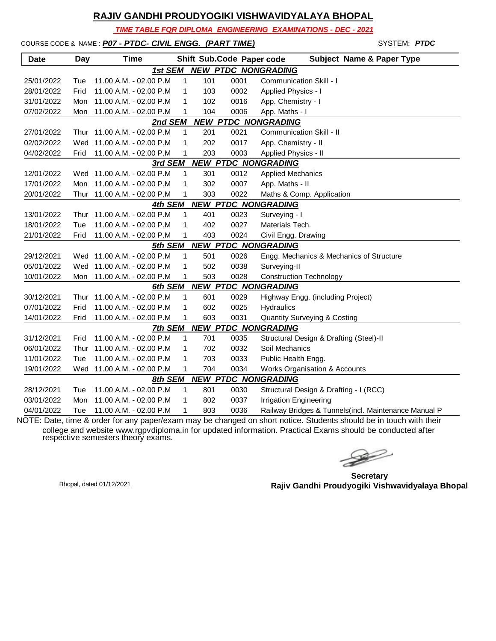*TIME TABLE FOR DIPLOMA ENGINEERING EXAMINATIONS - DEC - 2021*

## COURSE CODE & NAME : **P07 - PTDC- CIVIL ENGG. (PART TIME)** SYSTEM: **SYSTEM: PTDC**

| <b>Date</b> | Day  | <b>Time</b>                  |              |     |      | Shift Sub.Code Paper code<br><b>Subject Name &amp; Paper Type</b> |
|-------------|------|------------------------------|--------------|-----|------|-------------------------------------------------------------------|
|             |      | 1st SEM                      |              |     |      | <b>NEW PTDC NONGRADING</b>                                        |
| 25/01/2022  | Tue  | 11.00 A.M. - 02.00 P.M       | $\mathbf{1}$ | 101 | 0001 | Communication Skill - I                                           |
| 28/01/2022  | Frid | 11.00 A.M. - 02.00 P.M       | 1            | 103 | 0002 | Applied Physics - I                                               |
| 31/01/2022  | Mon  | 11.00 A.M. - 02.00 P.M       | 1            | 102 | 0016 | App. Chemistry - I                                                |
| 07/02/2022  | Mon  | 11.00 A.M. - 02.00 P.M       | 1            | 104 | 0006 | App. Maths - I                                                    |
|             |      | 2nd SEM                      |              |     |      | <b>NEW PTDC NONGRADING</b>                                        |
| 27/01/2022  |      | Thur 11.00 A.M. - 02.00 P.M. | $\mathbf{1}$ | 201 | 0021 | Communication Skill - II                                          |
| 02/02/2022  | Wed  | 11.00 A.M. - 02.00 P.M       | 1            | 202 | 0017 | App. Chemistry - II                                               |
| 04/02/2022  | Frid | 11.00 A.M. - 02.00 P.M       | 1            | 203 | 0003 | Applied Physics - II                                              |
|             |      | 3rd SEM                      |              |     |      | <b>NEW PTDC NONGRADING</b>                                        |
| 12/01/2022  |      | Wed 11.00 A.M. - 02.00 P.M   | 1            | 301 | 0012 | <b>Applied Mechanics</b>                                          |
| 17/01/2022  | Mon  | 11.00 A.M. - 02.00 P.M       | 1            | 302 | 0007 | App. Maths - II                                                   |
| 20/01/2022  | Thur | 11.00 A.M. - 02.00 P.M       | 1            | 303 | 0022 | Maths & Comp. Application                                         |
|             |      | 4th SEM                      |              |     |      | <b>NEW PTDC NONGRADING</b>                                        |
| 13/01/2022  | Thur | 11.00 A.M. - 02.00 P.M       | $\mathbf{1}$ | 401 | 0023 | Surveying - I                                                     |
| 18/01/2022  | Tue  | 11.00 A.M. - 02.00 P.M       | 1            | 402 | 0027 | Materials Tech.                                                   |
| 21/01/2022  | Frid | 11.00 A.M. - 02.00 P.M       | 1            | 403 | 0024 | Civil Engg. Drawing                                               |
|             |      | 5th SEM                      |              |     |      | <b>NEW PTDC NONGRADING</b>                                        |
| 29/12/2021  | Wed  | 11.00 A.M. - 02.00 P.M       | 1            | 501 | 0026 | Engg. Mechanics & Mechanics of Structure                          |
| 05/01/2022  | Wed  | 11.00 A.M. - 02.00 P.M       | 1            | 502 | 0038 | Surveying-II                                                      |
| 10/01/2022  | Mon  | 11.00 A.M. - 02.00 P.M       | 1            | 503 | 0028 | <b>Construction Technology</b>                                    |
|             |      | 6th SEM                      |              |     |      | <b>NEW PTDC NONGRADING</b>                                        |
| 30/12/2021  | Thur | 11.00 A.M. - 02.00 P.M       | 1            | 601 | 0029 | Highway Engg. (including Project)                                 |
| 07/01/2022  | Frid | 11.00 A.M. - 02.00 P.M       | 1            | 602 | 0025 | Hydraulics                                                        |
| 14/01/2022  | Frid | 11.00 A.M. - 02.00 P.M       | 1            | 603 | 0031 | <b>Quantity Surveying &amp; Costing</b>                           |
|             |      | 7th SEM                      |              |     |      | <b>NEW PTDC NONGRADING</b>                                        |
| 31/12/2021  | Frid | 11.00 A.M. - 02.00 P.M       | 1            | 701 | 0035 | Structural Design & Drafting (Steel)-II                           |
| 06/01/2022  | Thur | 11.00 A.M. - 02.00 P.M       | 1            | 702 | 0032 | Soil Mechanics                                                    |
| 11/01/2022  | Tue  | 11.00 A.M. - 02.00 P.M       | 1            | 703 | 0033 | Public Health Engg.                                               |
| 19/01/2022  | Wed  | 11.00 A.M. - 02.00 P.M       | 1            | 704 | 0034 | <b>Works Organisation &amp; Accounts</b>                          |
|             |      | 8th SEM                      |              |     |      | <b>NEW PTDC NONGRADING</b>                                        |
| 28/12/2021  | Tue  | 11.00 A.M. - 02.00 P.M.      | 1            | 801 | 0030 | Structural Design & Drafting - I (RCC)                            |
| 03/01/2022  | Mon  | 11.00 A.M. - 02.00 P.M       | 1            | 802 | 0037 | <b>Irrigation Engineering</b>                                     |
| 04/01/2022  | Tue  | 11.00 A.M. - 02.00 P.M       | 1            | 803 | 0036 | Railway Bridges & Tunnels(incl. Maintenance Manual P              |

 $\gg$ 

**Secretary Rajiv Gandhi Proudyogiki Vishwavidyalaya Bhopal** Bhopal, dated 01/12/2021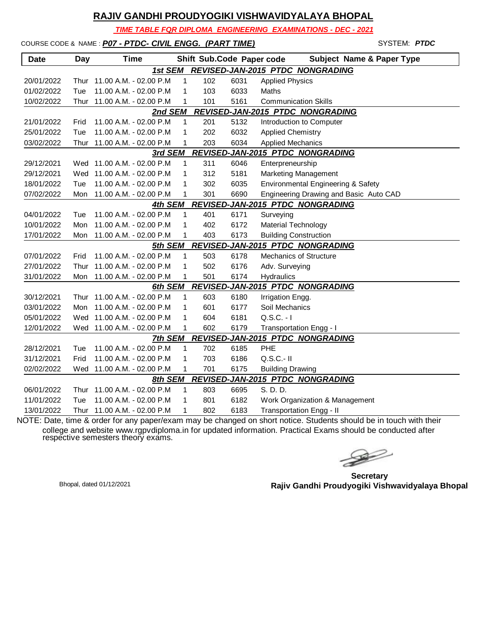*TIME TABLE FOR DIPLOMA ENGINEERING EXAMINATIONS - DEC - 2021*

## COURSE CODE & NAME : **P07 - PTDC- CIVIL ENGG. (PART TIME)** SYSTEM: **SYSTEM: PTDC**

| <b>Date</b>                                 | <b>Day</b> | <b>Time</b>                 |              |     |      | <b>Subject Name &amp; Paper Type</b><br>Shift Sub.Code Paper code |  |
|---------------------------------------------|------------|-----------------------------|--------------|-----|------|-------------------------------------------------------------------|--|
|                                             |            | 1st SEM                     |              |     |      | <b>REVISED-JAN-2015 PTDC NONGRADING</b>                           |  |
| 20/01/2022                                  |            | Thur 11.00 A.M. - 02.00 P.M | 1            | 102 | 6031 | <b>Applied Physics</b>                                            |  |
| 01/02/2022                                  | Tue        | 11.00 A.M. - 02.00 P.M      | 1            | 103 | 6033 | <b>Maths</b>                                                      |  |
| 10/02/2022                                  | Thur       | 11.00 A.M. - 02.00 P.M      | 1            | 101 | 5161 | <b>Communication Skills</b>                                       |  |
|                                             |            | 2nd SEM                     |              |     |      | REVISED-JAN-2015 PTDC NONGRADING                                  |  |
| 21/01/2022                                  | Frid       | 11.00 A.M. - 02.00 P.M.     | $\mathbf{1}$ | 201 | 5132 | Introduction to Computer                                          |  |
| 25/01/2022                                  | Tue        | 11.00 A.M. - 02.00 P.M      | 1            | 202 | 6032 | <b>Applied Chemistry</b>                                          |  |
| 03/02/2022                                  | Thur       | 11.00 A.M. - 02.00 P.M      | 1            | 203 | 6034 | <b>Applied Mechanics</b>                                          |  |
|                                             |            | 3rd SEM                     |              |     |      | REVISED-JAN-2015 PTDC NONGRADING                                  |  |
| 29/12/2021                                  |            | Wed 11.00 A.M. - 02.00 P.M  | 1            | 311 | 6046 | Enterpreneurship                                                  |  |
| 29/12/2021                                  |            | Wed 11.00 A.M. - 02.00 P.M  | 1            | 312 | 5181 | <b>Marketing Management</b>                                       |  |
| 18/01/2022                                  | Tue        | 11.00 A.M. - 02.00 P.M      | 1            | 302 | 6035 | Environmental Engineering & Safety                                |  |
| 07/02/2022                                  | Mon        | 11.00 A.M. - 02.00 P.M      | 1            | 301 | 6690 | Engineering Drawing and Basic Auto CAD                            |  |
| REVISED-JAN-2015 PTDC NONGRADING<br>4th SEM |            |                             |              |     |      |                                                                   |  |
| 04/01/2022                                  | Tue        | 11.00 A.M. - 02.00 P.M      | 1            | 401 | 6171 | Surveying                                                         |  |
| 10/01/2022                                  | Mon        | 11.00 A.M. - 02.00 P.M      | 1            | 402 | 6172 | Material Technology                                               |  |
| 17/01/2022                                  | Mon        | 11.00 A.M. - 02.00 P.M      | 1            | 403 | 6173 | <b>Building Construction</b>                                      |  |
|                                             |            | 5th SEM                     |              |     |      | REVISED-JAN-2015 PTDC NONGRADING                                  |  |
| 07/01/2022                                  | Frid       | 11.00 A.M. - 02.00 P.M      | 1            | 503 | 6178 | <b>Mechanics of Structure</b>                                     |  |
| 27/01/2022                                  | Thur       | 11.00 A.M. - 02.00 P.M      | 1            | 502 | 6176 | Adv. Surveying                                                    |  |
| 31/01/2022                                  | Mon        | 11.00 A.M. - 02.00 P.M      | 1            | 501 | 6174 | Hydraulics                                                        |  |
|                                             |            | 6th SEM                     |              |     |      | REVISED-JAN-2015 PTDC NONGRADING                                  |  |
| 30/12/2021                                  |            | Thur 11.00 A.M. - 02.00 P.M | $\mathbf{1}$ | 603 | 6180 | Irrigation Engg.                                                  |  |
| 03/01/2022                                  |            | Mon 11.00 A.M. - 02.00 P.M  | 1            | 601 | 6177 | Soil Mechanics                                                    |  |
| 05/01/2022                                  |            | Wed 11.00 A.M. - 02.00 P.M  | 1            | 604 | 6181 | $Q.S.C. - I$                                                      |  |
| 12/01/2022                                  |            | Wed 11.00 A.M. - 02.00 P.M  | 1            | 602 | 6179 | Transportation Engg - I                                           |  |
|                                             |            | 7th SEM                     |              |     |      | REVISED-JAN-2015 PTDC NONGRADING                                  |  |
| 28/12/2021                                  | Tue        | 11.00 A.M. - 02.00 P.M      | 1            | 702 | 6185 | <b>PHE</b>                                                        |  |
| 31/12/2021                                  | Frid       | 11.00 A.M. - 02.00 P.M      | 1            | 703 | 6186 | $Q.S.C.-II$                                                       |  |
| 02/02/2022                                  |            | Wed 11.00 A.M. - 02.00 P.M  | 1            | 701 | 6175 | <b>Building Drawing</b>                                           |  |
|                                             |            | 8th SEM                     |              |     |      | <b>REVISED-JAN-2015 PTDC NONGRADING</b>                           |  |
| 06/01/2022                                  | Thur       | 11.00 A.M. - 02.00 P.M      | 1            | 803 | 6695 | S. D. D.                                                          |  |
| 11/01/2022                                  | Tue        | 11.00 A.M. - 02.00 P.M      | 1            | 801 | 6182 | Work Organization & Management                                    |  |
| 13/01/2022                                  |            | Thur 11.00 A.M. - 02.00 P.M | 1            | 802 | 6183 | Transportation Engg - II                                          |  |

 $\gg$ 

**Secretary Rajiv Gandhi Proudyogiki Vishwavidyalaya Bhopal** Bhopal, dated 01/12/2021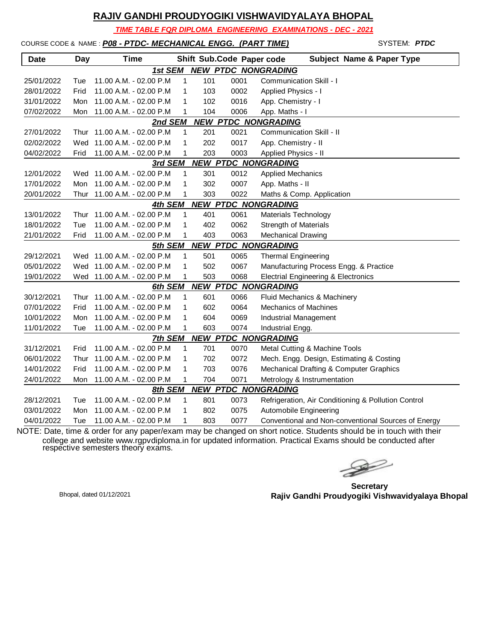*TIME TABLE FOR DIPLOMA ENGINEERING EXAMINATIONS - DEC - 2021*

| COURSE CODE & NAME: P08 - PTDC- MECHANICAL ENGG. (PART TIME) |  |  |  |
|--------------------------------------------------------------|--|--|--|
|                                                              |  |  |  |

| <b>Date</b> | <b>Day</b> | Time                        |              | Shift Sub.Code Paper code |      | <b>Subject Name &amp; Paper Type</b>                |
|-------------|------------|-----------------------------|--------------|---------------------------|------|-----------------------------------------------------|
|             |            | 1st SEM                     |              |                           |      | <b>NEW PTDC NONGRADING</b>                          |
| 25/01/2022  | Tue        | 11.00 A.M. - 02.00 P.M      | 1            | 101                       | 0001 | <b>Communication Skill - I</b>                      |
| 28/01/2022  | Frid       | 11.00 A.M. - 02.00 P.M      | 1            | 103                       | 0002 | Applied Physics - I                                 |
| 31/01/2022  | Mon        | 11.00 A.M. - 02.00 P.M      | 1            | 102                       | 0016 | App. Chemistry - I                                  |
| 07/02/2022  | Mon        | 11.00 A.M. - 02.00 P.M      | 1            | 104                       | 0006 | App. Maths - I                                      |
|             |            | 2nd SEM                     |              |                           |      | <b>NEW PTDC NONGRADING</b>                          |
| 27/01/2022  |            | Thur 11.00 A.M. - 02.00 P.M | $\mathbf{1}$ | 201                       | 0021 | Communication Skill - II                            |
| 02/02/2022  | Wed        | 11.00 A.M. - 02.00 P.M      | 1            | 202                       | 0017 | App. Chemistry - II                                 |
| 04/02/2022  | Frid       | 11.00 A.M. - 02.00 P.M      | 1            | 203                       | 0003 | Applied Physics - II                                |
|             |            | 3rd SEM                     |              |                           |      | <b>NEW PTDC NONGRADING</b>                          |
| 12/01/2022  |            | Wed 11.00 A.M. - 02.00 P.M  | 1            | 301                       | 0012 | <b>Applied Mechanics</b>                            |
| 17/01/2022  | Mon        | 11.00 A.M. - 02.00 P.M      | 1            | 302                       | 0007 | App. Maths - II                                     |
| 20/01/2022  |            | Thur 11.00 A.M. - 02.00 P.M | 1            | 303                       | 0022 | Maths & Comp. Application                           |
|             |            | 4th SEM                     |              |                           |      | <b>NEW PTDC NONGRADING</b>                          |
| 13/01/2022  |            | Thur 11.00 A.M. - 02.00 P.M | 1            | 401                       | 0061 | Materials Technology                                |
| 18/01/2022  | Tue        | 11.00 A.M. - 02.00 P.M      | 1            | 402                       | 0062 | <b>Strength of Materials</b>                        |
| 21/01/2022  | Frid       | 11.00 A.M. - 02.00 P.M      | 1            | 403                       | 0063 | <b>Mechanical Drawing</b>                           |
|             |            | 5th SEM                     |              |                           |      | <b>NEW PTDC NONGRADING</b>                          |
| 29/12/2021  |            | Wed 11.00 A.M. - 02.00 P.M  | 1            | 501                       | 0065 | <b>Thermal Engineering</b>                          |
| 05/01/2022  |            | Wed 11.00 A.M. - 02.00 P.M  | 1            | 502                       | 0067 | Manufacturing Process Engg. & Practice              |
| 19/01/2022  |            | Wed 11.00 A.M. - 02.00 P.M  | 1            | 503                       | 0068 | <b>Electrial Engineering &amp; Electronics</b>      |
|             |            | 6th SEM                     |              |                           |      | <b>NEW PTDC NONGRADING</b>                          |
| 30/12/2021  | Thur       | 11.00 A.M. - 02.00 P.M      | 1            | 601                       | 0066 | Fluid Mechanics & Machinery                         |
| 07/01/2022  | Frid       | 11.00 A.M. - 02.00 P.M      | 1            | 602                       | 0064 | <b>Mechanics of Machines</b>                        |
| 10/01/2022  | Mon        | 11.00 A.M. - 02.00 P.M      | 1            | 604                       | 0069 | Industrial Management                               |
| 11/01/2022  | Tue        | 11.00 A.M. - 02.00 P.M      | 1            | 603                       | 0074 | Industrial Engg.                                    |
|             |            | 7th SEM                     |              |                           |      | <b>NEW PTDC NONGRADING</b>                          |
| 31/12/2021  | Frid       | 11.00 A.M. - 02.00 P.M      | 1            | 701                       | 0070 | Metal Cutting & Machine Tools                       |
| 06/01/2022  | Thur       | 11.00 A.M. - 02.00 P.M      | 1            | 702                       | 0072 | Mech. Engg. Design, Estimating & Costing            |
| 14/01/2022  | Frid       | 11.00 A.M. - 02.00 P.M      | 1            | 703                       | 0076 | Mechanical Drafting & Computer Graphics             |
| 24/01/2022  | Mon        | 11.00 A.M. - 02.00 P.M      | 1            | 704                       | 0071 | Metrology & Instrumentation                         |
|             |            | 8th SEM                     |              |                           |      | <b>NEW PTDC NONGRADING</b>                          |
| 28/12/2021  | Tue        | 11.00 A.M. - 02.00 P.M      | 1            | 801                       | 0073 | Refrigeration, Air Conditioning & Pollution Control |
| 03/01/2022  | Mon        | 11.00 A.M. - 02.00 P.M      | 1            | 802                       | 0075 | Automobile Engineering                              |
| 04/01/2022  | Tue        | 11.00 A.M. - 02.00 P.M      | 1            | 803                       | 0077 | Conventional and Non-conventional Sources of Energy |

NOTE: Date, time & order for any paper/exam may be changed on short notice. Students should be in touch with their college and website www.rgpvdiploma.in for updated information. Practical Exams should be conducted after respective semesters theory exams.

 $\begin{picture}(120,17)(-20,17)(-20,17)(-20,17)(-20,17)(-20,17)(-20,17)(-20,17)(-20,17)(-20,17)(-20,17)(-20,17)(-20,17)(-20,17)(-20,17)(-20,17)(-20,17)(-20,17)(-20,17)(-20,17)(-20,17)(-20,17)(-20,17)(-20,17)(-20,17)(-20,17)(-20,17)(-20,17)(-20,17)(-20,17)(-20,1$ 

SYSTEM: **PTDC** 

**Secretary Rajiv Gandhi Proudyogiki Vishwavidyalaya Bhopal** Bhopal, dated 01/12/2021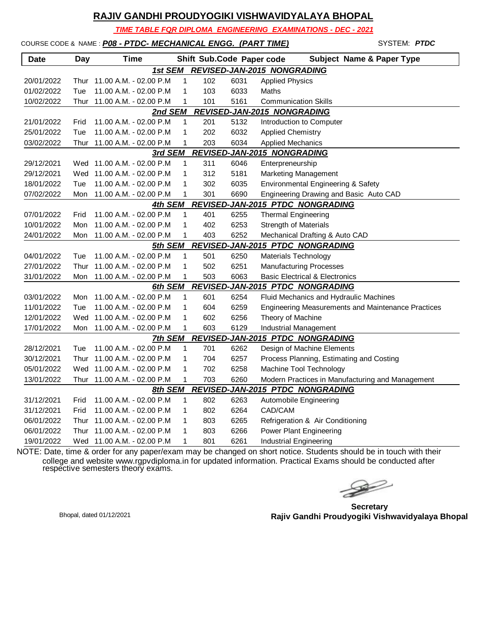*TIME TABLE FOR DIPLOMA ENGINEERING EXAMINATIONS - DEC - 2021*

| COURSE CODE & NAME: P08 - PTDC- MECHANICAL ENGG. (PART TIME) |  |
|--------------------------------------------------------------|--|
|                                                              |  |

COURSE CODE & NAME : *P08 - PTDC- MECHANICAL ENGG. (PART TIME)* - SYSTEM: *PTDC* **Date Day Time Shift Sub.Code Paper code Subject Name & Paper Type** *1st SEM REVISED-JAN-2015 NONGRADING* 20/01/2022 Thur 11.00 A.M. - 02.00 P.M 1 102 6031 Applied Physics 01/02/2022 Tue 11.00 A.M. - 02.00 P.M 1 103 6033 Maths 10/02/2022 Thur 11.00 A.M. - 02.00 P.M 1 101 5161 Communication Skills *2nd SEM REVISED-JAN-2015 NONGRADING* 21/01/2022 Frid 11.00 A.M. - 02.00 P.M 1 201 5132 Introduction to Computer 25/01/2022 Tue 11.00 A.M. - 02.00 P.M 1 202 6032 Applied Chemistry 03/02/2022 Thur 11.00 A.M. - 02.00 P.M 1 203 6034 Applied Mechanics *3rd SEM REVISED-JAN-2015 NONGRADING* 29/12/2021 Wed 11.00 A.M. - 02.00 P.M 1 311 6046 Enterpreneurship 29/12/2021 Wed 11.00 A.M. - 02.00 P.M 1 312 5181 Marketing Management 18/01/2022 Tue 11.00 A.M. - 02.00 P.M 1 302 6035 Environmental Engineering & Safety 07/02/2022 Mon 11.00 A.M. - 02.00 P.M 1 301 6690 Engineering Drawing and Basic Auto CAD *4th SEM REVISED-JAN-2015 PTDC NONGRADING* 07/01/2022 Frid 11.00 A.M. - 02.00 P.M 1 401 6255 Thermal Engineering 10/01/2022 Mon 11.00 A.M. - 02.00 P.M 1 402 6253 Strength of Materials 24/01/2022 Mon 11.00 A.M. - 02.00 P.M 1 403 6252 Mechanical Drafting & Auto CAD *5th SEM REVISED-JAN-2015 PTDC NONGRADING* 04/01/2022 Tue 11.00 A.M. - 02.00 P.M 1 501 6250 Materials Technology 27/01/2022 Thur 11.00 A.M. - 02.00 P.M 1 502 6251 Manufacturing Processes 31/01/2022 Mon 11.00 A.M. - 02.00 P.M 1 503 6063 Basic Electrical & Electronics *6th SEM REVISED-JAN-2015 PTDC NONGRADING* 03/01/2022 Mon 11.00 A.M. - 02.00 P.M 1 601 6254 Fluid Mechanics and Hydraulic Machines 11/01/2022 Tue 11.00 A.M. - 02.00 P.M 1 604 6259 Engineering Measurements and Maintenance Practices 12/01/2022 Wed 11.00 A.M. - 02.00 P.M 1 602 6256 Theory of Machine 17/01/2022 Mon 11.00 A.M. - 02.00 P.M 1 603 6129 Industrial Management *7th SEM REVISED-JAN-2015 PTDC NONGRADING* 28/12/2021 Tue 11.00 A.M. - 02.00 P.M 1 701 6262 Design of Machine Elements 30/12/2021 Thur 11.00 A.M. - 02.00 P.M 1 704 6257 Process Planning, Estimating and Costing 05/01/2022 Wed 11.00 A.M. - 02.00 P.M 1 702 6258 Machine Tool Technology 13/01/2022 Thur 11.00 A.M. - 02.00 P.M 1 703 6260 Modern Practices in Manufacturing and Management *8th SEM REVISED-JAN-2015 PTDC NONGRADING* 31/12/2021 Frid 11.00 A.M. - 02.00 P.M 1 802 6263 Automobile Engineering 31/12/2021 Frid 11.00 A.M. - 02.00 P.M 1 802 6264 CAD/CAM 06/01/2022 Thur 11.00 A.M. - 02.00 P.M 1 803 6265 Refrigeration & Air Conditioning

19/01/2022 Wed 11.00 A.M. - 02.00 P.M 1 801 6261 Industrial Engineering NOTE: Date, time & order for any paper/exam may be changed on short notice. Students should be in touch with their college and website www.rgpvdiploma.in for updated information. Practical Exams should be conducted after respective semesters theory exams.

06/01/2022 Thur 11.00 A.M. - 02.00 P.M 1 803 6266 Power Plant Engineering

**Secretary Rajiv Gandhi Proudyogiki Vishwavidyalaya Bhopal** Bhopal, dated 01/12/2021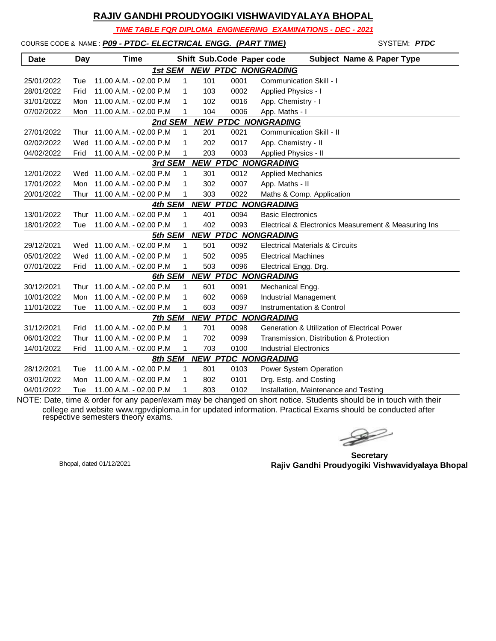*TIME TABLE FOR DIPLOMA ENGINEERING EXAMINATIONS - DEC - 2021*

# COURSE CODE & NAME: **P09 - PTDC- ELECTRICAL ENGG. (PART TIME)** SYSTEM: **PTDC**

| <b>Date</b> | <b>Day</b> | Time                        |              |     |      | <b>Subject Name &amp; Paper Type</b><br>Shift Sub.Code Paper code |
|-------------|------------|-----------------------------|--------------|-----|------|-------------------------------------------------------------------|
|             |            | 1st SEM                     |              |     |      | <b>NEW PTDC NONGRADING</b>                                        |
| 25/01/2022  | Tue        | 11.00 A.M. - 02.00 P.M.     | 1            | 101 | 0001 | <b>Communication Skill - I</b>                                    |
| 28/01/2022  | Frid       | 11.00 A.M. - 02.00 P.M      | 1            | 103 | 0002 | Applied Physics - I                                               |
| 31/01/2022  | Mon        | 11.00 A.M. - 02.00 P.M      | 1            | 102 | 0016 | App. Chemistry - I                                                |
| 07/02/2022  | Mon        | 11.00 A.M. - 02.00 P.M      | 1            | 104 | 0006 | App. Maths - I                                                    |
|             |            | 2nd SEM                     |              |     |      | <b>NEW PTDC NONGRADING</b>                                        |
| 27/01/2022  |            | Thur 11.00 A.M. - 02.00 P.M | $\mathbf{1}$ | 201 | 0021 | <b>Communication Skill - II</b>                                   |
| 02/02/2022  | Wed        | 11.00 A.M. - 02.00 P.M      | 1            | 202 | 0017 | App. Chemistry - II                                               |
| 04/02/2022  | Frid       | 11.00 A.M. - 02.00 P.M      | 1            | 203 | 0003 | Applied Physics - II                                              |
|             |            | 3rd SEM                     |              |     |      | <b>NEW PTDC NONGRADING</b>                                        |
| 12/01/2022  |            | Wed 11.00 A.M. - 02.00 P.M  | 1            | 301 | 0012 | <b>Applied Mechanics</b>                                          |
| 17/01/2022  |            | Mon 11.00 A.M. - 02.00 P.M  | 1            | 302 | 0007 | App. Maths - II                                                   |
| 20/01/2022  |            | Thur 11.00 A.M. - 02.00 P.M | 1            | 303 | 0022 | Maths & Comp. Application                                         |
|             |            | 4th SEM                     |              |     |      | <b>NEW PTDC NONGRADING</b>                                        |
| 13/01/2022  | Thur       | 11.00 A.M. - 02.00 P.M      | 1            | 401 | 0094 | <b>Basic Electronics</b>                                          |
| 18/01/2022  | Tue        | 11.00 A.M. - 02.00 P.M      | 1            | 402 | 0093 | Electrical & Electronics Measurement & Measuring Ins              |
|             |            | 5th SEM                     |              |     |      | <b>NEW PTDC NONGRADING</b>                                        |
| 29/12/2021  |            | Wed 11.00 A.M. - 02.00 P.M  | 1            | 501 | 0092 | <b>Electrical Materials &amp; Circuits</b>                        |
| 05/01/2022  |            | Wed 11.00 A.M. - 02.00 P.M  | 1            | 502 | 0095 | <b>Electrical Machines</b>                                        |
| 07/01/2022  | Frid       | 11.00 A.M. - 02.00 P.M      | 1            | 503 | 0096 | Electrical Engg. Drg.                                             |
|             |            | 6th SEM                     |              |     |      | <b>NEW PTDC NONGRADING</b>                                        |
| 30/12/2021  |            | Thur 11.00 A.M. - 02.00 P.M | 1            | 601 | 0091 | Mechanical Engg.                                                  |
| 10/01/2022  | Mon        | 11.00 A.M. - 02.00 P.M      | 1            | 602 | 0069 | <b>Industrial Management</b>                                      |
| 11/01/2022  | Tue        | 11.00 A.M. - 02.00 P.M      | 1            | 603 | 0097 | Instrumentation & Control                                         |
|             |            | 7th SEM                     |              |     |      | <b>NEW PTDC NONGRADING</b>                                        |
| 31/12/2021  | Frid       | 11.00 A.M. - 02.00 P.M      | 1            | 701 | 0098 | <b>Generation &amp; Utilization of Electrical Power</b>           |
| 06/01/2022  | Thur       | 11.00 A.M. - 02.00 P.M      | 1            | 702 | 0099 | Transmission, Distribution & Protection                           |
| 14/01/2022  | Frid       | 11.00 A.M. - 02.00 P.M      | 1            | 703 | 0100 | <b>Industrial Electronics</b>                                     |
|             |            | 8th SEM                     |              |     |      | <b>NEW PTDC NONGRADING</b>                                        |
| 28/12/2021  | Tue        | 11.00 A.M. - 02.00 P.M      | 1            | 801 | 0103 | Power System Operation                                            |
| 03/01/2022  | Mon        | 11.00 A.M. - 02.00 P.M      | 1            | 802 | 0101 | Drg. Estg. and Costing                                            |
| 04/01/2022  | Tue        | 11.00 A.M. - 02.00 P.M      | 1            | 803 | 0102 | Installation, Maintenance and Testing                             |

 $\begin{picture}(120,17)(-20,17)(-20,17)(-20,17)(-20,17)(-20,17)(-20,17)(-20,17)(-20,17)(-20,17)(-20,17)(-20,17)(-20,17)(-20,17)(-20,17)(-20,17)(-20,17)(-20,17)(-20,17)(-20,17)(-20,17)(-20,17)(-20,17)(-20,17)(-20,17)(-20,17)(-20,17)(-20,17)(-20,17)(-20,17)(-20,1$ 

**Secretary Rajiv Gandhi Proudyogiki Vishwavidyalaya Bhopal** Bhopal, dated 01/12/2021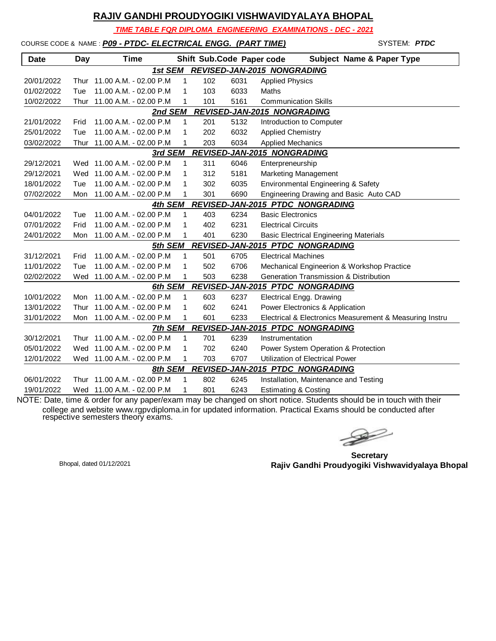*TIME TABLE FOR DIPLOMA ENGINEERING EXAMINATIONS - DEC - 2021*

| COURSE CODE & NAME: P09 - PTDC- ELECTRICAL ENGG. (PART TIME) |  |
|--------------------------------------------------------------|--|
|                                                              |  |

| <b>Date</b> | <b>Day</b> | Time                       |   |     | Shift Sub.Code Paper code | <b>Subject Name &amp; Paper Type</b>                    |
|-------------|------------|----------------------------|---|-----|---------------------------|---------------------------------------------------------|
|             |            | 1st SEM                    |   |     |                           | REVISED-JAN-2015 NONGRADING                             |
| 20/01/2022  | Thur       | 11.00 A.M. - 02.00 P.M     | 1 | 102 | 6031                      | <b>Applied Physics</b>                                  |
| 01/02/2022  | Tue        | 11.00 A.M. - 02.00 P.M     | 1 | 103 | 6033                      | Maths                                                   |
| 10/02/2022  | Thur       | 11.00 A.M. - 02.00 P.M     | 1 | 101 | 5161                      | <b>Communication Skills</b>                             |
|             |            | 2nd SEM                    |   |     |                           | REVISED-JAN-2015 NONGRADING                             |
| 21/01/2022  | Frid       | 11.00 A.M. - 02.00 P.M     | 1 | 201 | 5132                      | Introduction to Computer                                |
| 25/01/2022  | Tue        | 11.00 A.M. - 02.00 P.M     | 1 | 202 | 6032                      | <b>Applied Chemistry</b>                                |
| 03/02/2022  | Thur       | 11.00 A.M. - 02.00 P.M     | 1 | 203 | 6034                      | <b>Applied Mechanics</b>                                |
|             |            | 3rd SEM                    |   |     |                           | REVISED-JAN-2015 NONGRADING                             |
| 29/12/2021  |            | Wed 11.00 A.M. - 02.00 P.M | 1 | 311 | 6046                      | Enterpreneurship                                        |
| 29/12/2021  |            | Wed 11.00 A.M. - 02.00 P.M | 1 | 312 | 5181                      | Marketing Management                                    |
| 18/01/2022  | Tue        | 11.00 A.M. - 02.00 P.M     | 1 | 302 | 6035                      | Environmental Engineering & Safety                      |
| 07/02/2022  | Mon        | 11.00 A.M. - 02.00 P.M     | 1 | 301 | 6690                      | Engineering Drawing and Basic Auto CAD                  |
|             |            | 4th SEM                    |   |     |                           | REVISED-JAN-2015 PTDC NONGRADING                        |
| 04/01/2022  | Tue        | 11.00 A.M. - 02.00 P.M     | 1 | 403 | 6234                      | <b>Basic Electronics</b>                                |
| 07/01/2022  | Frid       | 11.00 A.M. - 02.00 P.M     | 1 | 402 | 6231                      | <b>Electrical Circuits</b>                              |
| 24/01/2022  | Mon        | 11.00 A.M. - 02.00 P.M     | 1 | 401 | 6230                      | <b>Basic Electrical Engineering Materials</b>           |
|             |            | 5th SEM                    |   |     |                           | REVISED-JAN-2015 PTDC NONGRADING                        |
| 31/12/2021  | Frid       | 11.00 A.M. - 02.00 P.M     | 1 | 501 | 6705                      | <b>Electrical Machines</b>                              |
| 11/01/2022  | Tue        | 11.00 A.M. - 02.00 P.M     | 1 | 502 | 6706                      | Mechanical Engineerion & Workshop Practice              |
| 02/02/2022  |            | Wed 11.00 A.M. - 02.00 P.M | 1 | 503 | 6238                      | <b>Generation Transmission &amp; Distribution</b>       |
|             |            | 6th SEM                    |   |     |                           | REVISED-JAN-2015 PTDC NONGRADING                        |
| 10/01/2022  | Mon        | 11.00 A.M. - 02.00 P.M     | 1 | 603 | 6237                      | Electrical Engg. Drawing                                |
| 13/01/2022  | Thur       | 11.00 A.M. - 02.00 P.M     | 1 | 602 | 6241                      | Power Electronics & Application                         |
| 31/01/2022  | Mon        | 11.00 A.M. - 02.00 P.M     | 1 | 601 | 6233                      | Electrical & Electronics Measurement & Measuring Instru |
|             |            | 7th SEM                    |   |     |                           | REVISED-JAN-2015 PTDC NONGRADING                        |
| 30/12/2021  | Thur       | 11.00 A.M. - 02.00 P.M     | 1 | 701 | 6239                      | Instrumentation                                         |
| 05/01/2022  |            | Wed 11.00 A.M. - 02.00 P.M | 1 | 702 | 6240                      | Power System Operation & Protection                     |
| 12/01/2022  |            | Wed 11.00 A.M. - 02.00 P.M | 1 | 703 | 6707                      | Utilization of Electrical Power                         |
|             |            | 8th SEM                    |   |     |                           | <b>REVISED-JAN-2015 PTDC NONGRADING</b>                 |
| 06/01/2022  | Thur       | 11.00 A.M. - 02.00 P.M     | 1 | 802 | 6245                      | Installation, Maintenance and Testing                   |
| 19/01/2022  |            | Wed 11.00 A.M. - 02.00 P.M | 1 | 801 | 6243                      | <b>Estimating &amp; Costing</b>                         |

NOTE: Date, time & order for any paper/exam may be changed on short notice. Students should be in touch with their college and website www.rgpvdiploma.in for updated information. Practical Exams should be conducted after respective semesters theory exams.

 $\begin{picture}(120,17)(-20,17)(-20,17)(-20,17)(-20,17)(-20,17)(-20,17)(-20,17)(-20,17)(-20,17)(-20,17)(-20,17)(-20,17)(-20,17)(-20,17)(-20,17)(-20,17)(-20,17)(-20,17)(-20,17)(-20,17)(-20,17)(-20,17)(-20,17)(-20,17)(-20,17)(-20,17)(-20,17)(-20,17)(-20,17)(-20,1$ 

SYSTEM: **PTDC** 

**Secretary Rajiv Gandhi Proudyogiki Vishwavidyalaya Bhopal** Bhopal, dated 01/12/2021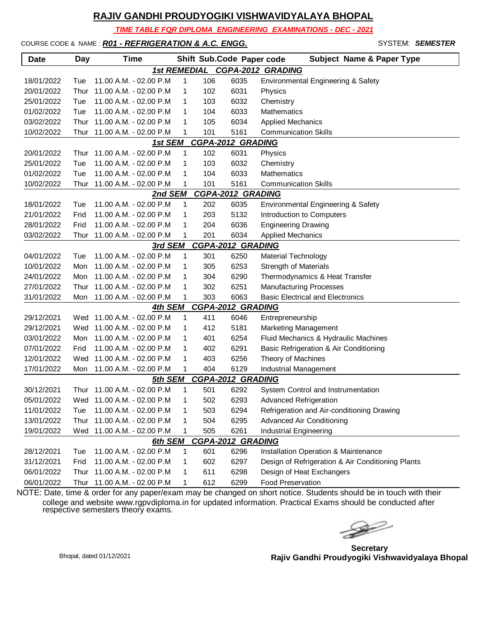*TIME TABLE FOR DIPLOMA ENGINEERING EXAMINATIONS - DEC - 2021*

#### COURSE CODE & NAME : *R01 - REFRIGERATION & A.C. ENGG.* - SYSTEM: *SEMESTER*

| <b>Date</b> | <b>Day</b> | <b>Time</b>                 |                     |     | Shift Sub.Code Paper code | <b>Subject Name &amp; Paper Type</b>              |
|-------------|------------|-----------------------------|---------------------|-----|---------------------------|---------------------------------------------------|
|             |            |                             | <b>1st REMEDIAL</b> |     |                           | CGPA-2012 GRADING                                 |
| 18/01/2022  | Tue        | 11.00 A.M. - 02.00 P.M      | 1                   | 106 | 6035                      | Environmental Engineering & Safety                |
| 20/01/2022  | Thur       | 11.00 A.M. - 02.00 P.M      | 1                   | 102 | 6031                      | Physics                                           |
| 25/01/2022  | Tue        | 11.00 A.M. - 02.00 P.M      | 1                   | 103 | 6032                      | Chemistry                                         |
| 01/02/2022  | Tue        | 11.00 A.M. - 02.00 P.M      | 1                   | 104 | 6033                      | Mathematics                                       |
| 03/02/2022  | Thur       | 11.00 A.M. - 02.00 P.M      | 1                   | 105 | 6034                      | <b>Applied Mechanics</b>                          |
| 10/02/2022  | Thur       | 11.00 A.M. - 02.00 P.M      | 1                   | 101 | 5161                      | <b>Communication Skills</b>                       |
|             |            | 1st SEM                     |                     |     | <b>CGPA-2012 GRADING</b>  |                                                   |
| 20/01/2022  | Thur       | 11.00 A.M. - 02.00 P.M      | 1                   | 102 | 6031                      | Physics                                           |
| 25/01/2022  | Tue        | 11.00 A.M. - 02.00 P.M      | 1                   | 103 | 6032                      | Chemistry                                         |
| 01/02/2022  | Tue        | 11.00 A.M. - 02.00 P.M      | 1                   | 104 | 6033                      | Mathematics                                       |
| 10/02/2022  | Thur       | 11.00 A.M. - 02.00 P.M      | 1                   | 101 | 5161                      | <b>Communication Skills</b>                       |
|             |            | 2nd SEM                     |                     |     | <b>CGPA-2012 GRADING</b>  |                                                   |
| 18/01/2022  | Tue        | 11.00 A.M. - 02.00 P.M      | 1                   | 202 | 6035                      | Environmental Engineering & Safety                |
| 21/01/2022  | Frid       | 11.00 A.M. - 02.00 P.M      | 1                   | 203 | 5132                      | Introduction to Computers                         |
| 28/01/2022  | Frid       | 11.00 A.M. - 02.00 P.M      | 1                   | 204 | 6036                      | <b>Engineering Drawing</b>                        |
| 03/02/2022  | Thur       | 11.00 A.M. - 02.00 P.M      | 1                   | 201 | 6034                      | <b>Applied Mechanics</b>                          |
|             |            | 3rd SEM                     |                     |     | <b>CGPA-2012 GRADING</b>  |                                                   |
| 04/01/2022  | Tue        | 11.00 A.M. - 02.00 P.M      | 1                   | 301 | 6250                      | <b>Material Technology</b>                        |
| 10/01/2022  | Mon        | 11.00 A.M. - 02.00 P.M      | 1                   | 305 | 6253                      | <b>Strength of Materials</b>                      |
| 24/01/2022  | Mon        | 11.00 A.M. - 02.00 P.M      | 1                   | 304 | 6290                      | Thermodynamics & Heat Transfer                    |
| 27/01/2022  | Thur       | 11.00 A.M. - 02.00 P.M      | 1                   | 302 | 6251                      | <b>Manufacturing Processes</b>                    |
| 31/01/2022  | Mon        | 11.00 A.M. - 02.00 P.M      | 1                   | 303 | 6063                      | <b>Basic Electrical and Electronics</b>           |
|             |            | 4th SEM                     |                     |     | <b>CGPA-2012 GRADING</b>  |                                                   |
| 29/12/2021  |            | Wed 11.00 A.M. - 02.00 P.M  | 1                   | 411 | 6046                      | Entrepreneurship                                  |
| 29/12/2021  |            | Wed 11.00 A.M. - 02.00 P.M  | 1                   | 412 | 5181                      | <b>Marketing Management</b>                       |
| 03/01/2022  | Mon        | 11.00 A.M. - 02.00 P.M      | 1                   | 401 | 6254                      | Fluid Mechanics & Hydraulic Machines              |
| 07/01/2022  | Frid       | 11.00 A.M. - 02.00 P.M      | 1                   | 402 | 6291                      | Basic Refrigeration & Air Conditioning            |
| 12/01/2022  | Wed        | 11.00 A.M. - 02.00 P.M      | 1                   | 403 | 6256                      | Theory of Machines                                |
| 17/01/2022  | Mon        | 11.00 A.M. - 02.00 P.M      | 1                   | 404 | 6129                      | Industrial Management                             |
|             |            | 5th SEM                     |                     |     | CGPA-2012 GRADING         |                                                   |
| 30/12/2021  | Thur       | 11.00 A.M. - 02.00 P.M      | 1                   | 501 | 6292                      | System Control and Instrumentation                |
| 05/01/2022  |            | Wed 11.00 A.M. - 02.00 P.M  | 1                   | 502 | 6293                      | <b>Advanced Refrigeration</b>                     |
| 11/01/2022  | Tue        | 11.00 A.M. - 02.00 P.M      |                     | 503 | 6294                      | Refrigeration and Air-conditioning Drawing        |
| 13/01/2022  |            | Thur 11.00 A.M. - 02.00 P.M | 1                   | 504 | 6295                      | Advanced Air Conditioning                         |
| 19/01/2022  | Wed        | 11.00 A.M. - 02.00 P.M      | 1                   | 505 | 6261                      | Industrial Engineering                            |
|             |            | 6th SEM                     |                     |     | <b>CGPA-2012 GRADING</b>  |                                                   |
| 28/12/2021  | Tue        | 11.00 A.M. - 02.00 P.M      | 1                   | 601 | 6296                      | Installation Operation & Maintenance              |
| 31/12/2021  | Frid       | 11.00 A.M. - 02.00 P.M      | 1                   | 602 | 6297                      | Design of Refrigeration & Air Conditioning Plants |
| 06/01/2022  | Thur       | 11.00 A.M. - 02.00 P.M      | 1                   | 611 | 6298                      | Design of Heat Exchangers                         |
| 06/01/2022  |            | Thur 11.00 A.M. - 02.00 P.M | 1                   | 612 | 6299                      | <b>Food Preservation</b>                          |

 $\rightarrow$ 

**Secretary Rajiv Gandhi Proudyogiki Vishwavidyalaya Bhopal** Bhopal, dated 01/12/2021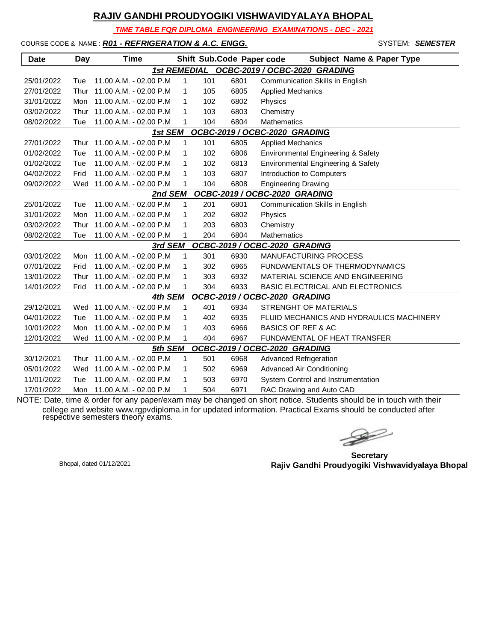*TIME TABLE FOR DIPLOMA ENGINEERING EXAMINATIONS - DEC - 2021*

COURSE CODE & NAME : *R01 - REFRIGERATION & A.C. ENGG.* - SYSTEM: *SEMESTER*

| <b>Date</b>                                | <b>Day</b> | Time                       |              |     | Shift Sub.Code Paper code | <b>Subject Name &amp; Paper Type</b>     |  |  |  |
|--------------------------------------------|------------|----------------------------|--------------|-----|---------------------------|------------------------------------------|--|--|--|
| 1st REMEDIAL OCBC-2019 / OCBC-2020 GRADING |            |                            |              |     |                           |                                          |  |  |  |
| 25/01/2022                                 | Tue        | 11.00 A.M. - 02.00 P.M.    | $\mathbf{1}$ | 101 | 6801                      | Communication Skills in English          |  |  |  |
| 27/01/2022                                 | Thur       | 11.00 A.M. - 02.00 P.M     | $\mathbf{1}$ | 105 | 6805                      | <b>Applied Mechanics</b>                 |  |  |  |
| 31/01/2022                                 | Mon        | 11.00 A.M. - 02.00 P.M     | 1            | 102 | 6802                      | Physics                                  |  |  |  |
| 03/02/2022                                 | Thur       | 11.00 A.M. - 02.00 P.M     | 1            | 103 | 6803                      | Chemistry                                |  |  |  |
| 08/02/2022                                 | Tue        | 11.00 A.M. - 02.00 P.M     | 1            | 104 | 6804                      | <b>Mathematics</b>                       |  |  |  |
|                                            |            | 1st SEM                    |              |     |                           | OCBC-2019 / OCBC-2020 GRADING            |  |  |  |
| 27/01/2022                                 | Thur       | 11.00 A.M. - 02.00 P.M     | 1            | 101 | 6805                      | <b>Applied Mechanics</b>                 |  |  |  |
| 01/02/2022                                 | Tue        | 11.00 A.M. - 02.00 P.M     | 1            | 102 | 6806                      | Environmental Engineering & Safety       |  |  |  |
| 01/02/2022                                 | Tue        | 11.00 A.M. - 02.00 P.M.    | 1            | 102 | 6813                      | Environmental Engineering & Safety       |  |  |  |
| 04/02/2022                                 | Frid       | 11.00 A.M. - 02.00 P.M     | 1            | 103 | 6807                      | Introduction to Computers                |  |  |  |
| 09/02/2022                                 |            | Wed 11.00 A.M. - 02.00 P.M | 1            | 104 | 6808                      | <b>Engineering Drawing</b>               |  |  |  |
|                                            |            | 2nd SEM                    |              |     |                           | OCBC-2019 / OCBC-2020 GRADING            |  |  |  |
| 25/01/2022                                 | Tue        | 11.00 A.M. - 02.00 P.M     | 1            | 201 | 6801                      | Communication Skills in English          |  |  |  |
| 31/01/2022                                 | Mon        | 11.00 A.M. - 02.00 P.M     | 1            | 202 | 6802                      | Physics                                  |  |  |  |
| 03/02/2022                                 | Thur       | 11.00 A.M. - 02.00 P.M     | 1            | 203 | 6803                      | Chemistry                                |  |  |  |
| 08/02/2022                                 | Tue        | 11.00 A.M. - 02.00 P.M     | 1            | 204 | 6804                      | Mathematics                              |  |  |  |
|                                            |            | 3rd SEM                    |              |     |                           | OCBC-2019 / OCBC-2020 GRADING            |  |  |  |
| 03/01/2022                                 | Mon        | 11.00 A.M. - 02.00 P.M     | $\mathbf{1}$ | 301 | 6930                      | <b>MANUFACTURING PROCESS</b>             |  |  |  |
| 07/01/2022                                 | Frid       | 11.00 A.M. - 02.00 P.M     | 1            | 302 | 6965                      | FUNDAMENTALS OF THERMODYNAMICS           |  |  |  |
| 13/01/2022                                 | Thur       | 11.00 A.M. - 02.00 P.M     | 1            | 303 | 6932                      | MATERIAL SCIENCE AND ENGINEERING         |  |  |  |
| 14/01/2022                                 | Frid       | 11.00 A.M. - 02.00 P.M     | 1            | 304 | 6933                      | BASIC ELECTRICAL AND ELECTRONICS         |  |  |  |
|                                            |            | 4th SEM                    |              |     |                           | OCBC-2019 / OCBC-2020 GRADING            |  |  |  |
| 29/12/2021                                 | Wed        | 11.00 A.M. - 02.00 P.M     | 1            | 401 | 6934                      | STRENGHT OF MATERIALS                    |  |  |  |
| 04/01/2022                                 | Tue        | 11.00 A.M. - 02.00 P.M     | 1            | 402 | 6935                      | FLUID MECHANICS AND HYDRAULICS MACHINERY |  |  |  |
| 10/01/2022                                 | Mon        | 11.00 A.M. - 02.00 P.M.    | 1            | 403 | 6966                      | <b>BASICS OF REF &amp; AC</b>            |  |  |  |
| 12/01/2022                                 | Wed        | 11.00 A.M. - 02.00 P.M     | $\mathbf 1$  | 404 | 6967                      | <b>FUNDAMENTAL OF HEAT TRANSFER</b>      |  |  |  |
|                                            |            | 5th SEM                    |              |     |                           | OCBC-2019 / OCBC-2020 GRADING            |  |  |  |
| 30/12/2021                                 | Thur       | 11.00 A.M. - 02.00 P.M     | 1            | 501 | 6968                      | <b>Advanced Refrigeration</b>            |  |  |  |
| 05/01/2022                                 | Wed        | 11.00 A.M. - 02.00 P.M     | 1            | 502 | 6969                      | <b>Advanced Air Conditioning</b>         |  |  |  |
| 11/01/2022                                 | Tue        | 11.00 A.M. - 02.00 P.M     | 1            | 503 | 6970                      | System Control and Instrumentation       |  |  |  |
| 17/01/2022                                 | Mon        | 11.00 A.M. - 02.00 P.M     | 1            | 504 | 6971                      | RAC Drawing and Auto CAD                 |  |  |  |

 $\begin{picture}(120,17)(-20,17)(-20,17)(-20,17)(-20,17)(-20,17)(-20,17)(-20,17)(-20,17)(-20,17)(-20,17)(-20,17)(-20,17)(-20,17)(-20,17)(-20,17)(-20,17)(-20,17)(-20,17)(-20,17)(-20,17)(-20,17)(-20,17)(-20,17)(-20,17)(-20,17)(-20,17)(-20,17)(-20,17)(-20,17)(-20,1$ 

**Secretary Rajiv Gandhi Proudyogiki Vishwavidyalaya Bhopal** Bhopal, dated 01/12/2021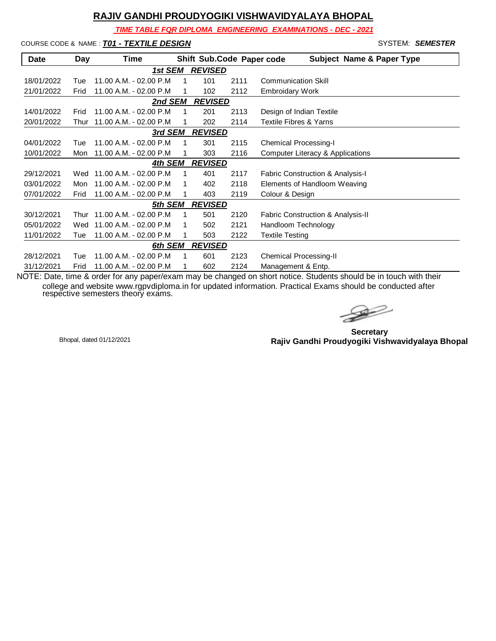*TIME TABLE FOR DIPLOMA ENGINEERING EXAMINATIONS - DEC - 2021*

#### COURSE CODE & NAME : *T01 - TEXTILE DESIGN* - SYSTEM: *SEMESTER*

| <b>Date</b> | Day  | <b>Time</b>             |    |                |      | Shift Sub.Code Paper code<br><b>Subject Name &amp; Paper Type</b> |
|-------------|------|-------------------------|----|----------------|------|-------------------------------------------------------------------|
|             |      | 1st SEM                 |    | <b>REVISED</b> |      |                                                                   |
| 18/01/2022  | Tue  | 11.00 A.M. - 02.00 P.M. | 1  | 101            | 2111 | <b>Communication Skill</b>                                        |
| 21/01/2022  | Frid | 11.00 A.M. - 02.00 P.M. |    | 102            | 2112 | <b>Embroidary Work</b>                                            |
|             |      | 2nd SEM                 |    | <b>REVISED</b> |      |                                                                   |
| 14/01/2022  | Frid | 11.00 A.M. - 02.00 P.M. | 1  | 201            | 2113 | Design of Indian Textile                                          |
| 20/01/2022  | Thur | 11.00 A.M. - 02.00 P.M  | 1  | 202            | 2114 | <b>Textile Fibres &amp; Yarns</b>                                 |
|             |      | 3rd SEM                 |    | <b>REVISED</b> |      |                                                                   |
| 04/01/2022  | Tue  | 11.00 A.M. - 02.00 P.M. | 1  | 301            | 2115 | <b>Chemical Processing-I</b>                                      |
| 10/01/2022  | Mon  | 11.00 A.M. - 02.00 P.M  |    | 303            | 2116 | <b>Computer Literacy &amp; Applications</b>                       |
|             |      | 4th SEM                 |    | <b>REVISED</b> |      |                                                                   |
| 29/12/2021  | Wed  | 11.00 A.M. - 02.00 P.M. | 1  | 401            | 2117 | <b>Fabric Construction &amp; Analysis-I</b>                       |
| 03/01/2022  | Mon  | 11.00 A.M. - 02.00 P.M  | 1  | 402            | 2118 | Elements of Handloom Weaving                                      |
| 07/01/2022  | Frid | 11.00 A.M. - 02.00 P.M  | 1  | 403            | 2119 | Colour & Design                                                   |
|             |      | 5th SEM                 |    | <b>REVISED</b> |      |                                                                   |
| 30/12/2021  | Thur | 11.00 A.M. - 02.00 P.M. | 1  | 501            | 2120 | Fabric Construction & Analysis-II                                 |
| 05/01/2022  | Wed  | 11.00 A.M. - 02.00 P.M  | 1. | 502            | 2121 | Handloom Technology                                               |
| 11/01/2022  | Tue  | 11.00 A.M. - 02.00 P.M  | 1  | 503            | 2122 | <b>Textile Testing</b>                                            |
|             |      | 6th SEM                 |    | <b>REVISED</b> |      |                                                                   |
| 28/12/2021  | Tue  | 11.00 A.M. - 02.00 P.M. | 1  | 601            | 2123 | <b>Chemical Processing-II</b>                                     |
| 31/12/2021  | Frid | 11.00 A.M. - 02.00 P.M  | 1. | 602            | 2124 | Management & Entp.                                                |

 $\rightarrow$ 

**Secretary Rajiv Gandhi Proudyogiki Vishwavidyalaya Bhopal** Bhopal, dated 01/12/2021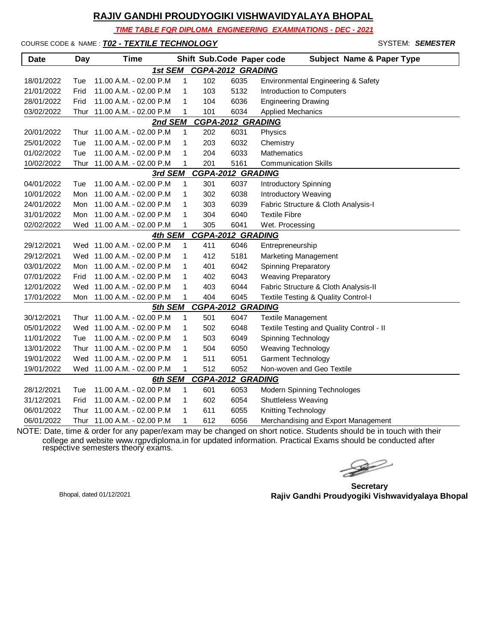*TIME TABLE FOR DIPLOMA ENGINEERING EXAMINATIONS - DEC - 2021*

COURSE CODE & NAME : *T02 - TEXTILE TECHNOLOGY* - SYSTEM: *SEMESTER*

| <b>Date</b>                         | Day  | <b>Time</b>                |              | Shift Sub.Code Paper code |      | <b>Subject Name &amp; Paper Type</b>     |  |  |
|-------------------------------------|------|----------------------------|--------------|---------------------------|------|------------------------------------------|--|--|
| 1st SEM<br><b>CGPA-2012 GRADING</b> |      |                            |              |                           |      |                                          |  |  |
| 18/01/2022                          | Tue  | 11.00 A.M. - 02.00 P.M     | 1            | 102                       | 6035 | Environmental Engineering & Safety       |  |  |
| 21/01/2022                          | Frid | 11.00 A.M. - 02.00 P.M     | 1            | 103                       | 5132 | Introduction to Computers                |  |  |
| 28/01/2022                          | Frid | 11.00 A.M. - 02.00 P.M     | 1            | 104                       | 6036 | <b>Engineering Drawing</b>               |  |  |
| 03/02/2022                          | Thur | 11.00 A.M. - 02.00 P.M     | 1            | 101                       | 6034 | <b>Applied Mechanics</b>                 |  |  |
| <b>CGPA-2012 GRADING</b><br>2nd SEM |      |                            |              |                           |      |                                          |  |  |
| 20/01/2022                          | Thur | 11.00 A.M. - 02.00 P.M     | 1            | 202                       | 6031 | Physics                                  |  |  |
| 25/01/2022                          | Tue  | 11.00 A.M. - 02.00 P.M     | 1            | 203                       | 6032 | Chemistry                                |  |  |
| 01/02/2022                          | Tue  | 11.00 A.M. - 02.00 P.M     | 1            | 204                       | 6033 | Mathematics                              |  |  |
| 10/02/2022                          | Thur | 11.00 A.M. - 02.00 P.M     | 1            | 201                       | 5161 | <b>Communication Skills</b>              |  |  |
| <b>CGPA-2012 GRADING</b><br>3rd SEM |      |                            |              |                           |      |                                          |  |  |
| 04/01/2022                          | Tue  | 11.00 A.M. - 02.00 P.M     | 1            | 301                       | 6037 | Introductory Spinning                    |  |  |
| 10/01/2022                          | Mon  | 11.00 A.M. - 02.00 P.M     | 1            | 302                       | 6038 | <b>Introductory Weaving</b>              |  |  |
| 24/01/2022                          | Mon  | 11.00 A.M. - 02.00 P.M     | 1            | 303                       | 6039 | Fabric Structure & Cloth Analysis-I      |  |  |
| 31/01/2022                          | Mon  | 11.00 A.M. - 02.00 P.M     | 1            | 304                       | 6040 | <b>Textile Fibre</b>                     |  |  |
| 02/02/2022                          | Wed  | 11.00 A.M. - 02.00 P.M     | 1            | 305                       | 6041 | Wet. Processing                          |  |  |
| <b>CGPA-2012 GRADING</b><br>4th SEM |      |                            |              |                           |      |                                          |  |  |
| 29/12/2021                          |      | Wed 11.00 A.M. - 02.00 P.M | $\mathbf{1}$ | 411                       | 6046 | Entrepreneurship                         |  |  |
| 29/12/2021                          |      | Wed 11.00 A.M. - 02.00 P.M | 1            | 412                       | 5181 | <b>Marketing Management</b>              |  |  |
| 03/01/2022                          | Mon  | 11.00 A.M. - 02.00 P.M     | 1            | 401                       | 6042 | <b>Spinning Preparatory</b>              |  |  |
| 07/01/2022                          | Frid | 11.00 A.M. - 02.00 P.M     | 1            | 402                       | 6043 | <b>Weaving Preparatory</b>               |  |  |
| 12/01/2022                          | Wed  | 11.00 A.M. - 02.00 P.M     | 1            | 403                       | 6044 | Fabric Structure & Cloth Analysis-II     |  |  |
| 17/01/2022                          | Mon  | 11.00 A.M. - 02.00 P.M     | 1            | 404                       | 6045 | Textile Testing & Quality Control-I      |  |  |
|                                     |      | 5th SEM                    |              | <b>CGPA-2012 GRADING</b>  |      |                                          |  |  |
| 30/12/2021                          | Thur | 11.00 A.M. - 02.00 P.M     | 1            | 501                       | 6047 | <b>Textile Management</b>                |  |  |
| 05/01/2022                          | Wed  | 11.00 A.M. - 02.00 P.M     | 1            | 502                       | 6048 | Textile Testing and Quality Control - II |  |  |
| 11/01/2022                          | Tue  | 11.00 A.M. - 02.00 P.M     | 1            | 503                       | 6049 | Spinning Technology                      |  |  |
| 13/01/2022                          | Thur | 11.00 A.M. - 02.00 P.M     | 1            | 504                       | 6050 | <b>Weaving Technology</b>                |  |  |
| 19/01/2022                          | Wed  | 11.00 A.M. - 02.00 P.M     | 1            | 511                       | 6051 | <b>Garment Technology</b>                |  |  |
| 19/01/2022                          |      | Wed 11.00 A.M. - 02.00 P.M | 1            | 512                       | 6052 | Non-woven and Geo Textile                |  |  |
| <b>CGPA-2012 GRADING</b><br>6th SEM |      |                            |              |                           |      |                                          |  |  |
| 28/12/2021                          | Tue  | 11.00 A.M. - 02.00 P.M     | 1            | 601                       | 6053 | Modern Spinning Technologes              |  |  |
| 31/12/2021                          | Frid | 11.00 A.M. - 02.00 P.M     | 1            | 602                       | 6054 | Shuttleless Weaving                      |  |  |
| 06/01/2022                          | Thur | 11.00 A.M. - 02.00 P.M     | 1            | 611                       | 6055 | Knitting Technology                      |  |  |
| 06/01/2022                          | Thur | 11.00 A.M. - 02.00 P.M     | 1            | 612                       | 6056 | Merchandising and Export Management      |  |  |

 $\begin{picture}(120,17)(-20,17)(-20,17)(-20,17)(-20,17)(-20,17)(-20,17)(-20,17)(-20,17)(-20,17)(-20,17)(-20,17)(-20,17)(-20,17)(-20,17)(-20,17)(-20,17)(-20,17)(-20,17)(-20,17)(-20,17)(-20,17)(-20,17)(-20,17)(-20,17)(-20,17)(-20,17)(-20,17)(-20,17)(-20,17)(-20,1$ 

**Secretary Rajiv Gandhi Proudyogiki Vishwavidyalaya Bhopal** Bhopal, dated 01/12/2021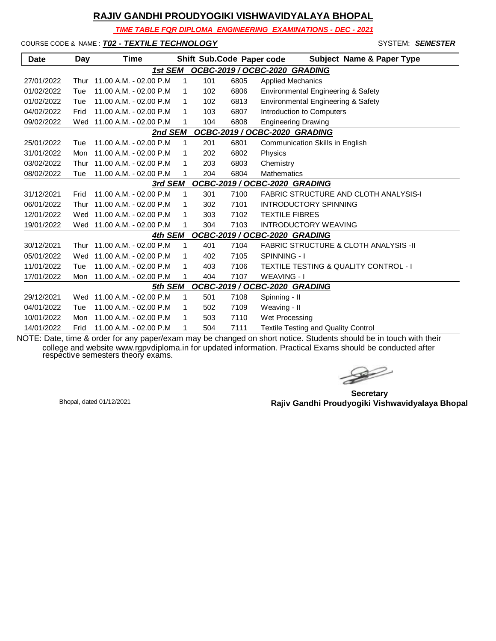*TIME TABLE FOR DIPLOMA ENGINEERING EXAMINATIONS - DEC - 2021*

COURSE CODE & NAME : *T02 - TEXTILE TECHNOLOGY* - SYSTEM: *SEMESTER*

| <b>Date</b>                              | Day                                      | Time                       |             |                               |      | Shift Sub.Code Paper code<br><b>Subject Name &amp; Paper Type</b> |  |  |
|------------------------------------------|------------------------------------------|----------------------------|-------------|-------------------------------|------|-------------------------------------------------------------------|--|--|
|                                          |                                          | 1st SEM                    |             |                               |      | OCBC-2019 / OCBC-2020 GRADING                                     |  |  |
| 27/01/2022                               | Thur                                     | $11.00$ A.M. - 02.00 P.M   | $\mathbf 1$ | 101                           | 6805 | <b>Applied Mechanics</b>                                          |  |  |
| 01/02/2022                               | Tue                                      | 11.00 A.M. - 02.00 P.M     | 1           | 102                           | 6806 | Environmental Engineering & Safety                                |  |  |
| 01/02/2022                               | Tue                                      | 11.00 A.M. - 02.00 P.M     | 1           | 102                           | 6813 | Environmental Engineering & Safety                                |  |  |
| 04/02/2022                               | Frid                                     | 11.00 A.M. - 02.00 P.M     | 1           | 103                           | 6807 | Introduction to Computers                                         |  |  |
| 09/02/2022                               | Wed                                      | 11.00 A.M. - 02.00 P.M     | 1           | 104                           | 6808 | <b>Engineering Drawing</b>                                        |  |  |
| OCBC-2019 / OCBC-2020 GRADING<br>2nd SEM |                                          |                            |             |                               |      |                                                                   |  |  |
| 25/01/2022                               | Tue                                      | 11.00 A.M. - 02.00 P.M.    | 1           | 201                           | 6801 | Communication Skills in English                                   |  |  |
| 31/01/2022                               | Mon                                      | 11.00 A.M. - 02.00 P.M     | 1           | 202                           | 6802 | Physics                                                           |  |  |
| 03/02/2022                               | Thur                                     | 11.00 A.M. - 02.00 P.M     | 1           | 203                           | 6803 | Chemistry                                                         |  |  |
| 08/02/2022                               | Tue                                      | 11.00 A.M. - 02.00 P.M     | 1           | 204                           | 6804 | <b>Mathematics</b>                                                |  |  |
|                                          | OCBC-2019 / OCBC-2020 GRADING<br>3rd SEM |                            |             |                               |      |                                                                   |  |  |
| 31/12/2021                               | Frid                                     | 11.00 A.M. - 02.00 P.M     | $\mathbf 1$ | 301                           | 7100 | <b>FABRIC STRUCTURE AND CLOTH ANALYSIS-I</b>                      |  |  |
| 06/01/2022                               | Thur                                     | 11.00 A.M. - 02.00 P.M     | 1           | 302                           | 7101 | <b>INTRODUCTORY SPINNING</b>                                      |  |  |
| 12/01/2022                               |                                          | Wed 11.00 A.M. - 02.00 P.M | 1           | 303                           | 7102 | <b>TEXTILE FIBRES</b>                                             |  |  |
| 19/01/2022                               |                                          | Wed 11.00 A.M. - 02.00 P.M |             | 304                           | 7103 | <b>INTRODUCTORY WEAVING</b>                                       |  |  |
|                                          |                                          | 4th SEM                    |             | OCBC-2019 / OCBC-2020 GRADING |      |                                                                   |  |  |
| 30/12/2021                               | Thur                                     | 11.00 A.M. - 02.00 P.M     | $\mathbf 1$ | 401                           | 7104 | <b>FABRIC STRUCTURE &amp; CLOTH ANALYSIS -II</b>                  |  |  |
| 05/01/2022                               | Wed                                      | 11.00 A.M. - 02.00 P.M     | 1           | 402                           | 7105 | SPINNING - I                                                      |  |  |
| 11/01/2022                               | Tue                                      | 11.00 A.M. - 02.00 P.M     | 1           | 403                           | 7106 | TEXTILE TESTING & QUALITY CONTROL - I                             |  |  |
| 17/01/2022                               | Mon                                      | 11.00 A.M. - 02.00 P.M     | 1           | 404                           | 7107 | <b>WEAVING - I</b>                                                |  |  |
| OCBC-2019 / OCBC-2020 GRADING<br>5th SEM |                                          |                            |             |                               |      |                                                                   |  |  |
| 29/12/2021                               | Wed                                      | 11.00 A.M. - 02.00 P.M     | $\mathbf 1$ | 501                           | 7108 | Spinning - II                                                     |  |  |
| 04/01/2022                               | Tue                                      | 11.00 A.M. - 02.00 P.M     | 1           | 502                           | 7109 | Weaving - II                                                      |  |  |
| 10/01/2022                               | Mon                                      | 11.00 A.M. - 02.00 P.M     | 1           | 503                           | 7110 | Wet Processing                                                    |  |  |
| 14/01/2022                               | Frid                                     | 11.00 A.M. - 02.00 P.M     | 1           | 504                           | 7111 | <b>Textile Testing and Quality Control</b>                        |  |  |

 $\rightarrow$ 

**Secretary Rajiv Gandhi Proudyogiki Vishwavidyalaya Bhopal** Bhopal, dated 01/12/2021